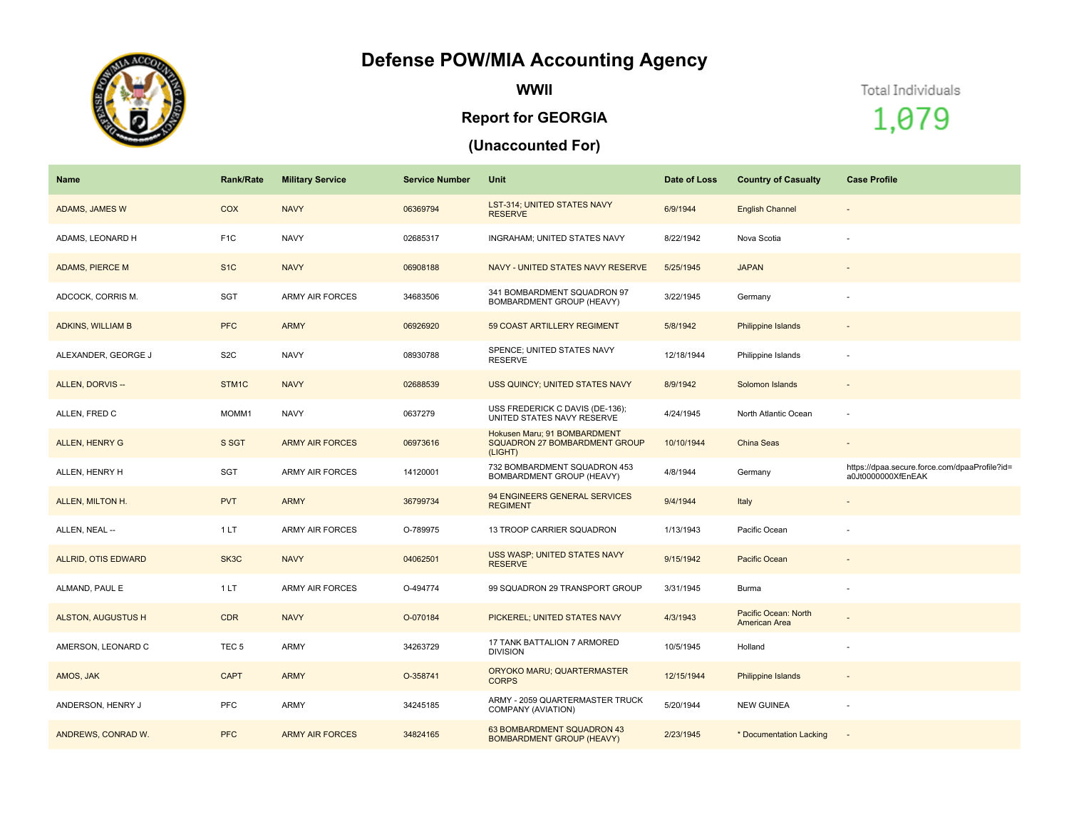## **Defense POW/MIA Accounting Agency**



**WWII**

## **Report for GEORGIA**

## **(Unaccounted For)**

Total Individuals

1,079

| Name                      | <b>Rank/Rate</b>  | <b>Military Service</b> | <b>Service Number</b> | Unit                                                                            | Date of Loss | <b>Country of Casualty</b>            | <b>Case Profile</b>                                                 |
|---------------------------|-------------------|-------------------------|-----------------------|---------------------------------------------------------------------------------|--------------|---------------------------------------|---------------------------------------------------------------------|
| ADAMS, JAMES W            | <b>COX</b>        | <b>NAVY</b>             | 06369794              | LST-314; UNITED STATES NAVY<br><b>RESERVE</b>                                   | 6/9/1944     | <b>English Channel</b>                | $\overline{\phantom{a}}$                                            |
| ADAMS, LEONARD H          | F <sub>1C</sub>   | <b>NAVY</b>             | 02685317              | INGRAHAM; UNITED STATES NAVY                                                    | 8/22/1942    | Nova Scotia                           |                                                                     |
| <b>ADAMS, PIERCE M</b>    | S <sub>1C</sub>   | <b>NAVY</b>             | 06908188              | NAVY - UNITED STATES NAVY RESERVE                                               | 5/25/1945    | <b>JAPAN</b>                          |                                                                     |
| ADCOCK, CORRIS M.         | SGT               | <b>ARMY AIR FORCES</b>  | 34683506              | 341 BOMBARDMENT SQUADRON 97<br>BOMBARDMENT GROUP (HEAVY)                        | 3/22/1945    | Germany                               |                                                                     |
| <b>ADKINS, WILLIAM B</b>  | <b>PFC</b>        | <b>ARMY</b>             | 06926920              | 59 COAST ARTILLERY REGIMENT                                                     | 5/8/1942     | Philippine Islands                    |                                                                     |
| ALEXANDER, GEORGE J       | S <sub>2</sub> C  | <b>NAVY</b>             | 08930788              | SPENCE; UNITED STATES NAVY<br><b>RESERVE</b>                                    | 12/18/1944   | Philippine Islands                    |                                                                     |
| ALLEN, DORVIS --          | STM <sub>1C</sub> | <b>NAVY</b>             | 02688539              | USS QUINCY; UNITED STATES NAVY                                                  | 8/9/1942     | Solomon Islands                       |                                                                     |
| ALLEN, FRED C             | MOMM1             | <b>NAVY</b>             | 0637279               | USS FREDERICK C DAVIS (DE-136);<br>UNITED STATES NAVY RESERVE                   | 4/24/1945    | North Atlantic Ocean                  |                                                                     |
| ALLEN, HENRY G            | S SGT             | <b>ARMY AIR FORCES</b>  | 06973616              | Hokusen Maru; 91 BOMBARDMENT<br><b>SQUADRON 27 BOMBARDMENT GROUP</b><br>(LIGHT) | 10/10/1944   | <b>China Seas</b>                     | $\sim$                                                              |
| ALLEN, HENRY H            | <b>SGT</b>        | <b>ARMY AIR FORCES</b>  | 14120001              | 732 BOMBARDMENT SQUADRON 453<br>BOMBARDMENT GROUP (HEAVY)                       | 4/8/1944     | Germany                               | https://dpaa.secure.force.com/dpaaProfile?id=<br>a0Jt0000000XfEnEAK |
| ALLEN, MILTON H.          | <b>PVT</b>        | <b>ARMY</b>             | 36799734              | 94 ENGINEERS GENERAL SERVICES<br><b>REGIMENT</b>                                | 9/4/1944     | Italy                                 | $\sim$                                                              |
| ALLEN, NEAL --            | 1LT               | <b>ARMY AIR FORCES</b>  | O-789975              | 13 TROOP CARRIER SQUADRON                                                       | 1/13/1943    | Pacific Ocean                         |                                                                     |
| ALLRID, OTIS EDWARD       | SK3C              | <b>NAVY</b>             | 04062501              | USS WASP; UNITED STATES NAVY<br><b>RESERVE</b>                                  | 9/15/1942    | Pacific Ocean                         | $\overline{\phantom{a}}$                                            |
| ALMAND, PAUL E            | 1LT               | <b>ARMY AIR FORCES</b>  | O-494774              | 99 SQUADRON 29 TRANSPORT GROUP                                                  | 3/31/1945    | Burma                                 |                                                                     |
| <b>ALSTON, AUGUSTUS H</b> | <b>CDR</b>        | <b>NAVY</b>             | O-070184              | PICKEREL; UNITED STATES NAVY                                                    | 4/3/1943     | Pacific Ocean: North<br>American Area |                                                                     |
| AMERSON, LEONARD C        | TEC <sub>5</sub>  | ARMY                    | 34263729              | 17 TANK BATTALION 7 ARMORED<br><b>DIVISION</b>                                  | 10/5/1945    | Holland                               |                                                                     |
| AMOS, JAK                 | <b>CAPT</b>       | <b>ARMY</b>             | O-358741              | ORYOKO MARU; QUARTERMASTER<br><b>CORPS</b>                                      | 12/15/1944   | <b>Philippine Islands</b>             |                                                                     |
| ANDERSON, HENRY J         | PFC               | <b>ARMY</b>             | 34245185              | ARMY - 2059 QUARTERMASTER TRUCK<br>COMPANY (AVIATION)                           | 5/20/1944    | <b>NEW GUINEA</b>                     | $\sim$                                                              |
| ANDREWS, CONRAD W.        | <b>PFC</b>        | <b>ARMY AIR FORCES</b>  | 34824165              | 63 BOMBARDMENT SQUADRON 43<br><b>BOMBARDMENT GROUP (HEAVY)</b>                  | 2/23/1945    | * Documentation Lacking               |                                                                     |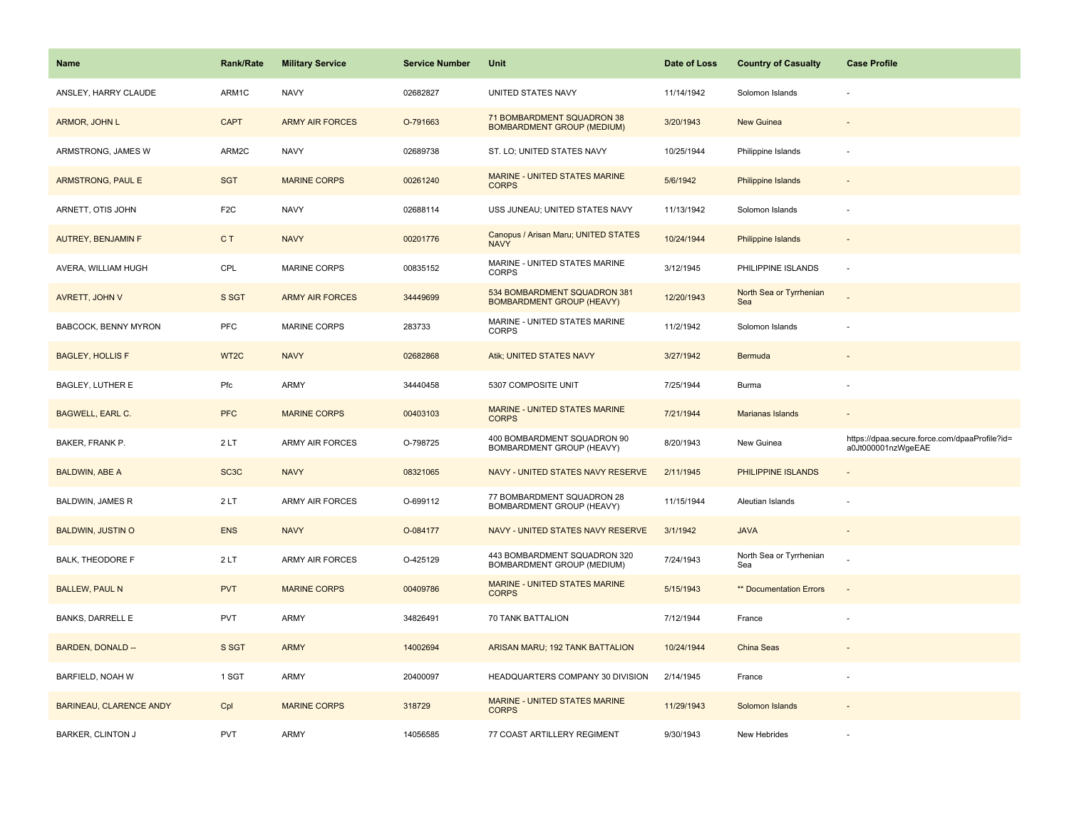| <b>Name</b>                    | <b>Rank/Rate</b>  | <b>Military Service</b> | <b>Service Number</b> | Unit                                                             | Date of Loss | <b>Country of Casualty</b>     | <b>Case Profile</b>                                                 |
|--------------------------------|-------------------|-------------------------|-----------------------|------------------------------------------------------------------|--------------|--------------------------------|---------------------------------------------------------------------|
| ANSLEY, HARRY CLAUDE           | ARM1C             | <b>NAVY</b>             | 02682827              | UNITED STATES NAVY                                               | 11/14/1942   | Solomon Islands                |                                                                     |
| ARMOR, JOHN L                  | <b>CAPT</b>       | <b>ARMY AIR FORCES</b>  | O-791663              | 71 BOMBARDMENT SQUADRON 38<br><b>BOMBARDMENT GROUP (MEDIUM)</b>  | 3/20/1943    | New Guinea                     |                                                                     |
| ARMSTRONG, JAMES W             | ARM2C             | <b>NAVY</b>             | 02689738              | ST. LO; UNITED STATES NAVY                                       | 10/25/1944   | Philippine Islands             |                                                                     |
| <b>ARMSTRONG, PAUL E</b>       | <b>SGT</b>        | <b>MARINE CORPS</b>     | 00261240              | MARINE - UNITED STATES MARINE<br><b>CORPS</b>                    | 5/6/1942     | <b>Philippine Islands</b>      |                                                                     |
| ARNETT, OTIS JOHN              | F <sub>2</sub> C  | <b>NAVY</b>             | 02688114              | USS JUNEAU; UNITED STATES NAVY                                   | 11/13/1942   | Solomon Islands                |                                                                     |
| <b>AUTREY, BENJAMIN F</b>      | C <sub>T</sub>    | <b>NAVY</b>             | 00201776              | Canopus / Arisan Maru; UNITED STATES<br><b>NAVY</b>              | 10/24/1944   | Philippine Islands             |                                                                     |
| AVERA, WILLIAM HUGH            | CPL               | MARINE CORPS            | 00835152              | MARINE - UNITED STATES MARINE<br><b>CORPS</b>                    | 3/12/1945    | PHILIPPINE ISLANDS             | $\sim$                                                              |
| AVRETT, JOHN V                 | S SGT             | <b>ARMY AIR FORCES</b>  | 34449699              | 534 BOMBARDMENT SQUADRON 381<br><b>BOMBARDMENT GROUP (HEAVY)</b> | 12/20/1943   | North Sea or Tyrrhenian<br>Sea |                                                                     |
| <b>BABCOCK, BENNY MYRON</b>    | PFC               | <b>MARINE CORPS</b>     | 283733                | MARINE - UNITED STATES MARINE<br><b>CORPS</b>                    | 11/2/1942    | Solomon Islands                |                                                                     |
| <b>BAGLEY, HOLLIS F</b>        | WT <sub>2C</sub>  | <b>NAVY</b>             | 02682868              | Atik; UNITED STATES NAVY                                         | 3/27/1942    | Bermuda                        |                                                                     |
| <b>BAGLEY, LUTHER E</b>        | Pfc               | ARMY                    | 34440458              | 5307 COMPOSITE UNIT                                              | 7/25/1944    | Burma                          |                                                                     |
| <b>BAGWELL, EARL C.</b>        | <b>PFC</b>        | <b>MARINE CORPS</b>     | 00403103              | <b>MARINE - UNITED STATES MARINE</b><br><b>CORPS</b>             | 7/21/1944    | Marianas Islands               |                                                                     |
| BAKER, FRANK P.                | 2LT               | ARMY AIR FORCES         | O-798725              | 400 BOMBARDMENT SQUADRON 90<br>BOMBARDMENT GROUP (HEAVY)         | 8/20/1943    | New Guinea                     | https://dpaa.secure.force.com/dpaaProfile?id=<br>a0Jt000001nzWgeEAE |
| <b>BALDWIN, ABE A</b>          | SC <sub>3</sub> C | <b>NAVY</b>             | 08321065              | NAVY - UNITED STATES NAVY RESERVE                                | 2/11/1945    | PHILIPPINE ISLANDS             |                                                                     |
| BALDWIN, JAMES R               | 2LT               | <b>ARMY AIR FORCES</b>  | O-699112              | 77 BOMBARDMENT SQUADRON 28<br>BOMBARDMENT GROUP (HEAVY)          | 11/15/1944   | Aleutian Islands               |                                                                     |
| <b>BALDWIN, JUSTIN O</b>       | <b>ENS</b>        | <b>NAVY</b>             | O-084177              | NAVY - UNITED STATES NAVY RESERVE                                | 3/1/1942     | <b>JAVA</b>                    |                                                                     |
| <b>BALK, THEODORE F</b>        | 2LT               | <b>ARMY AIR FORCES</b>  | O-425129              | 443 BOMBARDMENT SQUADRON 320<br>BOMBARDMENT GROUP (MEDIUM)       | 7/24/1943    | North Sea or Tyrrhenian<br>Sea |                                                                     |
| <b>BALLEW, PAUL N</b>          | <b>PVT</b>        | <b>MARINE CORPS</b>     | 00409786              | MARINE - UNITED STATES MARINE<br><b>CORPS</b>                    | 5/15/1943    | ** Documentation Errors        |                                                                     |
| <b>BANKS, DARRELL E</b>        | <b>PVT</b>        | <b>ARMY</b>             | 34826491              | 70 TANK BATTALION                                                | 7/12/1944    | France                         |                                                                     |
| BARDEN, DONALD --              | S SGT             | <b>ARMY</b>             | 14002694              | ARISAN MARU; 192 TANK BATTALION                                  | 10/24/1944   | China Seas                     |                                                                     |
| <b>BARFIELD, NOAH W</b>        | 1 SGT             | ARMY                    | 20400097              | HEADQUARTERS COMPANY 30 DIVISION                                 | 2/14/1945    | France                         |                                                                     |
| <b>BARINEAU, CLARENCE ANDY</b> | Cpl               | <b>MARINE CORPS</b>     | 318729                | MARINE - UNITED STATES MARINE<br><b>CORPS</b>                    | 11/29/1943   | Solomon Islands                |                                                                     |
| <b>BARKER, CLINTON J</b>       | <b>PVT</b>        | ARMY                    | 14056585              | 77 COAST ARTILLERY REGIMENT                                      | 9/30/1943    | New Hebrides                   |                                                                     |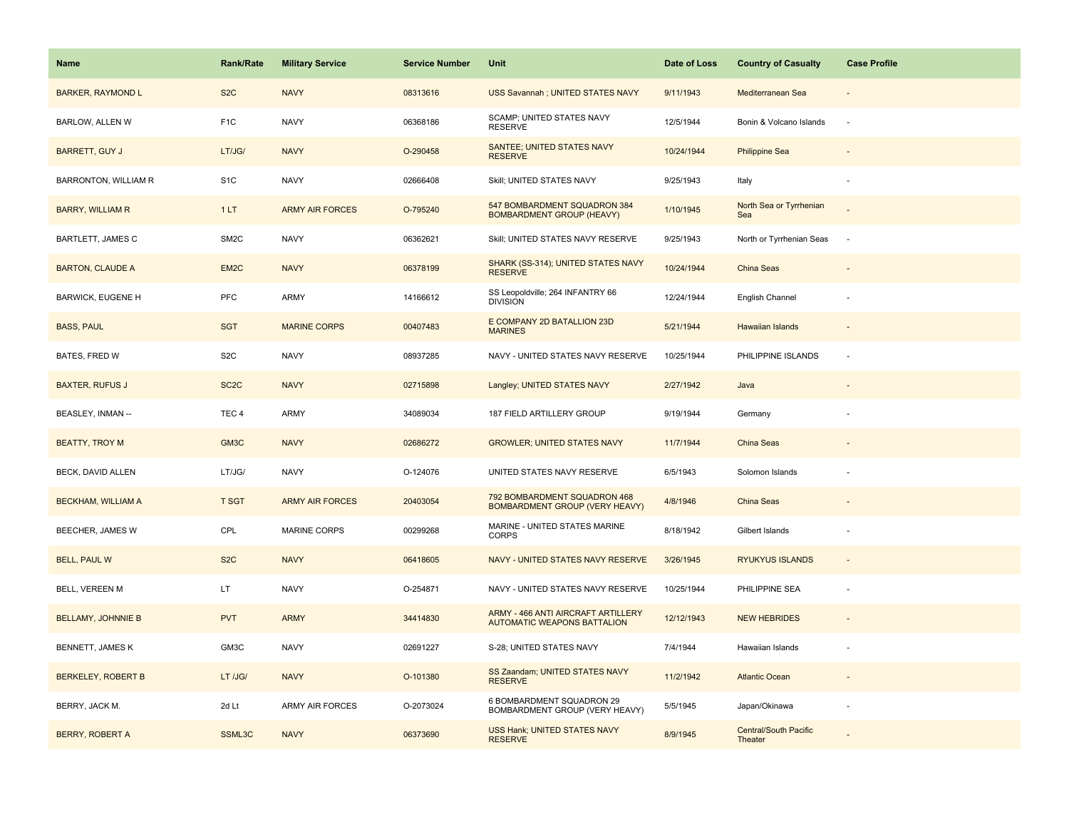| <b>Name</b>                 | <b>Rank/Rate</b>  | <b>Military Service</b> | <b>Service Number</b> | Unit                                                                     | Date of Loss | <b>Country of Casualty</b>              | <b>Case Profile</b> |
|-----------------------------|-------------------|-------------------------|-----------------------|--------------------------------------------------------------------------|--------------|-----------------------------------------|---------------------|
| <b>BARKER, RAYMOND L</b>    | S <sub>2</sub> C  | <b>NAVY</b>             | 08313616              | USS Savannah ; UNITED STATES NAVY                                        | 9/11/1943    | Mediterranean Sea                       |                     |
| BARLOW, ALLEN W             | F <sub>1</sub> C  | <b>NAVY</b>             | 06368186              | SCAMP; UNITED STATES NAVY<br><b>RESERVE</b>                              | 12/5/1944    | Bonin & Volcano Islands                 | $\sim$              |
| <b>BARRETT, GUY J</b>       | LT/JG/            | <b>NAVY</b>             | O-290458              | SANTEE; UNITED STATES NAVY<br><b>RESERVE</b>                             | 10/24/1944   | <b>Philippine Sea</b>                   |                     |
| <b>BARRONTON, WILLIAM R</b> | S <sub>1C</sub>   | <b>NAVY</b>             | 02666408              | Skill; UNITED STATES NAVY                                                | 9/25/1943    | Italy                                   |                     |
| <b>BARRY, WILLIAM R</b>     | 1LT               | <b>ARMY AIR FORCES</b>  | O-795240              | 547 BOMBARDMENT SQUADRON 384<br><b>BOMBARDMENT GROUP (HEAVY)</b>         | 1/10/1945    | North Sea or Tyrrhenian<br>Sea          |                     |
| BARTLETT, JAMES C           | SM <sub>2</sub> C | <b>NAVY</b>             | 06362621              | Skill; UNITED STATES NAVY RESERVE                                        | 9/25/1943    | North or Tyrrhenian Seas                | $\sim$              |
| <b>BARTON, CLAUDE A</b>     | EM <sub>2</sub> C | <b>NAVY</b>             | 06378199              | SHARK (SS-314); UNITED STATES NAVY<br><b>RESERVE</b>                     | 10/24/1944   | China Seas                              |                     |
| <b>BARWICK, EUGENE H</b>    | PFC               | ARMY                    | 14166612              | SS Leopoldville; 264 INFANTRY 66<br><b>DIVISION</b>                      | 12/24/1944   | English Channel                         |                     |
| <b>BASS, PAUL</b>           | <b>SGT</b>        | <b>MARINE CORPS</b>     | 00407483              | E COMPANY 2D BATALLION 23D<br><b>MARINES</b>                             | 5/21/1944    | <b>Hawaiian Islands</b>                 |                     |
| BATES, FRED W               | S <sub>2</sub> C  | <b>NAVY</b>             | 08937285              | NAVY - UNITED STATES NAVY RESERVE                                        | 10/25/1944   | PHILIPPINE ISLANDS                      | $\sim$              |
| <b>BAXTER, RUFUS J</b>      | SC <sub>2</sub> C | <b>NAVY</b>             | 02715898              | Langley; UNITED STATES NAVY                                              | 2/27/1942    | Java                                    |                     |
| BEASLEY, INMAN --           | TEC <sub>4</sub>  | ARMY                    | 34089034              | 187 FIELD ARTILLERY GROUP                                                | 9/19/1944    | Germany                                 |                     |
| <b>BEATTY, TROY M</b>       | GM3C              | <b>NAVY</b>             | 02686272              | <b>GROWLER: UNITED STATES NAVY</b>                                       | 11/7/1944    | <b>China Seas</b>                       |                     |
| BECK, DAVID ALLEN           | LT/JG/            | <b>NAVY</b>             | O-124076              | UNITED STATES NAVY RESERVE                                               | 6/5/1943     | Solomon Islands                         |                     |
| <b>BECKHAM, WILLIAM A</b>   | <b>T SGT</b>      | <b>ARMY AIR FORCES</b>  | 20403054              | 792 BOMBARDMENT SQUADRON 468<br>BOMBARDMENT GROUP (VERY HEAVY)           | 4/8/1946     | <b>China Seas</b>                       |                     |
| BEECHER, JAMES W            | CPL               | MARINE CORPS            | 00299268              | MARINE - UNITED STATES MARINE<br>CORPS                                   | 8/18/1942    | Gilbert Islands                         |                     |
| <b>BELL, PAUL W</b>         | S <sub>2</sub> C  | <b>NAVY</b>             | 06418605              | NAVY - UNITED STATES NAVY RESERVE                                        | 3/26/1945    | <b>RYUKYUS ISLANDS</b>                  |                     |
| BELL, VEREEN M              | LT.               | <b>NAVY</b>             | O-254871              | NAVY - UNITED STATES NAVY RESERVE                                        | 10/25/1944   | PHILIPPINE SEA                          |                     |
| <b>BELLAMY, JOHNNIE B</b>   | <b>PVT</b>        | <b>ARMY</b>             | 34414830              | ARMY - 466 ANTI AIRCRAFT ARTILLERY<br><b>AUTOMATIC WEAPONS BATTALION</b> | 12/12/1943   | <b>NEW HEBRIDES</b>                     |                     |
| BENNETT, JAMES K            | GM3C              | <b>NAVY</b>             | 02691227              | S-28; UNITED STATES NAVY                                                 | 7/4/1944     | Hawaiian Islands                        |                     |
| <b>BERKELEY, ROBERT B</b>   | LT /JG/           | <b>NAVY</b>             | O-101380              | SS Zaandam; UNITED STATES NAVY<br><b>RESERVE</b>                         | 11/2/1942    | <b>Atlantic Ocean</b>                   |                     |
| BERRY, JACK M.              | 2d Lt             | <b>ARMY AIR FORCES</b>  | O-2073024             | 6 BOMBARDMENT SQUADRON 29<br>BOMBARDMENT GROUP (VERY HEAVY)              | 5/5/1945     | Japan/Okinawa                           |                     |
| BERRY, ROBERT A             | SSML3C            | <b>NAVY</b>             | 06373690              | USS Hank; UNITED STATES NAVY<br><b>RESERVE</b>                           | 8/9/1945     | <b>Central/South Pacific</b><br>Theater |                     |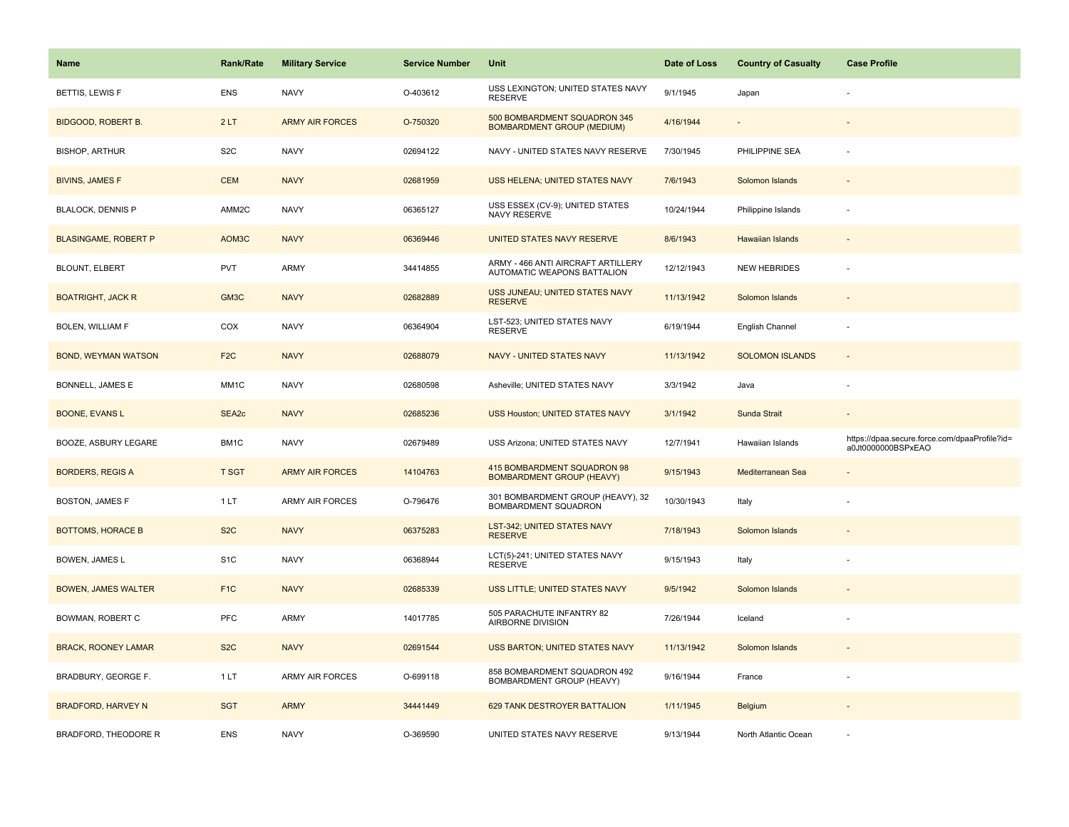| <b>Name</b>                 | <b>Rank/Rate</b>  | <b>Military Service</b> | <b>Service Number</b> | Unit                                                              | Date of Loss | <b>Country of Casualty</b> | <b>Case Profile</b>                                                 |
|-----------------------------|-------------------|-------------------------|-----------------------|-------------------------------------------------------------------|--------------|----------------------------|---------------------------------------------------------------------|
| BETTIS, LEWIS F             | <b>ENS</b>        | <b>NAVY</b>             | O-403612              | USS LEXINGTON; UNITED STATES NAVY<br><b>RESERVE</b>               | 9/1/1945     | Japan                      |                                                                     |
| <b>BIDGOOD, ROBERT B.</b>   | 2LT               | <b>ARMY AIR FORCES</b>  | O-750320              | 500 BOMBARDMENT SQUADRON 345<br><b>BOMBARDMENT GROUP (MEDIUM)</b> | 4/16/1944    |                            |                                                                     |
| <b>BISHOP, ARTHUR</b>       | S <sub>2</sub> C  | <b>NAVY</b>             | 02694122              | NAVY - UNITED STATES NAVY RESERVE                                 | 7/30/1945    | PHILIPPINE SEA             |                                                                     |
| <b>BIVINS, JAMES F</b>      | <b>CEM</b>        | <b>NAVY</b>             | 02681959              | USS HELENA; UNITED STATES NAVY                                    | 7/6/1943     | Solomon Islands            |                                                                     |
| <b>BLALOCK, DENNIS P</b>    | AMM2C             | <b>NAVY</b>             | 06365127              | USS ESSEX (CV-9); UNITED STATES<br>NAVY RESERVE                   | 10/24/1944   | Philippine Islands         |                                                                     |
| <b>BLASINGAME, ROBERT P</b> | AOM3C             | <b>NAVY</b>             | 06369446              | UNITED STATES NAVY RESERVE                                        | 8/6/1943     | Hawaiian Islands           |                                                                     |
| BLOUNT, ELBERT              | <b>PVT</b>        | <b>ARMY</b>             | 34414855              | ARMY - 466 ANTI AIRCRAFT ARTILLERY<br>AUTOMATIC WEAPONS BATTALION | 12/12/1943   | <b>NEW HEBRIDES</b>        |                                                                     |
| <b>BOATRIGHT, JACK R</b>    | GM3C              | <b>NAVY</b>             | 02682889              | USS JUNEAU; UNITED STATES NAVY<br><b>RESERVE</b>                  | 11/13/1942   | Solomon Islands            |                                                                     |
| <b>BOLEN, WILLIAM F</b>     | COX               | <b>NAVY</b>             | 06364904              | LST-523; UNITED STATES NAVY<br><b>RESERVE</b>                     | 6/19/1944    | English Channel            |                                                                     |
| <b>BOND, WEYMAN WATSON</b>  | F <sub>2</sub> C  | <b>NAVY</b>             | 02688079              | NAVY - UNITED STATES NAVY                                         | 11/13/1942   | <b>SOLOMON ISLANDS</b>     |                                                                     |
| <b>BONNELL, JAMES E</b>     | MM <sub>1</sub> C | <b>NAVY</b>             | 02680598              | Asheville; UNITED STATES NAVY                                     | 3/3/1942     | Java                       |                                                                     |
| <b>BOONE, EVANS L</b>       | SEA2c             | <b>NAVY</b>             | 02685236              | USS Houston; UNITED STATES NAVY                                   | 3/1/1942     | Sunda Strait               |                                                                     |
| BOOZE, ASBURY LEGARE        | BM1C              | <b>NAVY</b>             | 02679489              | USS Arizona; UNITED STATES NAVY                                   | 12/7/1941    | Hawaiian Islands           | https://dpaa.secure.force.com/dpaaProfile?id=<br>a0Jt0000000BSPxEAO |
| <b>BORDERS, REGIS A</b>     | <b>T SGT</b>      | <b>ARMY AIR FORCES</b>  | 14104763              | 415 BOMBARDMENT SQUADRON 98<br><b>BOMBARDMENT GROUP (HEAVY)</b>   | 9/15/1943    | Mediterranean Sea          |                                                                     |
| <b>BOSTON, JAMES F</b>      | 1LT               | ARMY AIR FORCES         | O-796476              | 301 BOMBARDMENT GROUP (HEAVY), 32<br>BOMBARDMENT SQUADRON         | 10/30/1943   | Italy                      |                                                                     |
| <b>BOTTOMS, HORACE B</b>    | S <sub>2</sub> C  | <b>NAVY</b>             | 06375283              | LST-342; UNITED STATES NAVY<br><b>RESERVE</b>                     | 7/18/1943    | Solomon Islands            |                                                                     |
| BOWEN, JAMES L              | S <sub>1</sub> C  | <b>NAVY</b>             | 06368944              | LCT(5)-241; UNITED STATES NAVY<br><b>RESERVE</b>                  | 9/15/1943    | Italy                      |                                                                     |
| <b>BOWEN, JAMES WALTER</b>  | F <sub>1C</sub>   | <b>NAVY</b>             | 02685339              | USS LITTLE; UNITED STATES NAVY                                    | 9/5/1942     | Solomon Islands            |                                                                     |
| BOWMAN, ROBERT C            | PFC               | <b>ARMY</b>             | 14017785              | 505 PARACHUTE INFANTRY 82<br>AIRBORNE DIVISION                    | 7/26/1944    | Iceland                    |                                                                     |
| <b>BRACK, ROONEY LAMAR</b>  | S <sub>2</sub> C  | <b>NAVY</b>             | 02691544              | USS BARTON; UNITED STATES NAVY                                    | 11/13/1942   | Solomon Islands            |                                                                     |
| BRADBURY, GEORGE F.         | 1LT               | <b>ARMY AIR FORCES</b>  | O-699118              | 858 BOMBARDMENT SQUADRON 492<br>BOMBARDMENT GROUP (HEAVY)         | 9/16/1944    | France                     |                                                                     |
| <b>BRADFORD, HARVEY N</b>   | <b>SGT</b>        | <b>ARMY</b>             | 34441449              | 629 TANK DESTROYER BATTALION                                      | 1/11/1945    | Belgium                    |                                                                     |
| BRADFORD, THEODORE R        | <b>ENS</b>        | <b>NAVY</b>             | O-369590              | UNITED STATES NAVY RESERVE                                        | 9/13/1944    | North Atlantic Ocean       |                                                                     |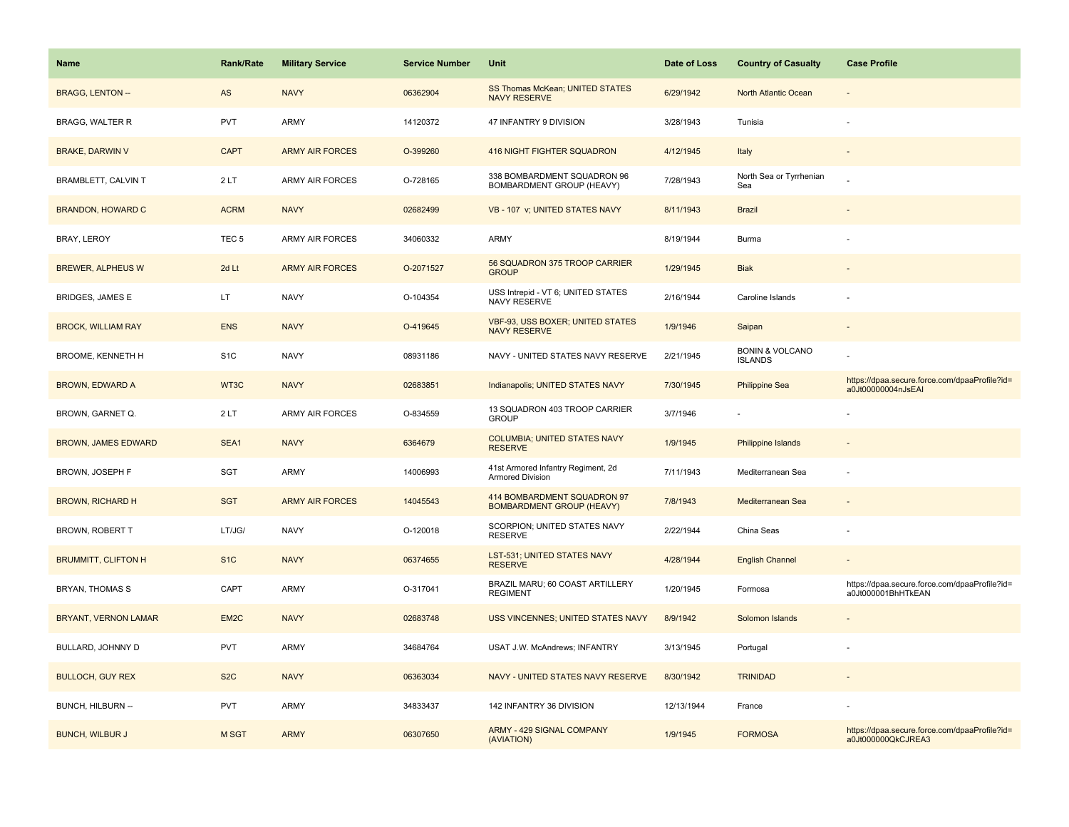| Name                       | <b>Rank/Rate</b>  | <b>Military Service</b> | <b>Service Number</b> | Unit                                                            | Date of Loss | <b>Country of Casualty</b>                   | <b>Case Profile</b>                                                 |
|----------------------------|-------------------|-------------------------|-----------------------|-----------------------------------------------------------------|--------------|----------------------------------------------|---------------------------------------------------------------------|
| <b>BRAGG, LENTON --</b>    | AS                | <b>NAVY</b>             | 06362904              | SS Thomas McKean; UNITED STATES<br><b>NAVY RESERVE</b>          | 6/29/1942    | North Atlantic Ocean                         |                                                                     |
| BRAGG, WALTER R            | <b>PVT</b>        | ARMY                    | 14120372              | 47 INFANTRY 9 DIVISION                                          | 3/28/1943    | Tunisia                                      |                                                                     |
| <b>BRAKE, DARWIN V</b>     | <b>CAPT</b>       | <b>ARMY AIR FORCES</b>  | O-399260              | 416 NIGHT FIGHTER SQUADRON                                      | 4/12/1945    | Italy                                        |                                                                     |
| <b>BRAMBLETT, CALVIN T</b> | 2LT               | <b>ARMY AIR FORCES</b>  | O-728165              | 338 BOMBARDMENT SQUADRON 96<br>BOMBARDMENT GROUP (HEAVY)        | 7/28/1943    | North Sea or Tyrrhenian<br>Sea               |                                                                     |
| <b>BRANDON, HOWARD C</b>   | <b>ACRM</b>       | <b>NAVY</b>             | 02682499              | VB - 107 v; UNITED STATES NAVY                                  | 8/11/1943    | <b>Brazil</b>                                |                                                                     |
| BRAY, LEROY                | TEC <sub>5</sub>  | ARMY AIR FORCES         | 34060332              | <b>ARMY</b>                                                     | 8/19/1944    | <b>Burma</b>                                 |                                                                     |
| <b>BREWER, ALPHEUS W</b>   | 2d Lt             | <b>ARMY AIR FORCES</b>  | O-2071527             | 56 SQUADRON 375 TROOP CARRIER<br><b>GROUP</b>                   | 1/29/1945    | <b>Biak</b>                                  |                                                                     |
| BRIDGES, JAMES E           | LT                | <b>NAVY</b>             | O-104354              | USS Intrepid - VT 6; UNITED STATES<br>NAVY RESERVE              | 2/16/1944    | Caroline Islands                             |                                                                     |
| <b>BROCK, WILLIAM RAY</b>  | <b>ENS</b>        | <b>NAVY</b>             | O-419645              | <b>VBF-93, USS BOXER; UNITED STATES</b><br><b>NAVY RESERVE</b>  | 1/9/1946     | Saipan                                       |                                                                     |
| BROOME, KENNETH H          | S <sub>1</sub> C  | <b>NAVY</b>             | 08931186              | NAVY - UNITED STATES NAVY RESERVE                               | 2/21/1945    | <b>BONIN &amp; VOLCANO</b><br><b>ISLANDS</b> |                                                                     |
| <b>BROWN, EDWARD A</b>     | WT3C              | <b>NAVY</b>             | 02683851              | Indianapolis; UNITED STATES NAVY                                | 7/30/1945    | <b>Philippine Sea</b>                        | https://dpaa.secure.force.com/dpaaProfile?id=<br>a0Jt00000004nJsEAI |
| BROWN, GARNET Q.           | 2LT               | <b>ARMY AIR FORCES</b>  | O-834559              | 13 SQUADRON 403 TROOP CARRIER<br><b>GROUP</b>                   | 3/7/1946     |                                              |                                                                     |
| <b>BROWN, JAMES EDWARD</b> | SEA1              | <b>NAVY</b>             | 6364679               | <b>COLUMBIA; UNITED STATES NAVY</b><br><b>RESERVE</b>           | 1/9/1945     | <b>Philippine Islands</b>                    |                                                                     |
| BROWN, JOSEPH F            | <b>SGT</b>        | ARMY                    | 14006993              | 41st Armored Infantry Regiment, 2d<br>Armored Division          | 7/11/1943    | Mediterranean Sea                            |                                                                     |
| <b>BROWN, RICHARD H</b>    | <b>SGT</b>        | <b>ARMY AIR FORCES</b>  | 14045543              | 414 BOMBARDMENT SQUADRON 97<br><b>BOMBARDMENT GROUP (HEAVY)</b> | 7/8/1943     | Mediterranean Sea                            |                                                                     |
| BROWN, ROBERT T            | LT/JG/            | <b>NAVY</b>             | O-120018              | SCORPION; UNITED STATES NAVY<br><b>RESERVE</b>                  | 2/22/1944    | China Seas                                   |                                                                     |
| <b>BRUMMITT, CLIFTON H</b> | S <sub>1</sub> C  | <b>NAVY</b>             | 06374655              | <b>LST-531; UNITED STATES NAVY</b><br><b>RESERVE</b>            | 4/28/1944    | <b>English Channel</b>                       |                                                                     |
| BRYAN, THOMAS S            | CAPT              | ARMY                    | O-317041              | BRAZIL MARU; 60 COAST ARTILLERY<br><b>REGIMENT</b>              | 1/20/1945    | Formosa                                      | https://dpaa.secure.force.com/dpaaProfile?id=<br>a0Jt000001BhHTkEAN |
| BRYANT, VERNON LAMAR       | EM <sub>2</sub> C | <b>NAVY</b>             | 02683748              | USS VINCENNES; UNITED STATES NAVY                               | 8/9/1942     | Solomon Islands                              |                                                                     |
| BULLARD, JOHNNY D          | <b>PVT</b>        | ARMY                    | 34684764              | USAT J.W. McAndrews; INFANTRY                                   | 3/13/1945    | Portugal                                     |                                                                     |
| <b>BULLOCH, GUY REX</b>    | S <sub>2</sub> C  | <b>NAVY</b>             | 06363034              | NAVY - UNITED STATES NAVY RESERVE                               | 8/30/1942    | <b>TRINIDAD</b>                              |                                                                     |
| BUNCH, HILBURN --          | <b>PVT</b>        | <b>ARMY</b>             | 34833437              | 142 INFANTRY 36 DIVISION                                        | 12/13/1944   | France                                       |                                                                     |
| <b>BUNCH, WILBUR J</b>     | M SGT             | <b>ARMY</b>             | 06307650              | ARMY - 429 SIGNAL COMPANY<br>(AVIATION)                         | 1/9/1945     | <b>FORMOSA</b>                               | https://dpaa.secure.force.com/dpaaProfile?id=<br>a0Jt000000QkCJREA3 |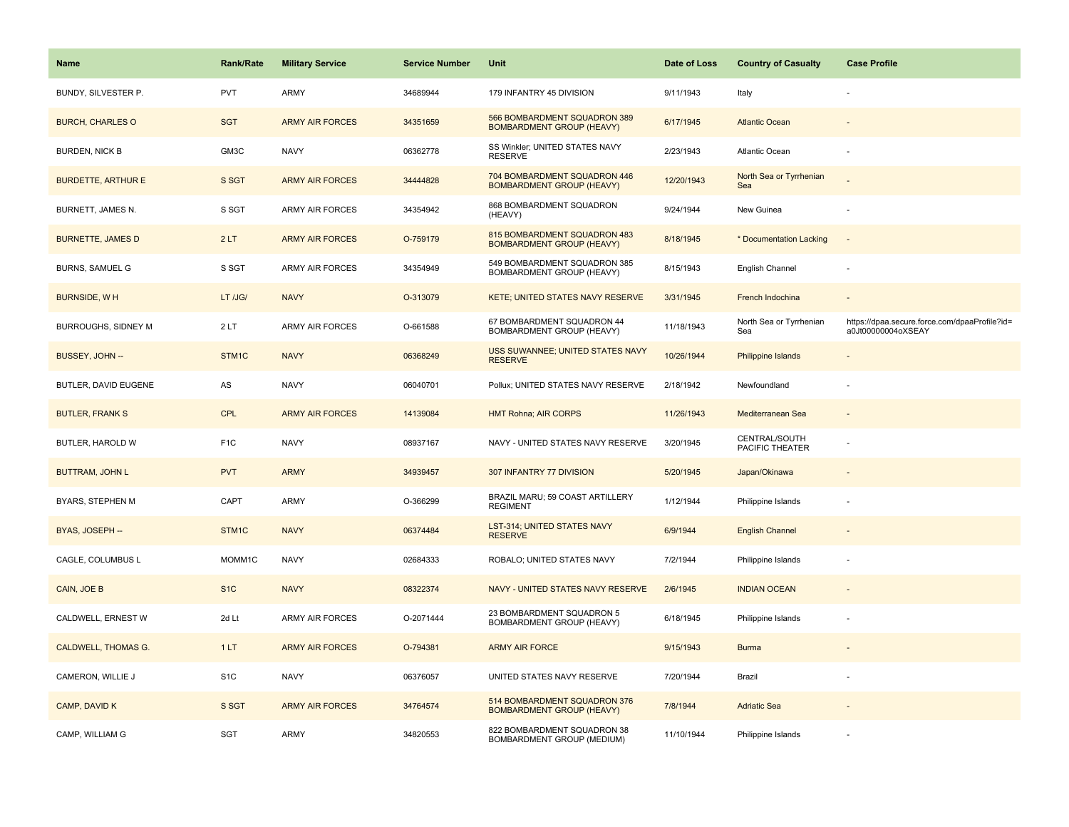| <b>Name</b>                | Rank/Rate        | <b>Military Service</b> | <b>Service Number</b> | Unit                                                             | Date of Loss | <b>Country of Casualty</b>       | <b>Case Profile</b>                                                 |
|----------------------------|------------------|-------------------------|-----------------------|------------------------------------------------------------------|--------------|----------------------------------|---------------------------------------------------------------------|
| BUNDY, SILVESTER P.        | PVT              | ARMY                    | 34689944              | 179 INFANTRY 45 DIVISION                                         | 9/11/1943    | Italy                            |                                                                     |
| <b>BURCH, CHARLES O</b>    | <b>SGT</b>       | <b>ARMY AIR FORCES</b>  | 34351659              | 566 BOMBARDMENT SQUADRON 389<br><b>BOMBARDMENT GROUP (HEAVY)</b> | 6/17/1945    | <b>Atlantic Ocean</b>            |                                                                     |
| <b>BURDEN, NICK B</b>      | GM3C             | <b>NAVY</b>             | 06362778              | SS Winkler; UNITED STATES NAVY<br><b>RESERVE</b>                 | 2/23/1943    | Atlantic Ocean                   |                                                                     |
| <b>BURDETTE, ARTHUR E</b>  | S SGT            | <b>ARMY AIR FORCES</b>  | 34444828              | 704 BOMBARDMENT SQUADRON 446<br><b>BOMBARDMENT GROUP (HEAVY)</b> | 12/20/1943   | North Sea or Tyrrhenian<br>Sea   |                                                                     |
| BURNETT, JAMES N.          | S SGT            | <b>ARMY AIR FORCES</b>  | 34354942              | 868 BOMBARDMENT SQUADRON<br>(HEAVY)                              | 9/24/1944    | New Guinea                       |                                                                     |
| <b>BURNETTE, JAMES D</b>   | 2LT              | <b>ARMY AIR FORCES</b>  | O-759179              | 815 BOMBARDMENT SQUADRON 483<br><b>BOMBARDMENT GROUP (HEAVY)</b> | 8/18/1945    | * Documentation Lacking          | $\overline{\phantom{a}}$                                            |
| <b>BURNS, SAMUEL G</b>     | S SGT            | <b>ARMY AIR FORCES</b>  | 34354949              | 549 BOMBARDMENT SQUADRON 385<br>BOMBARDMENT GROUP (HEAVY)        | 8/15/1943    | English Channel                  | ÷,                                                                  |
| <b>BURNSIDE, WH</b>        | LT /JG/          | <b>NAVY</b>             | O-313079              | KETE; UNITED STATES NAVY RESERVE                                 | 3/31/1945    | French Indochina                 | $\sim$                                                              |
| BURROUGHS, SIDNEY M        | 2LT              | ARMY AIR FORCES         | O-661588              | 67 BOMBARDMENT SQUADRON 44<br>BOMBARDMENT GROUP (HEAVY)          | 11/18/1943   | North Sea or Tyrrhenian<br>Sea   | https://dpaa.secure.force.com/dpaaProfile?id=<br>a0Jt00000004oXSEAY |
| BUSSEY, JOHN --            | STM1C            | <b>NAVY</b>             | 06368249              | USS SUWANNEE; UNITED STATES NAVY<br><b>RESERVE</b>               | 10/26/1944   | Philippine Islands               |                                                                     |
| BUTLER, DAVID EUGENE       | AS               | <b>NAVY</b>             | 06040701              | Pollux; UNITED STATES NAVY RESERVE                               | 2/18/1942    | Newfoundland                     |                                                                     |
| <b>BUTLER, FRANK S</b>     | <b>CPL</b>       | <b>ARMY AIR FORCES</b>  | 14139084              | <b>HMT Rohna; AIR CORPS</b>                                      | 11/26/1943   | Mediterranean Sea                | $\sim$                                                              |
| BUTLER, HAROLD W           | F <sub>1</sub> C | <b>NAVY</b>             | 08937167              | NAVY - UNITED STATES NAVY RESERVE                                | 3/20/1945    | CENTRAL/SOUTH<br>PACIFIC THEATER |                                                                     |
| <b>BUTTRAM, JOHN L</b>     | <b>PVT</b>       | <b>ARMY</b>             | 34939457              | 307 INFANTRY 77 DIVISION                                         | 5/20/1945    | Japan/Okinawa                    |                                                                     |
| BYARS, STEPHEN M           | CAPT             | <b>ARMY</b>             | O-366299              | BRAZIL MARU; 59 COAST ARTILLERY<br><b>REGIMENT</b>               | 1/12/1944    | Philippine Islands               | ÷,                                                                  |
| BYAS, JOSEPH --            | STM1C            | <b>NAVY</b>             | 06374484              | LST-314; UNITED STATES NAVY<br><b>RESERVE</b>                    | 6/9/1944     | <b>English Channel</b>           |                                                                     |
| CAGLE, COLUMBUS L          | MOMM1C           | <b>NAVY</b>             | 02684333              | ROBALO; UNITED STATES NAVY                                       | 7/2/1944     | Philippine Islands               |                                                                     |
| CAIN, JOE B                | S <sub>1</sub> C | <b>NAVY</b>             | 08322374              | NAVY - UNITED STATES NAVY RESERVE                                | 2/6/1945     | <b>INDIAN OCEAN</b>              |                                                                     |
| CALDWELL, ERNEST W         | 2d Lt            | ARMY AIR FORCES         | O-2071444             | 23 BOMBARDMENT SQUADRON 5<br>BOMBARDMENT GROUP (HEAVY)           | 6/18/1945    | Philippine Islands               | ÷,                                                                  |
| <b>CALDWELL, THOMAS G.</b> | 1LT              | <b>ARMY AIR FORCES</b>  | O-794381              | <b>ARMY AIR FORCE</b>                                            | 9/15/1943    | <b>Burma</b>                     |                                                                     |
| CAMERON, WILLIE J          | S <sub>1</sub> C | <b>NAVY</b>             | 06376057              | UNITED STATES NAVY RESERVE                                       | 7/20/1944    | Brazil                           |                                                                     |
| CAMP, DAVID K              | S SGT            | <b>ARMY AIR FORCES</b>  | 34764574              | 514 BOMBARDMENT SQUADRON 376<br><b>BOMBARDMENT GROUP (HEAVY)</b> | 7/8/1944     | <b>Adriatic Sea</b>              |                                                                     |
| CAMP, WILLIAM G            | SGT              | <b>ARMY</b>             | 34820553              | 822 BOMBARDMENT SQUADRON 38<br>BOMBARDMENT GROUP (MEDIUM)        | 11/10/1944   | Philippine Islands               |                                                                     |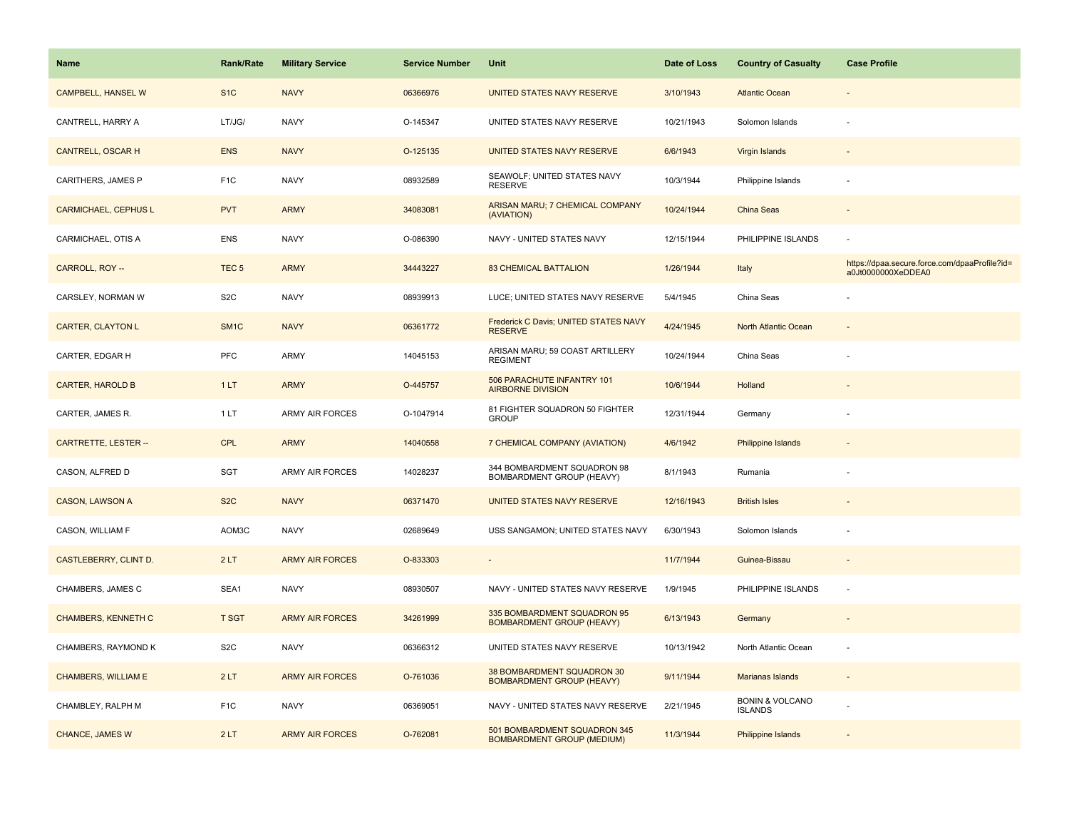| Name                        | <b>Rank/Rate</b>  | <b>Military Service</b> | <b>Service Number</b> | Unit                                                              | Date of Loss | <b>Country of Casualty</b>                   | <b>Case Profile</b>                                                 |
|-----------------------------|-------------------|-------------------------|-----------------------|-------------------------------------------------------------------|--------------|----------------------------------------------|---------------------------------------------------------------------|
| CAMPBELL, HANSEL W          | S <sub>1</sub> C  | <b>NAVY</b>             | 06366976              | UNITED STATES NAVY RESERVE                                        | 3/10/1943    | <b>Atlantic Ocean</b>                        |                                                                     |
| CANTRELL, HARRY A           | LT/JG/            | <b>NAVY</b>             | O-145347              | UNITED STATES NAVY RESERVE                                        | 10/21/1943   | Solomon Islands                              |                                                                     |
| <b>CANTRELL, OSCAR H</b>    | <b>ENS</b>        | <b>NAVY</b>             | O-125135              | UNITED STATES NAVY RESERVE                                        | 6/6/1943     | Virgin Islands                               |                                                                     |
| CARITHERS, JAMES P          | F <sub>1</sub> C  | <b>NAVY</b>             | 08932589              | SEAWOLF; UNITED STATES NAVY<br><b>RESERVE</b>                     | 10/3/1944    | Philippine Islands                           |                                                                     |
| <b>CARMICHAEL, CEPHUS L</b> | <b>PVT</b>        | <b>ARMY</b>             | 34083081              | ARISAN MARU; 7 CHEMICAL COMPANY<br>(AVIATION)                     | 10/24/1944   | China Seas                                   |                                                                     |
| CARMICHAEL, OTIS A          | <b>ENS</b>        | <b>NAVY</b>             | O-086390              | NAVY - UNITED STATES NAVY                                         | 12/15/1944   | PHILIPPINE ISLANDS                           |                                                                     |
| CARROLL, ROY --             | TEC <sub>5</sub>  | <b>ARMY</b>             | 34443227              | <b>83 CHEMICAL BATTALION</b>                                      | 1/26/1944    | Italy                                        | https://dpaa.secure.force.com/dpaaProfile?id=<br>a0Jt0000000XeDDEA0 |
| CARSLEY, NORMAN W           | S <sub>2</sub> C  | <b>NAVY</b>             | 08939913              | LUCE; UNITED STATES NAVY RESERVE                                  | 5/4/1945     | China Seas                                   |                                                                     |
| <b>CARTER, CLAYTON L</b>    | SM <sub>1</sub> C | <b>NAVY</b>             | 06361772              | Frederick C Davis; UNITED STATES NAVY<br><b>RESERVE</b>           | 4/24/1945    | North Atlantic Ocean                         |                                                                     |
| CARTER, EDGAR H             | PFC               | ARMY                    | 14045153              | ARISAN MARU; 59 COAST ARTILLERY<br><b>REGIMENT</b>                | 10/24/1944   | China Seas                                   |                                                                     |
| <b>CARTER, HAROLD B</b>     | 1LT               | <b>ARMY</b>             | O-445757              | 506 PARACHUTE INFANTRY 101<br><b>AIRBORNE DIVISION</b>            | 10/6/1944    | Holland                                      |                                                                     |
| CARTER, JAMES R.            | 1 LT              | <b>ARMY AIR FORCES</b>  | O-1047914             | 81 FIGHTER SQUADRON 50 FIGHTER<br><b>GROUP</b>                    | 12/31/1944   | Germany                                      |                                                                     |
| CARTRETTE, LESTER --        | <b>CPL</b>        | <b>ARMY</b>             | 14040558              | 7 CHEMICAL COMPANY (AVIATION)                                     | 4/6/1942     | <b>Philippine Islands</b>                    |                                                                     |
| CASON, ALFRED D             | <b>SGT</b>        | ARMY AIR FORCES         | 14028237              | 344 BOMBARDMENT SQUADRON 98<br>BOMBARDMENT GROUP (HEAVY)          | 8/1/1943     | Rumania                                      |                                                                     |
| <b>CASON, LAWSON A</b>      | S <sub>2</sub> C  | <b>NAVY</b>             | 06371470              | UNITED STATES NAVY RESERVE                                        | 12/16/1943   | <b>British Isles</b>                         |                                                                     |
| CASON, WILLIAM F            | AOM3C             | <b>NAVY</b>             | 02689649              | USS SANGAMON; UNITED STATES NAVY                                  | 6/30/1943    | Solomon Islands                              |                                                                     |
| CASTLEBERRY, CLINT D.       | 2LT               | <b>ARMY AIR FORCES</b>  | O-833303              | $\overline{\phantom{a}}$                                          | 11/7/1944    | Guinea-Bissau                                |                                                                     |
| CHAMBERS, JAMES C           | SEA1              | <b>NAVY</b>             | 08930507              | NAVY - UNITED STATES NAVY RESERVE                                 | 1/9/1945     | PHILIPPINE ISLANDS                           | ×.                                                                  |
| <b>CHAMBERS, KENNETH C</b>  | <b>T SGT</b>      | <b>ARMY AIR FORCES</b>  | 34261999              | 335 BOMBARDMENT SQUADRON 95<br><b>BOMBARDMENT GROUP (HEAVY)</b>   | 6/13/1943    | Germany                                      |                                                                     |
| CHAMBERS, RAYMOND K         | S <sub>2</sub> C  | <b>NAVY</b>             | 06366312              | UNITED STATES NAVY RESERVE                                        | 10/13/1942   | North Atlantic Ocean                         |                                                                     |
| <b>CHAMBERS, WILLIAM E</b>  | 2LT               | <b>ARMY AIR FORCES</b>  | O-761036              | 38 BOMBARDMENT SQUADRON 30<br><b>BOMBARDMENT GROUP (HEAVY)</b>    | 9/11/1944    | Marianas Islands                             | $\overline{\phantom{a}}$                                            |
| CHAMBLEY, RALPH M           | F <sub>1</sub> C  | <b>NAVY</b>             | 06369051              | NAVY - UNITED STATES NAVY RESERVE                                 | 2/21/1945    | <b>BONIN &amp; VOLCANO</b><br><b>ISLANDS</b> |                                                                     |
| <b>CHANCE, JAMES W</b>      | 2LT               | <b>ARMY AIR FORCES</b>  | O-762081              | 501 BOMBARDMENT SQUADRON 345<br><b>BOMBARDMENT GROUP (MEDIUM)</b> | 11/3/1944    | Philippine Islands                           |                                                                     |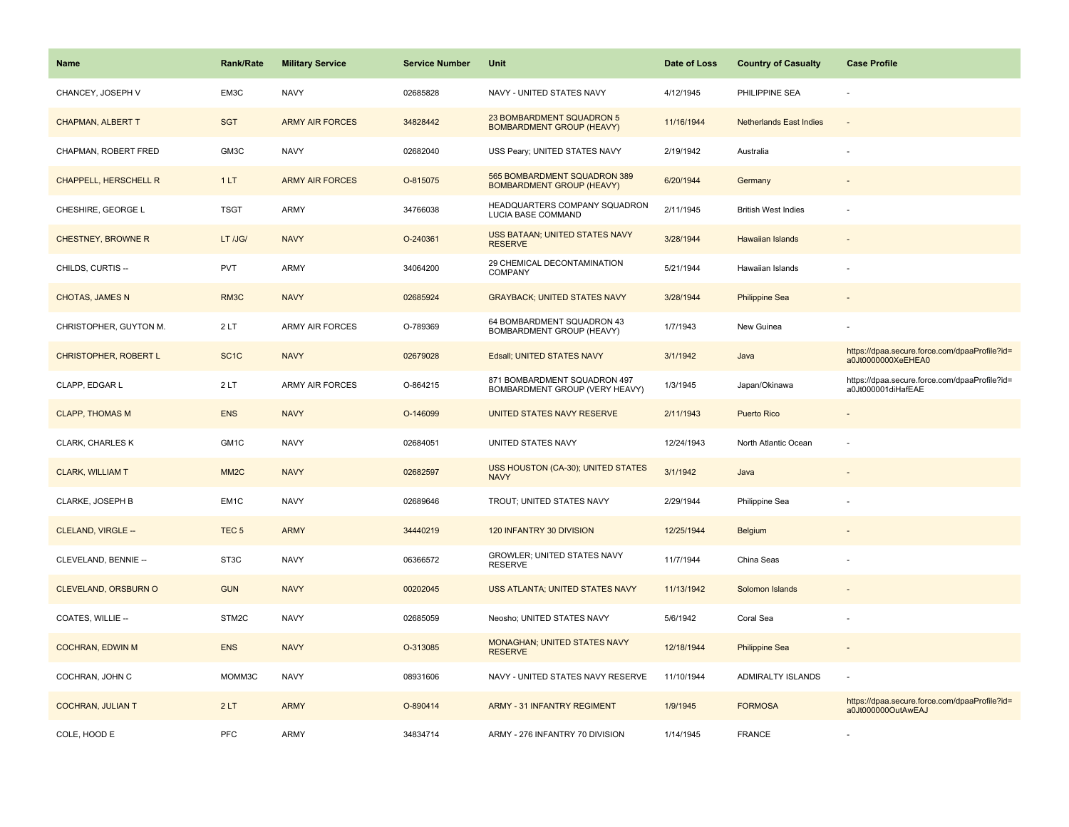| Name                         | <b>Rank/Rate</b>  | <b>Military Service</b> | <b>Service Number</b> | Unit                                                             | Date of Loss | <b>Country of Casualty</b>     | <b>Case Profile</b>                                                 |
|------------------------------|-------------------|-------------------------|-----------------------|------------------------------------------------------------------|--------------|--------------------------------|---------------------------------------------------------------------|
| CHANCEY, JOSEPH V            | EM3C              | <b>NAVY</b>             | 02685828              | NAVY - UNITED STATES NAVY                                        | 4/12/1945    | PHILIPPINE SEA                 |                                                                     |
| <b>CHAPMAN, ALBERT T</b>     | <b>SGT</b>        | <b>ARMY AIR FORCES</b>  | 34828442              | 23 BOMBARDMENT SQUADRON 5<br><b>BOMBARDMENT GROUP (HEAVY)</b>    | 11/16/1944   | <b>Netherlands East Indies</b> |                                                                     |
| CHAPMAN, ROBERT FRED         | GM3C              | <b>NAVY</b>             | 02682040              | USS Peary; UNITED STATES NAVY                                    | 2/19/1942    | Australia                      |                                                                     |
| <b>CHAPPELL, HERSCHELL R</b> | 1LT               | <b>ARMY AIR FORCES</b>  | O-815075              | 565 BOMBARDMENT SQUADRON 389<br><b>BOMBARDMENT GROUP (HEAVY)</b> | 6/20/1944    | Germany                        |                                                                     |
| CHESHIRE, GEORGE L           | <b>TSGT</b>       | <b>ARMY</b>             | 34766038              | HEADQUARTERS COMPANY SQUADRON<br>LUCIA BASE COMMAND              | 2/11/1945    | <b>British West Indies</b>     |                                                                     |
| CHESTNEY, BROWNE R           | LT /JG/           | <b>NAVY</b>             | O-240361              | USS BATAAN; UNITED STATES NAVY<br><b>RESERVE</b>                 | 3/28/1944    | Hawaiian Islands               |                                                                     |
| CHILDS, CURTIS --            | <b>PVT</b>        | ARMY                    | 34064200              | 29 CHEMICAL DECONTAMINATION<br>COMPANY                           | 5/21/1944    | Hawaiian Islands               |                                                                     |
| <b>CHOTAS, JAMES N</b>       | RM <sub>3</sub> C | <b>NAVY</b>             | 02685924              | <b>GRAYBACK; UNITED STATES NAVY</b>                              | 3/28/1944    | <b>Philippine Sea</b>          |                                                                     |
| CHRISTOPHER, GUYTON M.       | 2LT               | <b>ARMY AIR FORCES</b>  | O-789369              | 64 BOMBARDMENT SQUADRON 43<br><b>BOMBARDMENT GROUP (HEAVY)</b>   | 1/7/1943     | New Guinea                     |                                                                     |
| <b>CHRISTOPHER, ROBERT L</b> | SC <sub>1</sub> C | <b>NAVY</b>             | 02679028              | Edsall; UNITED STATES NAVY                                       | 3/1/1942     | Java                           | https://dpaa.secure.force.com/dpaaProfile?id=<br>a0Jt0000000XeEHEA0 |
| CLAPP, EDGAR L               | 2LT               | <b>ARMY AIR FORCES</b>  | O-864215              | 871 BOMBARDMENT SQUADRON 497<br>BOMBARDMENT GROUP (VERY HEAVY)   | 1/3/1945     | Japan/Okinawa                  | https://dpaa.secure.force.com/dpaaProfile?id=<br>a0Jt000001diHafEAE |
| <b>CLAPP, THOMAS M</b>       | <b>ENS</b>        | <b>NAVY</b>             | O-146099              | UNITED STATES NAVY RESERVE                                       | 2/11/1943    | <b>Puerto Rico</b>             |                                                                     |
| CLARK, CHARLES K             | GM1C              | <b>NAVY</b>             | 02684051              | UNITED STATES NAVY                                               | 12/24/1943   | North Atlantic Ocean           |                                                                     |
| <b>CLARK, WILLIAM T</b>      | MM <sub>2</sub> C | <b>NAVY</b>             | 02682597              | USS HOUSTON (CA-30); UNITED STATES<br><b>NAVY</b>                | 3/1/1942     | Java                           |                                                                     |
| CLARKE, JOSEPH B             | EM <sub>1C</sub>  | <b>NAVY</b>             | 02689646              | TROUT; UNITED STATES NAVY                                        | 2/29/1944    | Philippine Sea                 |                                                                     |
| CLELAND, VIRGLE --           | TEC <sub>5</sub>  | <b>ARMY</b>             | 34440219              | 120 INFANTRY 30 DIVISION                                         | 12/25/1944   | Belgium                        |                                                                     |
| CLEVELAND, BENNIE --         | ST <sub>3</sub> C | <b>NAVY</b>             | 06366572              | <b>GROWLER: UNITED STATES NAVY</b><br><b>RESERVE</b>             | 11/7/1944    | China Seas                     |                                                                     |
| <b>CLEVELAND, ORSBURN O</b>  | <b>GUN</b>        | <b>NAVY</b>             | 00202045              | USS ATLANTA; UNITED STATES NAVY                                  | 11/13/1942   | Solomon Islands                |                                                                     |
| COATES, WILLIE --            | STM2C             | <b>NAVY</b>             | 02685059              | Neosho; UNITED STATES NAVY                                       | 5/6/1942     | Coral Sea                      |                                                                     |
| <b>COCHRAN, EDWIN M</b>      | <b>ENS</b>        | <b>NAVY</b>             | O-313085              | MONAGHAN; UNITED STATES NAVY<br><b>RESERVE</b>                   | 12/18/1944   | <b>Philippine Sea</b>          |                                                                     |
| COCHRAN, JOHN C              | MOMM3C            | <b>NAVY</b>             | 08931606              | NAVY - UNITED STATES NAVY RESERVE                                | 11/10/1944   | <b>ADMIRALTY ISLANDS</b>       |                                                                     |
| <b>COCHRAN, JULIAN T</b>     | 2LT               | <b>ARMY</b>             | O-890414              | <b>ARMY - 31 INFANTRY REGIMENT</b>                               | 1/9/1945     | <b>FORMOSA</b>                 | https://dpaa.secure.force.com/dpaaProfile?id=<br>a0Jt000000OutAwEAJ |
| COLE, HOOD E                 | PFC               | <b>ARMY</b>             | 34834714              | ARMY - 276 INFANTRY 70 DIVISION                                  | 1/14/1945    | <b>FRANCE</b>                  |                                                                     |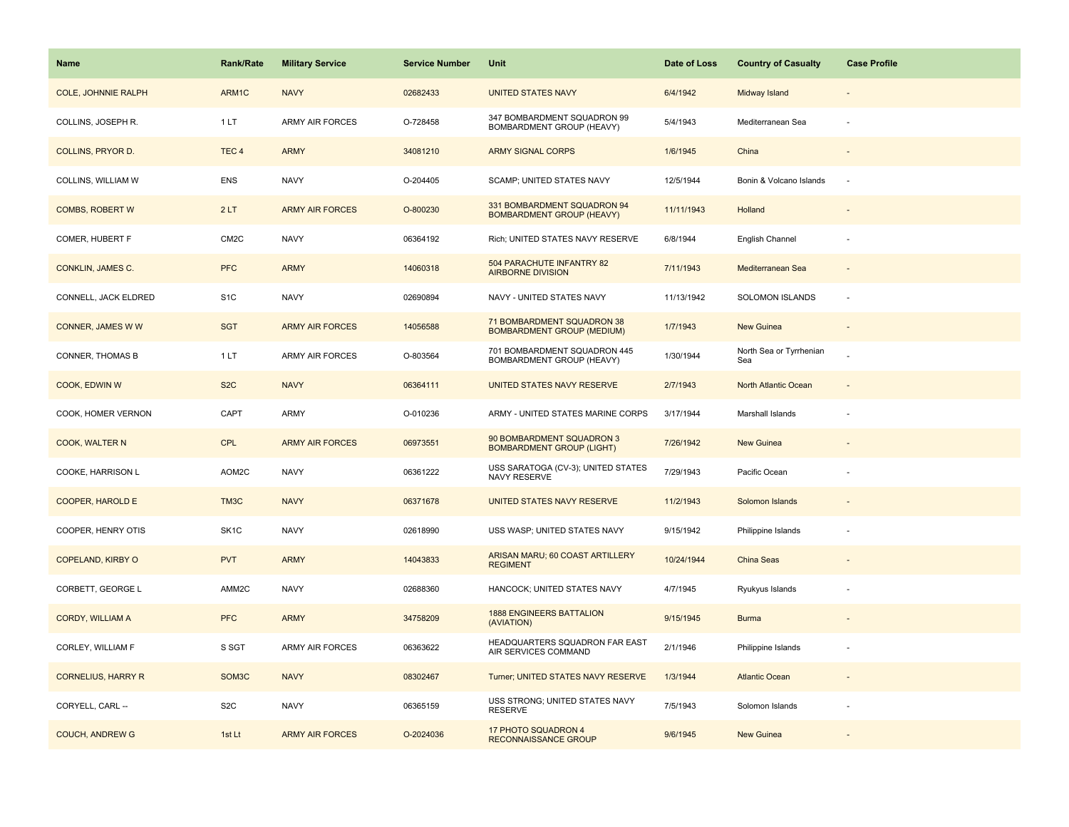| Name                       | <b>Rank/Rate</b>  | <b>Military Service</b> | <b>Service Number</b> | Unit                                                            | Date of Loss | <b>Country of Casualty</b>     | <b>Case Profile</b> |
|----------------------------|-------------------|-------------------------|-----------------------|-----------------------------------------------------------------|--------------|--------------------------------|---------------------|
| <b>COLE, JOHNNIE RALPH</b> | ARM1C             | <b>NAVY</b>             | 02682433              | <b>UNITED STATES NAVY</b>                                       | 6/4/1942     | Midway Island                  |                     |
| COLLINS, JOSEPH R.         | 1LT               | <b>ARMY AIR FORCES</b>  | O-728458              | 347 BOMBARDMENT SQUADRON 99<br>BOMBARDMENT GROUP (HEAVY)        | 5/4/1943     | Mediterranean Sea              |                     |
| <b>COLLINS, PRYOR D.</b>   | TEC <sub>4</sub>  | <b>ARMY</b>             | 34081210              | <b>ARMY SIGNAL CORPS</b>                                        | 1/6/1945     | China                          |                     |
| COLLINS, WILLIAM W         | <b>ENS</b>        | <b>NAVY</b>             | O-204405              | SCAMP; UNITED STATES NAVY                                       | 12/5/1944    | Bonin & Volcano Islands        |                     |
| <b>COMBS, ROBERT W</b>     | 2LT               | <b>ARMY AIR FORCES</b>  | O-800230              | 331 BOMBARDMENT SQUADRON 94<br><b>BOMBARDMENT GROUP (HEAVY)</b> | 11/11/1943   | Holland                        |                     |
| COMER, HUBERT F            | CM <sub>2</sub> C | <b>NAVY</b>             | 06364192              | Rich; UNITED STATES NAVY RESERVE                                | 6/8/1944     | English Channel                |                     |
| CONKLIN, JAMES C.          | <b>PFC</b>        | <b>ARMY</b>             | 14060318              | 504 PARACHUTE INFANTRY 82<br><b>AIRBORNE DIVISION</b>           | 7/11/1943    | Mediterranean Sea              | $\sim$              |
| CONNELL, JACK ELDRED       | S <sub>1</sub> C  | <b>NAVY</b>             | 02690894              | NAVY - UNITED STATES NAVY                                       | 11/13/1942   | SOLOMON ISLANDS                | $\sim$              |
| CONNER, JAMES W W          | <b>SGT</b>        | <b>ARMY AIR FORCES</b>  | 14056588              | 71 BOMBARDMENT SQUADRON 38<br><b>BOMBARDMENT GROUP (MEDIUM)</b> | 1/7/1943     | New Guinea                     |                     |
| CONNER, THOMAS B           | 1LT               | ARMY AIR FORCES         | O-803564              | 701 BOMBARDMENT SQUADRON 445<br>BOMBARDMENT GROUP (HEAVY)       | 1/30/1944    | North Sea or Tyrrhenian<br>Sea |                     |
| COOK, EDWIN W              | S <sub>2</sub> C  | <b>NAVY</b>             | 06364111              | UNITED STATES NAVY RESERVE                                      | 2/7/1943     | North Atlantic Ocean           |                     |
| COOK, HOMER VERNON         | CAPT              | ARMY                    | O-010236              | ARMY - UNITED STATES MARINE CORPS                               | 3/17/1944    | Marshall Islands               |                     |
| COOK, WALTER N             | <b>CPL</b>        | <b>ARMY AIR FORCES</b>  | 06973551              | 90 BOMBARDMENT SQUADRON 3<br><b>BOMBARDMENT GROUP (LIGHT)</b>   | 7/26/1942    | <b>New Guinea</b>              |                     |
| COOKE, HARRISON L          | AOM2C             | <b>NAVY</b>             | 06361222              | USS SARATOGA (CV-3); UNITED STATES<br>NAVY RESERVE              | 7/29/1943    | Pacific Ocean                  |                     |
| <b>COOPER, HAROLD E</b>    | TM3C              | <b>NAVY</b>             | 06371678              | UNITED STATES NAVY RESERVE                                      | 11/2/1943    | Solomon Islands                |                     |
| COOPER, HENRY OTIS         | SK <sub>1</sub> C | <b>NAVY</b>             | 02618990              | USS WASP; UNITED STATES NAVY                                    | 9/15/1942    | Philippine Islands             |                     |
| <b>COPELAND, KIRBY O</b>   | <b>PVT</b>        | <b>ARMY</b>             | 14043833              | ARISAN MARU; 60 COAST ARTILLERY<br><b>REGIMENT</b>              | 10/24/1944   | China Seas                     |                     |
| CORBETT, GEORGE L          | AMM2C             | <b>NAVY</b>             | 02688360              | HANCOCK; UNITED STATES NAVY                                     | 4/7/1945     | Ryukyus Islands                |                     |
| <b>CORDY, WILLIAM A</b>    | <b>PFC</b>        | <b>ARMY</b>             | 34758209              | <b>1888 ENGINEERS BATTALION</b><br>(AVIATION)                   | 9/15/1945    | <b>Burma</b>                   |                     |
| CORLEY, WILLIAM F          | S SGT             | ARMY AIR FORCES         | 06363622              | HEADQUARTERS SQUADRON FAR EAST<br>AIR SERVICES COMMAND          | 2/1/1946     | Philippine Islands             |                     |
| <b>CORNELIUS, HARRY R</b>  | SOM3C             | <b>NAVY</b>             | 08302467              | Turner; UNITED STATES NAVY RESERVE                              | 1/3/1944     | <b>Atlantic Ocean</b>          |                     |
| CORYELL, CARL --           | S <sub>2</sub> C  | <b>NAVY</b>             | 06365159              | USS STRONG; UNITED STATES NAVY<br><b>RESERVE</b>                | 7/5/1943     | Solomon Islands                |                     |
| <b>COUCH, ANDREW G</b>     | 1st Lt            | <b>ARMY AIR FORCES</b>  | O-2024036             | 17 PHOTO SQUADRON 4<br><b>RECONNAISSANCE GROUP</b>              | 9/6/1945     | <b>New Guinea</b>              |                     |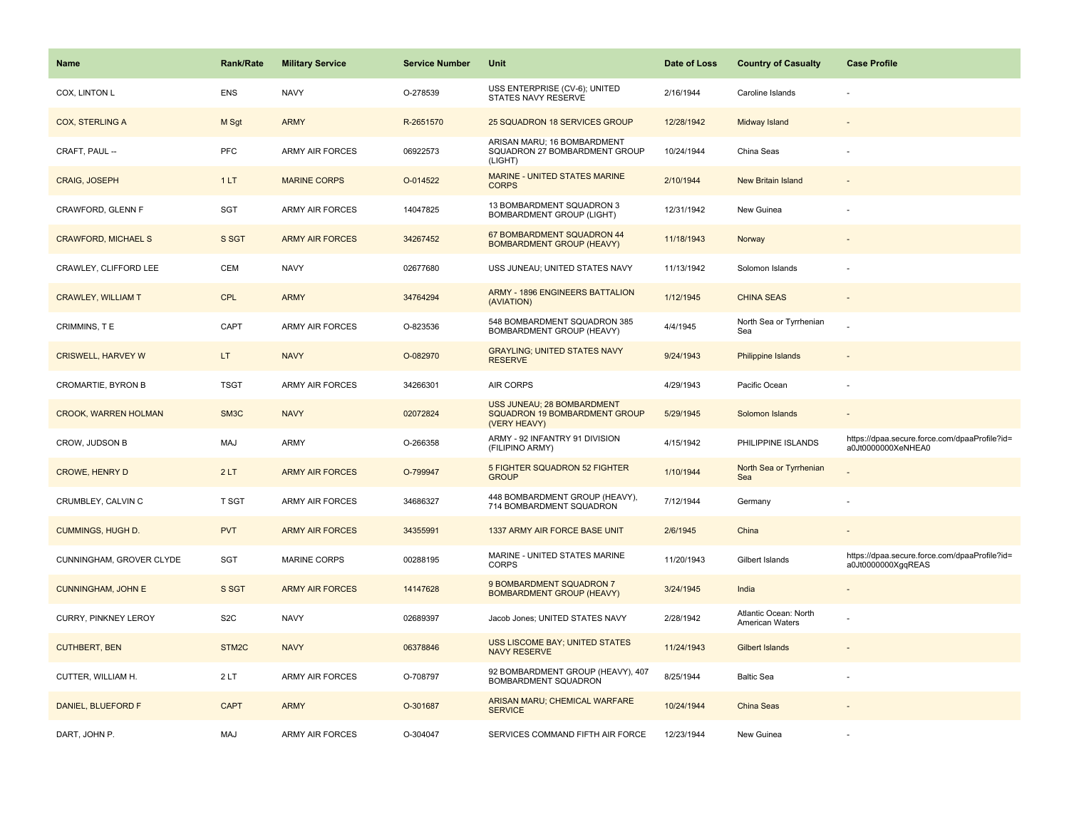| <b>Name</b>                 | <b>Rank/Rate</b> | <b>Military Service</b> | <b>Service Number</b> | Unit                                                                        | Date of Loss | <b>Country of Casualty</b>               | <b>Case Profile</b>                                                 |
|-----------------------------|------------------|-------------------------|-----------------------|-----------------------------------------------------------------------------|--------------|------------------------------------------|---------------------------------------------------------------------|
| COX, LINTON L               | <b>ENS</b>       | <b>NAVY</b>             | O-278539              | USS ENTERPRISE (CV-6); UNITED<br>STATES NAVY RESERVE                        | 2/16/1944    | Caroline Islands                         |                                                                     |
| <b>COX, STERLING A</b>      | M Sgt            | <b>ARMY</b>             | R-2651570             | 25 SQUADRON 18 SERVICES GROUP                                               | 12/28/1942   | Midway Island                            |                                                                     |
| CRAFT, PAUL --              | PFC              | <b>ARMY AIR FORCES</b>  | 06922573              | ARISAN MARU; 16 BOMBARDMENT<br>SQUADRON 27 BOMBARDMENT GROUP<br>(LIGHT)     | 10/24/1944   | China Seas                               |                                                                     |
| <b>CRAIG, JOSEPH</b>        | 1LT              | <b>MARINE CORPS</b>     | O-014522              | <b>MARINE - UNITED STATES MARINE</b><br><b>CORPS</b>                        | 2/10/1944    | New Britain Island                       |                                                                     |
| CRAWFORD, GLENN F           | <b>SGT</b>       | ARMY AIR FORCES         | 14047825              | 13 BOMBARDMENT SQUADRON 3<br><b>BOMBARDMENT GROUP (LIGHT)</b>               | 12/31/1942   | New Guinea                               |                                                                     |
| <b>CRAWFORD, MICHAEL S</b>  | S SGT            | <b>ARMY AIR FORCES</b>  | 34267452              | 67 BOMBARDMENT SQUADRON 44<br><b>BOMBARDMENT GROUP (HEAVY)</b>              | 11/18/1943   | Norway                                   |                                                                     |
| CRAWLEY, CLIFFORD LEE       | CEM              | <b>NAVY</b>             | 02677680              | USS JUNEAU; UNITED STATES NAVY                                              | 11/13/1942   | Solomon Islands                          |                                                                     |
| <b>CRAWLEY, WILLIAM T</b>   | <b>CPL</b>       | <b>ARMY</b>             | 34764294              | <b>ARMY - 1896 ENGINEERS BATTALION</b><br>(AVIATION)                        | 1/12/1945    | <b>CHINA SEAS</b>                        |                                                                     |
| CRIMMINS, TE                | CAPT             | <b>ARMY AIR FORCES</b>  | O-823536              | 548 BOMBARDMENT SQUADRON 385<br>BOMBARDMENT GROUP (HEAVY)                   | 4/4/1945     | North Sea or Tyrrhenian<br>Sea           |                                                                     |
| <b>CRISWELL, HARVEY W</b>   | LT.              | <b>NAVY</b>             | O-082970              | <b>GRAYLING; UNITED STATES NAVY</b><br><b>RESERVE</b>                       | 9/24/1943    | <b>Philippine Islands</b>                |                                                                     |
| CROMARTIE, BYRON B          | <b>TSGT</b>      | <b>ARMY AIR FORCES</b>  | 34266301              | AIR CORPS                                                                   | 4/29/1943    | Pacific Ocean                            |                                                                     |
| <b>CROOK, WARREN HOLMAN</b> | SM3C             | <b>NAVY</b>             | 02072824              | USS JUNEAU; 28 BOMBARDMENT<br>SQUADRON 19 BOMBARDMENT GROUP<br>(VERY HEAVY) | 5/29/1945    | Solomon Islands                          |                                                                     |
| CROW, JUDSON B              | MAJ              | ARMY                    | O-266358              | ARMY - 92 INFANTRY 91 DIVISION<br>(FILIPINO ARMY)                           | 4/15/1942    | PHILIPPINE ISLANDS                       | https://dpaa.secure.force.com/dpaaProfile?id=<br>a0Jt0000000XeNHEA0 |
| <b>CROWE, HENRY D</b>       | 2LT              | <b>ARMY AIR FORCES</b>  | O-799947              | 5 FIGHTER SQUADRON 52 FIGHTER<br><b>GROUP</b>                               | 1/10/1944    | North Sea or Tyrrhenian<br>Sea           |                                                                     |
| CRUMBLEY, CALVIN C          | T SGT            | <b>ARMY AIR FORCES</b>  | 34686327              | 448 BOMBARDMENT GROUP (HEAVY),<br>714 BOMBARDMENT SQUADRON                  | 7/12/1944    | Germany                                  |                                                                     |
| <b>CUMMINGS, HUGH D.</b>    | <b>PVT</b>       | <b>ARMY AIR FORCES</b>  | 34355991              | 1337 ARMY AIR FORCE BASE UNIT                                               | 2/6/1945     | China                                    |                                                                     |
| CUNNINGHAM, GROVER CLYDE    | <b>SGT</b>       | <b>MARINE CORPS</b>     | 00288195              | MARINE - UNITED STATES MARINE<br><b>CORPS</b>                               | 11/20/1943   | Gilbert Islands                          | https://dpaa.secure.force.com/dpaaProfile?id=<br>a0Jt0000000XgqREAS |
| <b>CUNNINGHAM, JOHN E</b>   | S SGT            | <b>ARMY AIR FORCES</b>  | 14147628              | 9 BOMBARDMENT SQUADRON 7<br><b>BOMBARDMENT GROUP (HEAVY)</b>                | 3/24/1945    | India                                    |                                                                     |
| CURRY, PINKNEY LEROY        | S <sub>2</sub> C | <b>NAVY</b>             | 02689397              | Jacob Jones; UNITED STATES NAVY                                             | 2/28/1942    | Atlantic Ocean: North<br>American Waters |                                                                     |
| <b>CUTHBERT, BEN</b>        | STM2C            | <b>NAVY</b>             | 06378846              | USS LISCOME BAY; UNITED STATES<br><b>NAVY RESERVE</b>                       | 11/24/1943   | <b>Gilbert Islands</b>                   |                                                                     |
| CUTTER, WILLIAM H.          | 2LT              | <b>ARMY AIR FORCES</b>  | O-708797              | 92 BOMBARDMENT GROUP (HEAVY), 407<br>BOMBARDMENT SQUADRON                   | 8/25/1944    | <b>Baltic Sea</b>                        |                                                                     |
| DANIEL, BLUEFORD F          | <b>CAPT</b>      | <b>ARMY</b>             | O-301687              | ARISAN MARU; CHEMICAL WARFARE<br><b>SERVICE</b>                             | 10/24/1944   | China Seas                               |                                                                     |
| DART, JOHN P.               | <b>MAJ</b>       | <b>ARMY AIR FORCES</b>  | O-304047              | SERVICES COMMAND FIFTH AIR FORCE                                            | 12/23/1944   | New Guinea                               |                                                                     |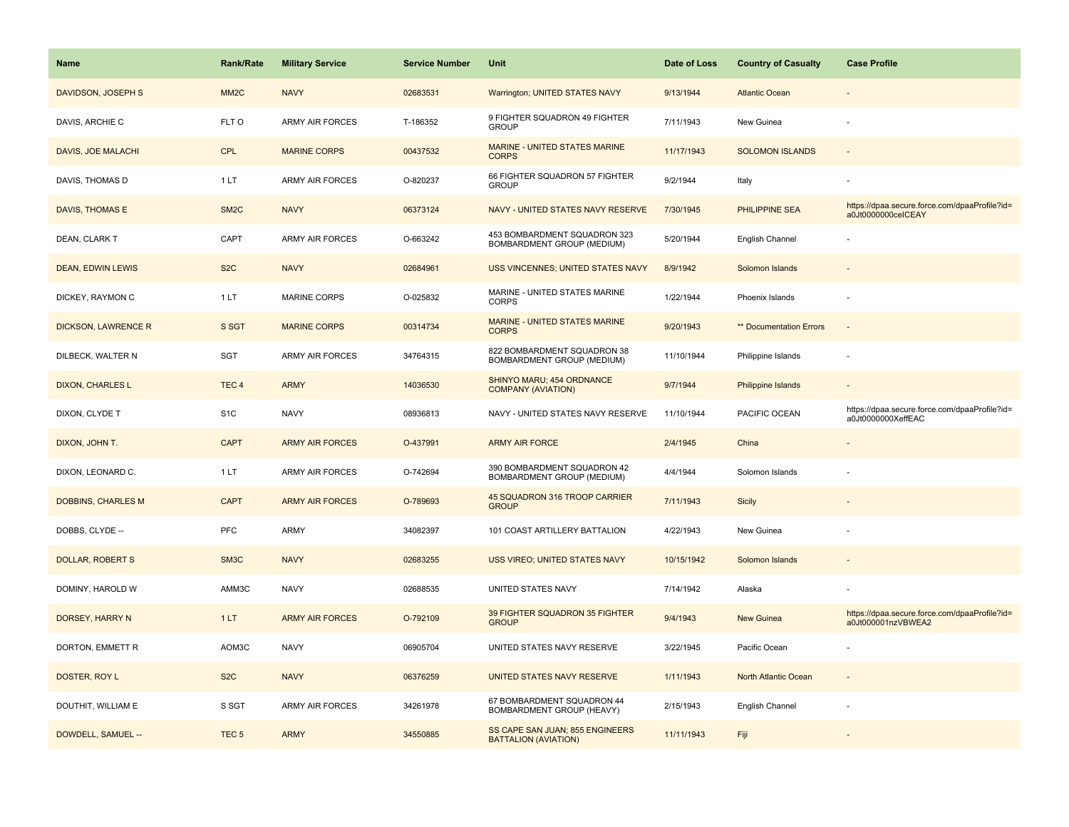| <b>Name</b>                | <b>Rank/Rate</b>  | <b>Military Service</b> | <b>Service Number</b> | Unit                                                           | Date of Loss | <b>Country of Casualty</b> | <b>Case Profile</b>                                                 |
|----------------------------|-------------------|-------------------------|-----------------------|----------------------------------------------------------------|--------------|----------------------------|---------------------------------------------------------------------|
| DAVIDSON, JOSEPH S         | MM <sub>2</sub> C | <b>NAVY</b>             | 02683531              | Warrington; UNITED STATES NAVY                                 | 9/13/1944    | <b>Atlantic Ocean</b>      |                                                                     |
| DAVIS, ARCHIE C            | FLT O             | <b>ARMY AIR FORCES</b>  | T-186352              | 9 FIGHTER SQUADRON 49 FIGHTER<br><b>GROUP</b>                  | 7/11/1943    | New Guinea                 |                                                                     |
| DAVIS, JOE MALACHI         | <b>CPL</b>        | <b>MARINE CORPS</b>     | 00437532              | MARINE - UNITED STATES MARINE<br><b>CORPS</b>                  | 11/17/1943   | <b>SOLOMON ISLANDS</b>     |                                                                     |
| DAVIS, THOMAS D            | 1 LT              | <b>ARMY AIR FORCES</b>  | O-820237              | 66 FIGHTER SQUADRON 57 FIGHTER<br><b>GROUP</b>                 | 9/2/1944     | Italy                      |                                                                     |
| DAVIS, THOMAS E            | SM <sub>2</sub> C | <b>NAVY</b>             | 06373124              | NAVY - UNITED STATES NAVY RESERVE                              | 7/30/1945    | <b>PHILIPPINE SEA</b>      | https://dpaa.secure.force.com/dpaaProfile?id=<br>a0Jt0000000ceICEAY |
| DEAN, CLARK T              | CAPT              | <b>ARMY AIR FORCES</b>  | O-663242              | 453 BOMBARDMENT SQUADRON 323<br>BOMBARDMENT GROUP (MEDIUM)     | 5/20/1944    | English Channel            |                                                                     |
| <b>DEAN, EDWIN LEWIS</b>   | S <sub>2</sub> C  | <b>NAVY</b>             | 02684961              | <b>USS VINCENNES; UNITED STATES NAVY</b>                       | 8/9/1942     | Solomon Islands            |                                                                     |
| DICKEY, RAYMON C           | 1 LT              | <b>MARINE CORPS</b>     | O-025832              | MARINE - UNITED STATES MARINE<br><b>CORPS</b>                  | 1/22/1944    | Phoenix Islands            |                                                                     |
| <b>DICKSON, LAWRENCE R</b> | S SGT             | <b>MARINE CORPS</b>     | 00314734              | <b>MARINE - UNITED STATES MARINE</b><br><b>CORPS</b>           | 9/20/1943    | ** Documentation Errors    |                                                                     |
| DILBECK, WALTER N          | SGT               | <b>ARMY AIR FORCES</b>  | 34764315              | 822 BOMBARDMENT SQUADRON 38<br>BOMBARDMENT GROUP (MEDIUM)      | 11/10/1944   | Philippine Islands         |                                                                     |
| <b>DIXON, CHARLES L</b>    | TEC <sub>4</sub>  | <b>ARMY</b>             | 14036530              | SHINYO MARU; 454 ORDNANCE<br><b>COMPANY (AVIATION)</b>         | 9/7/1944     | Philippine Islands         |                                                                     |
| DIXON, CLYDE T             | S <sub>1</sub> C  | <b>NAVY</b>             | 08936813              | NAVY - UNITED STATES NAVY RESERVE                              | 11/10/1944   | PACIFIC OCEAN              | https://dpaa.secure.force.com/dpaaProfile?id=<br>a0Jt0000000XeffEAC |
| DIXON, JOHN T.             | <b>CAPT</b>       | <b>ARMY AIR FORCES</b>  | O-437991              | <b>ARMY AIR FORCE</b>                                          | 2/4/1945     | China                      |                                                                     |
| DIXON, LEONARD C.          | 1LT               | ARMY AIR FORCES         | O-742694              | 390 BOMBARDMENT SQUADRON 42<br>BOMBARDMENT GROUP (MEDIUM)      | 4/4/1944     | Solomon Islands            |                                                                     |
| <b>DOBBINS, CHARLES M</b>  | <b>CAPT</b>       | <b>ARMY AIR FORCES</b>  | O-789693              | 45 SQUADRON 316 TROOP CARRIER<br><b>GROUP</b>                  | 7/11/1943    | Sicily                     |                                                                     |
| DOBBS, CLYDE --            | <b>PFC</b>        | ARMY                    | 34082397              | 101 COAST ARTILLERY BATTALION                                  | 4/22/1943    | New Guinea                 |                                                                     |
| <b>DOLLAR, ROBERT S</b>    | SM3C              | <b>NAVY</b>             | 02683255              | USS VIREO; UNITED STATES NAVY                                  | 10/15/1942   | Solomon Islands            |                                                                     |
| DOMINY, HAROLD W           | AMM3C             | <b>NAVY</b>             | 02688535              | UNITED STATES NAVY                                             | 7/14/1942    | Alaska                     |                                                                     |
| DORSEY, HARRY N            | 1LT               | <b>ARMY AIR FORCES</b>  | O-792109              | 39 FIGHTER SQUADRON 35 FIGHTER<br><b>GROUP</b>                 | 9/4/1943     | <b>New Guinea</b>          | https://dpaa.secure.force.com/dpaaProfile?id=<br>a0Jt000001nzVBWEA2 |
| DORTON, EMMETT R           | AOM3C             | <b>NAVY</b>             | 06905704              | UNITED STATES NAVY RESERVE                                     | 3/22/1945    | Pacific Ocean              |                                                                     |
| DOSTER, ROY L              | S <sub>2</sub> C  | <b>NAVY</b>             | 06376259              | UNITED STATES NAVY RESERVE                                     | 1/11/1943    | North Atlantic Ocean       |                                                                     |
| DOUTHIT, WILLIAM E         | S SGT             | <b>ARMY AIR FORCES</b>  | 34261978              | 67 BOMBARDMENT SQUADRON 44<br>BOMBARDMENT GROUP (HEAVY)        | 2/15/1943    | English Channel            |                                                                     |
| DOWDELL, SAMUEL --         | TEC <sub>5</sub>  | <b>ARMY</b>             | 34550885              | SS CAPE SAN JUAN; 855 ENGINEERS<br><b>BATTALION (AVIATION)</b> | 11/11/1943   | Fiji                       |                                                                     |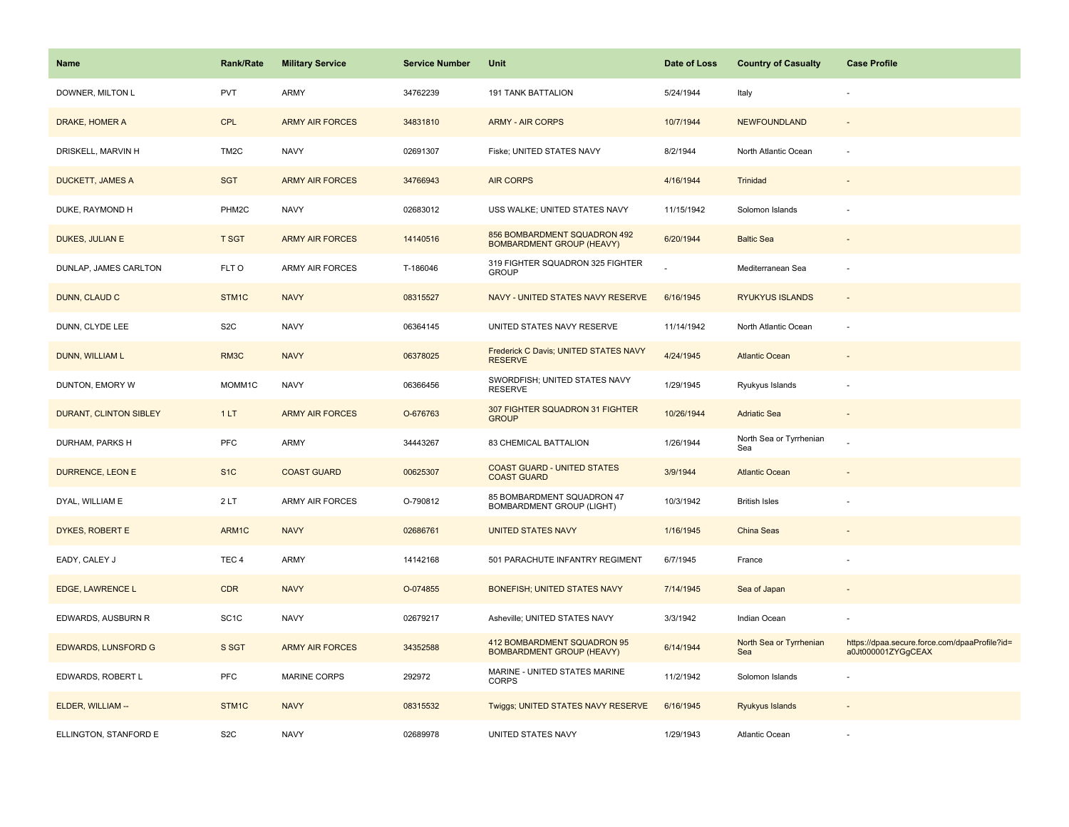| Name                          | <b>Rank/Rate</b>  | <b>Military Service</b> | <b>Service Number</b> | Unit                                                             | Date of Loss | <b>Country of Casualty</b>     | <b>Case Profile</b>                                                 |
|-------------------------------|-------------------|-------------------------|-----------------------|------------------------------------------------------------------|--------------|--------------------------------|---------------------------------------------------------------------|
| DOWNER, MILTON L              | <b>PVT</b>        | ARMY                    | 34762239              | <b>191 TANK BATTALION</b>                                        | 5/24/1944    | Italy                          |                                                                     |
| DRAKE, HOMER A                | <b>CPL</b>        | <b>ARMY AIR FORCES</b>  | 34831810              | <b>ARMY - AIR CORPS</b>                                          | 10/7/1944    | NEWFOUNDLAND                   |                                                                     |
| DRISKELL, MARVIN H            | TM <sub>2</sub> C | <b>NAVY</b>             | 02691307              | Fiske; UNITED STATES NAVY                                        | 8/2/1944     | North Atlantic Ocean           |                                                                     |
| <b>DUCKETT, JAMES A</b>       | <b>SGT</b>        | <b>ARMY AIR FORCES</b>  | 34766943              | <b>AIR CORPS</b>                                                 | 4/16/1944    | Trinidad                       |                                                                     |
| DUKE, RAYMOND H               | PHM2C             | <b>NAVY</b>             | 02683012              | USS WALKE; UNITED STATES NAVY                                    | 11/15/1942   | Solomon Islands                |                                                                     |
| DUKES, JULIAN E               | <b>T SGT</b>      | <b>ARMY AIR FORCES</b>  | 14140516              | 856 BOMBARDMENT SQUADRON 492<br><b>BOMBARDMENT GROUP (HEAVY)</b> | 6/20/1944    | <b>Baltic Sea</b>              |                                                                     |
| DUNLAP, JAMES CARLTON         | FLT O             | <b>ARMY AIR FORCES</b>  | T-186046              | 319 FIGHTER SQUADRON 325 FIGHTER<br><b>GROUP</b>                 |              | Mediterranean Sea              |                                                                     |
| DUNN, CLAUD C                 | STM1C             | <b>NAVY</b>             | 08315527              | NAVY - UNITED STATES NAVY RESERVE                                | 6/16/1945    | <b>RYUKYUS ISLANDS</b>         | $\sim$                                                              |
| DUNN, CLYDE LEE               | S <sub>2</sub> C  | <b>NAVY</b>             | 06364145              | UNITED STATES NAVY RESERVE                                       | 11/14/1942   | North Atlantic Ocean           |                                                                     |
| DUNN, WILLIAM L               | RM3C              | <b>NAVY</b>             | 06378025              | Frederick C Davis; UNITED STATES NAVY<br><b>RESERVE</b>          | 4/24/1945    | <b>Atlantic Ocean</b>          |                                                                     |
| DUNTON, EMORY W               | MOMM1C            | <b>NAVY</b>             | 06366456              | SWORDFISH; UNITED STATES NAVY<br><b>RESERVE</b>                  | 1/29/1945    | Ryukyus Islands                |                                                                     |
| <b>DURANT, CLINTON SIBLEY</b> | 1LT               | <b>ARMY AIR FORCES</b>  | O-676763              | 307 FIGHTER SQUADRON 31 FIGHTER<br><b>GROUP</b>                  | 10/26/1944   | <b>Adriatic Sea</b>            |                                                                     |
| DURHAM, PARKS H               | <b>PFC</b>        | ARMY                    | 34443267              | 83 CHEMICAL BATTALION                                            | 1/26/1944    | North Sea or Tyrrhenian<br>Sea |                                                                     |
| <b>DURRENCE, LEON E</b>       | S <sub>1C</sub>   | <b>COAST GUARD</b>      | 00625307              | <b>COAST GUARD - UNITED STATES</b><br><b>COAST GUARD</b>         | 3/9/1944     | <b>Atlantic Ocean</b>          |                                                                     |
| DYAL, WILLIAM E               | 2LT               | ARMY AIR FORCES         | O-790812              | 85 BOMBARDMENT SQUADRON 47<br>BOMBARDMENT GROUP (LIGHT)          | 10/3/1942    | <b>British Isles</b>           |                                                                     |
| DYKES, ROBERT E               | ARM1C             | <b>NAVY</b>             | 02686761              | <b>UNITED STATES NAVY</b>                                        | 1/16/1945    | China Seas                     |                                                                     |
| EADY, CALEY J                 | TEC <sub>4</sub>  | ARMY                    | 14142168              | 501 PARACHUTE INFANTRY REGIMENT                                  | 6/7/1945     | France                         |                                                                     |
| EDGE, LAWRENCE L              | <b>CDR</b>        | <b>NAVY</b>             | O-074855              | <b>BONEFISH; UNITED STATES NAVY</b>                              | 7/14/1945    | Sea of Japan                   |                                                                     |
| EDWARDS, AUSBURN R            | SC <sub>1</sub> C | <b>NAVY</b>             | 02679217              | Asheville; UNITED STATES NAVY                                    | 3/3/1942     | Indian Ocean                   |                                                                     |
| <b>EDWARDS, LUNSFORD G</b>    | S SGT             | <b>ARMY AIR FORCES</b>  | 34352588              | 412 BOMBARDMENT SQUADRON 95<br><b>BOMBARDMENT GROUP (HEAVY)</b>  | 6/14/1944    | North Sea or Tyrrhenian<br>Sea | https://dpaa.secure.force.com/dpaaProfile?id=<br>a0Jt000001ZYGgCEAX |
| EDWARDS, ROBERT L             | PFC               | <b>MARINE CORPS</b>     | 292972                | MARINE - UNITED STATES MARINE<br><b>CORPS</b>                    | 11/2/1942    | Solomon Islands                |                                                                     |
| ELDER, WILLIAM --             | STM1C             | <b>NAVY</b>             | 08315532              | Twiggs; UNITED STATES NAVY RESERVE                               | 6/16/1945    | Ryukyus Islands                |                                                                     |
| ELLINGTON, STANFORD E         | S <sub>2</sub> C  | <b>NAVY</b>             | 02689978              | UNITED STATES NAVY                                               | 1/29/1943    | Atlantic Ocean                 |                                                                     |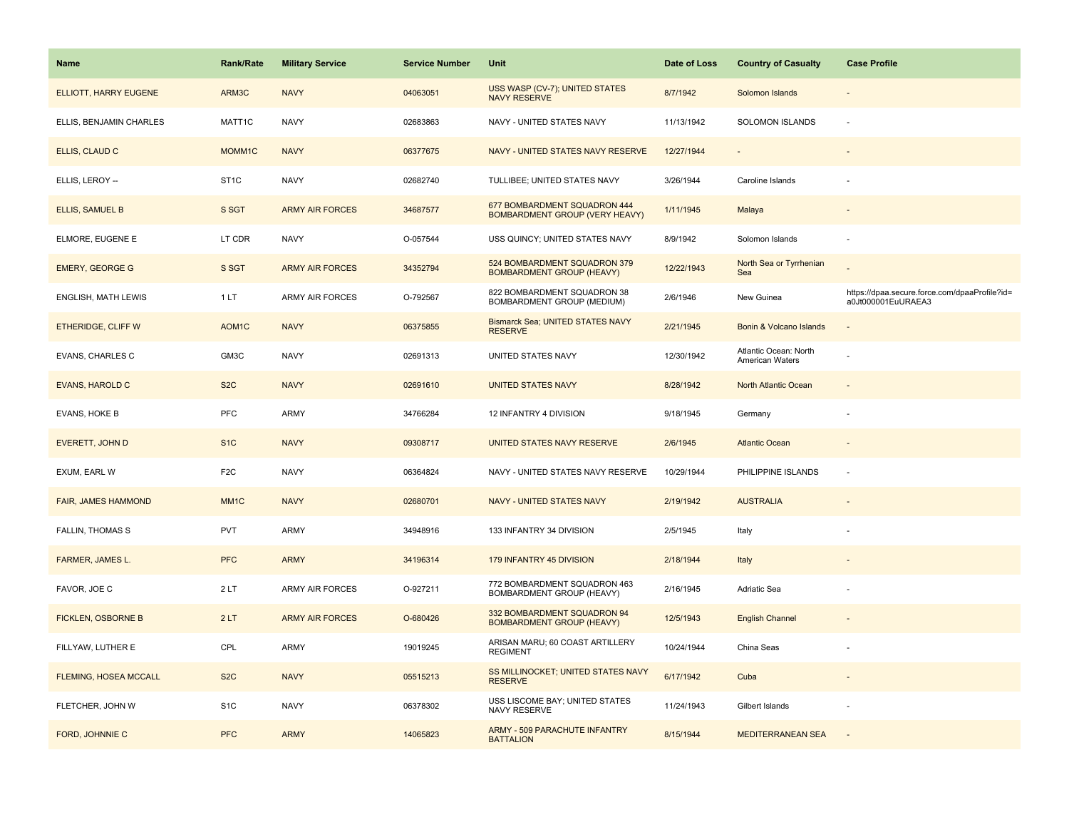| <b>Name</b>               | <b>Rank/Rate</b>   | <b>Military Service</b> | <b>Service Number</b> | Unit                                                             | Date of Loss | <b>Country of Casualty</b>               | <b>Case Profile</b>                                                 |
|---------------------------|--------------------|-------------------------|-----------------------|------------------------------------------------------------------|--------------|------------------------------------------|---------------------------------------------------------------------|
| ELLIOTT, HARRY EUGENE     | ARM3C              | <b>NAVY</b>             | 04063051              | USS WASP (CV-7); UNITED STATES<br><b>NAVY RESERVE</b>            | 8/7/1942     | Solomon Islands                          |                                                                     |
| ELLIS, BENJAMIN CHARLES   | MATT1C             | <b>NAVY</b>             | 02683863              | NAVY - UNITED STATES NAVY                                        | 11/13/1942   | SOLOMON ISLANDS                          | ÷.                                                                  |
| ELLIS, CLAUD C            | MOMM1C             | <b>NAVY</b>             | 06377675              | NAVY - UNITED STATES NAVY RESERVE                                | 12/27/1944   |                                          |                                                                     |
| ELLIS, LEROY --           | ST <sub>1</sub> C  | <b>NAVY</b>             | 02682740              | TULLIBEE; UNITED STATES NAVY                                     | 3/26/1944    | Caroline Islands                         |                                                                     |
| ELLIS, SAMUEL B           | S SGT              | <b>ARMY AIR FORCES</b>  | 34687577              | 677 BOMBARDMENT SQUADRON 444<br>BOMBARDMENT GROUP (VERY HEAVY)   | 1/11/1945    | Malaya                                   |                                                                     |
| ELMORE, EUGENE E          | LT CDR             | <b>NAVY</b>             | O-057544              | USS QUINCY; UNITED STATES NAVY                                   | 8/9/1942     | Solomon Islands                          |                                                                     |
| <b>EMERY, GEORGE G</b>    | S SGT              | <b>ARMY AIR FORCES</b>  | 34352794              | 524 BOMBARDMENT SQUADRON 379<br><b>BOMBARDMENT GROUP (HEAVY)</b> | 12/22/1943   | North Sea or Tyrrhenian<br>Sea           |                                                                     |
| ENGLISH, MATH LEWIS       | 1LT                | ARMY AIR FORCES         | O-792567              | 822 BOMBARDMENT SQUADRON 38<br>BOMBARDMENT GROUP (MEDIUM)        | 2/6/1946     | New Guinea                               | https://dpaa.secure.force.com/dpaaProfile?id=<br>a0Jt000001EuURAEA3 |
| ETHERIDGE, CLIFF W        | AOM <sub>1</sub> C | <b>NAVY</b>             | 06375855              | <b>Bismarck Sea; UNITED STATES NAVY</b><br><b>RESERVE</b>        | 2/21/1945    | Bonin & Volcano Islands                  |                                                                     |
| EVANS, CHARLES C          | GM3C               | <b>NAVY</b>             | 02691313              | UNITED STATES NAVY                                               | 12/30/1942   | Atlantic Ocean: North<br>American Waters |                                                                     |
| <b>EVANS, HAROLD C</b>    | S <sub>2</sub> C   | <b>NAVY</b>             | 02691610              | <b>UNITED STATES NAVY</b>                                        | 8/28/1942    | North Atlantic Ocean                     |                                                                     |
| EVANS, HOKE B             | PFC                | <b>ARMY</b>             | 34766284              | 12 INFANTRY 4 DIVISION                                           | 9/18/1945    | Germany                                  |                                                                     |
| EVERETT, JOHN D           | S <sub>1C</sub>    | <b>NAVY</b>             | 09308717              | UNITED STATES NAVY RESERVE                                       | 2/6/1945     | <b>Atlantic Ocean</b>                    |                                                                     |
| EXUM, EARL W              | F <sub>2</sub> C   | <b>NAVY</b>             | 06364824              | NAVY - UNITED STATES NAVY RESERVE                                | 10/29/1944   | PHILIPPINE ISLANDS                       | ÷,                                                                  |
| FAIR, JAMES HAMMOND       | MM <sub>1C</sub>   | <b>NAVY</b>             | 02680701              | <b>NAVY - UNITED STATES NAVY</b>                                 | 2/19/1942    | <b>AUSTRALIA</b>                         |                                                                     |
| <b>FALLIN, THOMAS S</b>   | PVT                | <b>ARMY</b>             | 34948916              | 133 INFANTRY 34 DIVISION                                         | 2/5/1945     | Italy                                    |                                                                     |
| FARMER, JAMES L.          | <b>PFC</b>         | <b>ARMY</b>             | 34196314              | 179 INFANTRY 45 DIVISION                                         | 2/18/1944    | Italy                                    |                                                                     |
| FAVOR, JOE C              | 2LT                | <b>ARMY AIR FORCES</b>  | O-927211              | 772 BOMBARDMENT SQUADRON 463<br>BOMBARDMENT GROUP (HEAVY)        | 2/16/1945    | Adriatic Sea                             |                                                                     |
| <b>FICKLEN, OSBORNE B</b> | 2LT                | <b>ARMY AIR FORCES</b>  | O-680426              | 332 BOMBARDMENT SQUADRON 94<br><b>BOMBARDMENT GROUP (HEAVY)</b>  | 12/5/1943    | <b>English Channel</b>                   |                                                                     |
| FILLYAW, LUTHER E         | CPL                | <b>ARMY</b>             | 19019245              | ARISAN MARU; 60 COAST ARTILLERY<br><b>REGIMENT</b>               | 10/24/1944   | China Seas                               |                                                                     |
| FLEMING, HOSEA MCCALL     | S <sub>2</sub> C   | <b>NAVY</b>             | 05515213              | SS MILLINOCKET; UNITED STATES NAVY<br><b>RESERVE</b>             | 6/17/1942    | Cuba                                     | $\sim$                                                              |
| FLETCHER, JOHN W          | S <sub>1</sub> C   | <b>NAVY</b>             | 06378302              | USS LISCOME BAY; UNITED STATES<br>NAVY RESERVE                   | 11/24/1943   | Gilbert Islands                          |                                                                     |
| FORD, JOHNNIE C           | <b>PFC</b>         | <b>ARMY</b>             | 14065823              | ARMY - 509 PARACHUTE INFANTRY<br><b>BATTALION</b>                | 8/15/1944    | <b>MEDITERRANEAN SEA</b>                 |                                                                     |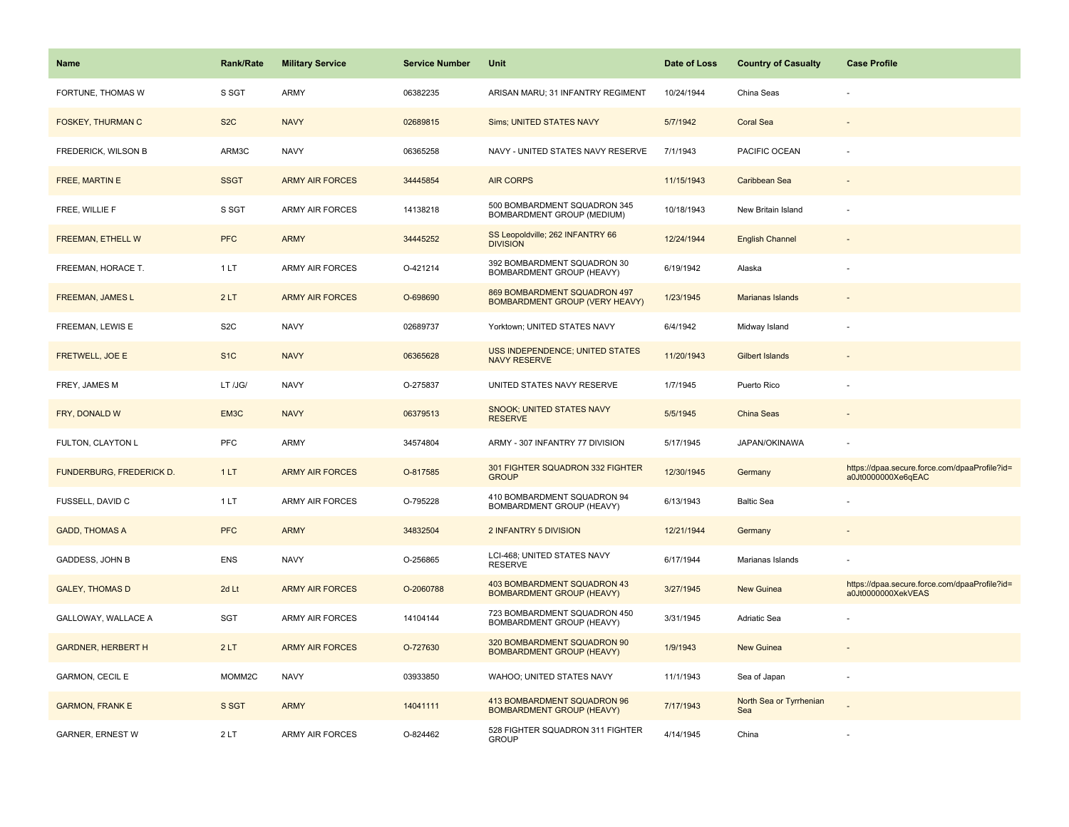| <b>Name</b>               | <b>Rank/Rate</b> | <b>Military Service</b> | <b>Service Number</b> | Unit                                                                  | Date of Loss | <b>Country of Casualty</b>     | <b>Case Profile</b>                                                 |
|---------------------------|------------------|-------------------------|-----------------------|-----------------------------------------------------------------------|--------------|--------------------------------|---------------------------------------------------------------------|
| FORTUNE, THOMAS W         | S SGT            | ARMY                    | 06382235              | ARISAN MARU; 31 INFANTRY REGIMENT                                     | 10/24/1944   | China Seas                     |                                                                     |
| <b>FOSKEY, THURMAN C</b>  | S <sub>2</sub> C | <b>NAVY</b>             | 02689815              | Sims; UNITED STATES NAVY                                              | 5/7/1942     | <b>Coral Sea</b>               |                                                                     |
| FREDERICK, WILSON B       | ARM3C            | <b>NAVY</b>             | 06365258              | NAVY - UNITED STATES NAVY RESERVE                                     | 7/1/1943     | PACIFIC OCEAN                  |                                                                     |
| <b>FREE, MARTIN E</b>     | <b>SSGT</b>      | <b>ARMY AIR FORCES</b>  | 34445854              | <b>AIR CORPS</b>                                                      | 11/15/1943   | Caribbean Sea                  |                                                                     |
| FREE, WILLIE F            | S SGT            | <b>ARMY AIR FORCES</b>  | 14138218              | 500 BOMBARDMENT SQUADRON 345<br>BOMBARDMENT GROUP (MEDIUM)            | 10/18/1943   | New Britain Island             |                                                                     |
| FREEMAN, ETHELL W         | <b>PFC</b>       | <b>ARMY</b>             | 34445252              | SS Leopoldville; 262 INFANTRY 66<br><b>DIVISION</b>                   | 12/24/1944   | <b>English Channel</b>         |                                                                     |
| FREEMAN, HORACE T.        | 1 LT             | <b>ARMY AIR FORCES</b>  | O-421214              | 392 BOMBARDMENT SQUADRON 30<br>BOMBARDMENT GROUP (HEAVY)              | 6/19/1942    | Alaska                         |                                                                     |
| <b>FREEMAN, JAMES L</b>   | 2LT              | <b>ARMY AIR FORCES</b>  | O-698690              | 869 BOMBARDMENT SQUADRON 497<br><b>BOMBARDMENT GROUP (VERY HEAVY)</b> | 1/23/1945    | Marianas Islands               |                                                                     |
| FREEMAN, LEWIS E          | S <sub>2</sub> C | <b>NAVY</b>             | 02689737              | Yorktown; UNITED STATES NAVY                                          | 6/4/1942     | Midway Island                  |                                                                     |
| <b>FRETWELL, JOE E</b>    | S <sub>1</sub> C | <b>NAVY</b>             | 06365628              | USS INDEPENDENCE; UNITED STATES<br><b>NAVY RESERVE</b>                | 11/20/1943   | <b>Gilbert Islands</b>         |                                                                     |
| FREY, JAMES M             | LT /JG/          | <b>NAVY</b>             | O-275837              | UNITED STATES NAVY RESERVE                                            | 1/7/1945     | Puerto Rico                    |                                                                     |
| FRY, DONALD W             | EM3C             | <b>NAVY</b>             | 06379513              | <b>SNOOK; UNITED STATES NAVY</b><br><b>RESERVE</b>                    | 5/5/1945     | <b>China Seas</b>              |                                                                     |
| FULTON, CLAYTON L         | <b>PFC</b>       | <b>ARMY</b>             | 34574804              | ARMY - 307 INFANTRY 77 DIVISION                                       | 5/17/1945    | JAPAN/OKINAWA                  |                                                                     |
| FUNDERBURG, FREDERICK D.  | 1LT              | <b>ARMY AIR FORCES</b>  | O-817585              | 301 FIGHTER SQUADRON 332 FIGHTER<br><b>GROUP</b>                      | 12/30/1945   | Germany                        | https://dpaa.secure.force.com/dpaaProfile?id=<br>a0Jt0000000Xe6qEAC |
| FUSSELL, DAVID C          | 1LT              | ARMY AIR FORCES         | O-795228              | 410 BOMBARDMENT SQUADRON 94<br>BOMBARDMENT GROUP (HEAVY)              | 6/13/1943    | <b>Baltic Sea</b>              |                                                                     |
| <b>GADD, THOMAS A</b>     | <b>PFC</b>       | <b>ARMY</b>             | 34832504              | 2 INFANTRY 5 DIVISION                                                 | 12/21/1944   | Germany                        |                                                                     |
| GADDESS, JOHN B           | ENS              | <b>NAVY</b>             | O-256865              | LCI-468; UNITED STATES NAVY<br><b>RESERVE</b>                         | 6/17/1944    | Marianas Islands               |                                                                     |
| <b>GALEY, THOMAS D</b>    | 2d Lt            | <b>ARMY AIR FORCES</b>  | O-2060788             | 403 BOMBARDMENT SQUADRON 43<br><b>BOMBARDMENT GROUP (HEAVY)</b>       | 3/27/1945    | New Guinea                     | https://dpaa.secure.force.com/dpaaProfile?id=<br>a0Jt0000000XekVEAS |
| GALLOWAY, WALLACE A       | <b>SGT</b>       | <b>ARMY AIR FORCES</b>  | 14104144              | 723 BOMBARDMENT SQUADRON 450<br>BOMBARDMENT GROUP (HEAVY)             | 3/31/1945    | <b>Adriatic Sea</b>            |                                                                     |
| <b>GARDNER, HERBERT H</b> | 2LT              | <b>ARMY AIR FORCES</b>  | O-727630              | 320 BOMBARDMENT SQUADRON 90<br><b>BOMBARDMENT GROUP (HEAVY)</b>       | 1/9/1943     | <b>New Guinea</b>              |                                                                     |
| GARMON, CECIL E           | MOMM2C           | <b>NAVY</b>             | 03933850              | WAHOO; UNITED STATES NAVY                                             | 11/1/1943    | Sea of Japan                   |                                                                     |
| <b>GARMON, FRANK E</b>    | S SGT            | <b>ARMY</b>             | 14041111              | 413 BOMBARDMENT SQUADRON 96<br><b>BOMBARDMENT GROUP (HEAVY)</b>       | 7/17/1943    | North Sea or Tyrrhenian<br>Sea |                                                                     |
| <b>GARNER, ERNEST W</b>   | 2LT              | <b>ARMY AIR FORCES</b>  | O-824462              | 528 FIGHTER SQUADRON 311 FIGHTER<br><b>GROUP</b>                      | 4/14/1945    | China                          |                                                                     |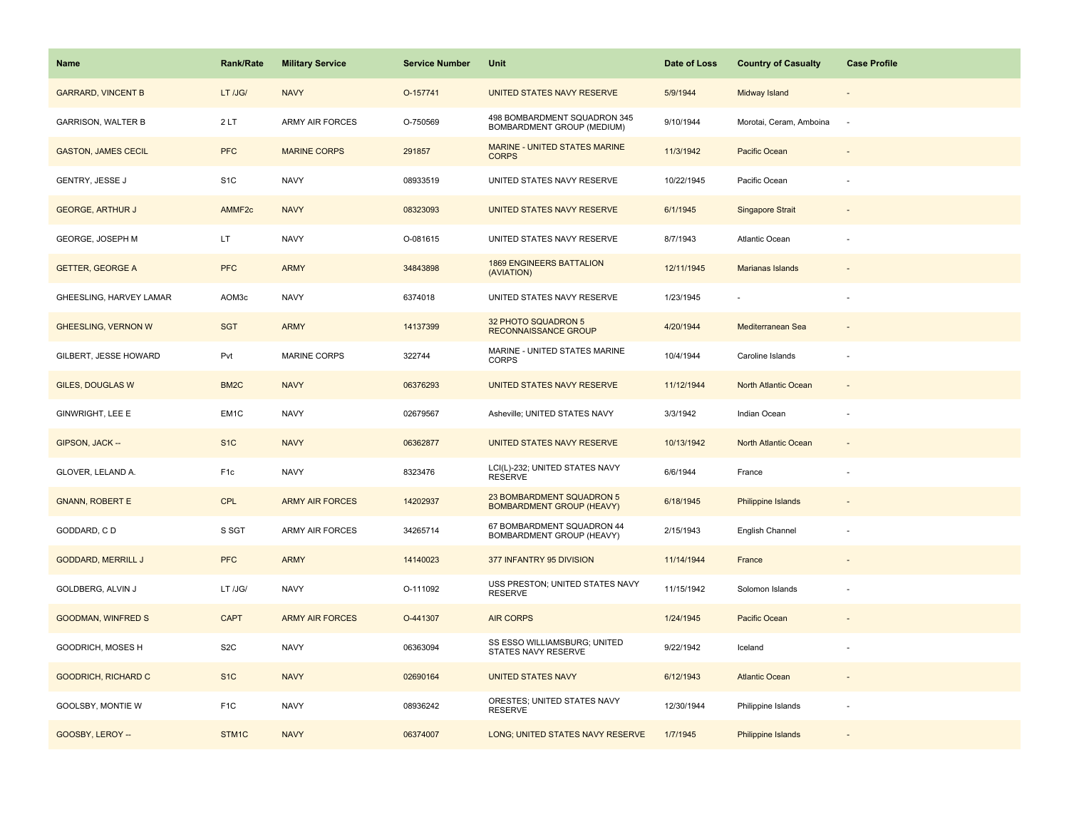| Name                       | Rank/Rate          | <b>Military Service</b> | <b>Service Number</b> | Unit                                                          | Date of Loss | <b>Country of Casualty</b>  | <b>Case Profile</b>      |
|----------------------------|--------------------|-------------------------|-----------------------|---------------------------------------------------------------|--------------|-----------------------------|--------------------------|
| <b>GARRARD, VINCENT B</b>  | LT /JG/            | <b>NAVY</b>             | O-157741              | UNITED STATES NAVY RESERVE                                    | 5/9/1944     | Midway Island               |                          |
| <b>GARRISON, WALTER B</b>  | 2LT                | <b>ARMY AIR FORCES</b>  | O-750569              | 498 BOMBARDMENT SQUADRON 345<br>BOMBARDMENT GROUP (MEDIUM)    | 9/10/1944    | Morotai, Ceram, Amboina     | $\sim$                   |
| <b>GASTON, JAMES CECIL</b> | <b>PFC</b>         | <b>MARINE CORPS</b>     | 291857                | <b>MARINE - UNITED STATES MARINE</b><br><b>CORPS</b>          | 11/3/1942    | Pacific Ocean               |                          |
| GENTRY, JESSE J            | S <sub>1</sub> C   | <b>NAVY</b>             | 08933519              | UNITED STATES NAVY RESERVE                                    | 10/22/1945   | Pacific Ocean               |                          |
| <b>GEORGE, ARTHUR J</b>    | AMMF <sub>2c</sub> | <b>NAVY</b>             | 08323093              | UNITED STATES NAVY RESERVE                                    | 6/1/1945     | <b>Singapore Strait</b>     |                          |
| GEORGE, JOSEPH M           | LT.                | <b>NAVY</b>             | O-081615              | UNITED STATES NAVY RESERVE                                    | 8/7/1943     | Atlantic Ocean              |                          |
| <b>GETTER, GEORGE A</b>    | <b>PFC</b>         | <b>ARMY</b>             | 34843898              | <b>1869 ENGINEERS BATTALION</b><br>(AVIATION)                 | 12/11/1945   | Marianas Islands            | $\overline{\phantom{a}}$ |
| GHEESLING, HARVEY LAMAR    | AOM3c              | <b>NAVY</b>             | 6374018               | UNITED STATES NAVY RESERVE                                    | 1/23/1945    |                             | ÷                        |
| <b>GHEESLING, VERNON W</b> | <b>SGT</b>         | <b>ARMY</b>             | 14137399              | 32 PHOTO SQUADRON 5<br><b>RECONNAISSANCE GROUP</b>            | 4/20/1944    | Mediterranean Sea           |                          |
| GILBERT, JESSE HOWARD      | Pvt                | MARINE CORPS            | 322744                | MARINE - UNITED STATES MARINE<br>CORPS                        | 10/4/1944    | Caroline Islands            | ÷,                       |
| <b>GILES, DOUGLAS W</b>    | BM <sub>2</sub> C  | <b>NAVY</b>             | 06376293              | UNITED STATES NAVY RESERVE                                    | 11/12/1944   | North Atlantic Ocean        |                          |
| GINWRIGHT, LEE E           | EM1C               | <b>NAVY</b>             | 02679567              | Asheville; UNITED STATES NAVY                                 | 3/3/1942     | Indian Ocean                |                          |
| GIPSON, JACK --            | S <sub>1</sub> C   | <b>NAVY</b>             | 06362877              | UNITED STATES NAVY RESERVE                                    | 10/13/1942   | <b>North Atlantic Ocean</b> |                          |
| GLOVER, LELAND A.          | F <sub>1c</sub>    | <b>NAVY</b>             | 8323476               | LCI(L)-232; UNITED STATES NAVY<br><b>RESERVE</b>              | 6/6/1944     | France                      |                          |
| <b>GNANN, ROBERT E</b>     | <b>CPL</b>         | <b>ARMY AIR FORCES</b>  | 14202937              | 23 BOMBARDMENT SQUADRON 5<br><b>BOMBARDMENT GROUP (HEAVY)</b> | 6/18/1945    | Philippine Islands          |                          |
| GODDARD, CD                | S SGT              | <b>ARMY AIR FORCES</b>  | 34265714              | 67 BOMBARDMENT SQUADRON 44<br>BOMBARDMENT GROUP (HEAVY)       | 2/15/1943    | English Channel             | ÷,                       |
| <b>GODDARD, MERRILL J</b>  | <b>PFC</b>         | <b>ARMY</b>             | 14140023              | 377 INFANTRY 95 DIVISION                                      | 11/14/1944   | France                      |                          |
| GOLDBERG, ALVIN J          | LT /JG/            | <b>NAVY</b>             | O-111092              | USS PRESTON; UNITED STATES NAVY<br><b>RESERVE</b>             | 11/15/1942   | Solomon Islands             | ÷,                       |
| <b>GOODMAN, WINFRED S</b>  | <b>CAPT</b>        | <b>ARMY AIR FORCES</b>  | O-441307              | <b>AIR CORPS</b>                                              | 1/24/1945    | Pacific Ocean               |                          |
| GOODRICH, MOSES H          | S <sub>2</sub> C   | <b>NAVY</b>             | 06363094              | SS ESSO WILLIAMSBURG; UNITED<br>STATES NAVY RESERVE           | 9/22/1942    | Iceland                     |                          |
| <b>GOODRICH, RICHARD C</b> | S <sub>1</sub> C   | <b>NAVY</b>             | 02690164              | <b>UNITED STATES NAVY</b>                                     | 6/12/1943    | <b>Atlantic Ocean</b>       |                          |
| GOOLSBY, MONTIE W          | F <sub>1</sub> C   | <b>NAVY</b>             | 08936242              | ORESTES; UNITED STATES NAVY<br><b>RESERVE</b>                 | 12/30/1944   | Philippine Islands          |                          |
| GOOSBY, LEROY --           | STM1C              | <b>NAVY</b>             | 06374007              | LONG; UNITED STATES NAVY RESERVE                              | 1/7/1945     | Philippine Islands          |                          |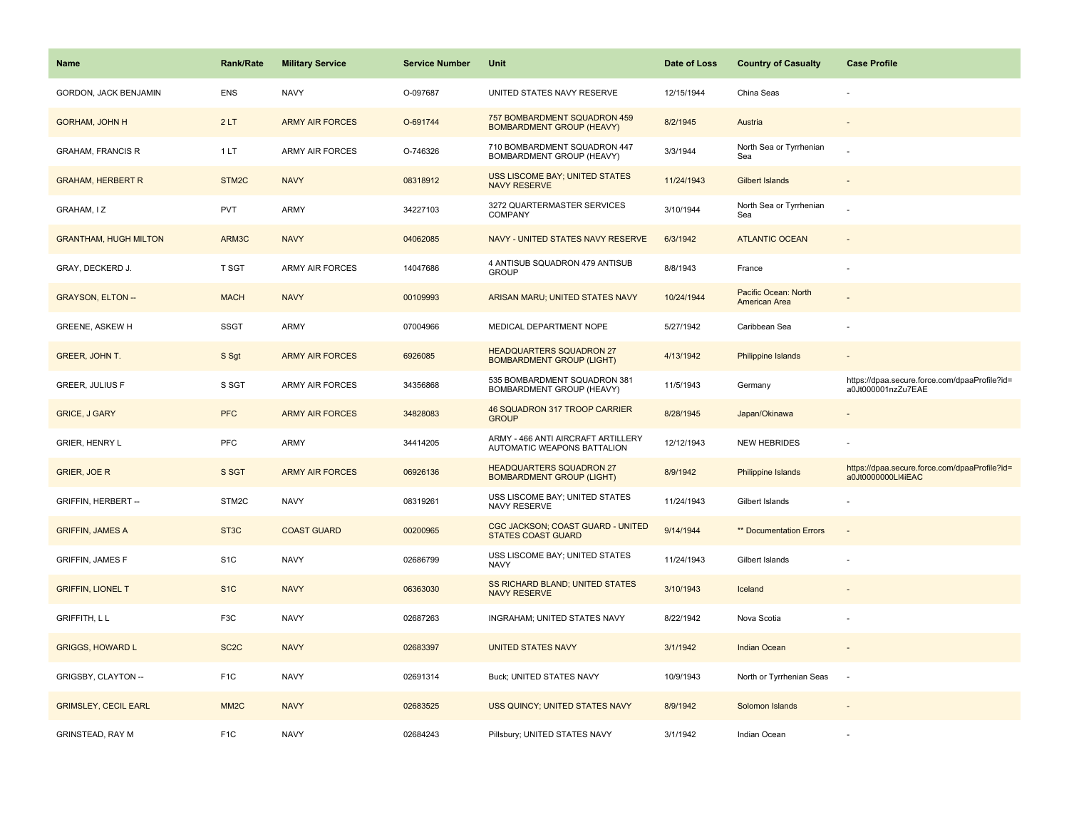| Name                         | Rank/Rate         | <b>Military Service</b> | <b>Service Number</b> | Unit                                                                | Date of Loss | <b>Country of Casualty</b>            | <b>Case Profile</b>                                                 |
|------------------------------|-------------------|-------------------------|-----------------------|---------------------------------------------------------------------|--------------|---------------------------------------|---------------------------------------------------------------------|
| GORDON, JACK BENJAMIN        | <b>ENS</b>        | <b>NAVY</b>             | O-097687              | UNITED STATES NAVY RESERVE                                          | 12/15/1944   | China Seas                            |                                                                     |
| <b>GORHAM, JOHN H</b>        | 2LT               | <b>ARMY AIR FORCES</b>  | O-691744              | 757 BOMBARDMENT SQUADRON 459<br><b>BOMBARDMENT GROUP (HEAVY)</b>    | 8/2/1945     | Austria                               |                                                                     |
| <b>GRAHAM, FRANCIS R</b>     | 1LT               | <b>ARMY AIR FORCES</b>  | O-746326              | 710 BOMBARDMENT SQUADRON 447<br>BOMBARDMENT GROUP (HEAVY)           | 3/3/1944     | North Sea or Tyrrhenian<br>Sea        |                                                                     |
| <b>GRAHAM, HERBERT R</b>     | STM2C             | <b>NAVY</b>             | 08318912              | <b>USS LISCOME BAY; UNITED STATES</b><br>NAVY RESERVE               | 11/24/1943   | <b>Gilbert Islands</b>                |                                                                     |
| GRAHAM, IZ                   | <b>PVT</b>        | <b>ARMY</b>             | 34227103              | 3272 QUARTERMASTER SERVICES<br><b>COMPANY</b>                       | 3/10/1944    | North Sea or Tyrrhenian<br>Sea        |                                                                     |
| <b>GRANTHAM, HUGH MILTON</b> | ARM3C             | <b>NAVY</b>             | 04062085              | NAVY - UNITED STATES NAVY RESERVE                                   | 6/3/1942     | <b>ATLANTIC OCEAN</b>                 |                                                                     |
| GRAY, DECKERD J.             | <b>T SGT</b>      | <b>ARMY AIR FORCES</b>  | 14047686              | 4 ANTISUB SQUADRON 479 ANTISUB<br><b>GROUP</b>                      | 8/8/1943     | France                                |                                                                     |
| <b>GRAYSON, ELTON --</b>     | <b>MACH</b>       | <b>NAVY</b>             | 00109993              | ARISAN MARU; UNITED STATES NAVY                                     | 10/24/1944   | Pacific Ocean: North<br>American Area |                                                                     |
| <b>GREENE, ASKEW H</b>       | <b>SSGT</b>       | ARMY                    | 07004966              | MEDICAL DEPARTMENT NOPE                                             | 5/27/1942    | Caribbean Sea                         |                                                                     |
| <b>GREER, JOHN T.</b>        | S Sgt             | <b>ARMY AIR FORCES</b>  | 6926085               | <b>HEADQUARTERS SQUADRON 27</b><br><b>BOMBARDMENT GROUP (LIGHT)</b> | 4/13/1942    | Philippine Islands                    |                                                                     |
| <b>GREER, JULIUS F</b>       | S SGT             | <b>ARMY AIR FORCES</b>  | 34356868              | 535 BOMBARDMENT SQUADRON 381<br>BOMBARDMENT GROUP (HEAVY)           | 11/5/1943    | Germany                               | https://dpaa.secure.force.com/dpaaProfile?id=<br>a0Jt000001nzZu7EAE |
| <b>GRICE, J GARY</b>         | <b>PFC</b>        | <b>ARMY AIR FORCES</b>  | 34828083              | 46 SQUADRON 317 TROOP CARRIER<br><b>GROUP</b>                       | 8/28/1945    | Japan/Okinawa                         |                                                                     |
| GRIER, HENRY L               | PFC               | <b>ARMY</b>             | 34414205              | ARMY - 466 ANTI AIRCRAFT ARTILLERY<br>AUTOMATIC WEAPONS BATTALION   | 12/12/1943   | <b>NEW HEBRIDES</b>                   |                                                                     |
| <b>GRIER, JOE R</b>          | S SGT             | <b>ARMY AIR FORCES</b>  | 06926136              | <b>HEADQUARTERS SQUADRON 27</b><br><b>BOMBARDMENT GROUP (LIGHT)</b> | 8/9/1942     | Philippine Islands                    | https://dpaa.secure.force.com/dpaaProfile?id=<br>a0Jt0000000LI4iEAC |
| <b>GRIFFIN, HERBERT --</b>   | STM2C             | <b>NAVY</b>             | 08319261              | USS LISCOME BAY; UNITED STATES<br>NAVY RESERVE                      | 11/24/1943   | Gilbert Islands                       |                                                                     |
| <b>GRIFFIN, JAMES A</b>      | ST <sub>3</sub> C | <b>COAST GUARD</b>      | 00200965              | CGC JACKSON; COAST GUARD - UNITED<br><b>STATES COAST GUARD</b>      | 9/14/1944    | ** Documentation Errors               |                                                                     |
| <b>GRIFFIN, JAMES F</b>      | S <sub>1</sub> C  | <b>NAVY</b>             | 02686799              | USS LISCOME BAY; UNITED STATES<br><b>NAVY</b>                       | 11/24/1943   | Gilbert Islands                       |                                                                     |
| <b>GRIFFIN, LIONEL T</b>     | S <sub>1</sub> C  | <b>NAVY</b>             | 06363030              | SS RICHARD BLAND; UNITED STATES<br><b>NAVY RESERVE</b>              | 3/10/1943    | Iceland                               |                                                                     |
| <b>GRIFFITH, LL</b>          | F3C               | <b>NAVY</b>             | 02687263              | INGRAHAM; UNITED STATES NAVY                                        | 8/22/1942    | Nova Scotia                           |                                                                     |
| <b>GRIGGS, HOWARD L</b>      | SC <sub>2</sub> C | <b>NAVY</b>             | 02683397              | <b>UNITED STATES NAVY</b>                                           | 3/1/1942     | <b>Indian Ocean</b>                   |                                                                     |
| GRIGSBY, CLAYTON --          | F <sub>1</sub> C  | <b>NAVY</b>             | 02691314              | Buck; UNITED STATES NAVY                                            | 10/9/1943    | North or Tyrrhenian Seas              | $\sim$                                                              |
| <b>GRIMSLEY, CECIL EARL</b>  | MM <sub>2</sub> C | <b>NAVY</b>             | 02683525              | USS QUINCY; UNITED STATES NAVY                                      | 8/9/1942     | Solomon Islands                       |                                                                     |
| <b>GRINSTEAD, RAY M</b>      | F <sub>1</sub> C  | <b>NAVY</b>             | 02684243              | Pillsbury; UNITED STATES NAVY                                       | 3/1/1942     | Indian Ocean                          |                                                                     |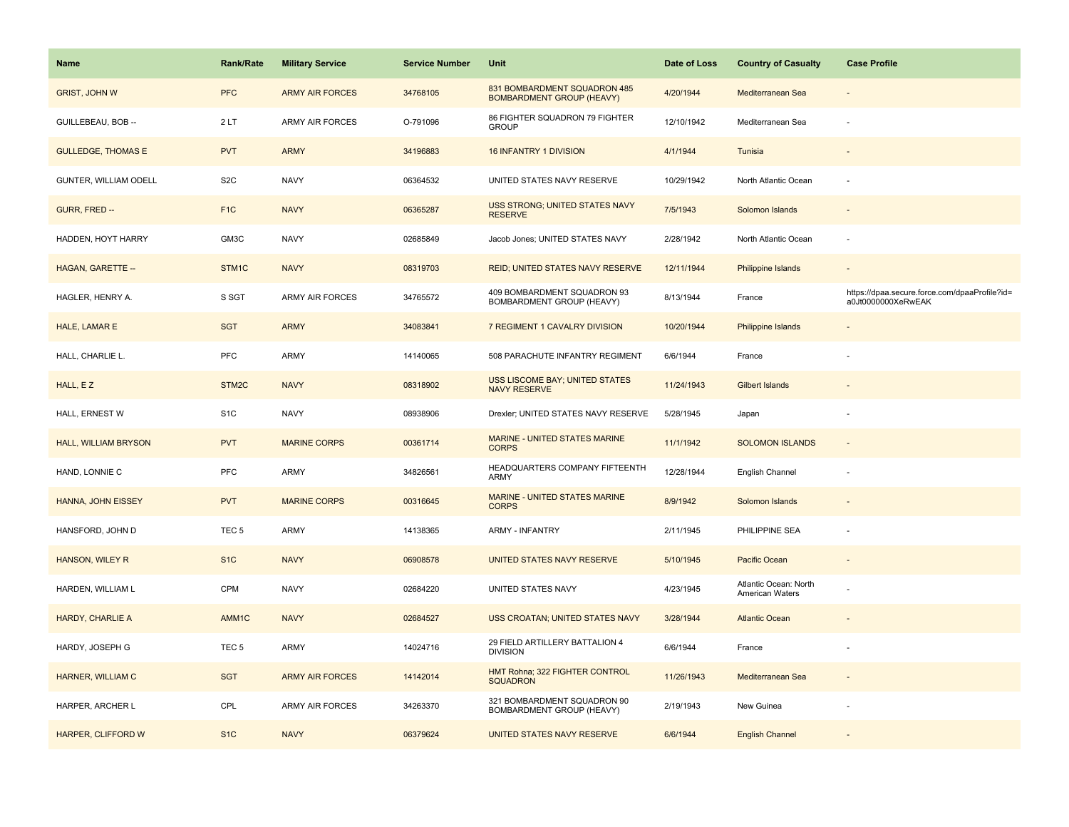| Name                        | <b>Rank/Rate</b>  | <b>Military Service</b> | <b>Service Number</b> | Unit                                                             | Date of Loss | <b>Country of Casualty</b>                      | <b>Case Profile</b>                                                 |
|-----------------------------|-------------------|-------------------------|-----------------------|------------------------------------------------------------------|--------------|-------------------------------------------------|---------------------------------------------------------------------|
| <b>GRIST, JOHN W</b>        | <b>PFC</b>        | <b>ARMY AIR FORCES</b>  | 34768105              | 831 BOMBARDMENT SQUADRON 485<br><b>BOMBARDMENT GROUP (HEAVY)</b> | 4/20/1944    | Mediterranean Sea                               |                                                                     |
| GUILLEBEAU, BOB --          | 2LT               | ARMY AIR FORCES         | O-791096              | 86 FIGHTER SQUADRON 79 FIGHTER<br><b>GROUP</b>                   | 12/10/1942   | Mediterranean Sea                               |                                                                     |
| <b>GULLEDGE, THOMAS E</b>   | <b>PVT</b>        | <b>ARMY</b>             | 34196883              | <b>16 INFANTRY 1 DIVISION</b>                                    | 4/1/1944     | Tunisia                                         |                                                                     |
| GUNTER, WILLIAM ODELL       | S <sub>2</sub> C  | <b>NAVY</b>             | 06364532              | UNITED STATES NAVY RESERVE                                       | 10/29/1942   | North Atlantic Ocean                            |                                                                     |
| GURR, FRED --               | F <sub>1</sub> C  | <b>NAVY</b>             | 06365287              | USS STRONG; UNITED STATES NAVY<br><b>RESERVE</b>                 | 7/5/1943     | Solomon Islands                                 |                                                                     |
| HADDEN, HOYT HARRY          | GM3C              | <b>NAVY</b>             | 02685849              | Jacob Jones; UNITED STATES NAVY                                  | 2/28/1942    | North Atlantic Ocean                            |                                                                     |
| HAGAN, GARETTE --           | STM1C             | <b>NAVY</b>             | 08319703              | <b>REID; UNITED STATES NAVY RESERVE</b>                          | 12/11/1944   | Philippine Islands                              |                                                                     |
| HAGLER, HENRY A.            | S SGT             | ARMY AIR FORCES         | 34765572              | 409 BOMBARDMENT SQUADRON 93<br>BOMBARDMENT GROUP (HEAVY)         | 8/13/1944    | France                                          | https://dpaa.secure.force.com/dpaaProfile?id=<br>a0Jt0000000XeRwEAK |
| HALE, LAMAR E               | <b>SGT</b>        | <b>ARMY</b>             | 34083841              | 7 REGIMENT 1 CAVALRY DIVISION                                    | 10/20/1944   | Philippine Islands                              |                                                                     |
| HALL, CHARLIE L.            | PFC               | ARMY                    | 14140065              | 508 PARACHUTE INFANTRY REGIMENT                                  | 6/6/1944     | France                                          |                                                                     |
| HALL, EZ                    | STM2C             | <b>NAVY</b>             | 08318902              | USS LISCOME BAY; UNITED STATES<br><b>NAVY RESERVE</b>            | 11/24/1943   | <b>Gilbert Islands</b>                          |                                                                     |
| HALL, ERNEST W              | S <sub>1</sub> C  | <b>NAVY</b>             | 08938906              | Drexler; UNITED STATES NAVY RESERVE                              | 5/28/1945    | Japan                                           |                                                                     |
| <b>HALL, WILLIAM BRYSON</b> | <b>PVT</b>        | <b>MARINE CORPS</b>     | 00361714              | MARINE - UNITED STATES MARINE<br><b>CORPS</b>                    | 11/1/1942    | <b>SOLOMON ISLANDS</b>                          |                                                                     |
| HAND, LONNIE C              | PFC               | ARMY                    | 34826561              | HEADQUARTERS COMPANY FIFTEENTH<br>ARMY                           | 12/28/1944   | English Channel                                 |                                                                     |
| HANNA, JOHN EISSEY          | <b>PVT</b>        | <b>MARINE CORPS</b>     | 00316645              | <b>MARINE - UNITED STATES MARINE</b><br><b>CORPS</b>             | 8/9/1942     | Solomon Islands                                 |                                                                     |
| HANSFORD, JOHN D            | TEC <sub>5</sub>  | ARMY                    | 14138365              | <b>ARMY - INFANTRY</b>                                           | 2/11/1945    | PHILIPPINE SEA                                  |                                                                     |
| HANSON, WILEY R             | S <sub>1C</sub>   | <b>NAVY</b>             | 06908578              | UNITED STATES NAVY RESERVE                                       | 5/10/1945    | Pacific Ocean                                   |                                                                     |
| HARDEN, WILLIAM L           | CPM               | <b>NAVY</b>             | 02684220              | UNITED STATES NAVY                                               | 4/23/1945    | Atlantic Ocean: North<br><b>American Waters</b> |                                                                     |
| HARDY, CHARLIE A            | AMM <sub>1C</sub> | <b>NAVY</b>             | 02684527              | USS CROATAN; UNITED STATES NAVY                                  | 3/28/1944    | <b>Atlantic Ocean</b>                           |                                                                     |
| HARDY, JOSEPH G             | TEC <sub>5</sub>  | ARMY                    | 14024716              | 29 FIELD ARTILLERY BATTALION 4<br><b>DIVISION</b>                | 6/6/1944     | France                                          |                                                                     |
| HARNER, WILLIAM C           | <b>SGT</b>        | <b>ARMY AIR FORCES</b>  | 14142014              | HMT Rohna; 322 FIGHTER CONTROL<br><b>SQUADRON</b>                | 11/26/1943   | Mediterranean Sea                               |                                                                     |
| HARPER, ARCHER L            | CPL               | ARMY AIR FORCES         | 34263370              | 321 BOMBARDMENT SQUADRON 90<br>BOMBARDMENT GROUP (HEAVY)         | 2/19/1943    | New Guinea                                      |                                                                     |
| HARPER, CLIFFORD W          | S <sub>1C</sub>   | <b>NAVY</b>             | 06379624              | UNITED STATES NAVY RESERVE                                       | 6/6/1944     | <b>English Channel</b>                          |                                                                     |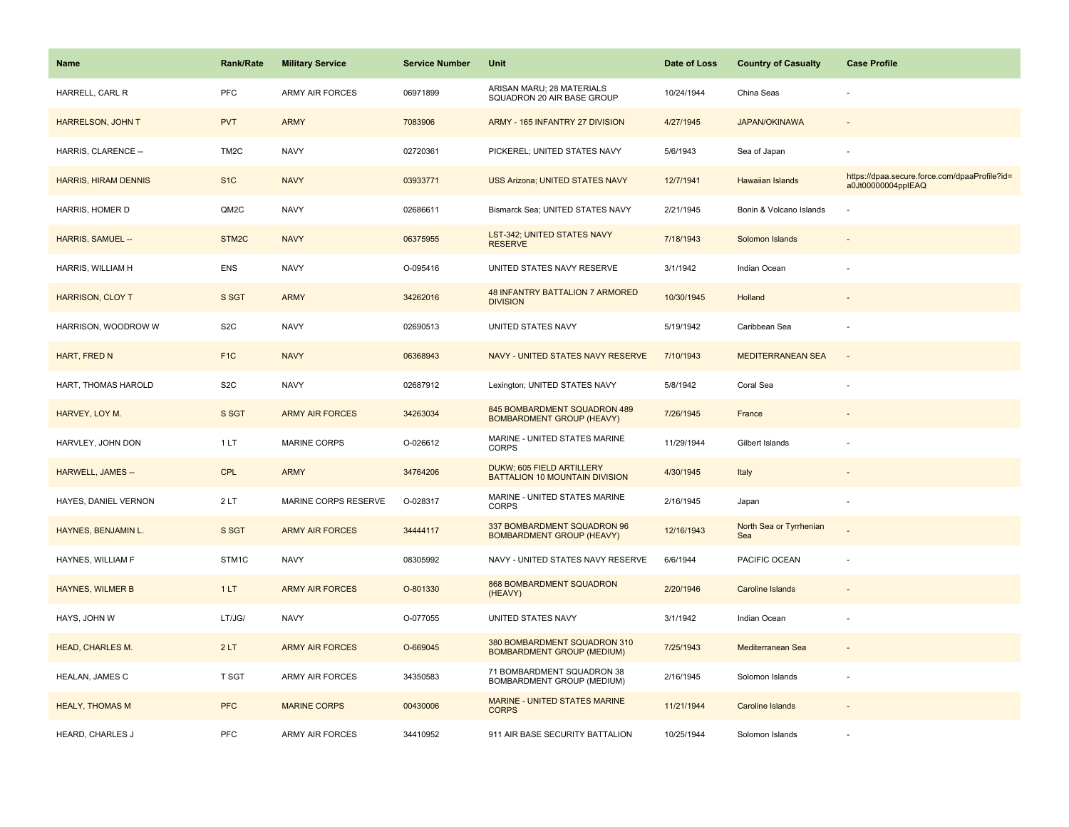| Name                        | <b>Rank/Rate</b>  | <b>Military Service</b> | <b>Service Number</b> | Unit                                                              | Date of Loss | <b>Country of Casualty</b>     | <b>Case Profile</b>                                                 |
|-----------------------------|-------------------|-------------------------|-----------------------|-------------------------------------------------------------------|--------------|--------------------------------|---------------------------------------------------------------------|
| HARRELL, CARL R             | <b>PFC</b>        | <b>ARMY AIR FORCES</b>  | 06971899              | ARISAN MARU; 28 MATERIALS<br>SQUADRON 20 AIR BASE GROUP           | 10/24/1944   | China Seas                     |                                                                     |
| HARRELSON, JOHN T           | <b>PVT</b>        | <b>ARMY</b>             | 7083906               | ARMY - 165 INFANTRY 27 DIVISION                                   | 4/27/1945    | <b>JAPAN/OKINAWA</b>           |                                                                     |
| HARRIS, CLARENCE --         | TM <sub>2</sub> C | <b>NAVY</b>             | 02720361              | PICKEREL; UNITED STATES NAVY                                      | 5/6/1943     | Sea of Japan                   |                                                                     |
| <b>HARRIS, HIRAM DENNIS</b> | S <sub>1</sub> C  | <b>NAVY</b>             | 03933771              | <b>USS Arizona; UNITED STATES NAVY</b>                            | 12/7/1941    | Hawaiian Islands               | https://dpaa.secure.force.com/dpaaProfile?id=<br>a0Jt00000004pplEAQ |
| HARRIS, HOMER D             | QM2C              | <b>NAVY</b>             | 02686611              | Bismarck Sea; UNITED STATES NAVY                                  | 2/21/1945    | Bonin & Volcano Islands        |                                                                     |
| HARRIS, SAMUEL --           | STM2C             | <b>NAVY</b>             | 06375955              | LST-342; UNITED STATES NAVY<br><b>RESERVE</b>                     | 7/18/1943    | Solomon Islands                |                                                                     |
| HARRIS, WILLIAM H           | <b>ENS</b>        | <b>NAVY</b>             | O-095416              | UNITED STATES NAVY RESERVE                                        | 3/1/1942     | Indian Ocean                   |                                                                     |
| <b>HARRISON, CLOY T</b>     | S SGT             | <b>ARMY</b>             | 34262016              | <b>48 INFANTRY BATTALION 7 ARMORED</b><br><b>DIVISION</b>         | 10/30/1945   | Holland                        |                                                                     |
| HARRISON, WOODROW W         | S <sub>2</sub> C  | <b>NAVY</b>             | 02690513              | UNITED STATES NAVY                                                | 5/19/1942    | Caribbean Sea                  |                                                                     |
| HART, FRED N                | F <sub>1C</sub>   | <b>NAVY</b>             | 06368943              | NAVY - UNITED STATES NAVY RESERVE                                 | 7/10/1943    | <b>MEDITERRANEAN SEA</b>       |                                                                     |
| HART, THOMAS HAROLD         | S <sub>2</sub> C  | <b>NAVY</b>             | 02687912              | Lexington; UNITED STATES NAVY                                     | 5/8/1942     | Coral Sea                      |                                                                     |
| HARVEY, LOY M.              | S SGT             | <b>ARMY AIR FORCES</b>  | 34263034              | 845 BOMBARDMENT SQUADRON 489<br><b>BOMBARDMENT GROUP (HEAVY)</b>  | 7/26/1945    | France                         |                                                                     |
| HARVLEY, JOHN DON           | 1 LT              | <b>MARINE CORPS</b>     | O-026612              | MARINE - UNITED STATES MARINE<br><b>CORPS</b>                     | 11/29/1944   | Gilbert Islands                |                                                                     |
| <b>HARWELL, JAMES --</b>    | <b>CPL</b>        | <b>ARMY</b>             | 34764206              | DUKW; 605 FIELD ARTILLERY<br>BATTALION 10 MOUNTAIN DIVISION       | 4/30/1945    | Italy                          |                                                                     |
| HAYES, DANIEL VERNON        | 2LT               | MARINE CORPS RESERVE    | O-028317              | MARINE - UNITED STATES MARINE<br>CORPS                            | 2/16/1945    | Japan                          |                                                                     |
| HAYNES, BENJAMIN L.         | S SGT             | <b>ARMY AIR FORCES</b>  | 34444117              | 337 BOMBARDMENT SQUADRON 96<br><b>BOMBARDMENT GROUP (HEAVY)</b>   | 12/16/1943   | North Sea or Tyrrhenian<br>Sea |                                                                     |
| HAYNES, WILLIAM F           | STM1C             | <b>NAVY</b>             | 08305992              | NAVY - UNITED STATES NAVY RESERVE                                 | 6/6/1944     | PACIFIC OCEAN                  |                                                                     |
| <b>HAYNES, WILMER B</b>     | 1LT               | <b>ARMY AIR FORCES</b>  | O-801330              | 868 BOMBARDMENT SQUADRON<br>(HEAVY)                               | 2/20/1946    | <b>Caroline Islands</b>        |                                                                     |
| HAYS, JOHN W                | LT/JG/            | <b>NAVY</b>             | O-077055              | UNITED STATES NAVY                                                | 3/1/1942     | Indian Ocean                   |                                                                     |
| <b>HEAD, CHARLES M.</b>     | 2LT               | <b>ARMY AIR FORCES</b>  | O-669045              | 380 BOMBARDMENT SQUADRON 310<br><b>BOMBARDMENT GROUP (MEDIUM)</b> | 7/25/1943    | Mediterranean Sea              | $\overline{\phantom{a}}$                                            |
| HEALAN, JAMES C             | <b>T SGT</b>      | <b>ARMY AIR FORCES</b>  | 34350583              | 71 BOMBARDMENT SQUADRON 38<br>BOMBARDMENT GROUP (MEDIUM)          | 2/16/1945    | Solomon Islands                | ÷,                                                                  |
| <b>HEALY, THOMAS M</b>      | <b>PFC</b>        | <b>MARINE CORPS</b>     | 00430006              | MARINE - UNITED STATES MARINE<br><b>CORPS</b>                     | 11/21/1944   | Caroline Islands               |                                                                     |
| HEARD, CHARLES J            | PFC               | <b>ARMY AIR FORCES</b>  | 34410952              | 911 AIR BASE SECURITY BATTALION                                   | 10/25/1944   | Solomon Islands                |                                                                     |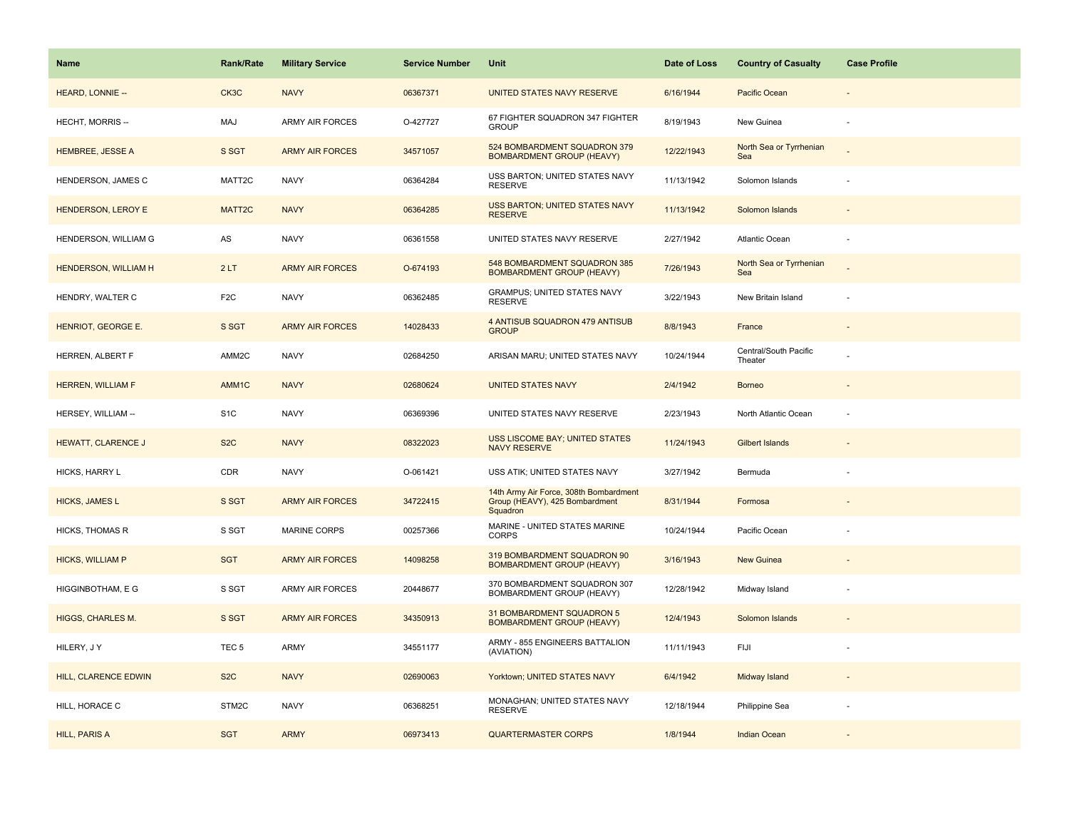| <b>Name</b>               | <b>Rank/Rate</b>   | <b>Military Service</b> | <b>Service Number</b> | Unit                                                                                 | Date of Loss | <b>Country of Casualty</b>       | <b>Case Profile</b> |
|---------------------------|--------------------|-------------------------|-----------------------|--------------------------------------------------------------------------------------|--------------|----------------------------------|---------------------|
| HEARD, LONNIE --          | CK3C               | <b>NAVY</b>             | 06367371              | UNITED STATES NAVY RESERVE                                                           | 6/16/1944    | Pacific Ocean                    |                     |
| HECHT, MORRIS --          | MAJ                | <b>ARMY AIR FORCES</b>  | O-427727              | 67 FIGHTER SQUADRON 347 FIGHTER<br><b>GROUP</b>                                      | 8/19/1943    | New Guinea                       |                     |
| <b>HEMBREE, JESSE A</b>   | S SGT              | <b>ARMY AIR FORCES</b>  | 34571057              | 524 BOMBARDMENT SQUADRON 379<br><b>BOMBARDMENT GROUP (HEAVY)</b>                     | 12/22/1943   | North Sea or Tyrrhenian<br>Sea   |                     |
| HENDERSON, JAMES C        | MATT2C             | <b>NAVY</b>             | 06364284              | USS BARTON; UNITED STATES NAVY<br><b>RESERVE</b>                                     | 11/13/1942   | Solomon Islands                  |                     |
| <b>HENDERSON, LEROY E</b> | MATT <sub>2C</sub> | <b>NAVY</b>             | 06364285              | USS BARTON; UNITED STATES NAVY<br><b>RESERVE</b>                                     | 11/13/1942   | Solomon Islands                  |                     |
| HENDERSON, WILLIAM G      | AS                 | <b>NAVY</b>             | 06361558              | UNITED STATES NAVY RESERVE                                                           | 2/27/1942    | <b>Atlantic Ocean</b>            |                     |
| HENDERSON, WILLIAM H      | 2LT                | <b>ARMY AIR FORCES</b>  | O-674193              | 548 BOMBARDMENT SQUADRON 385<br><b>BOMBARDMENT GROUP (HEAVY)</b>                     | 7/26/1943    | North Sea or Tyrrhenian<br>Sea   |                     |
| HENDRY, WALTER C          | F <sub>2</sub> C   | <b>NAVY</b>             | 06362485              | GRAMPUS; UNITED STATES NAVY<br><b>RESERVE</b>                                        | 3/22/1943    | New Britain Island               | ÷                   |
| HENRIOT, GEORGE E.        | S SGT              | <b>ARMY AIR FORCES</b>  | 14028433              | 4 ANTISUB SQUADRON 479 ANTISUB<br><b>GROUP</b>                                       | 8/8/1943     | France                           |                     |
| HERREN, ALBERT F          | AMM2C              | <b>NAVY</b>             | 02684250              | ARISAN MARU; UNITED STATES NAVY                                                      | 10/24/1944   | Central/South Pacific<br>Theater |                     |
| <b>HERREN, WILLIAM F</b>  | AMM1C              | <b>NAVY</b>             | 02680624              | <b>UNITED STATES NAVY</b>                                                            | 2/4/1942     | <b>Borneo</b>                    |                     |
| HERSEY, WILLIAM --        | S <sub>1</sub> C   | <b>NAVY</b>             | 06369396              | UNITED STATES NAVY RESERVE                                                           | 2/23/1943    | North Atlantic Ocean             |                     |
| <b>HEWATT, CLARENCE J</b> | S <sub>2</sub> C   | <b>NAVY</b>             | 08322023              | USS LISCOME BAY; UNITED STATES<br><b>NAVY RESERVE</b>                                | 11/24/1943   | <b>Gilbert Islands</b>           |                     |
| HICKS, HARRY L            | CDR                | <b>NAVY</b>             | O-061421              | USS ATIK; UNITED STATES NAVY                                                         | 3/27/1942    | Bermuda                          |                     |
| <b>HICKS, JAMES L</b>     | S SGT              | <b>ARMY AIR FORCES</b>  | 34722415              | 14th Army Air Force, 308th Bombardment<br>Group (HEAVY), 425 Bombardment<br>Squadron | 8/31/1944    | Formosa                          |                     |
| <b>HICKS, THOMAS R</b>    | S SGT              | <b>MARINE CORPS</b>     | 00257366              | MARINE - UNITED STATES MARINE<br><b>CORPS</b>                                        | 10/24/1944   | Pacific Ocean                    |                     |
| <b>HICKS, WILLIAM P</b>   | <b>SGT</b>         | <b>ARMY AIR FORCES</b>  | 14098258              | 319 BOMBARDMENT SQUADRON 90<br><b>BOMBARDMENT GROUP (HEAVY)</b>                      | 3/16/1943    | <b>New Guinea</b>                |                     |
| HIGGINBOTHAM, E G         | S SGT              | <b>ARMY AIR FORCES</b>  | 20448677              | 370 BOMBARDMENT SQUADRON 307<br>BOMBARDMENT GROUP (HEAVY)                            | 12/28/1942   | Midway Island                    |                     |
| <b>HIGGS, CHARLES M.</b>  | S SGT              | <b>ARMY AIR FORCES</b>  | 34350913              | 31 BOMBARDMENT SQUADRON 5<br><b>BOMBARDMENT GROUP (HEAVY)</b>                        | 12/4/1943    | Solomon Islands                  |                     |
| HILERY, JY                | TEC <sub>5</sub>   | ARMY                    | 34551177              | ARMY - 855 ENGINEERS BATTALION<br>(AVIATION)                                         | 11/11/1943   | FIJI                             |                     |
| HILL, CLARENCE EDWIN      | S <sub>2</sub> C   | <b>NAVY</b>             | 02690063              | Yorktown; UNITED STATES NAVY                                                         | 6/4/1942     | Midway Island                    |                     |
| HILL, HORACE C            | STM2C              | <b>NAVY</b>             | 06368251              | MONAGHAN; UNITED STATES NAVY<br><b>RESERVE</b>                                       | 12/18/1944   | Philippine Sea                   |                     |
| <b>HILL, PARIS A</b>      | <b>SGT</b>         | <b>ARMY</b>             | 06973413              | <b>QUARTERMASTER CORPS</b>                                                           | 1/8/1944     | <b>Indian Ocean</b>              |                     |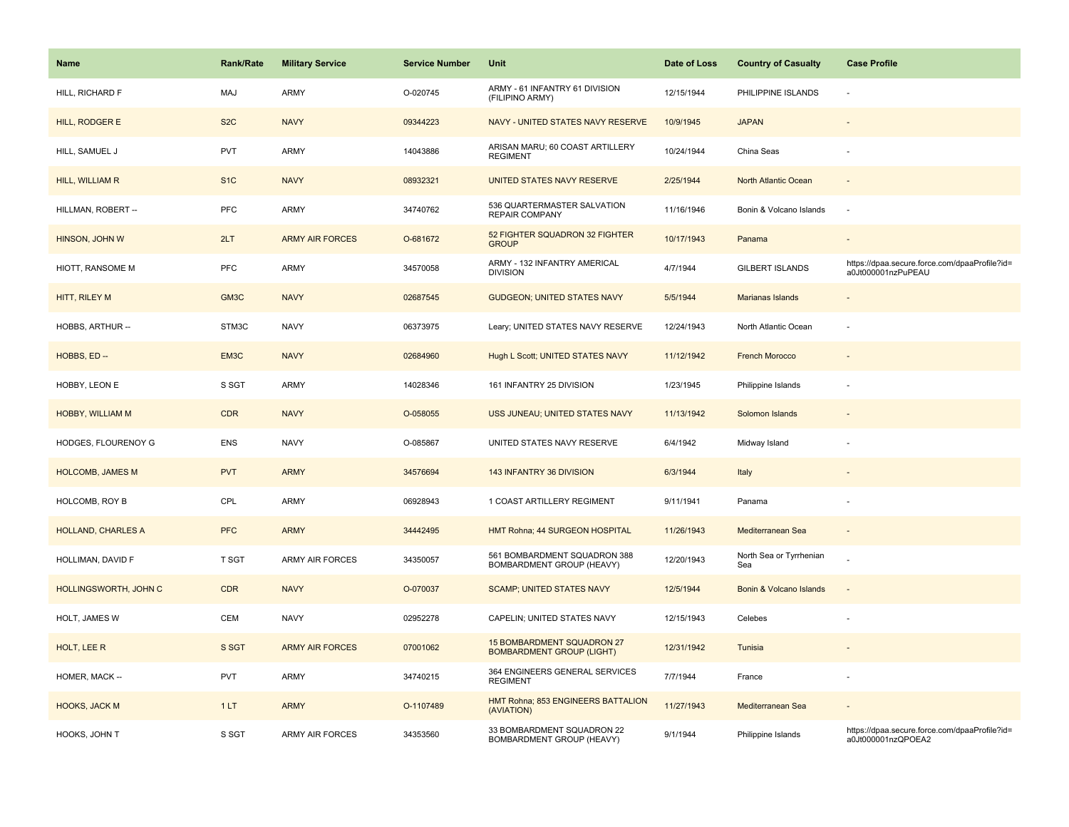| Name                      | <b>Rank/Rate</b> | <b>Military Service</b> | <b>Service Number</b> | Unit                                                           | Date of Loss | <b>Country of Casualty</b>     | <b>Case Profile</b>                                                 |
|---------------------------|------------------|-------------------------|-----------------------|----------------------------------------------------------------|--------------|--------------------------------|---------------------------------------------------------------------|
| HILL, RICHARD F           | <b>MAJ</b>       | <b>ARMY</b>             | O-020745              | ARMY - 61 INFANTRY 61 DIVISION<br>(FILIPINO ARMY)              | 12/15/1944   | PHILIPPINE ISLANDS             | ÷,                                                                  |
| HILL, RODGER E            | S <sub>2</sub> C | <b>NAVY</b>             | 09344223              | NAVY - UNITED STATES NAVY RESERVE                              | 10/9/1945    | <b>JAPAN</b>                   |                                                                     |
| HILL, SAMUEL J            | <b>PVT</b>       | <b>ARMY</b>             | 14043886              | ARISAN MARU; 60 COAST ARTILLERY<br><b>REGIMENT</b>             | 10/24/1944   | China Seas                     |                                                                     |
| HILL, WILLIAM R           | S <sub>1</sub> C | <b>NAVY</b>             | 08932321              | UNITED STATES NAVY RESERVE                                     | 2/25/1944    | North Atlantic Ocean           |                                                                     |
| HILLMAN, ROBERT --        | PFC              | <b>ARMY</b>             | 34740762              | 536 QUARTERMASTER SALVATION<br><b>REPAIR COMPANY</b>           | 11/16/1946   | Bonin & Volcano Islands        | ÷,                                                                  |
| HINSON, JOHN W            | 2LT              | <b>ARMY AIR FORCES</b>  | O-681672              | 52 FIGHTER SQUADRON 32 FIGHTER<br><b>GROUP</b>                 | 10/17/1943   | Panama                         | $\overline{\phantom{a}}$                                            |
| HIOTT, RANSOME M          | PFC              | <b>ARMY</b>             | 34570058              | ARMY - 132 INFANTRY AMERICAL<br><b>DIVISION</b>                | 4/7/1944     | GILBERT ISLANDS                | https://dpaa.secure.force.com/dpaaProfile?id=<br>a0Jt000001nzPuPEAU |
| HITT, RILEY M             | GM3C             | <b>NAVY</b>             | 02687545              | <b>GUDGEON; UNITED STATES NAVY</b>                             | 5/5/1944     | Marianas Islands               |                                                                     |
| HOBBS, ARTHUR --          | STM3C            | <b>NAVY</b>             | 06373975              | Leary; UNITED STATES NAVY RESERVE                              | 12/24/1943   | North Atlantic Ocean           | $\sim$                                                              |
| HOBBS, ED --              | EM3C             | <b>NAVY</b>             | 02684960              | Hugh L Scott; UNITED STATES NAVY                               | 11/12/1942   | <b>French Morocco</b>          |                                                                     |
| HOBBY, LEON E             | S SGT            | ARMY                    | 14028346              | 161 INFANTRY 25 DIVISION                                       | 1/23/1945    | Philippine Islands             |                                                                     |
| HOBBY, WILLIAM M          | <b>CDR</b>       | <b>NAVY</b>             | O-058055              | USS JUNEAU; UNITED STATES NAVY                                 | 11/13/1942   | Solomon Islands                |                                                                     |
| HODGES, FLOURENOY G       | ENS              | <b>NAVY</b>             | O-085867              | UNITED STATES NAVY RESERVE                                     | 6/4/1942     | Midway Island                  |                                                                     |
| <b>HOLCOMB, JAMES M</b>   | <b>PVT</b>       | <b>ARMY</b>             | 34576694              | 143 INFANTRY 36 DIVISION                                       | 6/3/1944     | Italy                          | $\overline{a}$                                                      |
| HOLCOMB, ROY B            | CPL              | <b>ARMY</b>             | 06928943              | 1 COAST ARTILLERY REGIMENT                                     | 9/11/1941    | Panama                         |                                                                     |
| <b>HOLLAND, CHARLES A</b> | <b>PFC</b>       | <b>ARMY</b>             | 34442495              | HMT Rohna; 44 SURGEON HOSPITAL                                 | 11/26/1943   | Mediterranean Sea              | $\sim$                                                              |
| HOLLIMAN, DAVID F         | <b>T SGT</b>     | <b>ARMY AIR FORCES</b>  | 34350057              | 561 BOMBARDMENT SQUADRON 388<br>BOMBARDMENT GROUP (HEAVY)      | 12/20/1943   | North Sea or Tyrrhenian<br>Sea |                                                                     |
| HOLLINGSWORTH, JOHN C     | <b>CDR</b>       | <b>NAVY</b>             | O-070037              | <b>SCAMP; UNITED STATES NAVY</b>                               | 12/5/1944    | Bonin & Volcano Islands        |                                                                     |
| HOLT, JAMES W             | CEM              | <b>NAVY</b>             | 02952278              | CAPELIN; UNITED STATES NAVY                                    | 12/15/1943   | Celebes                        |                                                                     |
| HOLT, LEE R               | S SGT            | <b>ARMY AIR FORCES</b>  | 07001062              | 15 BOMBARDMENT SQUADRON 27<br><b>BOMBARDMENT GROUP (LIGHT)</b> | 12/31/1942   | Tunisia                        |                                                                     |
| HOMER, MACK --            | <b>PVT</b>       | ARMY                    | 34740215              | 364 ENGINEERS GENERAL SERVICES<br><b>REGIMENT</b>              | 7/7/1944     | France                         | $\overline{\phantom{a}}$                                            |
| <b>HOOKS, JACK M</b>      | 1LT              | <b>ARMY</b>             | O-1107489             | HMT Rohna; 853 ENGINEERS BATTALION<br>(AVIATION)               | 11/27/1943   | Mediterranean Sea              |                                                                     |
| HOOKS, JOHN T             | S SGT            | <b>ARMY AIR FORCES</b>  | 34353560              | 33 BOMBARDMENT SQUADRON 22<br><b>BOMBARDMENT GROUP (HEAVY)</b> | 9/1/1944     | Philippine Islands             | https://dpaa.secure.force.com/dpaaProfile?id=<br>a0Jt000001nzQPOEA2 |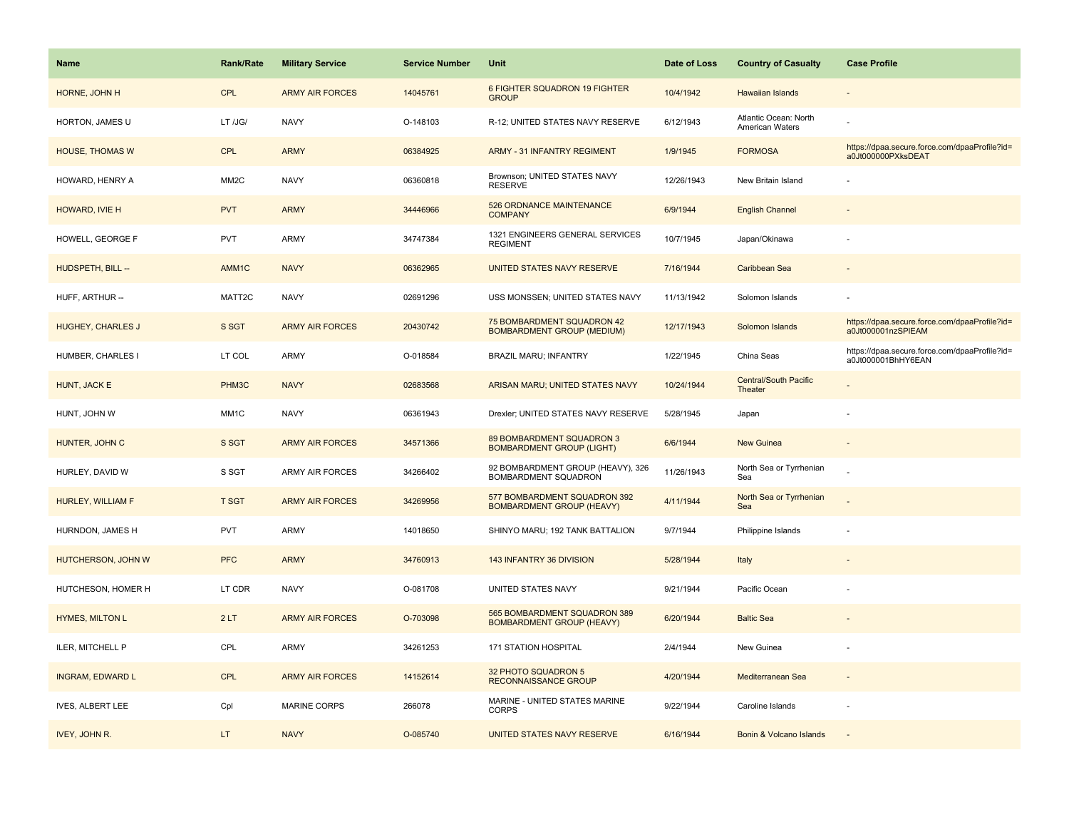| <b>Name</b>              | <b>Rank/Rate</b>  | <b>Military Service</b> | <b>Service Number</b> | Unit                                                             | Date of Loss | <b>Country of Casualty</b>               | <b>Case Profile</b>                                                 |
|--------------------------|-------------------|-------------------------|-----------------------|------------------------------------------------------------------|--------------|------------------------------------------|---------------------------------------------------------------------|
| HORNE, JOHN H            | <b>CPL</b>        | <b>ARMY AIR FORCES</b>  | 14045761              | 6 FIGHTER SQUADRON 19 FIGHTER<br><b>GROUP</b>                    | 10/4/1942    | Hawaiian Islands                         |                                                                     |
| HORTON, JAMES U          | LT /JG/           | <b>NAVY</b>             | O-148103              | R-12; UNITED STATES NAVY RESERVE                                 | 6/12/1943    | Atlantic Ocean: North<br>American Waters |                                                                     |
| <b>HOUSE, THOMAS W</b>   | <b>CPL</b>        | <b>ARMY</b>             | 06384925              | <b>ARMY - 31 INFANTRY REGIMENT</b>                               | 1/9/1945     | <b>FORMOSA</b>                           | https://dpaa.secure.force.com/dpaaProfile?id=<br>a0Jt000000PXksDEAT |
| HOWARD, HENRY A          | MM <sub>2</sub> C | <b>NAVY</b>             | 06360818              | Brownson; UNITED STATES NAVY<br><b>RESERVE</b>                   | 12/26/1943   | New Britain Island                       |                                                                     |
| HOWARD, IVIE H           | <b>PVT</b>        | <b>ARMY</b>             | 34446966              | 526 ORDNANCE MAINTENANCE<br><b>COMPANY</b>                       | 6/9/1944     | <b>English Channel</b>                   |                                                                     |
| HOWELL, GEORGE F         | PVT               | ARMY                    | 34747384              | 1321 ENGINEERS GENERAL SERVICES<br><b>REGIMENT</b>               | 10/7/1945    | Japan/Okinawa                            |                                                                     |
| HUDSPETH, BILL --        | AMM1C             | <b>NAVY</b>             | 06362965              | UNITED STATES NAVY RESERVE                                       | 7/16/1944    | Caribbean Sea                            |                                                                     |
| HUFF, ARTHUR --          | MATT2C            | <b>NAVY</b>             | 02691296              | USS MONSSEN; UNITED STATES NAVY                                  | 11/13/1942   | Solomon Islands                          |                                                                     |
| <b>HUGHEY, CHARLES J</b> | S SGT             | <b>ARMY AIR FORCES</b>  | 20430742              | 75 BOMBARDMENT SQUADRON 42<br><b>BOMBARDMENT GROUP (MEDIUM)</b>  | 12/17/1943   | Solomon Islands                          | https://dpaa.secure.force.com/dpaaProfile?id=<br>a0Jt000001nzSPIEAM |
| HUMBER, CHARLES I        | LT COL            | ARMY                    | O-018584              | <b>BRAZIL MARU; INFANTRY</b>                                     | 1/22/1945    | China Seas                               | https://dpaa.secure.force.com/dpaaProfile?id=<br>a0Jt000001BhHY6EAN |
| HUNT, JACK E             | PHM3C             | <b>NAVY</b>             | 02683568              | ARISAN MARU; UNITED STATES NAVY                                  | 10/24/1944   | Central/South Pacific<br>Theater         |                                                                     |
| HUNT, JOHN W             | MM <sub>1</sub> C | <b>NAVY</b>             | 06361943              | Drexler; UNITED STATES NAVY RESERVE                              | 5/28/1945    | Japan                                    |                                                                     |
| HUNTER, JOHN C           | S SGT             | <b>ARMY AIR FORCES</b>  | 34571366              | 89 BOMBARDMENT SQUADRON 3<br><b>BOMBARDMENT GROUP (LIGHT)</b>    | 6/6/1944     | <b>New Guinea</b>                        | $\overline{\phantom{a}}$                                            |
| HURLEY, DAVID W          | S SGT             | ARMY AIR FORCES         | 34266402              | 92 BOMBARDMENT GROUP (HEAVY), 326<br>BOMBARDMENT SQUADRON        | 11/26/1943   | North Sea or Tyrrhenian<br>Sea           |                                                                     |
| HURLEY, WILLIAM F        | <b>T SGT</b>      | <b>ARMY AIR FORCES</b>  | 34269956              | 577 BOMBARDMENT SQUADRON 392<br><b>BOMBARDMENT GROUP (HEAVY)</b> | 4/11/1944    | North Sea or Tyrrhenian<br>Sea           |                                                                     |
| HURNDON, JAMES H         | <b>PVT</b>        | ARMY                    | 14018650              | SHINYO MARU; 192 TANK BATTALION                                  | 9/7/1944     | Philippine Islands                       |                                                                     |
| HUTCHERSON, JOHN W       | <b>PFC</b>        | <b>ARMY</b>             | 34760913              | 143 INFANTRY 36 DIVISION                                         | 5/28/1944    | Italy                                    |                                                                     |
| HUTCHESON, HOMER H       | LT CDR            | <b>NAVY</b>             | O-081708              | UNITED STATES NAVY                                               | 9/21/1944    | Pacific Ocean                            |                                                                     |
| <b>HYMES, MILTON L</b>   | 2LT               | <b>ARMY AIR FORCES</b>  | O-703098              | 565 BOMBARDMENT SQUADRON 389<br><b>BOMBARDMENT GROUP (HEAVY)</b> | 6/20/1944    | <b>Baltic Sea</b>                        |                                                                     |
| ILER, MITCHELL P         | CPL               | ARMY                    | 34261253              | <b>171 STATION HOSPITAL</b>                                      | 2/4/1944     | New Guinea                               |                                                                     |
| <b>INGRAM, EDWARD L</b>  | CPL               | <b>ARMY AIR FORCES</b>  | 14152614              | 32 PHOTO SQUADRON 5<br>RECONNAISSANCE GROUP                      | 4/20/1944    | Mediterranean Sea                        | $\overline{\phantom{a}}$                                            |
| <b>IVES, ALBERT LEE</b>  | Cpl               | <b>MARINE CORPS</b>     | 266078                | MARINE - UNITED STATES MARINE<br><b>CORPS</b>                    | 9/22/1944    | Caroline Islands                         |                                                                     |
| IVEY, JOHN R.            | LT.               | <b>NAVY</b>             | O-085740              | UNITED STATES NAVY RESERVE                                       | 6/16/1944    | Bonin & Volcano Islands                  |                                                                     |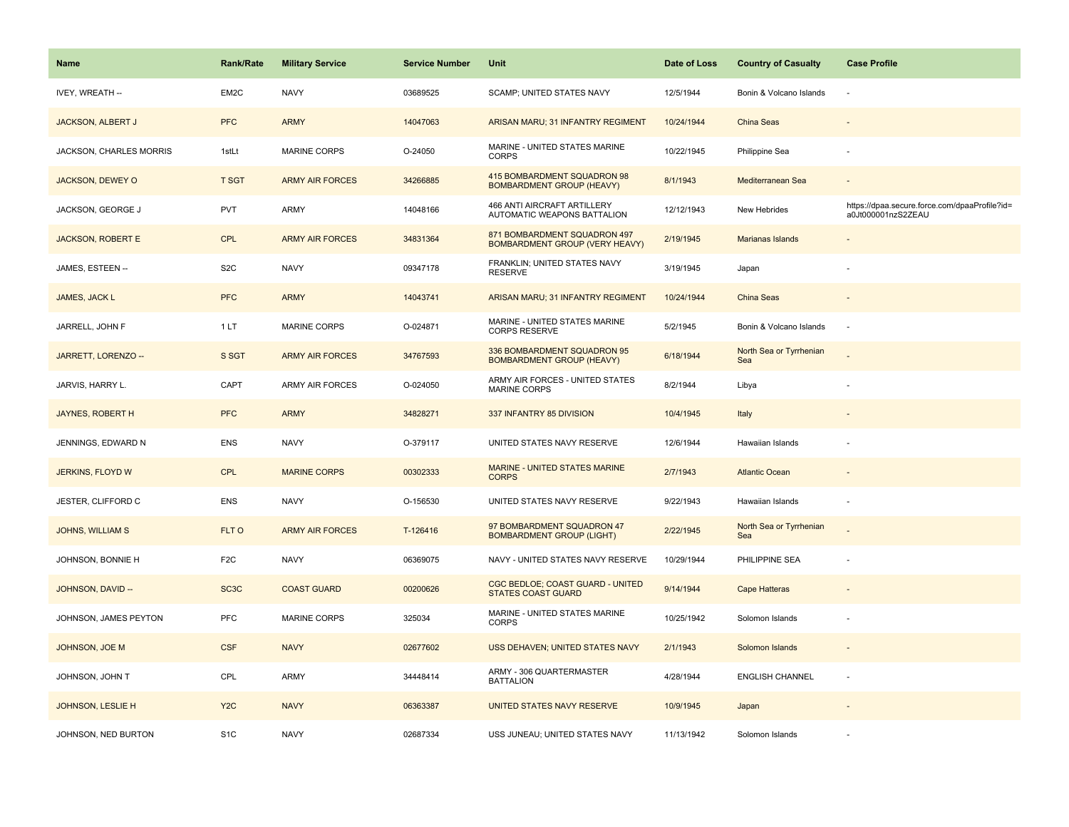| Name                     | <b>Rank/Rate</b>  | <b>Military Service</b> | <b>Service Number</b> | Unit                                                                  | Date of Loss | <b>Country of Casualty</b>     | <b>Case Profile</b>                                                 |
|--------------------------|-------------------|-------------------------|-----------------------|-----------------------------------------------------------------------|--------------|--------------------------------|---------------------------------------------------------------------|
| IVEY, WREATH --          | EM2C              | <b>NAVY</b>             | 03689525              | SCAMP; UNITED STATES NAVY                                             | 12/5/1944    | Bonin & Volcano Islands        | ÷,                                                                  |
| <b>JACKSON, ALBERT J</b> | <b>PFC</b>        | <b>ARMY</b>             | 14047063              | ARISAN MARU; 31 INFANTRY REGIMENT                                     | 10/24/1944   | <b>China Seas</b>              |                                                                     |
| JACKSON, CHARLES MORRIS  | 1stLt             | <b>MARINE CORPS</b>     | O-24050               | MARINE - UNITED STATES MARINE<br><b>CORPS</b>                         | 10/22/1945   | Philippine Sea                 |                                                                     |
| <b>JACKSON, DEWEY O</b>  | <b>T SGT</b>      | <b>ARMY AIR FORCES</b>  | 34266885              | 415 BOMBARDMENT SQUADRON 98<br><b>BOMBARDMENT GROUP (HEAVY)</b>       | 8/1/1943     | Mediterranean Sea              |                                                                     |
| JACKSON, GEORGE J        | <b>PVT</b>        | <b>ARMY</b>             | 14048166              | <b>466 ANTI AIRCRAFT ARTILLERY</b><br>AUTOMATIC WEAPONS BATTALION     | 12/12/1943   | New Hebrides                   | https://dpaa.secure.force.com/dpaaProfile?id=<br>a0Jt000001nzS2ZEAU |
| <b>JACKSON, ROBERT E</b> | <b>CPL</b>        | <b>ARMY AIR FORCES</b>  | 34831364              | 871 BOMBARDMENT SQUADRON 497<br><b>BOMBARDMENT GROUP (VERY HEAVY)</b> | 2/19/1945    | Marianas Islands               |                                                                     |
| JAMES, ESTEEN --         | S <sub>2</sub> C  | <b>NAVY</b>             | 09347178              | FRANKLIN; UNITED STATES NAVY<br><b>RESERVE</b>                        | 3/19/1945    | Japan                          |                                                                     |
| JAMES, JACK L            | <b>PFC</b>        | <b>ARMY</b>             | 14043741              | ARISAN MARU; 31 INFANTRY REGIMENT                                     | 10/24/1944   | China Seas                     |                                                                     |
| JARRELL, JOHN F          | 1LT               | MARINE CORPS            | O-024871              | MARINE - UNITED STATES MARINE<br><b>CORPS RESERVE</b>                 | 5/2/1945     | Bonin & Volcano Islands        | ÷,                                                                  |
| JARRETT, LORENZO --      | S SGT             | <b>ARMY AIR FORCES</b>  | 34767593              | 336 BOMBARDMENT SQUADRON 95<br><b>BOMBARDMENT GROUP (HEAVY)</b>       | 6/18/1944    | North Sea or Tyrrhenian<br>Sea |                                                                     |
| JARVIS, HARRY L.         | CAPT              | <b>ARMY AIR FORCES</b>  | O-024050              | ARMY AIR FORCES - UNITED STATES<br>MARINE CORPS                       | 8/2/1944     | Libya                          |                                                                     |
| JAYNES, ROBERT H         | <b>PFC</b>        | <b>ARMY</b>             | 34828271              | 337 INFANTRY 85 DIVISION                                              | 10/4/1945    | Italy                          |                                                                     |
| JENNINGS, EDWARD N       | <b>ENS</b>        | <b>NAVY</b>             | O-379117              | UNITED STATES NAVY RESERVE                                            | 12/6/1944    | Hawaiian Islands               |                                                                     |
| JERKINS, FLOYD W         | <b>CPL</b>        | <b>MARINE CORPS</b>     | 00302333              | <b>MARINE - UNITED STATES MARINE</b><br><b>CORPS</b>                  | 2/7/1943     | <b>Atlantic Ocean</b>          |                                                                     |
| JESTER, CLIFFORD C       | <b>ENS</b>        | <b>NAVY</b>             | O-156530              | UNITED STATES NAVY RESERVE                                            | 9/22/1943    | Hawaiian Islands               | $\sim$                                                              |
| <b>JOHNS, WILLIAM S</b>  | FLT O             | <b>ARMY AIR FORCES</b>  | T-126416              | 97 BOMBARDMENT SQUADRON 47<br><b>BOMBARDMENT GROUP (LIGHT)</b>        | 2/22/1945    | North Sea or Tyrrhenian<br>Sea |                                                                     |
| JOHNSON, BONNIE H        | F <sub>2</sub> C  | <b>NAVY</b>             | 06369075              | NAVY - UNITED STATES NAVY RESERVE                                     | 10/29/1944   | PHILIPPINE SEA                 |                                                                     |
| JOHNSON, DAVID --        | SC <sub>3</sub> C | <b>COAST GUARD</b>      | 00200626              | CGC BEDLOE; COAST GUARD - UNITED<br><b>STATES COAST GUARD</b>         | 9/14/1944    | Cape Hatteras                  |                                                                     |
| JOHNSON, JAMES PEYTON    | PFC               | MARINE CORPS            | 325034                | MARINE - UNITED STATES MARINE<br><b>CORPS</b>                         | 10/25/1942   | Solomon Islands                |                                                                     |
| JOHNSON, JOE M           | <b>CSF</b>        | <b>NAVY</b>             | 02677602              | USS DEHAVEN; UNITED STATES NAVY                                       | 2/1/1943     | Solomon Islands                |                                                                     |
| JOHNSON, JOHN T          | CPL               | <b>ARMY</b>             | 34448414              | ARMY - 306 QUARTERMASTER<br><b>BATTALION</b>                          | 4/28/1944    | <b>ENGLISH CHANNEL</b>         | ÷,                                                                  |
| JOHNSON, LESLIE H        | Y <sub>2</sub> C  | <b>NAVY</b>             | 06363387              | UNITED STATES NAVY RESERVE                                            | 10/9/1945    | Japan                          |                                                                     |
| JOHNSON, NED BURTON      | S <sub>1</sub> C  | <b>NAVY</b>             | 02687334              | USS JUNEAU; UNITED STATES NAVY                                        | 11/13/1942   | Solomon Islands                |                                                                     |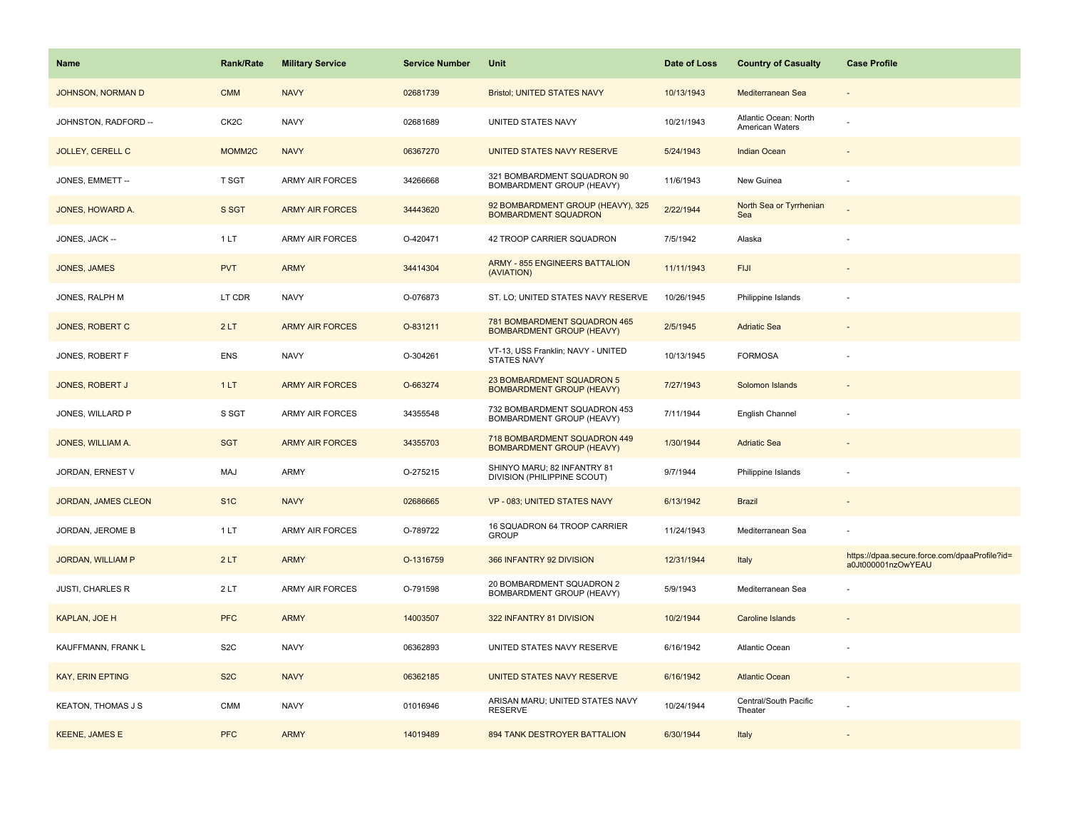| Name                      | <b>Rank/Rate</b>   | <b>Military Service</b> | <b>Service Number</b> | Unit                                                             | Date of Loss | <b>Country of Casualty</b>               | <b>Case Profile</b>                                                 |
|---------------------------|--------------------|-------------------------|-----------------------|------------------------------------------------------------------|--------------|------------------------------------------|---------------------------------------------------------------------|
| JOHNSON, NORMAN D         | <b>CMM</b>         | <b>NAVY</b>             | 02681739              | <b>Bristol; UNITED STATES NAVY</b>                               | 10/13/1943   | Mediterranean Sea                        |                                                                     |
| JOHNSTON, RADFORD --      | CK <sub>2</sub> C  | <b>NAVY</b>             | 02681689              | UNITED STATES NAVY                                               | 10/21/1943   | Atlantic Ocean: North<br>American Waters |                                                                     |
| <b>JOLLEY, CERELL C</b>   | MOMM <sub>2C</sub> | <b>NAVY</b>             | 06367270              | UNITED STATES NAVY RESERVE                                       | 5/24/1943    | <b>Indian Ocean</b>                      |                                                                     |
| JONES, EMMETT --          | T SGT              | <b>ARMY AIR FORCES</b>  | 34266668              | 321 BOMBARDMENT SQUADRON 90<br>BOMBARDMENT GROUP (HEAVY)         | 11/6/1943    | New Guinea                               |                                                                     |
| JONES, HOWARD A.          | S SGT              | <b>ARMY AIR FORCES</b>  | 34443620              | 92 BOMBARDMENT GROUP (HEAVY), 325<br><b>BOMBARDMENT SQUADRON</b> | 2/22/1944    | North Sea or Tyrrhenian<br>Sea           |                                                                     |
| JONES, JACK --            | 1LT                | <b>ARMY AIR FORCES</b>  | O-420471              | 42 TROOP CARRIER SQUADRON                                        | 7/5/1942     | Alaska                                   |                                                                     |
| <b>JONES, JAMES</b>       | <b>PVT</b>         | <b>ARMY</b>             | 34414304              | <b>ARMY - 855 ENGINEERS BATTALION</b><br>(AVIATION)              | 11/11/1943   | <b>FIJI</b>                              |                                                                     |
| JONES, RALPH M            | LT CDR             | <b>NAVY</b>             | O-076873              | ST. LO; UNITED STATES NAVY RESERVE                               | 10/26/1945   | Philippine Islands                       |                                                                     |
| <b>JONES, ROBERT C</b>    | 2LT                | <b>ARMY AIR FORCES</b>  | O-831211              | 781 BOMBARDMENT SQUADRON 465<br><b>BOMBARDMENT GROUP (HEAVY)</b> | 2/5/1945     | <b>Adriatic Sea</b>                      |                                                                     |
| JONES, ROBERT F           | <b>ENS</b>         | <b>NAVY</b>             | O-304261              | VT-13, USS Franklin; NAVY - UNITED<br><b>STATES NAVY</b>         | 10/13/1945   | <b>FORMOSA</b>                           |                                                                     |
| <b>JONES, ROBERT J</b>    | 1LT                | <b>ARMY AIR FORCES</b>  | O-663274              | 23 BOMBARDMENT SQUADRON 5<br><b>BOMBARDMENT GROUP (HEAVY)</b>    | 7/27/1943    | Solomon Islands                          |                                                                     |
| JONES, WILLARD P          | S SGT              | <b>ARMY AIR FORCES</b>  | 34355548              | 732 BOMBARDMENT SQUADRON 453<br>BOMBARDMENT GROUP (HEAVY)        | 7/11/1944    | English Channel                          |                                                                     |
| JONES, WILLIAM A.         | <b>SGT</b>         | <b>ARMY AIR FORCES</b>  | 34355703              | 718 BOMBARDMENT SQUADRON 449<br><b>BOMBARDMENT GROUP (HEAVY)</b> | 1/30/1944    | <b>Adriatic Sea</b>                      |                                                                     |
| JORDAN, ERNEST V          | MAJ                | ARMY                    | O-275215              | SHINYO MARU; 82 INFANTRY 81<br>DIVISION (PHILIPPINE SCOUT)       | 9/7/1944     | Philippine Islands                       |                                                                     |
| JORDAN, JAMES CLEON       | S <sub>1</sub> C   | <b>NAVY</b>             | 02686665              | VP - 083; UNITED STATES NAVY                                     | 6/13/1942    | <b>Brazil</b>                            |                                                                     |
| JORDAN, JEROME B          | 1 LT               | ARMY AIR FORCES         | O-789722              | 16 SQUADRON 64 TROOP CARRIER<br><b>GROUP</b>                     | 11/24/1943   | Mediterranean Sea                        |                                                                     |
| <b>JORDAN, WILLIAM P</b>  | 2LT                | <b>ARMY</b>             | O-1316759             | 366 INFANTRY 92 DIVISION                                         | 12/31/1944   | Italy                                    | https://dpaa.secure.force.com/dpaaProfile?id=<br>a0Jt000001nzOwYEAU |
| <b>JUSTI, CHARLES R</b>   | 2LT                | ARMY AIR FORCES         | O-791598              | 20 BOMBARDMENT SQUADRON 2<br>BOMBARDMENT GROUP (HEAVY)           | 5/9/1943     | Mediterranean Sea                        |                                                                     |
| <b>KAPLAN, JOE H</b>      | <b>PFC</b>         | <b>ARMY</b>             | 14003507              | 322 INFANTRY 81 DIVISION                                         | 10/2/1944    | <b>Caroline Islands</b>                  |                                                                     |
| KAUFFMANN, FRANK L        | S <sub>2</sub> C   | <b>NAVY</b>             | 06362893              | UNITED STATES NAVY RESERVE                                       | 6/16/1942    | Atlantic Ocean                           |                                                                     |
| <b>KAY, ERIN EPTING</b>   | S <sub>2</sub> C   | <b>NAVY</b>             | 06362185              | UNITED STATES NAVY RESERVE                                       | 6/16/1942    | <b>Atlantic Ocean</b>                    |                                                                     |
| <b>KEATON, THOMAS J S</b> | <b>CMM</b>         | <b>NAVY</b>             | 01016946              | ARISAN MARU; UNITED STATES NAVY<br><b>RESERVE</b>                | 10/24/1944   | Central/South Pacific<br>Theater         |                                                                     |
| <b>KEENE, JAMES E</b>     | <b>PFC</b>         | <b>ARMY</b>             | 14019489              | 894 TANK DESTROYER BATTALION                                     | 6/30/1944    | Italy                                    |                                                                     |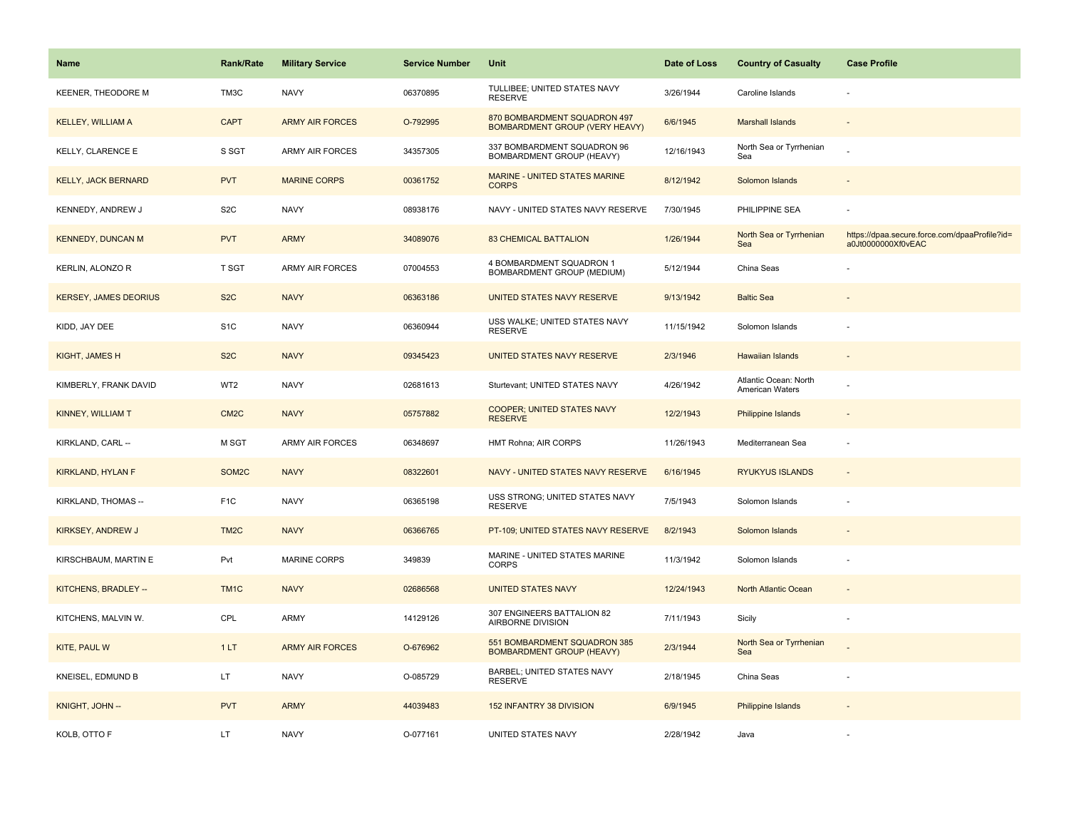| Name                         | <b>Rank/Rate</b>   | <b>Military Service</b> | <b>Service Number</b> | Unit                                                                  | Date of Loss | <b>Country of Casualty</b>               | <b>Case Profile</b>                                                 |
|------------------------------|--------------------|-------------------------|-----------------------|-----------------------------------------------------------------------|--------------|------------------------------------------|---------------------------------------------------------------------|
| KEENER, THEODORE M           | TM3C               | <b>NAVY</b>             | 06370895              | TULLIBEE; UNITED STATES NAVY<br><b>RESERVE</b>                        | 3/26/1944    | Caroline Islands                         |                                                                     |
| <b>KELLEY, WILLIAM A</b>     | <b>CAPT</b>        | <b>ARMY AIR FORCES</b>  | O-792995              | 870 BOMBARDMENT SQUADRON 497<br><b>BOMBARDMENT GROUP (VERY HEAVY)</b> | 6/6/1945     | <b>Marshall Islands</b>                  |                                                                     |
| KELLY, CLARENCE E            | S SGT              | <b>ARMY AIR FORCES</b>  | 34357305              | 337 BOMBARDMENT SQUADRON 96<br>BOMBARDMENT GROUP (HEAVY)              | 12/16/1943   | North Sea or Tyrrhenian<br>Sea           |                                                                     |
| <b>KELLY, JACK BERNARD</b>   | <b>PVT</b>         | <b>MARINE CORPS</b>     | 00361752              | MARINE - UNITED STATES MARINE<br><b>CORPS</b>                         | 8/12/1942    | Solomon Islands                          |                                                                     |
| KENNEDY, ANDREW J            | S <sub>2</sub> C   | <b>NAVY</b>             | 08938176              | NAVY - UNITED STATES NAVY RESERVE                                     | 7/30/1945    | PHILIPPINE SEA                           |                                                                     |
| <b>KENNEDY, DUNCAN M</b>     | <b>PVT</b>         | <b>ARMY</b>             | 34089076              | <b>83 CHEMICAL BATTALION</b>                                          | 1/26/1944    | North Sea or Tyrrhenian<br>Sea           | https://dpaa.secure.force.com/dpaaProfile?id=<br>a0Jt0000000Xf0vEAC |
| KERLIN, ALONZO R             | T SGT              | ARMY AIR FORCES         | 07004553              | 4 BOMBARDMENT SQUADRON 1<br>BOMBARDMENT GROUP (MEDIUM)                | 5/12/1944    | China Seas                               |                                                                     |
| <b>KERSEY, JAMES DEORIUS</b> | S <sub>2</sub> C   | <b>NAVY</b>             | 06363186              | <b>UNITED STATES NAVY RESERVE</b>                                     | 9/13/1942    | <b>Baltic Sea</b>                        |                                                                     |
| KIDD, JAY DEE                | S <sub>1</sub> C   | <b>NAVY</b>             | 06360944              | USS WALKE; UNITED STATES NAVY<br><b>RESERVE</b>                       | 11/15/1942   | Solomon Islands                          |                                                                     |
| KIGHT, JAMES H               | S <sub>2</sub> C   | <b>NAVY</b>             | 09345423              | UNITED STATES NAVY RESERVE                                            | 2/3/1946     | Hawaiian Islands                         |                                                                     |
| KIMBERLY, FRANK DAVID        | WT <sub>2</sub>    | <b>NAVY</b>             | 02681613              | Sturtevant; UNITED STATES NAVY                                        | 4/26/1942    | Atlantic Ocean: North<br>American Waters |                                                                     |
| KINNEY, WILLIAM T            | CM <sub>2</sub> C  | <b>NAVY</b>             | 05757882              | <b>COOPER; UNITED STATES NAVY</b><br><b>RESERVE</b>                   | 12/2/1943    | <b>Philippine Islands</b>                | $\overline{\phantom{a}}$                                            |
| KIRKLAND, CARL --            | M SGT              | <b>ARMY AIR FORCES</b>  | 06348697              | HMT Rohna; AIR CORPS                                                  | 11/26/1943   | Mediterranean Sea                        | $\overline{\phantom{a}}$                                            |
| <b>KIRKLAND, HYLAN F</b>     | SOM <sub>2</sub> C | <b>NAVY</b>             | 08322601              | NAVY - UNITED STATES NAVY RESERVE                                     | 6/16/1945    | <b>RYUKYUS ISLANDS</b>                   | $\sim$                                                              |
| KIRKLAND, THOMAS --          | F <sub>1</sub> C   | <b>NAVY</b>             | 06365198              | USS STRONG; UNITED STATES NAVY<br><b>RESERVE</b>                      | 7/5/1943     | Solomon Islands                          |                                                                     |
| KIRKSEY, ANDREW J            | TM <sub>2</sub> C  | <b>NAVY</b>             | 06366765              | PT-109; UNITED STATES NAVY RESERVE                                    | 8/2/1943     | Solomon Islands                          |                                                                     |
| KIRSCHBAUM, MARTIN E         | Pvt                | MARINE CORPS            | 349839                | MARINE - UNITED STATES MARINE<br><b>CORPS</b>                         | 11/3/1942    | Solomon Islands                          |                                                                     |
| KITCHENS, BRADLEY --         | TM1C               | <b>NAVY</b>             | 02686568              | <b>UNITED STATES NAVY</b>                                             | 12/24/1943   | North Atlantic Ocean                     |                                                                     |
| KITCHENS, MALVIN W.          | CPL                | <b>ARMY</b>             | 14129126              | 307 ENGINEERS BATTALION 82<br>AIRBORNE DIVISION                       | 7/11/1943    | Sicily                                   | $\overline{\phantom{a}}$                                            |
| KITE, PAUL W                 | 1LT                | <b>ARMY AIR FORCES</b>  | O-676962              | 551 BOMBARDMENT SQUADRON 385<br><b>BOMBARDMENT GROUP (HEAVY)</b>      | 2/3/1944     | North Sea or Tyrrhenian<br>Sea           |                                                                     |
| KNEISEL, EDMUND B            | LT.                | <b>NAVY</b>             | O-085729              | <b>BARBEL; UNITED STATES NAVY</b><br><b>RESERVE</b>                   | 2/18/1945    | China Seas                               |                                                                     |
| KNIGHT, JOHN --              | <b>PVT</b>         | <b>ARMY</b>             | 44039483              | <b>152 INFANTRY 38 DIVISION</b>                                       | 6/9/1945     | <b>Philippine Islands</b>                |                                                                     |
| KOLB, OTTO F                 | LT.                | <b>NAVY</b>             | O-077161              | UNITED STATES NAVY                                                    | 2/28/1942    | Java                                     |                                                                     |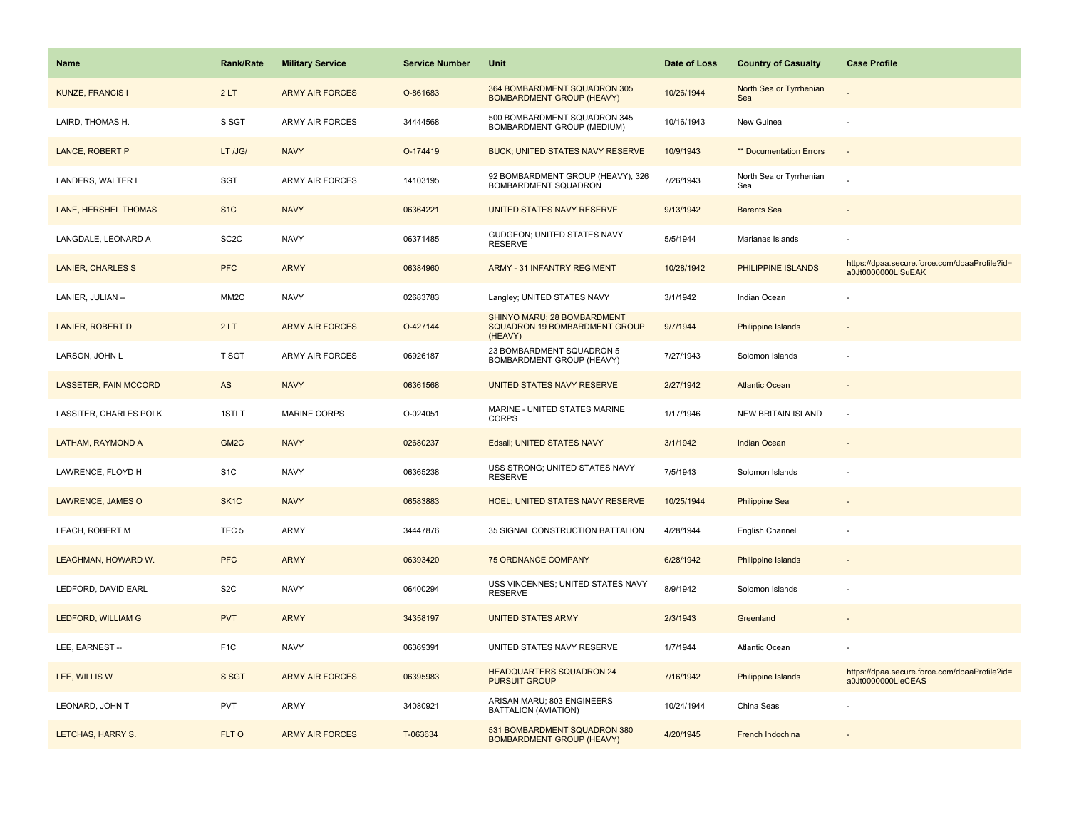| <b>Name</b>                  | <b>Rank/Rate</b>  | <b>Military Service</b> | <b>Service Number</b> | Unit                                                                    | Date of Loss | <b>Country of Casualty</b>     | <b>Case Profile</b>                                                 |
|------------------------------|-------------------|-------------------------|-----------------------|-------------------------------------------------------------------------|--------------|--------------------------------|---------------------------------------------------------------------|
| <b>KUNZE, FRANCIS I</b>      | 2LT               | <b>ARMY AIR FORCES</b>  | O-861683              | 364 BOMBARDMENT SQUADRON 305<br><b>BOMBARDMENT GROUP (HEAVY)</b>        | 10/26/1944   | North Sea or Tyrrhenian<br>Sea |                                                                     |
| LAIRD, THOMAS H.             | S SGT             | <b>ARMY AIR FORCES</b>  | 34444568              | 500 BOMBARDMENT SQUADRON 345<br>BOMBARDMENT GROUP (MEDIUM)              | 10/16/1943   | New Guinea                     |                                                                     |
| <b>LANCE, ROBERT P</b>       | LT /JG/           | <b>NAVY</b>             | O-174419              | <b>BUCK; UNITED STATES NAVY RESERVE</b>                                 | 10/9/1943    | ** Documentation Errors        |                                                                     |
| LANDERS, WALTER L            | SGT               | <b>ARMY AIR FORCES</b>  | 14103195              | 92 BOMBARDMENT GROUP (HEAVY), 326<br>BOMBARDMENT SQUADRON               | 7/26/1943    | North Sea or Tyrrhenian<br>Sea |                                                                     |
| LANE, HERSHEL THOMAS         | S <sub>1</sub> C  | <b>NAVY</b>             | 06364221              | UNITED STATES NAVY RESERVE                                              | 9/13/1942    | <b>Barents Sea</b>             |                                                                     |
| LANGDALE, LEONARD A          | SC <sub>2</sub> C | <b>NAVY</b>             | 06371485              | GUDGEON; UNITED STATES NAVY<br><b>RESERVE</b>                           | 5/5/1944     | Marianas Islands               |                                                                     |
| <b>LANIER, CHARLES S</b>     | <b>PFC</b>        | <b>ARMY</b>             | 06384960              | ARMY - 31 INFANTRY REGIMENT                                             | 10/28/1942   | PHILIPPINE ISLANDS             | https://dpaa.secure.force.com/dpaaProfile?id=<br>a0Jt0000000LISuEAK |
| LANIER, JULIAN --            | MM <sub>2</sub> C | <b>NAVY</b>             | 02683783              | Langley; UNITED STATES NAVY                                             | 3/1/1942     | Indian Ocean                   |                                                                     |
| <b>LANIER, ROBERT D</b>      | 2LT               | <b>ARMY AIR FORCES</b>  | O-427144              | SHINYO MARU; 28 BOMBARDMENT<br>SQUADRON 19 BOMBARDMENT GROUP<br>(HEAVY) | 9/7/1944     | <b>Philippine Islands</b>      |                                                                     |
| LARSON, JOHN L               | T SGT             | ARMY AIR FORCES         | 06926187              | 23 BOMBARDMENT SQUADRON 5<br>BOMBARDMENT GROUP (HEAVY)                  | 7/27/1943    | Solomon Islands                |                                                                     |
| <b>LASSETER, FAIN MCCORD</b> | AS                | <b>NAVY</b>             | 06361568              | UNITED STATES NAVY RESERVE                                              | 2/27/1942    | <b>Atlantic Ocean</b>          |                                                                     |
| LASSITER, CHARLES POLK       | 1STLT             | <b>MARINE CORPS</b>     | O-024051              | MARINE - UNITED STATES MARINE<br><b>CORPS</b>                           | 1/17/1946    | <b>NEW BRITAIN ISLAND</b>      | $\sim$                                                              |
| LATHAM, RAYMOND A            | GM <sub>2C</sub>  | <b>NAVY</b>             | 02680237              | Edsall; UNITED STATES NAVY                                              | 3/1/1942     | <b>Indian Ocean</b>            |                                                                     |
| LAWRENCE, FLOYD H            | S <sub>1</sub> C  | <b>NAVY</b>             | 06365238              | USS STRONG; UNITED STATES NAVY<br><b>RESERVE</b>                        | 7/5/1943     | Solomon Islands                |                                                                     |
| LAWRENCE, JAMES O            | SK <sub>1</sub> C | <b>NAVY</b>             | 06583883              | <b>HOEL: UNITED STATES NAVY RESERVE</b>                                 | 10/25/1944   | <b>Philippine Sea</b>          |                                                                     |
| LEACH, ROBERT M              | TEC <sub>5</sub>  | <b>ARMY</b>             | 34447876              | 35 SIGNAL CONSTRUCTION BATTALION                                        | 4/28/1944    | English Channel                |                                                                     |
| LEACHMAN, HOWARD W.          | <b>PFC</b>        | <b>ARMY</b>             | 06393420              | <b>75 ORDNANCE COMPANY</b>                                              | 6/28/1942    | <b>Philippine Islands</b>      |                                                                     |
| LEDFORD, DAVID EARL          | S <sub>2</sub> C  | <b>NAVY</b>             | 06400294              | USS VINCENNES; UNITED STATES NAVY<br><b>RESERVE</b>                     | 8/9/1942     | Solomon Islands                |                                                                     |
| LEDFORD, WILLIAM G           | <b>PVT</b>        | <b>ARMY</b>             | 34358197              | <b>UNITED STATES ARMY</b>                                               | 2/3/1943     | Greenland                      |                                                                     |
| LEE, EARNEST --              | F <sub>1</sub> C  | <b>NAVY</b>             | 06369391              | UNITED STATES NAVY RESERVE                                              | 1/7/1944     | Atlantic Ocean                 |                                                                     |
| LEE, WILLIS W                | S SGT             | <b>ARMY AIR FORCES</b>  | 06395983              | <b>HEADQUARTERS SQUADRON 24</b><br><b>PURSUIT GROUP</b>                 | 7/16/1942    | Philippine Islands             | https://dpaa.secure.force.com/dpaaProfile?id=<br>a0Jt0000000LleCEAS |
| LEONARD, JOHN T              | <b>PVT</b>        | <b>ARMY</b>             | 34080921              | ARISAN MARU; 803 ENGINEERS<br>BATTALION (AVIATION)                      | 10/24/1944   | China Seas                     |                                                                     |
| LETCHAS, HARRY S.            | FLT O             | <b>ARMY AIR FORCES</b>  | T-063634              | 531 BOMBARDMENT SQUADRON 380<br><b>BOMBARDMENT GROUP (HEAVY)</b>        | 4/20/1945    | French Indochina               |                                                                     |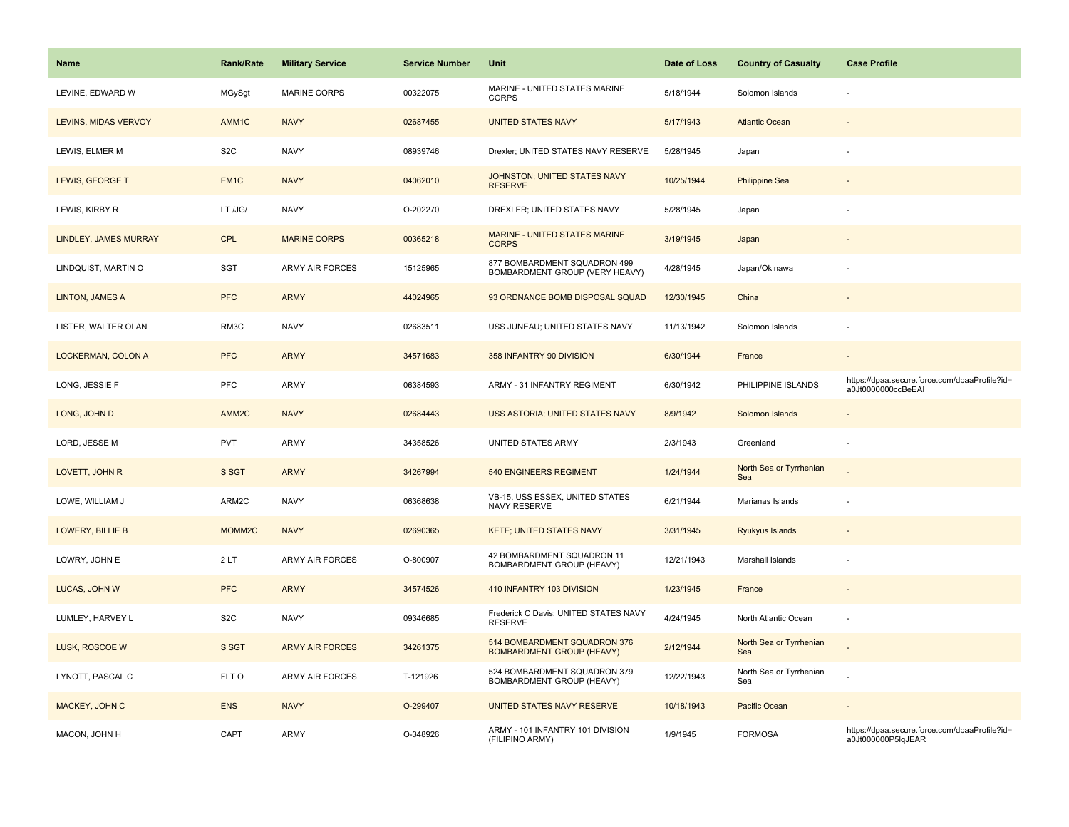| Name                    | <b>Rank/Rate</b>  | <b>Military Service</b> | <b>Service Number</b> | Unit                                                             | Date of Loss | <b>Country of Casualty</b>     | <b>Case Profile</b>                                                 |
|-------------------------|-------------------|-------------------------|-----------------------|------------------------------------------------------------------|--------------|--------------------------------|---------------------------------------------------------------------|
| LEVINE, EDWARD W        | MGySgt            | <b>MARINE CORPS</b>     | 00322075              | MARINE - UNITED STATES MARINE<br><b>CORPS</b>                    | 5/18/1944    | Solomon Islands                |                                                                     |
| LEVINS, MIDAS VERVOY    | AMM1C             | <b>NAVY</b>             | 02687455              | <b>UNITED STATES NAVY</b>                                        | 5/17/1943    | <b>Atlantic Ocean</b>          |                                                                     |
| LEWIS, ELMER M          | S <sub>2</sub> C  | <b>NAVY</b>             | 08939746              | Drexler; UNITED STATES NAVY RESERVE                              | 5/28/1945    | Japan                          | ł,                                                                  |
| LEWIS, GEORGE T         | EM <sub>1C</sub>  | <b>NAVY</b>             | 04062010              | JOHNSTON; UNITED STATES NAVY<br><b>RESERVE</b>                   | 10/25/1944   | <b>Philippine Sea</b>          |                                                                     |
| LEWIS, KIRBY R          | LT /JG/           | <b>NAVY</b>             | O-202270              | DREXLER; UNITED STATES NAVY                                      | 5/28/1945    | Japan                          |                                                                     |
| LINDLEY, JAMES MURRAY   | <b>CPL</b>        | <b>MARINE CORPS</b>     | 00365218              | MARINE - UNITED STATES MARINE<br><b>CORPS</b>                    | 3/19/1945    | Japan                          | $\overline{a}$                                                      |
| LINDQUIST, MARTIN O     | <b>SGT</b>        | <b>ARMY AIR FORCES</b>  | 15125965              | 877 BOMBARDMENT SQUADRON 499<br>BOMBARDMENT GROUP (VERY HEAVY)   | 4/28/1945    | Japan/Okinawa                  |                                                                     |
| <b>LINTON, JAMES A</b>  | <b>PFC</b>        | <b>ARMY</b>             | 44024965              | 93 ORDNANCE BOMB DISPOSAL SQUAD                                  | 12/30/1945   | China                          |                                                                     |
| LISTER, WALTER OLAN     | RM3C              | <b>NAVY</b>             | 02683511              | USS JUNEAU; UNITED STATES NAVY                                   | 11/13/1942   | Solomon Islands                |                                                                     |
| LOCKERMAN, COLON A      | <b>PFC</b>        | <b>ARMY</b>             | 34571683              | 358 INFANTRY 90 DIVISION                                         | 6/30/1944    | France                         |                                                                     |
| LONG, JESSIE F          | PFC               | ARMY                    | 06384593              | ARMY - 31 INFANTRY REGIMENT                                      | 6/30/1942    | PHILIPPINE ISLANDS             | https://dpaa.secure.force.com/dpaaProfile?id=<br>a0Jt0000000ccBeEAI |
| LONG, JOHN D            | AMM <sub>2C</sub> | <b>NAVY</b>             | 02684443              | USS ASTORIA; UNITED STATES NAVY                                  | 8/9/1942     | Solomon Islands                |                                                                     |
| LORD, JESSE M           | PVT               | <b>ARMY</b>             | 34358526              | UNITED STATES ARMY                                               | 2/3/1943     | Greenland                      | ÷,                                                                  |
| LOVETT, JOHN R          | S SGT             | <b>ARMY</b>             | 34267994              | 540 ENGINEERS REGIMENT                                           | 1/24/1944    | North Sea or Tyrrhenian<br>Sea |                                                                     |
| LOWE, WILLIAM J         | ARM2C             | <b>NAVY</b>             | 06368638              | VB-15, USS ESSEX, UNITED STATES<br>NAVY RESERVE                  | 6/21/1944    | Marianas Islands               | ÷                                                                   |
| <b>LOWERY, BILLIE B</b> | MOMM2C            | <b>NAVY</b>             | 02690365              | <b>KETE; UNITED STATES NAVY</b>                                  | 3/31/1945    | Ryukyus Islands                |                                                                     |
| LOWRY, JOHN E           | 2LT               | ARMY AIR FORCES         | O-800907              | 42 BOMBARDMENT SQUADRON 11<br>BOMBARDMENT GROUP (HEAVY)          | 12/21/1943   | Marshall Islands               |                                                                     |
| LUCAS, JOHN W           | <b>PFC</b>        | <b>ARMY</b>             | 34574526              | 410 INFANTRY 103 DIVISION                                        | 1/23/1945    | France                         |                                                                     |
| LUMLEY, HARVEY L        | S <sub>2</sub> C  | <b>NAVY</b>             | 09346685              | Frederick C Davis; UNITED STATES NAVY<br><b>RESERVE</b>          | 4/24/1945    | North Atlantic Ocean           | ä,                                                                  |
| LUSK, ROSCOE W          | S SGT             | <b>ARMY AIR FORCES</b>  | 34261375              | 514 BOMBARDMENT SQUADRON 376<br><b>BOMBARDMENT GROUP (HEAVY)</b> | 2/12/1944    | North Sea or Tyrrhenian<br>Sea |                                                                     |
| LYNOTT, PASCAL C        | FLT O             | <b>ARMY AIR FORCES</b>  | T-121926              | 524 BOMBARDMENT SQUADRON 379<br>BOMBARDMENT GROUP (HEAVY)        | 12/22/1943   | North Sea or Tyrrhenian<br>Sea |                                                                     |
| MACKEY, JOHN C          | <b>ENS</b>        | <b>NAVY</b>             | O-299407              | UNITED STATES NAVY RESERVE                                       | 10/18/1943   | Pacific Ocean                  |                                                                     |
| MACON, JOHN H           | CAPT              | <b>ARMY</b>             | O-348926              | ARMY - 101 INFANTRY 101 DIVISION<br>(FILIPINO ARMY)              | 1/9/1945     | <b>FORMOSA</b>                 | https://dpaa.secure.force.com/dpaaProfile?id=<br>a0Jt000000P5lqJEAR |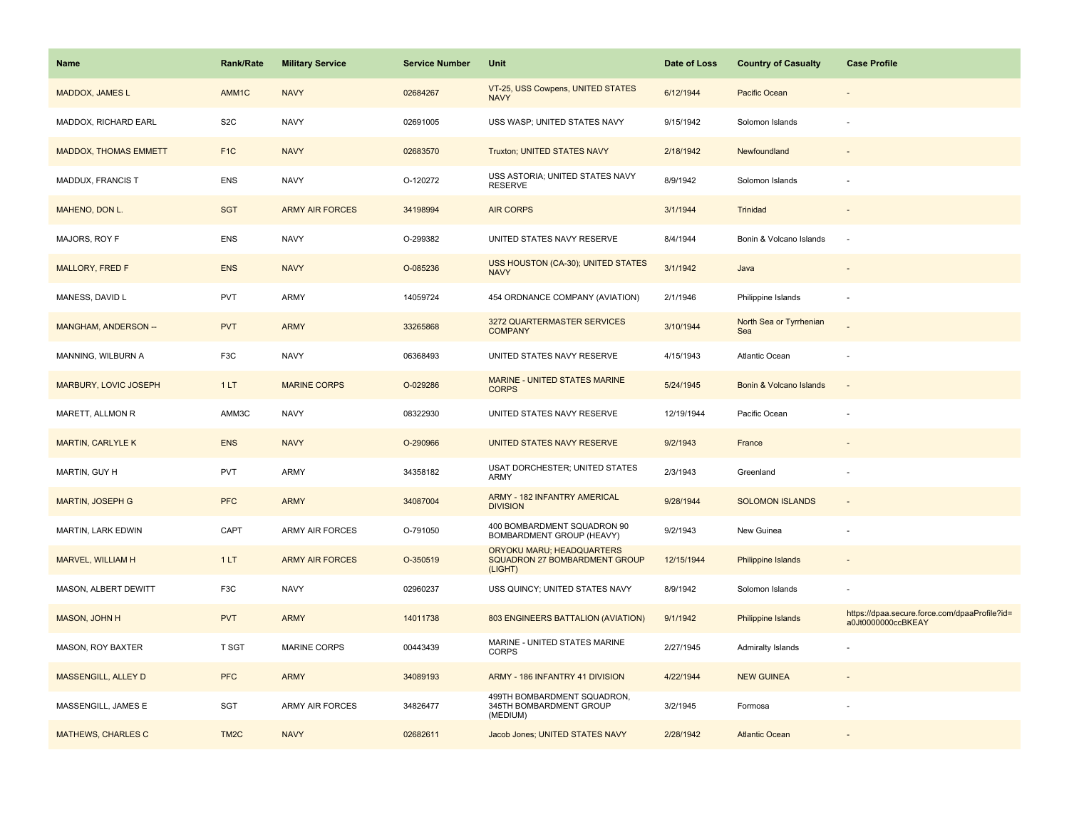| Name                         | <b>Rank/Rate</b>  | <b>Military Service</b> | <b>Service Number</b> | Unit                                                                         | Date of Loss | <b>Country of Casualty</b>     | <b>Case Profile</b>                                                 |
|------------------------------|-------------------|-------------------------|-----------------------|------------------------------------------------------------------------------|--------------|--------------------------------|---------------------------------------------------------------------|
| MADDOX, JAMES L              | AMM1C             | <b>NAVY</b>             | 02684267              | VT-25, USS Cowpens, UNITED STATES<br><b>NAVY</b>                             | 6/12/1944    | Pacific Ocean                  |                                                                     |
| MADDOX, RICHARD EARL         | S <sub>2</sub> C  | <b>NAVY</b>             | 02691005              | USS WASP; UNITED STATES NAVY                                                 | 9/15/1942    | Solomon Islands                |                                                                     |
| <b>MADDOX, THOMAS EMMETT</b> | F <sub>1</sub> C  | <b>NAVY</b>             | 02683570              | Truxton; UNITED STATES NAVY                                                  | 2/18/1942    | Newfoundland                   |                                                                     |
| MADDUX, FRANCIS T            | <b>ENS</b>        | <b>NAVY</b>             | O-120272              | USS ASTORIA; UNITED STATES NAVY<br><b>RESERVE</b>                            | 8/9/1942     | Solomon Islands                |                                                                     |
| MAHENO, DON L.               | <b>SGT</b>        | <b>ARMY AIR FORCES</b>  | 34198994              | <b>AIR CORPS</b>                                                             | 3/1/1944     | Trinidad                       |                                                                     |
| MAJORS, ROY F                | <b>ENS</b>        | <b>NAVY</b>             | O-299382              | UNITED STATES NAVY RESERVE                                                   | 8/4/1944     | Bonin & Volcano Islands        |                                                                     |
| <b>MALLORY, FRED F</b>       | <b>ENS</b>        | <b>NAVY</b>             | O-085236              | USS HOUSTON (CA-30); UNITED STATES<br><b>NAVY</b>                            | 3/1/1942     | Java                           |                                                                     |
| MANESS, DAVID L              | <b>PVT</b>        | <b>ARMY</b>             | 14059724              | 454 ORDNANCE COMPANY (AVIATION)                                              | 2/1/1946     | Philippine Islands             | $\overline{\phantom{a}}$                                            |
| MANGHAM, ANDERSON --         | <b>PVT</b>        | <b>ARMY</b>             | 33265868              | 3272 QUARTERMASTER SERVICES<br><b>COMPANY</b>                                | 3/10/1944    | North Sea or Tyrrhenian<br>Sea |                                                                     |
| MANNING, WILBURN A           | F3C               | <b>NAVY</b>             | 06368493              | UNITED STATES NAVY RESERVE                                                   | 4/15/1943    | <b>Atlantic Ocean</b>          |                                                                     |
| MARBURY, LOVIC JOSEPH        | 1LT               | <b>MARINE CORPS</b>     | O-029286              | MARINE - UNITED STATES MARINE<br><b>CORPS</b>                                | 5/24/1945    | Bonin & Volcano Islands        |                                                                     |
| MARETT, ALLMON R             | AMM3C             | <b>NAVY</b>             | 08322930              | UNITED STATES NAVY RESERVE                                                   | 12/19/1944   | Pacific Ocean                  |                                                                     |
| <b>MARTIN, CARLYLE K</b>     | <b>ENS</b>        | <b>NAVY</b>             | O-290966              | UNITED STATES NAVY RESERVE                                                   | 9/2/1943     | France                         |                                                                     |
| MARTIN, GUY H                | <b>PVT</b>        | <b>ARMY</b>             | 34358182              | <b>USAT DORCHESTER; UNITED STATES</b><br>ARMY                                | 2/3/1943     | Greenland                      |                                                                     |
| MARTIN, JOSEPH G             | <b>PFC</b>        | <b>ARMY</b>             | 34087004              | ARMY - 182 INFANTRY AMERICAL<br><b>DIVISION</b>                              | 9/28/1944    | <b>SOLOMON ISLANDS</b>         |                                                                     |
| MARTIN, LARK EDWIN           | CAPT              | <b>ARMY AIR FORCES</b>  | O-791050              | 400 BOMBARDMENT SQUADRON 90<br>BOMBARDMENT GROUP (HEAVY)                     | 9/2/1943     | New Guinea                     | $\overline{a}$                                                      |
| MARVEL, WILLIAM H            | 1LT               | <b>ARMY AIR FORCES</b>  | O-350519              | ORYOKU MARU; HEADQUARTERS<br><b>SQUADRON 27 BOMBARDMENT GROUP</b><br>(LIGHT) | 12/15/1944   | Philippine Islands             |                                                                     |
| MASON, ALBERT DEWITT         | F3C               | <b>NAVY</b>             | 02960237              | USS QUINCY; UNITED STATES NAVY                                               | 8/9/1942     | Solomon Islands                |                                                                     |
| <b>MASON, JOHN H</b>         | <b>PVT</b>        | <b>ARMY</b>             | 14011738              | 803 ENGINEERS BATTALION (AVIATION)                                           | 9/1/1942     | <b>Philippine Islands</b>      | https://dpaa.secure.force.com/dpaaProfile?id=<br>a0Jt0000000ccBKEAY |
| MASON, ROY BAXTER            | <b>T SGT</b>      | <b>MARINE CORPS</b>     | 00443439              | MARINE - UNITED STATES MARINE<br><b>CORPS</b>                                | 2/27/1945    | <b>Admiralty Islands</b>       |                                                                     |
| MASSENGILL, ALLEY D          | <b>PFC</b>        | <b>ARMY</b>             | 34089193              | ARMY - 186 INFANTRY 41 DIVISION                                              | 4/22/1944    | <b>NEW GUINEA</b>              |                                                                     |
| MASSENGILL, JAMES E          | SGT               | <b>ARMY AIR FORCES</b>  | 34826477              | 499TH BOMBARDMENT SQUADRON,<br>345TH BOMBARDMENT GROUP<br>(MEDIUM)           | 3/2/1945     | Formosa                        |                                                                     |
| <b>MATHEWS, CHARLES C</b>    | TM <sub>2</sub> C | <b>NAVY</b>             | 02682611              | Jacob Jones; UNITED STATES NAVY                                              | 2/28/1942    | <b>Atlantic Ocean</b>          |                                                                     |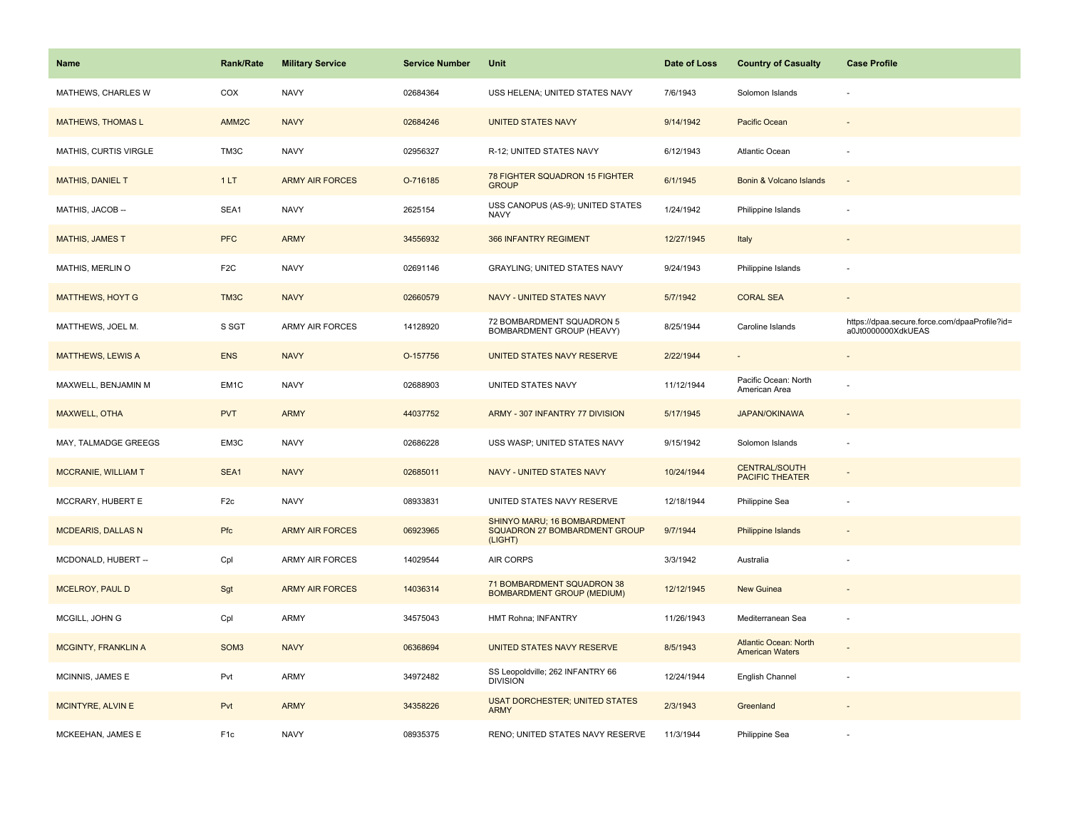| <b>Name</b>                | <b>Rank/Rate</b>  | <b>Military Service</b> | <b>Service Number</b> | Unit                                                                    | Date of Loss | <b>Country of Casualty</b>                      | <b>Case Profile</b>                                                 |
|----------------------------|-------------------|-------------------------|-----------------------|-------------------------------------------------------------------------|--------------|-------------------------------------------------|---------------------------------------------------------------------|
| MATHEWS, CHARLES W         | COX               | <b>NAVY</b>             | 02684364              | USS HELENA; UNITED STATES NAVY                                          | 7/6/1943     | Solomon Islands                                 |                                                                     |
| <b>MATHEWS, THOMAS L</b>   | AMM <sub>2C</sub> | <b>NAVY</b>             | 02684246              | <b>UNITED STATES NAVY</b>                                               | 9/14/1942    | Pacific Ocean                                   |                                                                     |
| MATHIS, CURTIS VIRGLE      | TM3C              | <b>NAVY</b>             | 02956327              | R-12; UNITED STATES NAVY                                                | 6/12/1943    | Atlantic Ocean                                  |                                                                     |
| <b>MATHIS, DANIEL T</b>    | 1LT               | <b>ARMY AIR FORCES</b>  | O-716185              | 78 FIGHTER SQUADRON 15 FIGHTER<br><b>GROUP</b>                          | 6/1/1945     | Bonin & Volcano Islands                         | $\sim$                                                              |
| MATHIS, JACOB --           | SEA1              | <b>NAVY</b>             | 2625154               | USS CANOPUS (AS-9); UNITED STATES<br><b>NAVY</b>                        | 1/24/1942    | Philippine Islands                              |                                                                     |
| <b>MATHIS, JAMES T</b>     | <b>PFC</b>        | <b>ARMY</b>             | 34556932              | 366 INFANTRY REGIMENT                                                   | 12/27/1945   | Italy                                           |                                                                     |
| MATHIS, MERLIN O           | F <sub>2</sub> C  | <b>NAVY</b>             | 02691146              | GRAYLING; UNITED STATES NAVY                                            | 9/24/1943    | Philippine Islands                              |                                                                     |
| <b>MATTHEWS, HOYT G</b>    | TM3C              | <b>NAVY</b>             | 02660579              | NAVY - UNITED STATES NAVY                                               | 5/7/1942     | <b>CORAL SEA</b>                                |                                                                     |
| MATTHEWS, JOEL M.          | S SGT             | ARMY AIR FORCES         | 14128920              | 72 BOMBARDMENT SQUADRON 5<br>BOMBARDMENT GROUP (HEAVY)                  | 8/25/1944    | Caroline Islands                                | https://dpaa.secure.force.com/dpaaProfile?id=<br>a0Jt0000000XdkUEAS |
| <b>MATTHEWS, LEWIS A</b>   | <b>ENS</b>        | <b>NAVY</b>             | O-157756              | UNITED STATES NAVY RESERVE                                              | 2/22/1944    |                                                 |                                                                     |
| MAXWELL, BENJAMIN M        | EM <sub>1</sub> C | <b>NAVY</b>             | 02688903              | UNITED STATES NAVY                                                      | 11/12/1944   | Pacific Ocean: North<br>American Area           |                                                                     |
| <b>MAXWELL, OTHA</b>       | <b>PVT</b>        | <b>ARMY</b>             | 44037752              | ARMY - 307 INFANTRY 77 DIVISION                                         | 5/17/1945    | <b>JAPAN/OKINAWA</b>                            |                                                                     |
| MAY, TALMADGE GREEGS       | EM3C              | <b>NAVY</b>             | 02686228              | USS WASP; UNITED STATES NAVY                                            | 9/15/1942    | Solomon Islands                                 |                                                                     |
| <b>MCCRANIE, WILLIAM T</b> | SEA1              | <b>NAVY</b>             | 02685011              | NAVY - UNITED STATES NAVY                                               | 10/24/1944   | <b>CENTRAL/SOUTH</b><br><b>PACIFIC THEATER</b>  |                                                                     |
| MCCRARY, HUBERT E          | F <sub>2c</sub>   | <b>NAVY</b>             | 08933831              | UNITED STATES NAVY RESERVE                                              | 12/18/1944   | Philippine Sea                                  |                                                                     |
| <b>MCDEARIS, DALLAS N</b>  | Pfc               | <b>ARMY AIR FORCES</b>  | 06923965              | SHINYO MARU; 16 BOMBARDMENT<br>SQUADRON 27 BOMBARDMENT GROUP<br>(LIGHT) | 9/7/1944     | Philippine Islands                              |                                                                     |
| MCDONALD, HUBERT --        | Cpl               | <b>ARMY AIR FORCES</b>  | 14029544              | AIR CORPS                                                               | 3/3/1942     | Australia                                       |                                                                     |
| MCELROY, PAUL D            | Sgt               | <b>ARMY AIR FORCES</b>  | 14036314              | 71 BOMBARDMENT SQUADRON 38<br><b>BOMBARDMENT GROUP (MEDIUM)</b>         | 12/12/1945   | <b>New Guinea</b>                               |                                                                     |
| MCGILL, JOHN G             | Cpl               | <b>ARMY</b>             | 34575043              | HMT Rohna; INFANTRY                                                     | 11/26/1943   | Mediterranean Sea                               | $\overline{\phantom{a}}$                                            |
| <b>MCGINTY, FRANKLIN A</b> | SOM <sub>3</sub>  | <b>NAVY</b>             | 06368694              | <b>UNITED STATES NAVY RESERVE</b>                                       | 8/5/1943     | Atlantic Ocean: North<br><b>American Waters</b> |                                                                     |
| MCINNIS, JAMES E           | Pvt               | <b>ARMY</b>             | 34972482              | SS Leopoldville; 262 INFANTRY 66<br><b>DIVISION</b>                     | 12/24/1944   | English Channel                                 | $\overline{\phantom{a}}$                                            |
| MCINTYRE, ALVIN E          | Pvt               | <b>ARMY</b>             | 34358226              | <b>USAT DORCHESTER; UNITED STATES</b><br><b>ARMY</b>                    | 2/3/1943     | Greenland                                       |                                                                     |
| MCKEEHAN, JAMES E          | F <sub>1c</sub>   | <b>NAVY</b>             | 08935375              | RENO; UNITED STATES NAVY RESERVE                                        | 11/3/1944    | Philippine Sea                                  |                                                                     |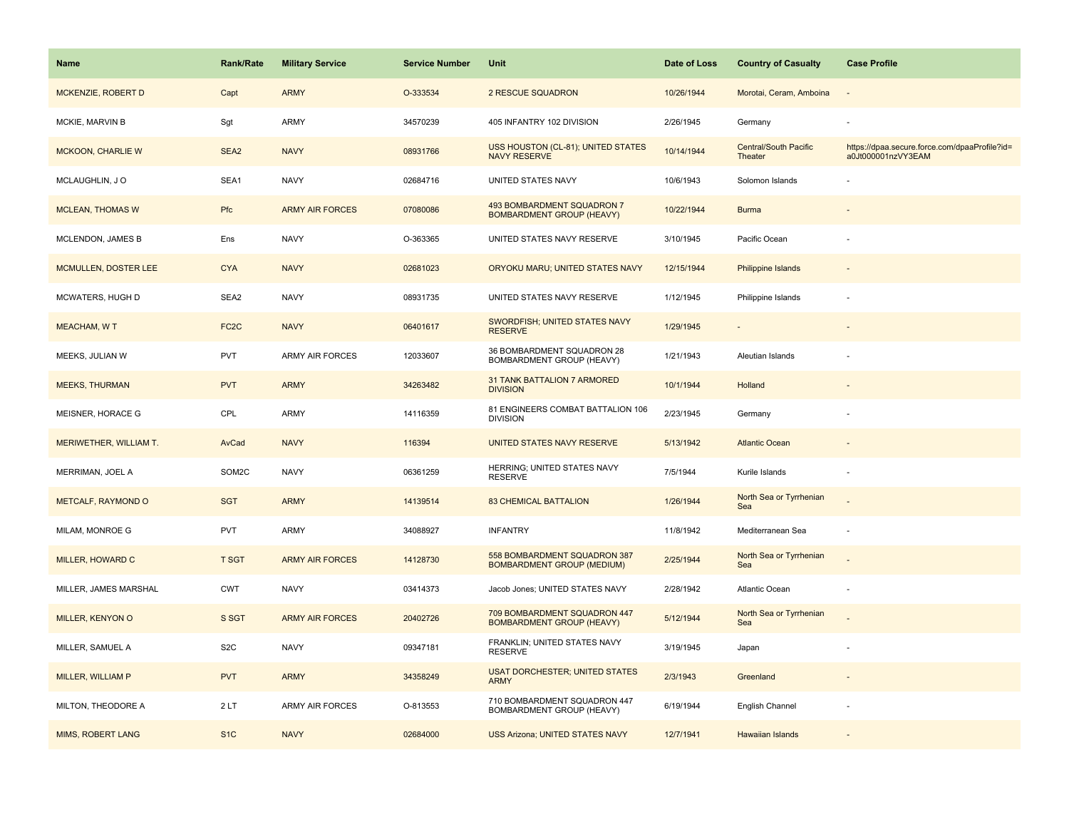| <b>Name</b>              | Rank/Rate         | <b>Military Service</b> | <b>Service Number</b> | Unit                                                              | Date of Loss | <b>Country of Casualty</b>              | <b>Case Profile</b>                                                 |
|--------------------------|-------------------|-------------------------|-----------------------|-------------------------------------------------------------------|--------------|-----------------------------------------|---------------------------------------------------------------------|
| MCKENZIE, ROBERT D       | Capt              | <b>ARMY</b>             | O-333534              | 2 RESCUE SQUADRON                                                 | 10/26/1944   | Morotai, Ceram, Amboina                 | $\overline{\phantom{a}}$                                            |
| MCKIE, MARVIN B          | Sgt               | <b>ARMY</b>             | 34570239              | 405 INFANTRY 102 DIVISION                                         | 2/26/1945    | Germany                                 |                                                                     |
| <b>MCKOON, CHARLIE W</b> | SEA <sub>2</sub>  | <b>NAVY</b>             | 08931766              | USS HOUSTON (CL-81); UNITED STATES<br><b>NAVY RESERVE</b>         | 10/14/1944   | <b>Central/South Pacific</b><br>Theater | https://dpaa.secure.force.com/dpaaProfile?id=<br>a0Jt000001nzVY3EAM |
| MCLAUGHLIN, JO           | SEA1              | <b>NAVY</b>             | 02684716              | UNITED STATES NAVY                                                | 10/6/1943    | Solomon Islands                         |                                                                     |
| <b>MCLEAN, THOMAS W</b>  | Pfc               | <b>ARMY AIR FORCES</b>  | 07080086              | 493 BOMBARDMENT SQUADRON 7<br><b>BOMBARDMENT GROUP (HEAVY)</b>    | 10/22/1944   | <b>Burma</b>                            |                                                                     |
| MCLENDON, JAMES B        | Ens               | <b>NAVY</b>             | O-363365              | UNITED STATES NAVY RESERVE                                        | 3/10/1945    | Pacific Ocean                           |                                                                     |
| MCMULLEN, DOSTER LEE     | <b>CYA</b>        | <b>NAVY</b>             | 02681023              | ORYOKU MARU; UNITED STATES NAVY                                   | 12/15/1944   | Philippine Islands                      |                                                                     |
| MCWATERS, HUGH D         | SEA2              | <b>NAVY</b>             | 08931735              | UNITED STATES NAVY RESERVE                                        | 1/12/1945    | Philippine Islands                      |                                                                     |
| <b>MEACHAM, WT</b>       | FC <sub>2</sub> C | <b>NAVY</b>             | 06401617              | SWORDFISH; UNITED STATES NAVY<br><b>RESERVE</b>                   | 1/29/1945    |                                         |                                                                     |
| MEEKS, JULIAN W          | <b>PVT</b>        | <b>ARMY AIR FORCES</b>  | 12033607              | 36 BOMBARDMENT SQUADRON 28<br>BOMBARDMENT GROUP (HEAVY)           | 1/21/1943    | Aleutian Islands                        |                                                                     |
| <b>MEEKS, THURMAN</b>    | <b>PVT</b>        | <b>ARMY</b>             | 34263482              | 31 TANK BATTALION 7 ARMORED<br><b>DIVISION</b>                    | 10/1/1944    | Holland                                 |                                                                     |
| MEISNER, HORACE G        | CPL               | <b>ARMY</b>             | 14116359              | 81 ENGINEERS COMBAT BATTALION 106<br><b>DIVISION</b>              | 2/23/1945    | Germany                                 |                                                                     |
| MERIWETHER, WILLIAM T.   | AvCad             | <b>NAVY</b>             | 116394                | UNITED STATES NAVY RESERVE                                        | 5/13/1942    | <b>Atlantic Ocean</b>                   |                                                                     |
| MERRIMAN, JOEL A         | SOM2C             | <b>NAVY</b>             | 06361259              | HERRING; UNITED STATES NAVY<br><b>RESERVE</b>                     | 7/5/1944     | Kurile Islands                          |                                                                     |
| METCALF, RAYMOND O       | <b>SGT</b>        | <b>ARMY</b>             | 14139514              | <b>83 CHEMICAL BATTALION</b>                                      | 1/26/1944    | North Sea or Tyrrhenian<br>Sea          |                                                                     |
| MILAM, MONROE G          | <b>PVT</b>        | ARMY                    | 34088927              | <b>INFANTRY</b>                                                   | 11/8/1942    | Mediterranean Sea                       | $\overline{\phantom{a}}$                                            |
| MILLER, HOWARD C         | <b>T SGT</b>      | <b>ARMY AIR FORCES</b>  | 14128730              | 558 BOMBARDMENT SQUADRON 387<br><b>BOMBARDMENT GROUP (MEDIUM)</b> | 2/25/1944    | North Sea or Tyrrhenian<br>Sea          |                                                                     |
| MILLER, JAMES MARSHAL    | <b>CWT</b>        | <b>NAVY</b>             | 03414373              | Jacob Jones; UNITED STATES NAVY                                   | 2/28/1942    | Atlantic Ocean                          | ÷,                                                                  |
| MILLER, KENYON O         | S SGT             | <b>ARMY AIR FORCES</b>  | 20402726              | 709 BOMBARDMENT SQUADRON 447<br><b>BOMBARDMENT GROUP (HEAVY)</b>  | 5/12/1944    | North Sea or Tyrrhenian<br>Sea          |                                                                     |
| MILLER, SAMUEL A         | S <sub>2</sub> C  | <b>NAVY</b>             | 09347181              | FRANKLIN; UNITED STATES NAVY<br><b>RESERVE</b>                    | 3/19/1945    | Japan                                   |                                                                     |
| MILLER, WILLIAM P        | <b>PVT</b>        | <b>ARMY</b>             | 34358249              | <b>USAT DORCHESTER; UNITED STATES</b><br><b>ARMY</b>              | 2/3/1943     | Greenland                               |                                                                     |
| MILTON, THEODORE A       | 2LT               | <b>ARMY AIR FORCES</b>  | O-813553              | 710 BOMBARDMENT SQUADRON 447<br>BOMBARDMENT GROUP (HEAVY)         | 6/19/1944    | English Channel                         |                                                                     |
| MIMS, ROBERT LANG        | S <sub>1</sub> C  | <b>NAVY</b>             | 02684000              | <b>USS Arizona; UNITED STATES NAVY</b>                            | 12/7/1941    | Hawaiian Islands                        |                                                                     |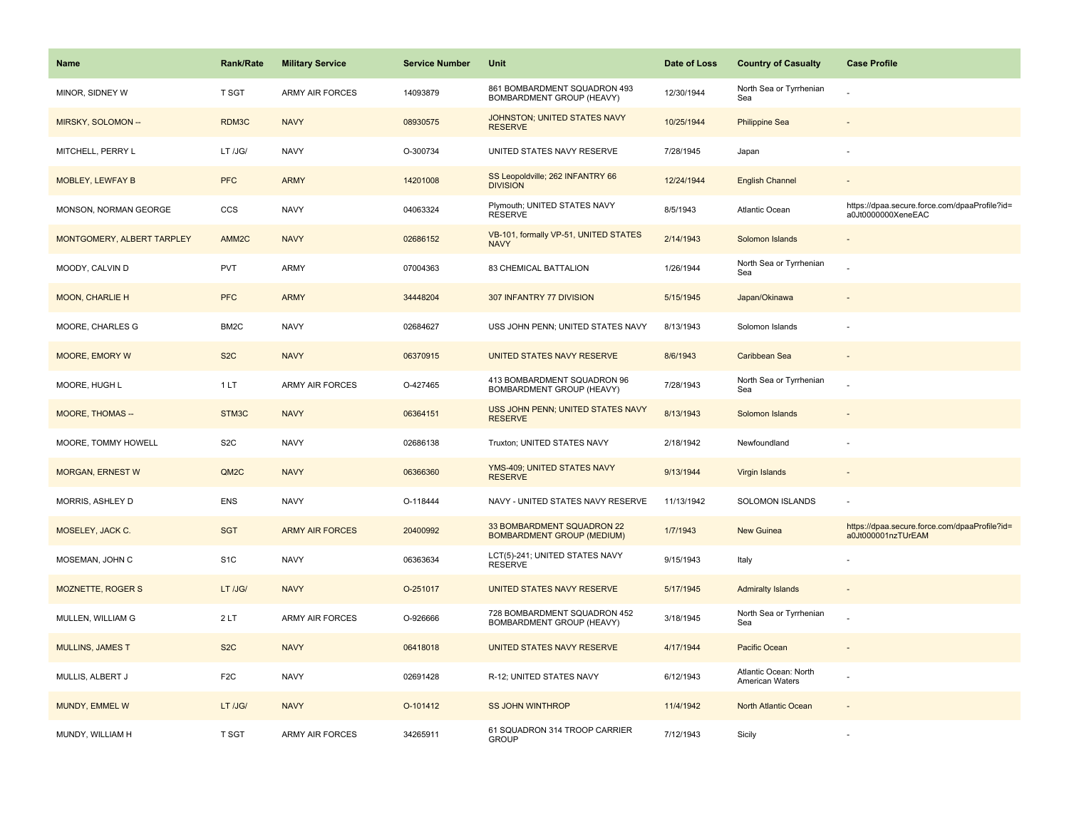| <b>Name</b>                | <b>Rank/Rate</b>  | <b>Military Service</b> | <b>Service Number</b> | Unit                                                            | Date of Loss | <b>Country of Casualty</b>                      | <b>Case Profile</b>                                                 |
|----------------------------|-------------------|-------------------------|-----------------------|-----------------------------------------------------------------|--------------|-------------------------------------------------|---------------------------------------------------------------------|
| MINOR, SIDNEY W            | T SGT             | ARMY AIR FORCES         | 14093879              | 861 BOMBARDMENT SQUADRON 493<br>BOMBARDMENT GROUP (HEAVY)       | 12/30/1944   | North Sea or Tyrrhenian<br>Sea                  |                                                                     |
| MIRSKY, SOLOMON --         | RDM3C             | <b>NAVY</b>             | 08930575              | JOHNSTON; UNITED STATES NAVY<br><b>RESERVE</b>                  | 10/25/1944   | <b>Philippine Sea</b>                           |                                                                     |
| MITCHELL, PERRY L          | LT /JG/           | <b>NAVY</b>             | O-300734              | UNITED STATES NAVY RESERVE                                      | 7/28/1945    | Japan                                           |                                                                     |
| <b>MOBLEY, LEWFAY B</b>    | <b>PFC</b>        | <b>ARMY</b>             | 14201008              | SS Leopoldville; 262 INFANTRY 66<br><b>DIVISION</b>             | 12/24/1944   | <b>English Channel</b>                          |                                                                     |
| MONSON, NORMAN GEORGE      | CCS               | <b>NAVY</b>             | 04063324              | Plymouth; UNITED STATES NAVY<br><b>RESERVE</b>                  | 8/5/1943     | Atlantic Ocean                                  | https://dpaa.secure.force.com/dpaaProfile?id=<br>a0Jt0000000XeneEAC |
| MONTGOMERY, ALBERT TARPLEY | AMM <sub>2C</sub> | <b>NAVY</b>             | 02686152              | VB-101, formally VP-51, UNITED STATES<br><b>NAVY</b>            | 2/14/1943    | Solomon Islands                                 |                                                                     |
| MOODY, CALVIN D            | <b>PVT</b>        | <b>ARMY</b>             | 07004363              | 83 CHEMICAL BATTALION                                           | 1/26/1944    | North Sea or Tyrrhenian<br>Sea                  |                                                                     |
| <b>MOON, CHARLIE H</b>     | <b>PFC</b>        | <b>ARMY</b>             | 34448204              | 307 INFANTRY 77 DIVISION                                        | 5/15/1945    | Japan/Okinawa                                   |                                                                     |
| MOORE, CHARLES G           | BM <sub>2</sub> C | <b>NAVY</b>             | 02684627              | USS JOHN PENN; UNITED STATES NAVY                               | 8/13/1943    | Solomon Islands                                 |                                                                     |
| MOORE, EMORY W             | S <sub>2</sub> C  | <b>NAVY</b>             | 06370915              | UNITED STATES NAVY RESERVE                                      | 8/6/1943     | Caribbean Sea                                   |                                                                     |
| MOORE, HUGH L              | 1 LT              | <b>ARMY AIR FORCES</b>  | O-427465              | 413 BOMBARDMENT SQUADRON 96<br>BOMBARDMENT GROUP (HEAVY)        | 7/28/1943    | North Sea or Tyrrhenian<br>Sea                  |                                                                     |
| MOORE, THOMAS --           | STM3C             | <b>NAVY</b>             | 06364151              | USS JOHN PENN; UNITED STATES NAVY<br><b>RESERVE</b>             | 8/13/1943    | Solomon Islands                                 |                                                                     |
| MOORE, TOMMY HOWELL        | S <sub>2</sub> C  | <b>NAVY</b>             | 02686138              | Truxton; UNITED STATES NAVY                                     | 2/18/1942    | Newfoundland                                    |                                                                     |
| <b>MORGAN, ERNEST W</b>    | QM2C              | <b>NAVY</b>             | 06366360              | YMS-409; UNITED STATES NAVY<br><b>RESERVE</b>                   | 9/13/1944    | Virgin Islands                                  |                                                                     |
| MORRIS, ASHLEY D           | <b>ENS</b>        | <b>NAVY</b>             | O-118444              | NAVY - UNITED STATES NAVY RESERVE                               | 11/13/1942   | <b>SOLOMON ISLANDS</b>                          |                                                                     |
| MOSELEY, JACK C.           | <b>SGT</b>        | <b>ARMY AIR FORCES</b>  | 20400992              | 33 BOMBARDMENT SQUADRON 22<br><b>BOMBARDMENT GROUP (MEDIUM)</b> | 1/7/1943     | New Guinea                                      | https://dpaa.secure.force.com/dpaaProfile?id=<br>a0Jt000001nzTUrEAM |
| MOSEMAN, JOHN C            | S <sub>1</sub> C  | <b>NAVY</b>             | 06363634              | LCT(5)-241; UNITED STATES NAVY<br><b>RESERVE</b>                | 9/15/1943    | Italy                                           |                                                                     |
| <b>MOZNETTE, ROGER S</b>   | LT /JG/           | <b>NAVY</b>             | O-251017              | UNITED STATES NAVY RESERVE                                      | 5/17/1945    | <b>Admiralty Islands</b>                        |                                                                     |
| MULLEN, WILLIAM G          | 2LT               | <b>ARMY AIR FORCES</b>  | O-926666              | 728 BOMBARDMENT SQUADRON 452<br>BOMBARDMENT GROUP (HEAVY)       | 3/18/1945    | North Sea or Tyrrhenian<br>Sea                  |                                                                     |
| <b>MULLINS, JAMES T</b>    | S <sub>2</sub> C  | <b>NAVY</b>             | 06418018              | UNITED STATES NAVY RESERVE                                      | 4/17/1944    | Pacific Ocean                                   |                                                                     |
| MULLIS, ALBERT J           | F <sub>2</sub> C  | <b>NAVY</b>             | 02691428              | R-12; UNITED STATES NAVY                                        | 6/12/1943    | Atlantic Ocean: North<br><b>American Waters</b> |                                                                     |
| MUNDY, EMMEL W             | LT /JG/           | <b>NAVY</b>             | O-101412              | <b>SS JOHN WINTHROP</b>                                         | 11/4/1942    | North Atlantic Ocean                            |                                                                     |
| MUNDY, WILLIAM H           | T SGT             | <b>ARMY AIR FORCES</b>  | 34265911              | 61 SQUADRON 314 TROOP CARRIER<br><b>GROUP</b>                   | 7/12/1943    | Sicily                                          |                                                                     |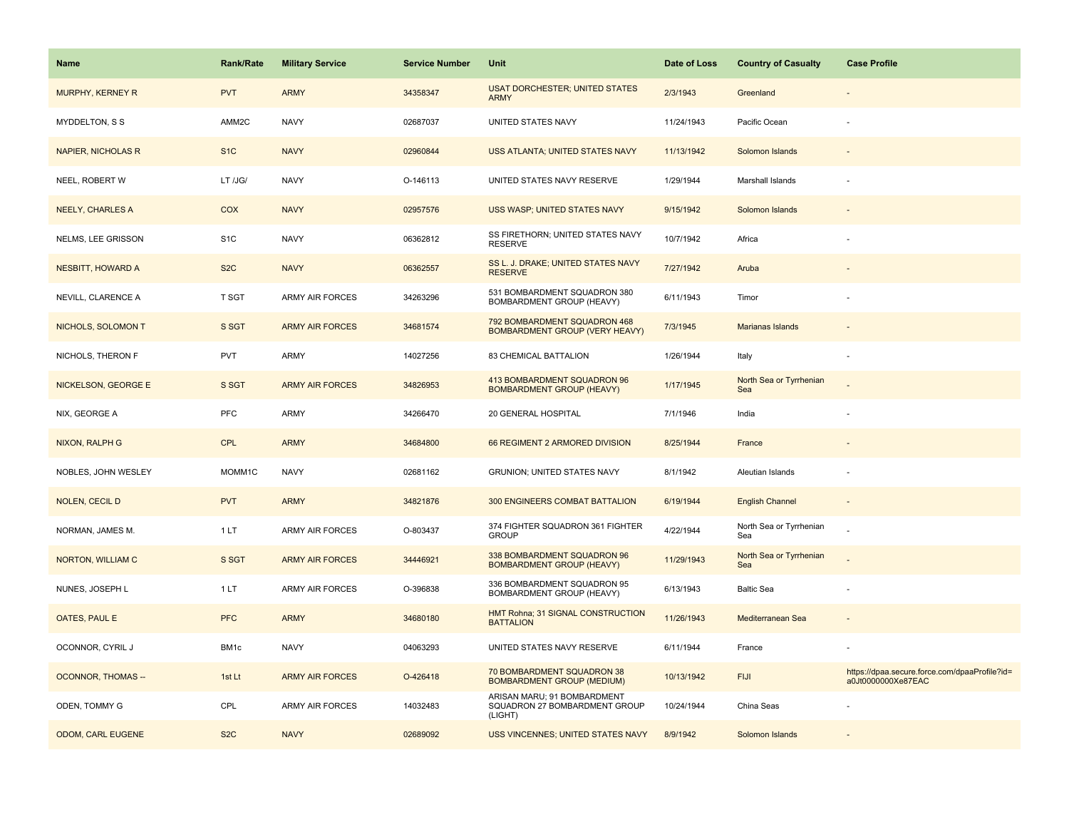| Name                      | <b>Rank/Rate</b> | <b>Military Service</b> | <b>Service Number</b> | Unit                                                                    | Date of Loss | <b>Country of Casualty</b>     | <b>Case Profile</b>                                                 |
|---------------------------|------------------|-------------------------|-----------------------|-------------------------------------------------------------------------|--------------|--------------------------------|---------------------------------------------------------------------|
| MURPHY, KERNEY R          | <b>PVT</b>       | <b>ARMY</b>             | 34358347              | <b>USAT DORCHESTER; UNITED STATES</b><br><b>ARMY</b>                    | 2/3/1943     | Greenland                      |                                                                     |
| MYDDELTON, S S            | AMM2C            | <b>NAVY</b>             | 02687037              | UNITED STATES NAVY                                                      | 11/24/1943   | Pacific Ocean                  |                                                                     |
| <b>NAPIER, NICHOLAS R</b> | S <sub>1</sub> C | <b>NAVY</b>             | 02960844              | USS ATLANTA; UNITED STATES NAVY                                         | 11/13/1942   | Solomon Islands                |                                                                     |
| NEEL, ROBERT W            | LT /JG/          | <b>NAVY</b>             | O-146113              | UNITED STATES NAVY RESERVE                                              | 1/29/1944    | Marshall Islands               |                                                                     |
| <b>NEELY, CHARLES A</b>   | <b>COX</b>       | <b>NAVY</b>             | 02957576              | USS WASP; UNITED STATES NAVY                                            | 9/15/1942    | Solomon Islands                |                                                                     |
| NELMS, LEE GRISSON        | S <sub>1</sub> C | <b>NAVY</b>             | 06362812              | SS FIRETHORN; UNITED STATES NAVY<br><b>RESERVE</b>                      | 10/7/1942    | Africa                         |                                                                     |
| <b>NESBITT, HOWARD A</b>  | S <sub>2</sub> C | <b>NAVY</b>             | 06362557              | SS L. J. DRAKE; UNITED STATES NAVY<br><b>RESERVE</b>                    | 7/27/1942    | Aruba                          |                                                                     |
| NEVILL, CLARENCE A        | T SGT            | <b>ARMY AIR FORCES</b>  | 34263296              | 531 BOMBARDMENT SQUADRON 380<br>BOMBARDMENT GROUP (HEAVY)               | 6/11/1943    | Timor                          |                                                                     |
| NICHOLS, SOLOMON T        | S SGT            | <b>ARMY AIR FORCES</b>  | 34681574              | 792 BOMBARDMENT SQUADRON 468<br>BOMBARDMENT GROUP (VERY HEAVY)          | 7/3/1945     | Marianas Islands               |                                                                     |
| NICHOLS, THERON F         | <b>PVT</b>       | ARMY                    | 14027256              | 83 CHEMICAL BATTALION                                                   | 1/26/1944    | Italy                          |                                                                     |
| NICKELSON, GEORGE E       | S SGT            | <b>ARMY AIR FORCES</b>  | 34826953              | 413 BOMBARDMENT SQUADRON 96<br><b>BOMBARDMENT GROUP (HEAVY)</b>         | 1/17/1945    | North Sea or Tyrrhenian<br>Sea |                                                                     |
| NIX, GEORGE A             | PFC              | <b>ARMY</b>             | 34266470              | 20 GENERAL HOSPITAL                                                     | 7/1/1946     | India                          |                                                                     |
| NIXON, RALPH G            | <b>CPL</b>       | <b>ARMY</b>             | 34684800              | 66 REGIMENT 2 ARMORED DIVISION                                          | 8/25/1944    | France                         |                                                                     |
| NOBLES, JOHN WESLEY       | MOMM1C           | <b>NAVY</b>             | 02681162              | GRUNION; UNITED STATES NAVY                                             | 8/1/1942     | Aleutian Islands               |                                                                     |
| NOLEN, CECIL D            | <b>PVT</b>       | <b>ARMY</b>             | 34821876              | 300 ENGINEERS COMBAT BATTALION                                          | 6/19/1944    | <b>English Channel</b>         |                                                                     |
| NORMAN, JAMES M.          | 1 LT             | ARMY AIR FORCES         | O-803437              | 374 FIGHTER SQUADRON 361 FIGHTER<br><b>GROUP</b>                        | 4/22/1944    | North Sea or Tyrrhenian<br>Sea |                                                                     |
| NORTON, WILLIAM C         | S SGT            | <b>ARMY AIR FORCES</b>  | 34446921              | 338 BOMBARDMENT SQUADRON 96<br><b>BOMBARDMENT GROUP (HEAVY)</b>         | 11/29/1943   | North Sea or Tyrrhenian<br>Sea |                                                                     |
| NUNES, JOSEPH L           | 1LT              | ARMY AIR FORCES         | O-396838              | 336 BOMBARDMENT SQUADRON 95<br>BOMBARDMENT GROUP (HEAVY)                | 6/13/1943    | <b>Baltic Sea</b>              |                                                                     |
| OATES, PAUL E             | <b>PFC</b>       | <b>ARMY</b>             | 34680180              | HMT Rohna; 31 SIGNAL CONSTRUCTION<br><b>BATTALION</b>                   | 11/26/1943   | Mediterranean Sea              |                                                                     |
| OCONNOR, CYRIL J          | BM1c             | <b>NAVY</b>             | 04063293              | UNITED STATES NAVY RESERVE                                              | 6/11/1944    | France                         |                                                                     |
| <b>OCONNOR, THOMAS --</b> | 1st Lt           | <b>ARMY AIR FORCES</b>  | O-426418              | 70 BOMBARDMENT SQUADRON 38<br><b>BOMBARDMENT GROUP (MEDIUM)</b>         | 10/13/1942   | <b>FIJI</b>                    | https://dpaa.secure.force.com/dpaaProfile?id=<br>a0Jt0000000Xe87EAC |
| ODEN, TOMMY G             | CPL              | <b>ARMY AIR FORCES</b>  | 14032483              | ARISAN MARU; 91 BOMBARDMENT<br>SQUADRON 27 BOMBARDMENT GROUP<br>(LIGHT) | 10/24/1944   | China Seas                     |                                                                     |
| ODOM, CARL EUGENE         | S <sub>2</sub> C | <b>NAVY</b>             | 02689092              | <b>USS VINCENNES; UNITED STATES NAVY</b>                                | 8/9/1942     | Solomon Islands                |                                                                     |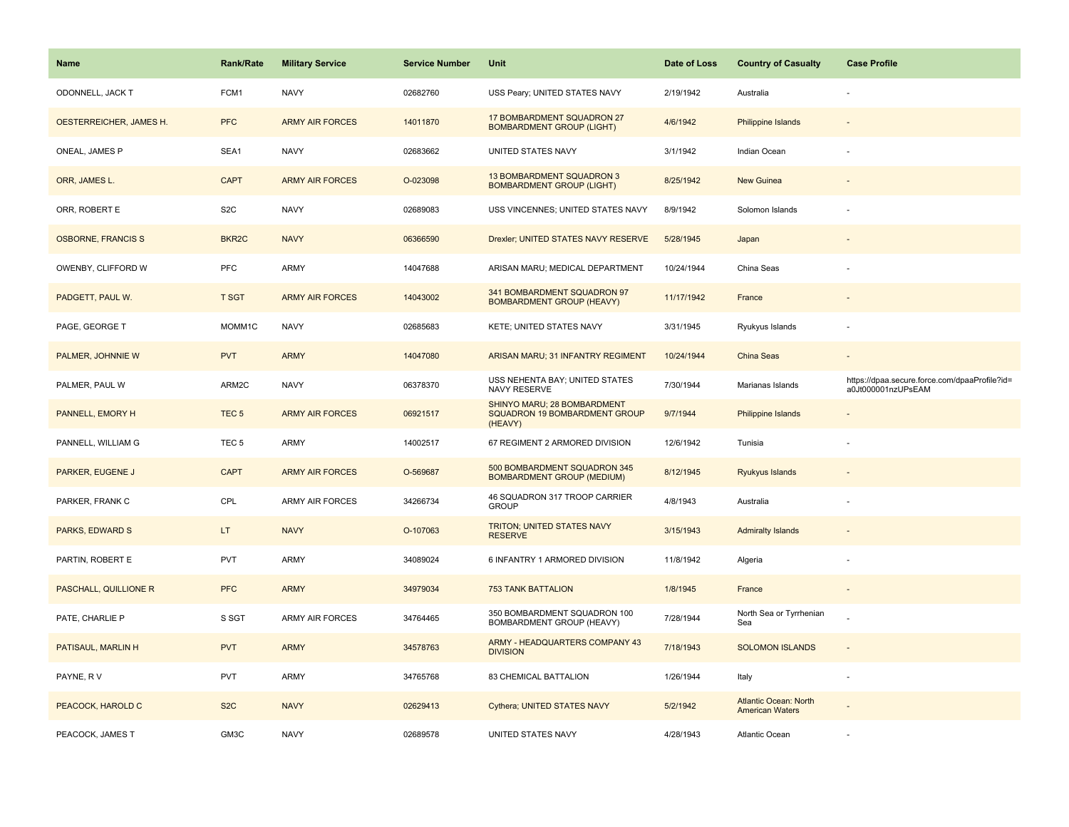| Name                      | <b>Rank/Rate</b>  | <b>Military Service</b> | <b>Service Number</b> | Unit                                                                    | Date of Loss | <b>Country of Casualty</b>                             | <b>Case Profile</b>                                                 |
|---------------------------|-------------------|-------------------------|-----------------------|-------------------------------------------------------------------------|--------------|--------------------------------------------------------|---------------------------------------------------------------------|
| ODONNELL, JACK T          | FCM1              | <b>NAVY</b>             | 02682760              | USS Peary; UNITED STATES NAVY                                           | 2/19/1942    | Australia                                              |                                                                     |
| OESTERREICHER, JAMES H.   | <b>PFC</b>        | <b>ARMY AIR FORCES</b>  | 14011870              | 17 BOMBARDMENT SQUADRON 27<br><b>BOMBARDMENT GROUP (LIGHT)</b>          | 4/6/1942     | Philippine Islands                                     |                                                                     |
| ONEAL, JAMES P            | SEA1              | <b>NAVY</b>             | 02683662              | UNITED STATES NAVY                                                      | 3/1/1942     | Indian Ocean                                           |                                                                     |
| ORR, JAMES L.             | <b>CAPT</b>       | <b>ARMY AIR FORCES</b>  | O-023098              | <b>13 BOMBARDMENT SQUADRON 3</b><br><b>BOMBARDMENT GROUP (LIGHT)</b>    | 8/25/1942    | New Guinea                                             |                                                                     |
| ORR. ROBERT E             | S <sub>2</sub> C  | <b>NAVY</b>             | 02689083              | USS VINCENNES: UNITED STATES NAVY                                       | 8/9/1942     | Solomon Islands                                        |                                                                     |
| <b>OSBORNE, FRANCIS S</b> | BKR <sub>2C</sub> | <b>NAVY</b>             | 06366590              | Drexler; UNITED STATES NAVY RESERVE                                     | 5/28/1945    | Japan                                                  |                                                                     |
| OWENBY, CLIFFORD W        | PFC               | ARMY                    | 14047688              | ARISAN MARU; MEDICAL DEPARTMENT                                         | 10/24/1944   | China Seas                                             |                                                                     |
| PADGETT, PAUL W.          | <b>T SGT</b>      | <b>ARMY AIR FORCES</b>  | 14043002              | 341 BOMBARDMENT SQUADRON 97<br><b>BOMBARDMENT GROUP (HEAVY)</b>         | 11/17/1942   | France                                                 |                                                                     |
| PAGE, GEORGE T            | MOMM1C            | <b>NAVY</b>             | 02685683              | KETE; UNITED STATES NAVY                                                | 3/31/1945    | Ryukyus Islands                                        |                                                                     |
| PALMER, JOHNNIE W         | <b>PVT</b>        | <b>ARMY</b>             | 14047080              | ARISAN MARU; 31 INFANTRY REGIMENT                                       | 10/24/1944   | <b>China Seas</b>                                      |                                                                     |
| PALMER, PAUL W            | ARM2C             | <b>NAVY</b>             | 06378370              | USS NEHENTA BAY; UNITED STATES<br>NAVY RESERVE                          | 7/30/1944    | Marianas Islands                                       | https://dpaa.secure.force.com/dpaaProfile?id=<br>a0Jt000001nzUPsEAM |
| PANNELL, EMORY H          | TEC <sub>5</sub>  | <b>ARMY AIR FORCES</b>  | 06921517              | SHINYO MARU; 28 BOMBARDMENT<br>SQUADRON 19 BOMBARDMENT GROUP<br>(HEAVY) | 9/7/1944     | Philippine Islands                                     |                                                                     |
| PANNELL, WILLIAM G        | TEC <sub>5</sub>  | ARMY                    | 14002517              | 67 REGIMENT 2 ARMORED DIVISION                                          | 12/6/1942    | Tunisia                                                |                                                                     |
| PARKER, EUGENE J          | <b>CAPT</b>       | <b>ARMY AIR FORCES</b>  | O-569687              | 500 BOMBARDMENT SQUADRON 345<br><b>BOMBARDMENT GROUP (MEDIUM)</b>       | 8/12/1945    | Ryukyus Islands                                        |                                                                     |
| PARKER, FRANK C           | CPL               | <b>ARMY AIR FORCES</b>  | 34266734              | 46 SQUADRON 317 TROOP CARRIER<br><b>GROUP</b>                           | 4/8/1943     | Australia                                              |                                                                     |
| <b>PARKS, EDWARD S</b>    | LT.               | <b>NAVY</b>             | O-107063              | TRITON; UNITED STATES NAVY<br><b>RESERVE</b>                            | 3/15/1943    | <b>Admiralty Islands</b>                               |                                                                     |
| PARTIN, ROBERT E          | <b>PVT</b>        | ARMY                    | 34089024              | 6 INFANTRY 1 ARMORED DIVISION                                           | 11/8/1942    | Algeria                                                |                                                                     |
| PASCHALL, QUILLIONE R     | <b>PFC</b>        | <b>ARMY</b>             | 34979034              | <b>753 TANK BATTALION</b>                                               | 1/8/1945     | France                                                 |                                                                     |
| PATE, CHARLIE P           | S SGT             | ARMY AIR FORCES         | 34764465              | 350 BOMBARDMENT SQUADRON 100<br>BOMBARDMENT GROUP (HEAVY)               | 7/28/1944    | North Sea or Tyrrhenian<br>Sea                         |                                                                     |
| PATISAUL, MARLIN H        | <b>PVT</b>        | <b>ARMY</b>             | 34578763              | ARMY - HEADQUARTERS COMPANY 43<br><b>DIVISION</b>                       | 7/18/1943    | <b>SOLOMON ISLANDS</b>                                 | $\sim$                                                              |
| PAYNE, RV                 | <b>PVT</b>        | ARMY                    | 34765768              | 83 CHEMICAL BATTALION                                                   | 1/26/1944    | Italy                                                  |                                                                     |
| PEACOCK, HAROLD C         | S <sub>2</sub> C  | <b>NAVY</b>             | 02629413              | Cythera; UNITED STATES NAVY                                             | 5/2/1942     | <b>Atlantic Ocean: North</b><br><b>American Waters</b> |                                                                     |
| PEACOCK, JAMES T          | GM3C              | <b>NAVY</b>             | 02689578              | UNITED STATES NAVY                                                      | 4/28/1943    | <b>Atlantic Ocean</b>                                  |                                                                     |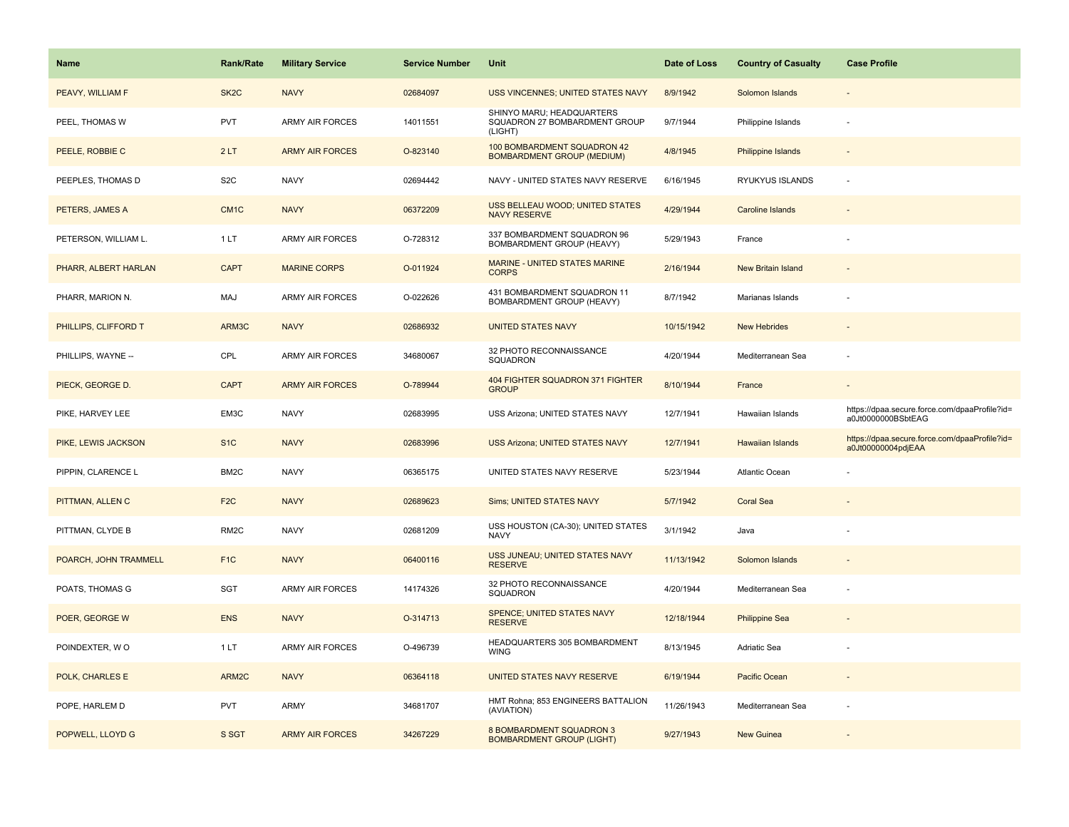| <b>Name</b>           | <b>Rank/Rate</b>  | <b>Military Service</b> | <b>Service Number</b> | Unit                                                                  | Date of Loss | <b>Country of Casualty</b> | <b>Case Profile</b>                                                 |
|-----------------------|-------------------|-------------------------|-----------------------|-----------------------------------------------------------------------|--------------|----------------------------|---------------------------------------------------------------------|
| PEAVY, WILLIAM F      | SK <sub>2</sub> C | <b>NAVY</b>             | 02684097              | USS VINCENNES; UNITED STATES NAVY                                     | 8/9/1942     | Solomon Islands            |                                                                     |
| PEEL, THOMAS W        | <b>PVT</b>        | <b>ARMY AIR FORCES</b>  | 14011551              | SHINYO MARU; HEADQUARTERS<br>SQUADRON 27 BOMBARDMENT GROUP<br>(LIGHT) | 9/7/1944     | Philippine Islands         |                                                                     |
| PEELE, ROBBIE C       | 2LT               | <b>ARMY AIR FORCES</b>  | O-823140              | 100 BOMBARDMENT SQUADRON 42<br><b>BOMBARDMENT GROUP (MEDIUM)</b>      | 4/8/1945     | <b>Philippine Islands</b>  |                                                                     |
| PEEPLES, THOMAS D     | S <sub>2</sub> C  | <b>NAVY</b>             | 02694442              | NAVY - UNITED STATES NAVY RESERVE                                     | 6/16/1945    | RYUKYUS ISLANDS            |                                                                     |
| PETERS, JAMES A       | CM <sub>1</sub> C | <b>NAVY</b>             | 06372209              | <b>USS BELLEAU WOOD; UNITED STATES</b><br><b>NAVY RESERVE</b>         | 4/29/1944    | Caroline Islands           |                                                                     |
| PETERSON, WILLIAM L.  | 1LT               | <b>ARMY AIR FORCES</b>  | O-728312              | 337 BOMBARDMENT SQUADRON 96<br>BOMBARDMENT GROUP (HEAVY)              | 5/29/1943    | France                     |                                                                     |
| PHARR, ALBERT HARLAN  | <b>CAPT</b>       | <b>MARINE CORPS</b>     | O-011924              | <b>MARINE - UNITED STATES MARINE</b><br><b>CORPS</b>                  | 2/16/1944    | New Britain Island         |                                                                     |
| PHARR, MARION N.      | MAJ               | <b>ARMY AIR FORCES</b>  | O-022626              | 431 BOMBARDMENT SQUADRON 11<br>BOMBARDMENT GROUP (HEAVY)              | 8/7/1942     | Marianas Islands           |                                                                     |
| PHILLIPS, CLIFFORD T  | ARM3C             | <b>NAVY</b>             | 02686932              | <b>UNITED STATES NAVY</b>                                             | 10/15/1942   | <b>New Hebrides</b>        |                                                                     |
| PHILLIPS, WAYNE --    | CPL               | <b>ARMY AIR FORCES</b>  | 34680067              | 32 PHOTO RECONNAISSANCE<br>SQUADRON                                   | 4/20/1944    | Mediterranean Sea          |                                                                     |
| PIECK, GEORGE D.      | <b>CAPT</b>       | <b>ARMY AIR FORCES</b>  | O-789944              | 404 FIGHTER SQUADRON 371 FIGHTER<br><b>GROUP</b>                      | 8/10/1944    | France                     |                                                                     |
| PIKE, HARVEY LEE      | EM3C              | <b>NAVY</b>             | 02683995              | USS Arizona; UNITED STATES NAVY                                       | 12/7/1941    | Hawaiian Islands           | https://dpaa.secure.force.com/dpaaProfile?id=<br>a0Jt0000000BSbtEAG |
| PIKE, LEWIS JACKSON   | S <sub>1C</sub>   | <b>NAVY</b>             | 02683996              | <b>USS Arizona; UNITED STATES NAVY</b>                                | 12/7/1941    | <b>Hawaiian Islands</b>    | https://dpaa.secure.force.com/dpaaProfile?id=<br>a0Jt00000004pdjEAA |
| PIPPIN, CLARENCE L    | BM2C              | <b>NAVY</b>             | 06365175              | UNITED STATES NAVY RESERVE                                            | 5/23/1944    | Atlantic Ocean             |                                                                     |
| PITTMAN, ALLEN C      | F <sub>2C</sub>   | <b>NAVY</b>             | 02689623              | <b>Sims; UNITED STATES NAVY</b>                                       | 5/7/1942     | <b>Coral Sea</b>           |                                                                     |
| PITTMAN, CLYDE B      | RM <sub>2</sub> C | <b>NAVY</b>             | 02681209              | USS HOUSTON (CA-30); UNITED STATES<br><b>NAVY</b>                     | 3/1/1942     | Java                       |                                                                     |
| POARCH, JOHN TRAMMELL | F <sub>1</sub> C  | <b>NAVY</b>             | 06400116              | USS JUNEAU; UNITED STATES NAVY<br><b>RESERVE</b>                      | 11/13/1942   | Solomon Islands            |                                                                     |
| POATS, THOMAS G       | <b>SGT</b>        | ARMY AIR FORCES         | 14174326              | 32 PHOTO RECONNAISSANCE<br>SQUADRON                                   | 4/20/1944    | Mediterranean Sea          |                                                                     |
| POER, GEORGE W        | <b>ENS</b>        | <b>NAVY</b>             | O-314713              | <b>SPENCE; UNITED STATES NAVY</b><br><b>RESERVE</b>                   | 12/18/1944   | <b>Philippine Sea</b>      |                                                                     |
| POINDEXTER, WO        | 1 LT              | ARMY AIR FORCES         | O-496739              | HEADQUARTERS 305 BOMBARDMENT<br><b>WING</b>                           | 8/13/1945    | Adriatic Sea               |                                                                     |
| POLK, CHARLES E       | ARM2C             | <b>NAVY</b>             | 06364118              | UNITED STATES NAVY RESERVE                                            | 6/19/1944    | Pacific Ocean              |                                                                     |
| POPE, HARLEM D        | <b>PVT</b>        | ARMY                    | 34681707              | HMT Rohna; 853 ENGINEERS BATTALION<br>(AVIATION)                      | 11/26/1943   | Mediterranean Sea          |                                                                     |
| POPWELL, LLOYD G      | S SGT             | <b>ARMY AIR FORCES</b>  | 34267229              | 8 BOMBARDMENT SQUADRON 3<br><b>BOMBARDMENT GROUP (LIGHT)</b>          | 9/27/1943    | <b>New Guinea</b>          |                                                                     |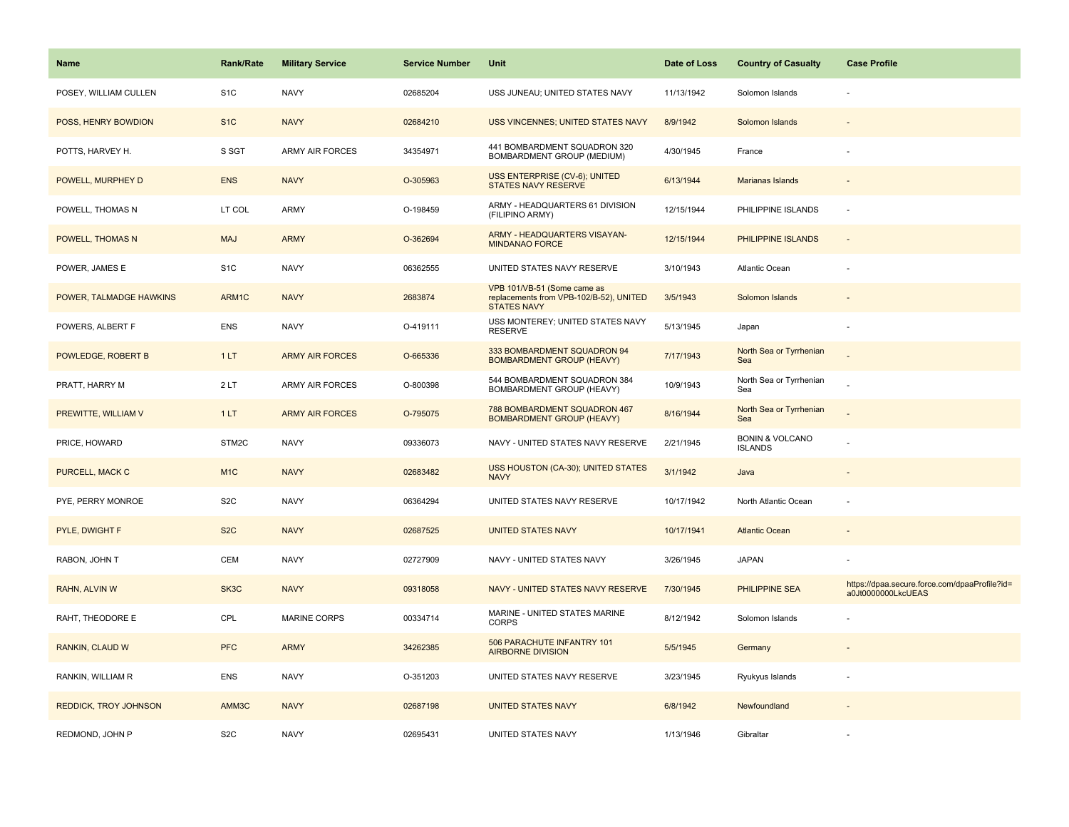| Name                         | Rank/Rate        | <b>Military Service</b> | <b>Service Number</b> | Unit                                                                                         | Date of Loss | <b>Country of Casualty</b>                   | <b>Case Profile</b>                                                 |
|------------------------------|------------------|-------------------------|-----------------------|----------------------------------------------------------------------------------------------|--------------|----------------------------------------------|---------------------------------------------------------------------|
| POSEY, WILLIAM CULLEN        | S <sub>1</sub> C | <b>NAVY</b>             | 02685204              | USS JUNEAU; UNITED STATES NAVY                                                               | 11/13/1942   | Solomon Islands                              |                                                                     |
| POSS, HENRY BOWDION          | S <sub>1C</sub>  | <b>NAVY</b>             | 02684210              | <b>USS VINCENNES; UNITED STATES NAVY</b>                                                     | 8/9/1942     | Solomon Islands                              |                                                                     |
| POTTS, HARVEY H.             | S SGT            | <b>ARMY AIR FORCES</b>  | 34354971              | 441 BOMBARDMENT SQUADRON 320<br>BOMBARDMENT GROUP (MEDIUM)                                   | 4/30/1945    | France                                       |                                                                     |
| POWELL, MURPHEY D            | <b>ENS</b>       | <b>NAVY</b>             | O-305963              | USS ENTERPRISE (CV-6); UNITED<br><b>STATES NAVY RESERVE</b>                                  | 6/13/1944    | Marianas Islands                             |                                                                     |
| POWELL, THOMAS N             | LT COL           | ARMY                    | O-198459              | ARMY - HEADQUARTERS 61 DIVISION<br>(FILIPINO ARMY)                                           | 12/15/1944   | PHILIPPINE ISLANDS                           |                                                                     |
| POWELL, THOMAS N             | <b>MAJ</b>       | <b>ARMY</b>             | O-362694              | ARMY - HEADQUARTERS VISAYAN-<br><b>MINDANAO FORCE</b>                                        | 12/15/1944   | PHILIPPINE ISLANDS                           | $\sim$                                                              |
| POWER, JAMES E               | S <sub>1</sub> C | <b>NAVY</b>             | 06362555              | UNITED STATES NAVY RESERVE                                                                   | 3/10/1943    | Atlantic Ocean                               |                                                                     |
| POWER, TALMADGE HAWKINS      | ARM1C            | <b>NAVY</b>             | 2683874               | VPB 101/VB-51 (Some came as<br>replacements from VPB-102/B-52), UNITED<br><b>STATES NAVY</b> | 3/5/1943     | Solomon Islands                              |                                                                     |
| POWERS, ALBERT F             | <b>ENS</b>       | <b>NAVY</b>             | O-419111              | USS MONTEREY; UNITED STATES NAVY<br><b>RESERVE</b>                                           | 5/13/1945    | Japan                                        |                                                                     |
| POWLEDGE, ROBERT B           | 1LT              | <b>ARMY AIR FORCES</b>  | O-665336              | 333 BOMBARDMENT SQUADRON 94<br><b>BOMBARDMENT GROUP (HEAVY)</b>                              | 7/17/1943    | North Sea or Tyrrhenian<br>Sea               |                                                                     |
| PRATT, HARRY M               | 2LT              | <b>ARMY AIR FORCES</b>  | O-800398              | 544 BOMBARDMENT SQUADRON 384<br>BOMBARDMENT GROUP (HEAVY)                                    | 10/9/1943    | North Sea or Tyrrhenian<br>Sea               |                                                                     |
| PREWITTE, WILLIAM V          | 1LT              | <b>ARMY AIR FORCES</b>  | O-795075              | 788 BOMBARDMENT SQUADRON 467<br><b>BOMBARDMENT GROUP (HEAVY)</b>                             | 8/16/1944    | North Sea or Tyrrhenian<br>Sea               |                                                                     |
| PRICE, HOWARD                | STM2C            | <b>NAVY</b>             | 09336073              | NAVY - UNITED STATES NAVY RESERVE                                                            | 2/21/1945    | <b>BONIN &amp; VOLCANO</b><br><b>ISLANDS</b> |                                                                     |
| PURCELL, MACK C              | M <sub>1C</sub>  | <b>NAVY</b>             | 02683482              | USS HOUSTON (CA-30); UNITED STATES<br><b>NAVY</b>                                            | 3/1/1942     | Java                                         |                                                                     |
| PYE, PERRY MONROE            | S <sub>2</sub> C | <b>NAVY</b>             | 06364294              | UNITED STATES NAVY RESERVE                                                                   | 10/17/1942   | North Atlantic Ocean                         |                                                                     |
| PYLE, DWIGHT F               | S <sub>2</sub> C | <b>NAVY</b>             | 02687525              | <b>UNITED STATES NAVY</b>                                                                    | 10/17/1941   | <b>Atlantic Ocean</b>                        |                                                                     |
| RABON, JOHN T                | CEM              | <b>NAVY</b>             | 02727909              | NAVY - UNITED STATES NAVY                                                                    | 3/26/1945    | <b>JAPAN</b>                                 |                                                                     |
| RAHN, ALVIN W                | SK3C             | <b>NAVY</b>             | 09318058              | NAVY - UNITED STATES NAVY RESERVE                                                            | 7/30/1945    | <b>PHILIPPINE SEA</b>                        | https://dpaa.secure.force.com/dpaaProfile?id=<br>a0Jt0000000LkcUEAS |
| RAHT, THEODORE E             | CPL              | MARINE CORPS            | 00334714              | MARINE - UNITED STATES MARINE<br><b>CORPS</b>                                                | 8/12/1942    | Solomon Islands                              |                                                                     |
| <b>RANKIN, CLAUD W</b>       | <b>PFC</b>       | <b>ARMY</b>             | 34262385              | 506 PARACHUTE INFANTRY 101<br><b>AIRBORNE DIVISION</b>                                       | 5/5/1945     | Germany                                      |                                                                     |
| RANKIN, WILLIAM R            | <b>ENS</b>       | <b>NAVY</b>             | O-351203              | UNITED STATES NAVY RESERVE                                                                   | 3/23/1945    | Ryukyus Islands                              |                                                                     |
| <b>REDDICK, TROY JOHNSON</b> | AMM3C            | <b>NAVY</b>             | 02687198              | <b>UNITED STATES NAVY</b>                                                                    | 6/8/1942     | Newfoundland                                 |                                                                     |
| REDMOND, JOHN P              | S <sub>2</sub> C | <b>NAVY</b>             | 02695431              | UNITED STATES NAVY                                                                           | 1/13/1946    | Gibraltar                                    |                                                                     |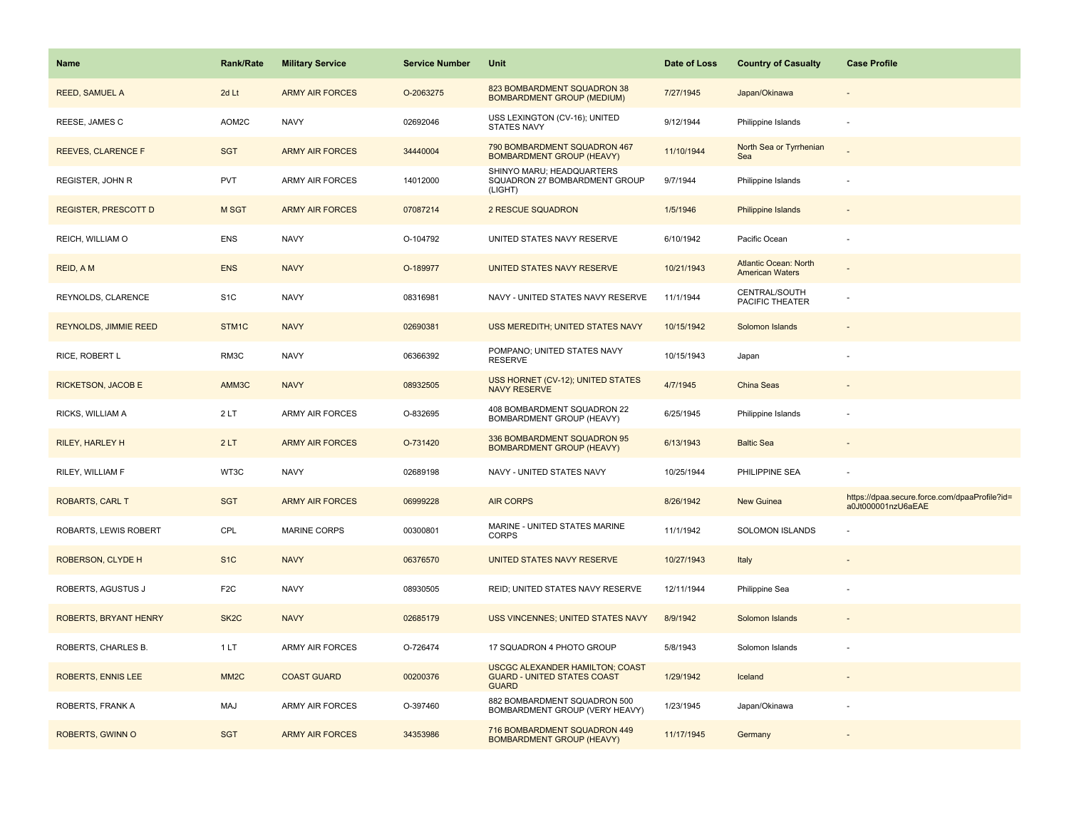| <b>Name</b>                  | <b>Rank/Rate</b>  | <b>Military Service</b> | <b>Service Number</b> | Unit                                                                                         | Date of Loss | <b>Country of Casualty</b>                             | <b>Case Profile</b>                                                 |
|------------------------------|-------------------|-------------------------|-----------------------|----------------------------------------------------------------------------------------------|--------------|--------------------------------------------------------|---------------------------------------------------------------------|
| <b>REED, SAMUEL A</b>        | 2d Lt             | <b>ARMY AIR FORCES</b>  | O-2063275             | 823 BOMBARDMENT SQUADRON 38<br><b>BOMBARDMENT GROUP (MEDIUM)</b>                             | 7/27/1945    | Japan/Okinawa                                          |                                                                     |
| REESE, JAMES C               | AOM2C             | <b>NAVY</b>             | 02692046              | USS LEXINGTON (CV-16); UNITED<br>STATES NAVY                                                 | 9/12/1944    | Philippine Islands                                     |                                                                     |
| REEVES, CLARENCE F           | <b>SGT</b>        | <b>ARMY AIR FORCES</b>  | 34440004              | 790 BOMBARDMENT SQUADRON 467<br><b>BOMBARDMENT GROUP (HEAVY)</b>                             | 11/10/1944   | North Sea or Tyrrhenian<br>Sea                         |                                                                     |
| <b>REGISTER, JOHN R</b>      | <b>PVT</b>        | <b>ARMY AIR FORCES</b>  | 14012000              | SHINYO MARU; HEADQUARTERS<br>SQUADRON 27 BOMBARDMENT GROUP<br>(LIGHT)                        | 9/7/1944     | Philippine Islands                                     |                                                                     |
| <b>REGISTER, PRESCOTT D</b>  | M SGT             | <b>ARMY AIR FORCES</b>  | 07087214              | 2 RESCUE SQUADRON                                                                            | 1/5/1946     | Philippine Islands                                     |                                                                     |
| REICH, WILLIAM O             | ENS               | <b>NAVY</b>             | O-104792              | UNITED STATES NAVY RESERVE                                                                   | 6/10/1942    | Pacific Ocean                                          |                                                                     |
| REID, A M                    | <b>ENS</b>        | <b>NAVY</b>             | O-189977              | UNITED STATES NAVY RESERVE                                                                   | 10/21/1943   | <b>Atlantic Ocean: North</b><br><b>American Waters</b> |                                                                     |
| REYNOLDS, CLARENCE           | S <sub>1</sub> C  | <b>NAVY</b>             | 08316981              | NAVY - UNITED STATES NAVY RESERVE                                                            | 11/1/1944    | CENTRAL/SOUTH<br>PACIFIC THEATER                       |                                                                     |
| <b>REYNOLDS, JIMMIE REED</b> | STM <sub>1C</sub> | <b>NAVY</b>             | 02690381              | USS MEREDITH; UNITED STATES NAVY                                                             | 10/15/1942   | Solomon Islands                                        |                                                                     |
| RICE, ROBERT L               | RM3C              | <b>NAVY</b>             | 06366392              | POMPANO; UNITED STATES NAVY<br><b>RESERVE</b>                                                | 10/15/1943   | Japan                                                  |                                                                     |
| <b>RICKETSON, JACOB E</b>    | AMM3C             | <b>NAVY</b>             | 08932505              | <b>USS HORNET (CV-12); UNITED STATES</b><br><b>NAVY RESERVE</b>                              | 4/7/1945     | <b>China Seas</b>                                      |                                                                     |
| RICKS, WILLIAM A             | 2LT               | ARMY AIR FORCES         | O-832695              | 408 BOMBARDMENT SQUADRON 22<br>BOMBARDMENT GROUP (HEAVY)                                     | 6/25/1945    | Philippine Islands                                     |                                                                     |
| <b>RILEY, HARLEY H</b>       | 2LT               | <b>ARMY AIR FORCES</b>  | O-731420              | 336 BOMBARDMENT SQUADRON 95<br><b>BOMBARDMENT GROUP (HEAVY)</b>                              | 6/13/1943    | <b>Baltic Sea</b>                                      |                                                                     |
| RILEY, WILLIAM F             | WT3C              | <b>NAVY</b>             | 02689198              | NAVY - UNITED STATES NAVY                                                                    | 10/25/1944   | PHILIPPINE SEA                                         |                                                                     |
| <b>ROBARTS, CARL T</b>       | <b>SGT</b>        | <b>ARMY AIR FORCES</b>  | 06999228              | <b>AIR CORPS</b>                                                                             | 8/26/1942    | <b>New Guinea</b>                                      | https://dpaa.secure.force.com/dpaaProfile?id=<br>a0Jt000001nzU6aEAE |
| ROBARTS, LEWIS ROBERT        | CPL               | MARINE CORPS            | 00300801              | MARINE - UNITED STATES MARINE<br><b>CORPS</b>                                                | 11/1/1942    | SOLOMON ISLANDS                                        |                                                                     |
| ROBERSON, CLYDE H            | S <sub>1</sub> C  | <b>NAVY</b>             | 06376570              | UNITED STATES NAVY RESERVE                                                                   | 10/27/1943   | Italy                                                  |                                                                     |
| ROBERTS, AGUSTUS J           | F <sub>2</sub> C  | <b>NAVY</b>             | 08930505              | REID; UNITED STATES NAVY RESERVE                                                             | 12/11/1944   | Philippine Sea                                         |                                                                     |
| ROBERTS, BRYANT HENRY        | SK <sub>2</sub> C | <b>NAVY</b>             | 02685179              | USS VINCENNES; UNITED STATES NAVY                                                            | 8/9/1942     | Solomon Islands                                        |                                                                     |
| ROBERTS, CHARLES B.          | 1LT               | <b>ARMY AIR FORCES</b>  | O-726474              | 17 SQUADRON 4 PHOTO GROUP                                                                    | 5/8/1943     | Solomon Islands                                        |                                                                     |
| <b>ROBERTS, ENNIS LEE</b>    | MM <sub>2</sub> C | <b>COAST GUARD</b>      | 00200376              | <b>USCGC ALEXANDER HAMILTON; COAST</b><br><b>GUARD - UNITED STATES COAST</b><br><b>GUARD</b> | 1/29/1942    | Iceland                                                |                                                                     |
| ROBERTS, FRANK A             | MAJ               | <b>ARMY AIR FORCES</b>  | O-397460              | 882 BOMBARDMENT SQUADRON 500<br>BOMBARDMENT GROUP (VERY HEAVY)                               | 1/23/1945    | Japan/Okinawa                                          |                                                                     |
| ROBERTS, GWINN O             | <b>SGT</b>        | <b>ARMY AIR FORCES</b>  | 34353986              | 716 BOMBARDMENT SQUADRON 449<br><b>BOMBARDMENT GROUP (HEAVY)</b>                             | 11/17/1945   | Germany                                                |                                                                     |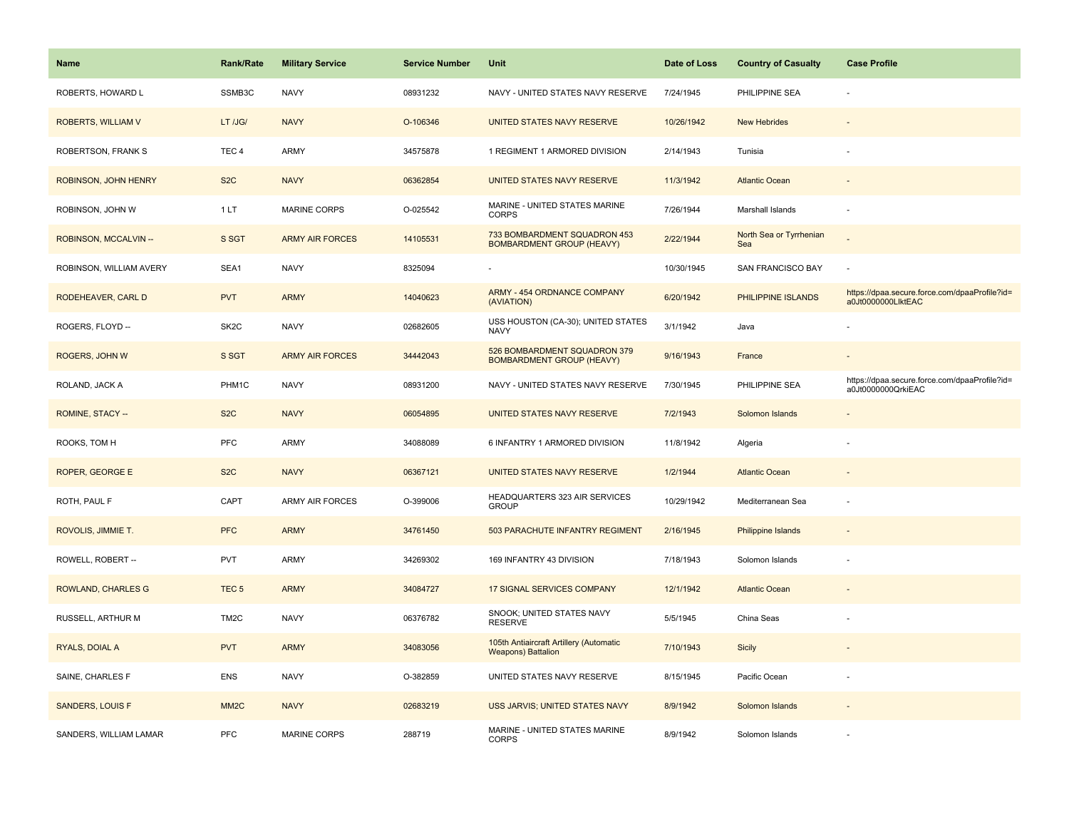| <b>Name</b>             | <b>Rank/Rate</b>  | <b>Military Service</b> | <b>Service Number</b> | Unit                                                                 | Date of Loss | <b>Country of Casualty</b>     | <b>Case Profile</b>                                                 |
|-------------------------|-------------------|-------------------------|-----------------------|----------------------------------------------------------------------|--------------|--------------------------------|---------------------------------------------------------------------|
| ROBERTS, HOWARD L       | SSMB3C            | <b>NAVY</b>             | 08931232              | NAVY - UNITED STATES NAVY RESERVE                                    | 7/24/1945    | PHILIPPINE SEA                 |                                                                     |
| ROBERTS, WILLIAM V      | LT /JG/           | <b>NAVY</b>             | O-106346              | UNITED STATES NAVY RESERVE                                           | 10/26/1942   | <b>New Hebrides</b>            |                                                                     |
| ROBERTSON, FRANK S      | TEC <sub>4</sub>  | ARMY                    | 34575878              | 1 REGIMENT 1 ARMORED DIVISION                                        | 2/14/1943    | Tunisia                        |                                                                     |
| ROBINSON, JOHN HENRY    | S <sub>2</sub> C  | <b>NAVY</b>             | 06362854              | UNITED STATES NAVY RESERVE                                           | 11/3/1942    | <b>Atlantic Ocean</b>          |                                                                     |
| ROBINSON, JOHN W        | 1LT               | <b>MARINE CORPS</b>     | O-025542              | MARINE - UNITED STATES MARINE<br><b>CORPS</b>                        | 7/26/1944    | Marshall Islands               |                                                                     |
| ROBINSON, MCCALVIN-     | S SGT             | <b>ARMY AIR FORCES</b>  | 14105531              | 733 BOMBARDMENT SQUADRON 453<br><b>BOMBARDMENT GROUP (HEAVY)</b>     | 2/22/1944    | North Sea or Tyrrhenian<br>Sea |                                                                     |
| ROBINSON, WILLIAM AVERY | SEA1              | <b>NAVY</b>             | 8325094               |                                                                      | 10/30/1945   | SAN FRANCISCO BAY              | ÷,                                                                  |
| RODEHEAVER, CARL D      | <b>PVT</b>        | <b>ARMY</b>             | 14040623              | <b>ARMY - 454 ORDNANCE COMPANY</b><br>(AVIATION)                     | 6/20/1942    | PHILIPPINE ISLANDS             | https://dpaa.secure.force.com/dpaaProfile?id=<br>a0Jt0000000LlktEAC |
| ROGERS, FLOYD --        | SK <sub>2</sub> C | <b>NAVY</b>             | 02682605              | USS HOUSTON (CA-30); UNITED STATES<br><b>NAVY</b>                    | 3/1/1942     | Java                           |                                                                     |
| ROGERS, JOHN W          | S SGT             | <b>ARMY AIR FORCES</b>  | 34442043              | 526 BOMBARDMENT SQUADRON 379<br><b>BOMBARDMENT GROUP (HEAVY)</b>     | 9/16/1943    | France                         |                                                                     |
| ROLAND, JACK A          | PHM1C             | <b>NAVY</b>             | 08931200              | NAVY - UNITED STATES NAVY RESERVE                                    | 7/30/1945    | PHILIPPINE SEA                 | https://dpaa.secure.force.com/dpaaProfile?id=<br>a0Jt0000000QrkiEAC |
| ROMINE, STACY --        | S <sub>2</sub> C  | <b>NAVY</b>             | 06054895              | UNITED STATES NAVY RESERVE                                           | 7/2/1943     | Solomon Islands                |                                                                     |
| ROOKS, TOM H            | <b>PFC</b>        | <b>ARMY</b>             | 34088089              | 6 INFANTRY 1 ARMORED DIVISION                                        | 11/8/1942    | Algeria                        |                                                                     |
| ROPER, GEORGE E         | S <sub>2</sub> C  | <b>NAVY</b>             | 06367121              | UNITED STATES NAVY RESERVE                                           | 1/2/1944     | <b>Atlantic Ocean</b>          |                                                                     |
| ROTH, PAUL F            | CAPT              | <b>ARMY AIR FORCES</b>  | O-399006              | HEADQUARTERS 323 AIR SERVICES<br><b>GROUP</b>                        | 10/29/1942   | Mediterranean Sea              | ÷,                                                                  |
| ROVOLIS, JIMMIE T.      | <b>PFC</b>        | <b>ARMY</b>             | 34761450              | 503 PARACHUTE INFANTRY REGIMENT                                      | 2/16/1945    | Philippine Islands             |                                                                     |
| ROWELL, ROBERT --       | PVT               | <b>ARMY</b>             | 34269302              | 169 INFANTRY 43 DIVISION                                             | 7/18/1943    | Solomon Islands                |                                                                     |
| ROWLAND, CHARLES G      | TEC <sub>5</sub>  | <b>ARMY</b>             | 34084727              | 17 SIGNAL SERVICES COMPANY                                           | 12/1/1942    | <b>Atlantic Ocean</b>          |                                                                     |
| RUSSELL, ARTHUR M       | TM <sub>2</sub> C | <b>NAVY</b>             | 06376782              | SNOOK; UNITED STATES NAVY<br><b>RESERVE</b>                          | 5/5/1945     | China Seas                     |                                                                     |
| RYALS, DOIAL A          | <b>PVT</b>        | <b>ARMY</b>             | 34083056              | 105th Antiaircraft Artillery (Automatic<br><b>Weapons) Battalion</b> | 7/10/1943    | Sicily                         |                                                                     |
| SAINE, CHARLES F        | <b>ENS</b>        | <b>NAVY</b>             | O-382859              | UNITED STATES NAVY RESERVE                                           | 8/15/1945    | Pacific Ocean                  |                                                                     |
| <b>SANDERS, LOUIS F</b> | MM <sub>2</sub> C | <b>NAVY</b>             | 02683219              | USS JARVIS; UNITED STATES NAVY                                       | 8/9/1942     | Solomon Islands                |                                                                     |
| SANDERS, WILLIAM LAMAR  | PFC               | MARINE CORPS            | 288719                | MARINE - UNITED STATES MARINE<br><b>CORPS</b>                        | 8/9/1942     | Solomon Islands                |                                                                     |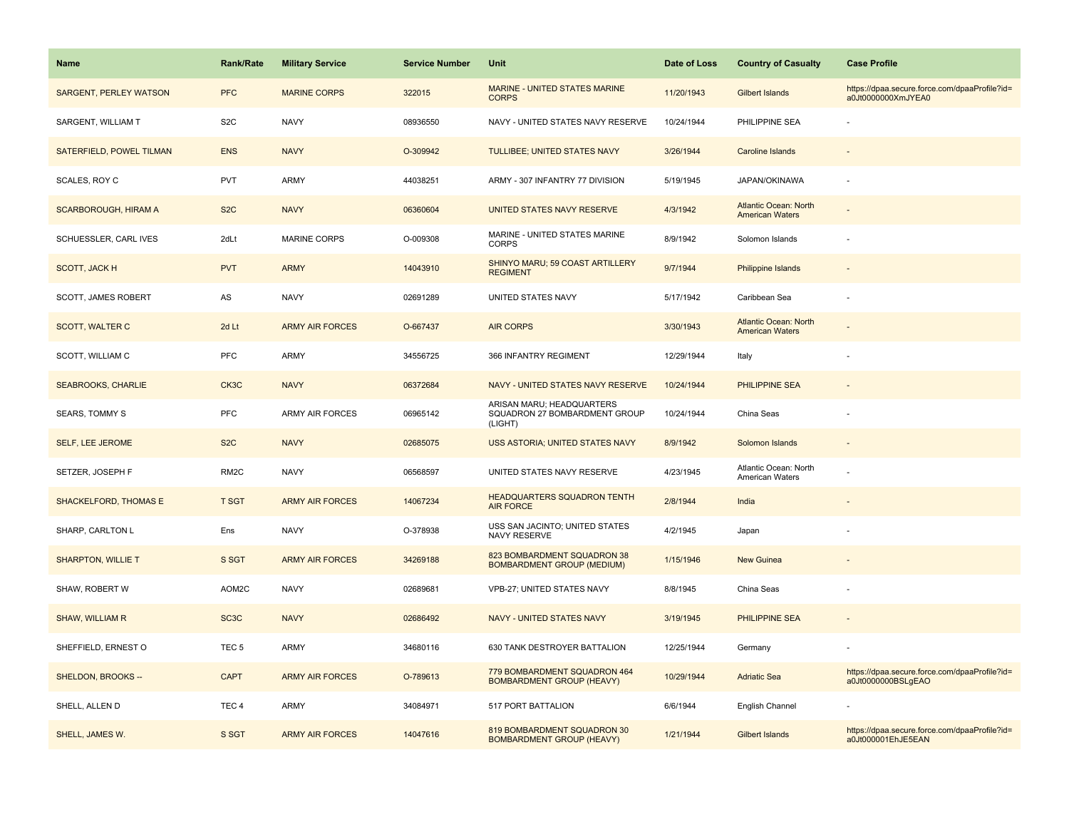| Name                          | <b>Rank/Rate</b>  | <b>Military Service</b> | <b>Service Number</b> | Unit                                                                  | Date of Loss | <b>Country of Casualty</b>                             | <b>Case Profile</b>                                                 |
|-------------------------------|-------------------|-------------------------|-----------------------|-----------------------------------------------------------------------|--------------|--------------------------------------------------------|---------------------------------------------------------------------|
| <b>SARGENT, PERLEY WATSON</b> | <b>PFC</b>        | <b>MARINE CORPS</b>     | 322015                | MARINE - UNITED STATES MARINE<br><b>CORPS</b>                         | 11/20/1943   | Gilbert Islands                                        | https://dpaa.secure.force.com/dpaaProfile?id=<br>a0Jt0000000XmJYEA0 |
| SARGENT, WILLIAM T            | S <sub>2</sub> C  | <b>NAVY</b>             | 08936550              | NAVY - UNITED STATES NAVY RESERVE                                     | 10/24/1944   | PHILIPPINE SEA                                         |                                                                     |
| SATERFIELD, POWEL TILMAN      | <b>ENS</b>        | <b>NAVY</b>             | O-309942              | TULLIBEE; UNITED STATES NAVY                                          | 3/26/1944    | Caroline Islands                                       |                                                                     |
| SCALES, ROY C                 | <b>PVT</b>        | <b>ARMY</b>             | 44038251              | ARMY - 307 INFANTRY 77 DIVISION                                       | 5/19/1945    | JAPAN/OKINAWA                                          |                                                                     |
| <b>SCARBOROUGH, HIRAM A</b>   | S <sub>2</sub> C  | <b>NAVY</b>             | 06360604              | UNITED STATES NAVY RESERVE                                            | 4/3/1942     | <b>Atlantic Ocean: North</b><br><b>American Waters</b> |                                                                     |
| SCHUESSLER, CARL IVES         | 2dLt              | <b>MARINE CORPS</b>     | O-009308              | MARINE - UNITED STATES MARINE<br><b>CORPS</b>                         | 8/9/1942     | Solomon Islands                                        |                                                                     |
| <b>SCOTT, JACK H</b>          | <b>PVT</b>        | <b>ARMY</b>             | 14043910              | SHINYO MARU; 59 COAST ARTILLERY<br><b>REGIMENT</b>                    | 9/7/1944     | Philippine Islands                                     |                                                                     |
| SCOTT, JAMES ROBERT           | AS                | <b>NAVY</b>             | 02691289              | UNITED STATES NAVY                                                    | 5/17/1942    | Caribbean Sea                                          |                                                                     |
| <b>SCOTT, WALTER C</b>        | 2d Lt             | <b>ARMY AIR FORCES</b>  | O-667437              | <b>AIR CORPS</b>                                                      | 3/30/1943    | <b>Atlantic Ocean: North</b><br><b>American Waters</b> |                                                                     |
| SCOTT, WILLIAM C              | <b>PFC</b>        | <b>ARMY</b>             | 34556725              | 366 INFANTRY REGIMENT                                                 | 12/29/1944   | Italy                                                  |                                                                     |
| <b>SEABROOKS, CHARLIE</b>     | CK3C              | <b>NAVY</b>             | 06372684              | NAVY - UNITED STATES NAVY RESERVE                                     | 10/24/1944   | <b>PHILIPPINE SEA</b>                                  |                                                                     |
| <b>SEARS, TOMMY S</b>         | PFC               | ARMY AIR FORCES         | 06965142              | ARISAN MARU; HEADQUARTERS<br>SQUADRON 27 BOMBARDMENT GROUP<br>(LIGHT) | 10/24/1944   | China Seas                                             |                                                                     |
| <b>SELF, LEE JEROME</b>       | S <sub>2</sub> C  | <b>NAVY</b>             | 02685075              | USS ASTORIA; UNITED STATES NAVY                                       | 8/9/1942     | Solomon Islands                                        |                                                                     |
| SETZER, JOSEPH F              | RM <sub>2</sub> C | <b>NAVY</b>             | 06568597              | UNITED STATES NAVY RESERVE                                            | 4/23/1945    | Atlantic Ocean: North<br>American Waters               |                                                                     |
| <b>SHACKELFORD, THOMAS E</b>  | <b>T SGT</b>      | <b>ARMY AIR FORCES</b>  | 14067234              | <b>HEADQUARTERS SQUADRON TENTH</b><br><b>AIR FORCE</b>                | 2/8/1944     | India                                                  |                                                                     |
| SHARP, CARLTON L              | Ens               | <b>NAVY</b>             | O-378938              | USS SAN JACINTO; UNITED STATES<br>NAVY RESERVE                        | 4/2/1945     | Japan                                                  |                                                                     |
| <b>SHARPTON, WILLIE T</b>     | S SGT             | <b>ARMY AIR FORCES</b>  | 34269188              | 823 BOMBARDMENT SQUADRON 38<br><b>BOMBARDMENT GROUP (MEDIUM)</b>      | 1/15/1946    | New Guinea                                             |                                                                     |
| SHAW, ROBERT W                | AOM2C             | <b>NAVY</b>             | 02689681              | VPB-27; UNITED STATES NAVY                                            | 8/8/1945     | China Seas                                             |                                                                     |
| <b>SHAW, WILLIAM R</b>        | SC <sub>3</sub> C | <b>NAVY</b>             | 02686492              | NAVY - UNITED STATES NAVY                                             | 3/19/1945    | PHILIPPINE SEA                                         |                                                                     |
| SHEFFIELD, ERNEST O           | TEC <sub>5</sub>  | ARMY                    | 34680116              | 630 TANK DESTROYER BATTALION                                          | 12/25/1944   | Germany                                                |                                                                     |
| SHELDON, BROOKS --            | <b>CAPT</b>       | <b>ARMY AIR FORCES</b>  | O-789613              | 779 BOMBARDMENT SQUADRON 464<br><b>BOMBARDMENT GROUP (HEAVY)</b>      | 10/29/1944   | <b>Adriatic Sea</b>                                    | https://dpaa.secure.force.com/dpaaProfile?id=<br>a0Jt0000000BSLgEAO |
| SHELL, ALLEN D                | TEC <sub>4</sub>  | <b>ARMY</b>             | 34084971              | 517 PORT BATTALION                                                    | 6/6/1944     | English Channel                                        |                                                                     |
| SHELL, JAMES W.               | S SGT             | <b>ARMY AIR FORCES</b>  | 14047616              | 819 BOMBARDMENT SQUADRON 30<br><b>BOMBARDMENT GROUP (HEAVY)</b>       | 1/21/1944    | <b>Gilbert Islands</b>                                 | https://dpaa.secure.force.com/dpaaProfile?id=<br>a0Jt000001EhJE5EAN |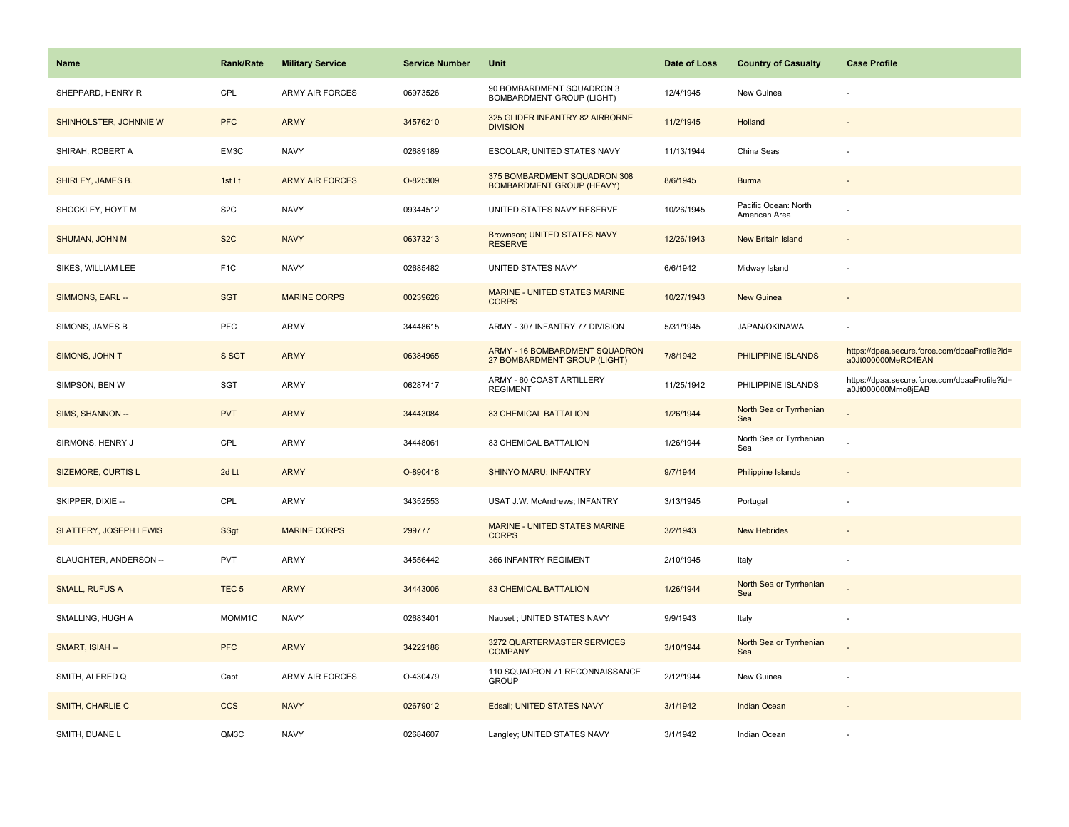| <b>Name</b>                   | Rank/Rate          | <b>Military Service</b> | <b>Service Number</b> | Unit                                                             | Date of Loss | <b>Country of Casualty</b>            | <b>Case Profile</b>                                                 |
|-------------------------------|--------------------|-------------------------|-----------------------|------------------------------------------------------------------|--------------|---------------------------------------|---------------------------------------------------------------------|
| SHEPPARD, HENRY R             | CPL                | <b>ARMY AIR FORCES</b>  | 06973526              | 90 BOMBARDMENT SQUADRON 3<br><b>BOMBARDMENT GROUP (LIGHT)</b>    | 12/4/1945    | New Guinea                            |                                                                     |
| SHINHOLSTER, JOHNNIE W        | <b>PFC</b>         | <b>ARMY</b>             | 34576210              | 325 GLIDER INFANTRY 82 AIRBORNE<br><b>DIVISION</b>               | 11/2/1945    | Holland                               |                                                                     |
| SHIRAH, ROBERT A              | EM3C               | <b>NAVY</b>             | 02689189              | ESCOLAR; UNITED STATES NAVY                                      | 11/13/1944   | China Seas                            |                                                                     |
| SHIRLEY, JAMES B.             | 1st Lt             | <b>ARMY AIR FORCES</b>  | O-825309              | 375 BOMBARDMENT SQUADRON 308<br><b>BOMBARDMENT GROUP (HEAVY)</b> | 8/6/1945     | <b>Burma</b>                          |                                                                     |
| SHOCKLEY, HOYT M              | S <sub>2</sub> C   | <b>NAVY</b>             | 09344512              | UNITED STATES NAVY RESERVE                                       | 10/26/1945   | Pacific Ocean: North<br>American Area |                                                                     |
| SHUMAN, JOHN M                | S <sub>2</sub> C   | <b>NAVY</b>             | 06373213              | Brownson; UNITED STATES NAVY<br><b>RESERVE</b>                   | 12/26/1943   | <b>New Britain Island</b>             |                                                                     |
| SIKES, WILLIAM LEE            | F <sub>1</sub> C   | <b>NAVY</b>             | 02685482              | <b>UNITED STATES NAVY</b>                                        | 6/6/1942     | Midway Island                         |                                                                     |
| SIMMONS, EARL --              | <b>SGT</b>         | <b>MARINE CORPS</b>     | 00239626              | <b>MARINE - UNITED STATES MARINE</b><br><b>CORPS</b>             | 10/27/1943   | <b>New Guinea</b>                     |                                                                     |
| SIMONS, JAMES B               | PFC                | <b>ARMY</b>             | 34448615              | ARMY - 307 INFANTRY 77 DIVISION                                  | 5/31/1945    | JAPAN/OKINAWA                         |                                                                     |
| SIMONS, JOHN T                | S SGT              | <b>ARMY</b>             | 06384965              | ARMY - 16 BOMBARDMENT SQUADRON<br>27 BOMBARDMENT GROUP (LIGHT)   | 7/8/1942     | PHILIPPINE ISLANDS                    | https://dpaa.secure.force.com/dpaaProfile?id=<br>a0Jt000000MeRC4EAN |
| SIMPSON, BEN W                | SGT                | ARMY                    | 06287417              | ARMY - 60 COAST ARTILLERY<br><b>REGIMENT</b>                     | 11/25/1942   | PHILIPPINE ISLANDS                    | https://dpaa.secure.force.com/dpaaProfile?id=<br>a0Jt000000Mmo8jEAB |
| SIMS, SHANNON --              | <b>PVT</b>         | <b>ARMY</b>             | 34443084              | <b>83 CHEMICAL BATTALION</b>                                     | 1/26/1944    | North Sea or Tyrrhenian<br>Sea        |                                                                     |
| SIRMONS, HENRY J              | <b>CPL</b>         | ARMY                    | 34448061              | 83 CHEMICAL BATTALION                                            | 1/26/1944    | North Sea or Tyrrhenian<br>Sea        |                                                                     |
| <b>SIZEMORE, CURTIS L</b>     | 2d Lt              | <b>ARMY</b>             | O-890418              | <b>SHINYO MARU; INFANTRY</b>                                     | 9/7/1944     | Philippine Islands                    |                                                                     |
| SKIPPER, DIXIE --             | CPL                | ARMY                    | 34352553              | USAT J.W. McAndrews; INFANTRY                                    | 3/13/1945    | Portugal                              |                                                                     |
| <b>SLATTERY, JOSEPH LEWIS</b> | SSgt               | <b>MARINE CORPS</b>     | 299777                | <b>MARINE - UNITED STATES MARINE</b><br><b>CORPS</b>             | 3/2/1943     | <b>New Hebrides</b>                   |                                                                     |
| SLAUGHTER, ANDERSON --        | <b>PVT</b>         | <b>ARMY</b>             | 34556442              | 366 INFANTRY REGIMENT                                            | 2/10/1945    | Italy                                 |                                                                     |
| <b>SMALL, RUFUS A</b>         | TEC <sub>5</sub>   | <b>ARMY</b>             | 34443006              | <b>83 CHEMICAL BATTALION</b>                                     | 1/26/1944    | North Sea or Tyrrhenian<br>Sea        |                                                                     |
| SMALLING, HUGH A              | MOMM <sub>1C</sub> | <b>NAVY</b>             | 02683401              | Nauset; UNITED STATES NAVY                                       | 9/9/1943     | Italy                                 |                                                                     |
| SMART, ISIAH --               | <b>PFC</b>         | <b>ARMY</b>             | 34222186              | 3272 QUARTERMASTER SERVICES<br><b>COMPANY</b>                    | 3/10/1944    | North Sea or Tyrrhenian<br>Sea        |                                                                     |
| SMITH, ALFRED Q               | Capt               | <b>ARMY AIR FORCES</b>  | O-430479              | 110 SQUADRON 71 RECONNAISSANCE<br><b>GROUP</b>                   | 2/12/1944    | New Guinea                            | ÷,                                                                  |
| SMITH, CHARLIE C              | <b>CCS</b>         | <b>NAVY</b>             | 02679012              | Edsall; UNITED STATES NAVY                                       | 3/1/1942     | <b>Indian Ocean</b>                   |                                                                     |
| SMITH, DUANE L                | QM3C               | <b>NAVY</b>             | 02684607              | Langley; UNITED STATES NAVY                                      | 3/1/1942     | Indian Ocean                          |                                                                     |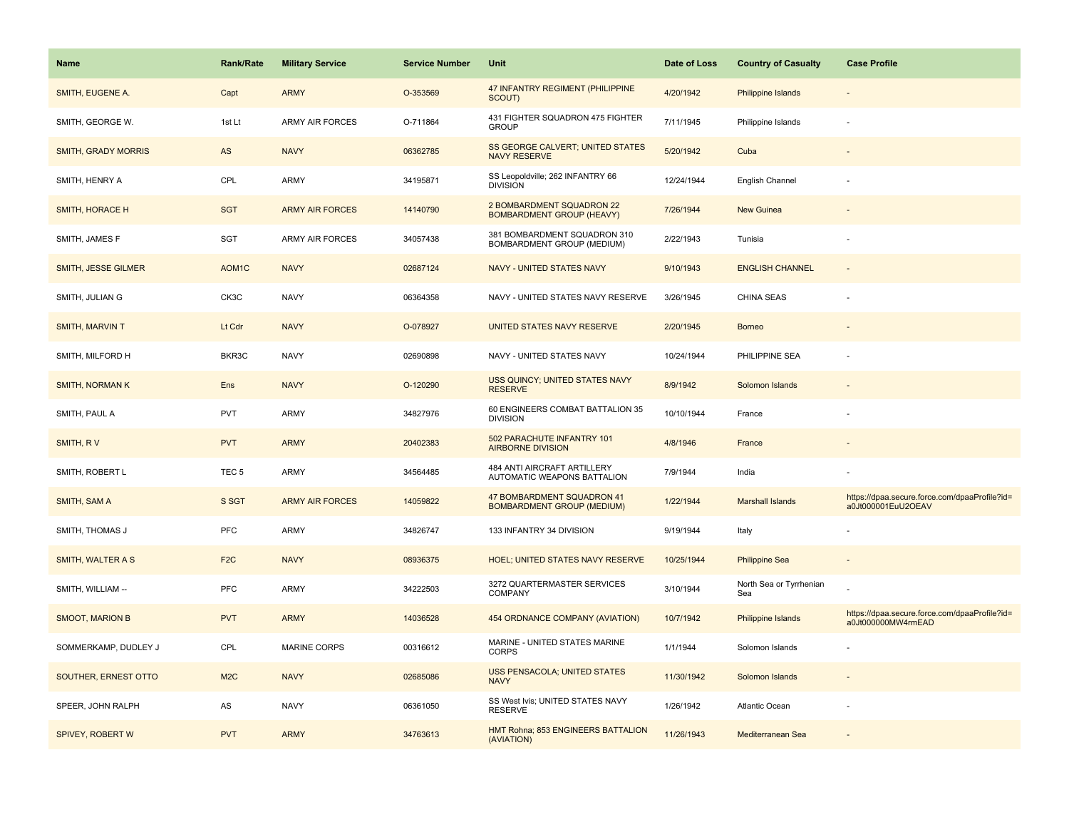| <b>Name</b>                | <b>Rank/Rate</b>   | <b>Military Service</b> | <b>Service Number</b> | Unit                                                            | Date of Loss | <b>Country of Casualty</b>     | <b>Case Profile</b>                                                 |
|----------------------------|--------------------|-------------------------|-----------------------|-----------------------------------------------------------------|--------------|--------------------------------|---------------------------------------------------------------------|
| SMITH, EUGENE A.           | Capt               | <b>ARMY</b>             | O-353569              | 47 INFANTRY REGIMENT (PHILIPPINE<br>SCOUT)                      | 4/20/1942    | Philippine Islands             |                                                                     |
| SMITH, GEORGE W.           | 1st Lt             | ARMY AIR FORCES         | O-711864              | 431 FIGHTER SQUADRON 475 FIGHTER<br><b>GROUP</b>                | 7/11/1945    | Philippine Islands             |                                                                     |
| <b>SMITH, GRADY MORRIS</b> | AS                 | <b>NAVY</b>             | 06362785              | SS GEORGE CALVERT; UNITED STATES<br><b>NAVY RESERVE</b>         | 5/20/1942    | Cuba                           |                                                                     |
| SMITH, HENRY A             | CPL                | ARMY                    | 34195871              | SS Leopoldville; 262 INFANTRY 66<br><b>DIVISION</b>             | 12/24/1944   | English Channel                |                                                                     |
| <b>SMITH, HORACE H</b>     | <b>SGT</b>         | <b>ARMY AIR FORCES</b>  | 14140790              | 2 BOMBARDMENT SQUADRON 22<br><b>BOMBARDMENT GROUP (HEAVY)</b>   | 7/26/1944    | <b>New Guinea</b>              |                                                                     |
| SMITH, JAMES F             | SGT                | <b>ARMY AIR FORCES</b>  | 34057438              | 381 BOMBARDMENT SQUADRON 310<br>BOMBARDMENT GROUP (MEDIUM)      | 2/22/1943    | Tunisia                        |                                                                     |
| SMITH, JESSE GILMER        | AOM <sub>1</sub> C | <b>NAVY</b>             | 02687124              | NAVY - UNITED STATES NAVY                                       | 9/10/1943    | <b>ENGLISH CHANNEL</b>         |                                                                     |
| SMITH, JULIAN G            | CK3C               | <b>NAVY</b>             | 06364358              | NAVY - UNITED STATES NAVY RESERVE                               | 3/26/1945    | <b>CHINA SEAS</b>              |                                                                     |
| <b>SMITH, MARVIN T</b>     | Lt Cdr             | <b>NAVY</b>             | O-078927              | UNITED STATES NAVY RESERVE                                      | 2/20/1945    | <b>Borneo</b>                  |                                                                     |
| SMITH, MILFORD H           | BKR3C              | <b>NAVY</b>             | 02690898              | NAVY - UNITED STATES NAVY                                       | 10/24/1944   | PHILIPPINE SEA                 |                                                                     |
| <b>SMITH, NORMAN K</b>     | Ens                | <b>NAVY</b>             | O-120290              | USS QUINCY; UNITED STATES NAVY<br><b>RESERVE</b>                | 8/9/1942     | Solomon Islands                |                                                                     |
| SMITH, PAUL A              | <b>PVT</b>         | ARMY                    | 34827976              | 60 ENGINEERS COMBAT BATTALION 35<br><b>DIVISION</b>             | 10/10/1944   | France                         |                                                                     |
| SMITH, RV                  | <b>PVT</b>         | <b>ARMY</b>             | 20402383              | 502 PARACHUTE INFANTRY 101<br><b>AIRBORNE DIVISION</b>          | 4/8/1946     | France                         |                                                                     |
| SMITH, ROBERT L            | TEC <sub>5</sub>   | ARMY                    | 34564485              | 484 ANTI AIRCRAFT ARTILLERY<br>AUTOMATIC WEAPONS BATTALION      | 7/9/1944     | India                          |                                                                     |
| SMITH, SAM A               | S SGT              | <b>ARMY AIR FORCES</b>  | 14059822              | 47 BOMBARDMENT SQUADRON 41<br><b>BOMBARDMENT GROUP (MEDIUM)</b> | 1/22/1944    | <b>Marshall Islands</b>        | https://dpaa.secure.force.com/dpaaProfile?id=<br>a0Jt000001EuU2OEAV |
| SMITH, THOMAS J            | PFC                | ARMY                    | 34826747              | 133 INFANTRY 34 DIVISION                                        | 9/19/1944    | Italy                          |                                                                     |
| SMITH, WALTER A S          | F <sub>2</sub> C   | <b>NAVY</b>             | 08936375              | <b>HOEL; UNITED STATES NAVY RESERVE</b>                         | 10/25/1944   | <b>Philippine Sea</b>          |                                                                     |
| SMITH, WILLIAM --          | PFC                | ARMY                    | 34222503              | 3272 QUARTERMASTER SERVICES<br><b>COMPANY</b>                   | 3/10/1944    | North Sea or Tyrrhenian<br>Sea |                                                                     |
| <b>SMOOT, MARION B</b>     | <b>PVT</b>         | <b>ARMY</b>             | 14036528              | 454 ORDNANCE COMPANY (AVIATION)                                 | 10/7/1942    | Philippine Islands             | https://dpaa.secure.force.com/dpaaProfile?id=<br>a0Jt000000MW4rmEAD |
| SOMMERKAMP, DUDLEY J       | CPL                | <b>MARINE CORPS</b>     | 00316612              | MARINE - UNITED STATES MARINE<br><b>CORPS</b>                   | 1/1/1944     | Solomon Islands                |                                                                     |
| SOUTHER, ERNEST OTTO       | M <sub>2</sub> C   | <b>NAVY</b>             | 02685086              | <b>USS PENSACOLA; UNITED STATES</b><br><b>NAVY</b>              | 11/30/1942   | Solomon Islands                |                                                                     |
| SPEER, JOHN RALPH          | AS                 | <b>NAVY</b>             | 06361050              | SS West Ivis; UNITED STATES NAVY<br><b>RESERVE</b>              | 1/26/1942    | Atlantic Ocean                 |                                                                     |
| SPIVEY, ROBERT W           | <b>PVT</b>         | <b>ARMY</b>             | 34763613              | HMT Rohna; 853 ENGINEERS BATTALION<br>(AVIATION)                | 11/26/1943   | Mediterranean Sea              |                                                                     |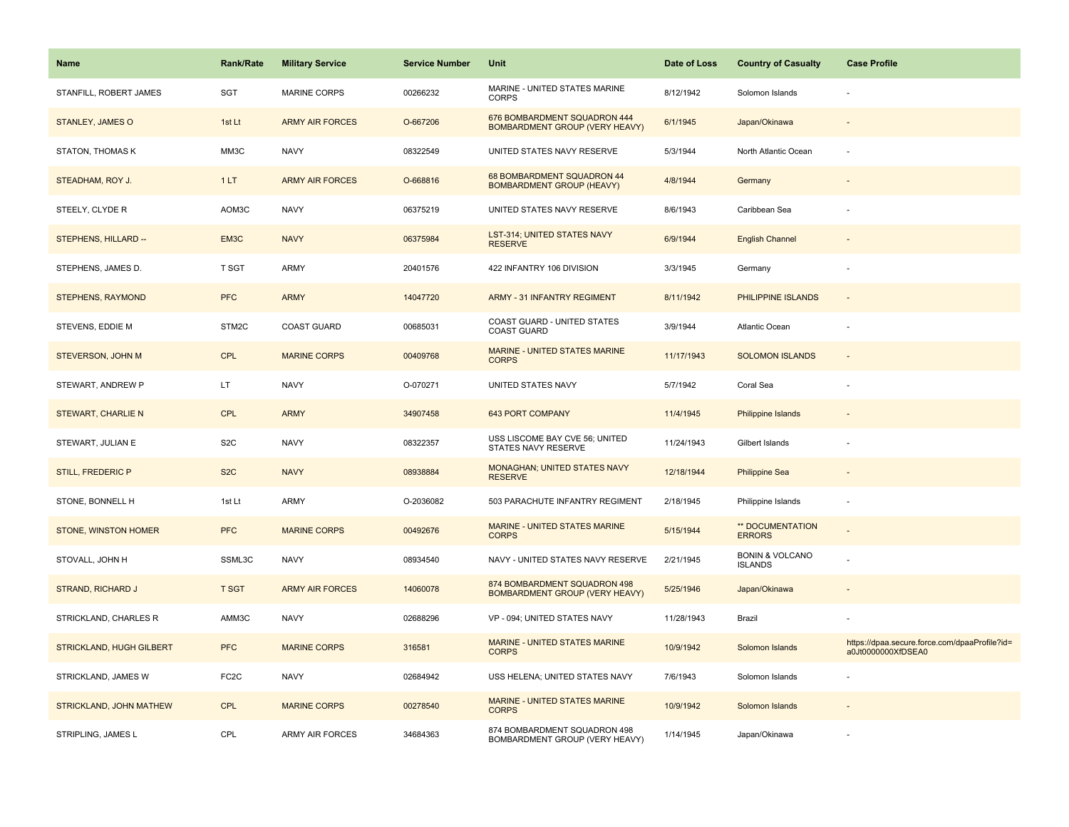| <b>Name</b>               | <b>Rank/Rate</b>  | <b>Military Service</b> | <b>Service Number</b> | Unit                                                                  | Date of Loss | <b>Country of Casualty</b>                   | <b>Case Profile</b>                                                 |
|---------------------------|-------------------|-------------------------|-----------------------|-----------------------------------------------------------------------|--------------|----------------------------------------------|---------------------------------------------------------------------|
| STANFILL, ROBERT JAMES    | <b>SGT</b>        | <b>MARINE CORPS</b>     | 00266232              | MARINE - UNITED STATES MARINE<br><b>CORPS</b>                         | 8/12/1942    | Solomon Islands                              |                                                                     |
| <b>STANLEY, JAMES O</b>   | 1st Lt            | <b>ARMY AIR FORCES</b>  | O-667206              | 676 BOMBARDMENT SQUADRON 444<br><b>BOMBARDMENT GROUP (VERY HEAVY)</b> | 6/1/1945     | Japan/Okinawa                                |                                                                     |
| <b>STATON, THOMAS K</b>   | MM3C              | <b>NAVY</b>             | 08322549              | UNITED STATES NAVY RESERVE                                            | 5/3/1944     | North Atlantic Ocean                         |                                                                     |
| STEADHAM, ROY J.          | 1LT               | <b>ARMY AIR FORCES</b>  | O-668816              | 68 BOMBARDMENT SQUADRON 44<br><b>BOMBARDMENT GROUP (HEAVY)</b>        | 4/8/1944     | Germany                                      |                                                                     |
| STEELY, CLYDE R           | AOM3C             | <b>NAVY</b>             | 06375219              | UNITED STATES NAVY RESERVE                                            | 8/6/1943     | Caribbean Sea                                |                                                                     |
| STEPHENS, HILLARD --      | EM3C              | <b>NAVY</b>             | 06375984              | <b>LST-314; UNITED STATES NAVY</b><br><b>RESERVE</b>                  | 6/9/1944     | <b>English Channel</b>                       |                                                                     |
| STEPHENS, JAMES D.        | T SGT             | ARMY                    | 20401576              | 422 INFANTRY 106 DIVISION                                             | 3/3/1945     | Germany                                      |                                                                     |
| <b>STEPHENS, RAYMOND</b>  | <b>PFC</b>        | <b>ARMY</b>             | 14047720              | <b>ARMY - 31 INFANTRY REGIMENT</b>                                    | 8/11/1942    | PHILIPPINE ISLANDS                           |                                                                     |
| STEVENS, EDDIE M          | STM2C             | <b>COAST GUARD</b>      | 00685031              | COAST GUARD - UNITED STATES<br><b>COAST GUARD</b>                     | 3/9/1944     | Atlantic Ocean                               |                                                                     |
| STEVERSON, JOHN M         | <b>CPL</b>        | <b>MARINE CORPS</b>     | 00409768              | <b>MARINE - UNITED STATES MARINE</b><br><b>CORPS</b>                  | 11/17/1943   | <b>SOLOMON ISLANDS</b>                       |                                                                     |
| STEWART, ANDREW P         | LT.               | <b>NAVY</b>             | O-070271              | UNITED STATES NAVY                                                    | 5/7/1942     | Coral Sea                                    |                                                                     |
| <b>STEWART, CHARLIE N</b> | <b>CPL</b>        | <b>ARMY</b>             | 34907458              | <b>643 PORT COMPANY</b>                                               | 11/4/1945    | Philippine Islands                           |                                                                     |
| STEWART, JULIAN E         | S <sub>2</sub> C  | <b>NAVY</b>             | 08322357              | USS LISCOME BAY CVE 56; UNITED<br>STATES NAVY RESERVE                 | 11/24/1943   | Gilbert Islands                              |                                                                     |
| <b>STILL, FREDERIC P</b>  | S <sub>2</sub> C  | <b>NAVY</b>             | 08938884              | MONAGHAN; UNITED STATES NAVY<br><b>RESERVE</b>                        | 12/18/1944   | <b>Philippine Sea</b>                        |                                                                     |
| STONE, BONNELL H          | 1st Lt            | ARMY                    | O-2036082             | 503 PARACHUTE INFANTRY REGIMENT                                       | 2/18/1945    | Philippine Islands                           |                                                                     |
| STONE, WINSTON HOMER      | <b>PFC</b>        | <b>MARINE CORPS</b>     | 00492676              | MARINE - UNITED STATES MARINE<br><b>CORPS</b>                         | 5/15/1944    | ** DOCUMENTATION<br><b>ERRORS</b>            |                                                                     |
| STOVALL, JOHN H           | SSML3C            | <b>NAVY</b>             | 08934540              | NAVY - UNITED STATES NAVY RESERVE                                     | 2/21/1945    | <b>BONIN &amp; VOLCANO</b><br><b>ISLANDS</b> |                                                                     |
| STRAND, RICHARD J         | <b>T SGT</b>      | <b>ARMY AIR FORCES</b>  | 14060078              | 874 BOMBARDMENT SQUADRON 498<br><b>BOMBARDMENT GROUP (VERY HEAVY)</b> | 5/25/1946    | Japan/Okinawa                                |                                                                     |
| STRICKLAND, CHARLES R     | AMM3C             | <b>NAVY</b>             | 02688296              | VP - 094; UNITED STATES NAVY                                          | 11/28/1943   | Brazil                                       |                                                                     |
| STRICKLAND, HUGH GILBERT  | <b>PFC</b>        | <b>MARINE CORPS</b>     | 316581                | MARINE - UNITED STATES MARINE<br><b>CORPS</b>                         | 10/9/1942    | Solomon Islands                              | https://dpaa.secure.force.com/dpaaProfile?id=<br>a0Jt0000000XfDSEA0 |
| STRICKLAND, JAMES W       | FC <sub>2</sub> C | <b>NAVY</b>             | 02684942              | USS HELENA; UNITED STATES NAVY                                        | 7/6/1943     | Solomon Islands                              |                                                                     |
| STRICKLAND, JOHN MATHEW   | <b>CPL</b>        | <b>MARINE CORPS</b>     | 00278540              | MARINE - UNITED STATES MARINE<br><b>CORPS</b>                         | 10/9/1942    | Solomon Islands                              |                                                                     |
| STRIPLING, JAMES L        | CPL               | ARMY AIR FORCES         | 34684363              | 874 BOMBARDMENT SQUADRON 498<br>BOMBARDMENT GROUP (VERY HEAVY)        | 1/14/1945    | Japan/Okinawa                                |                                                                     |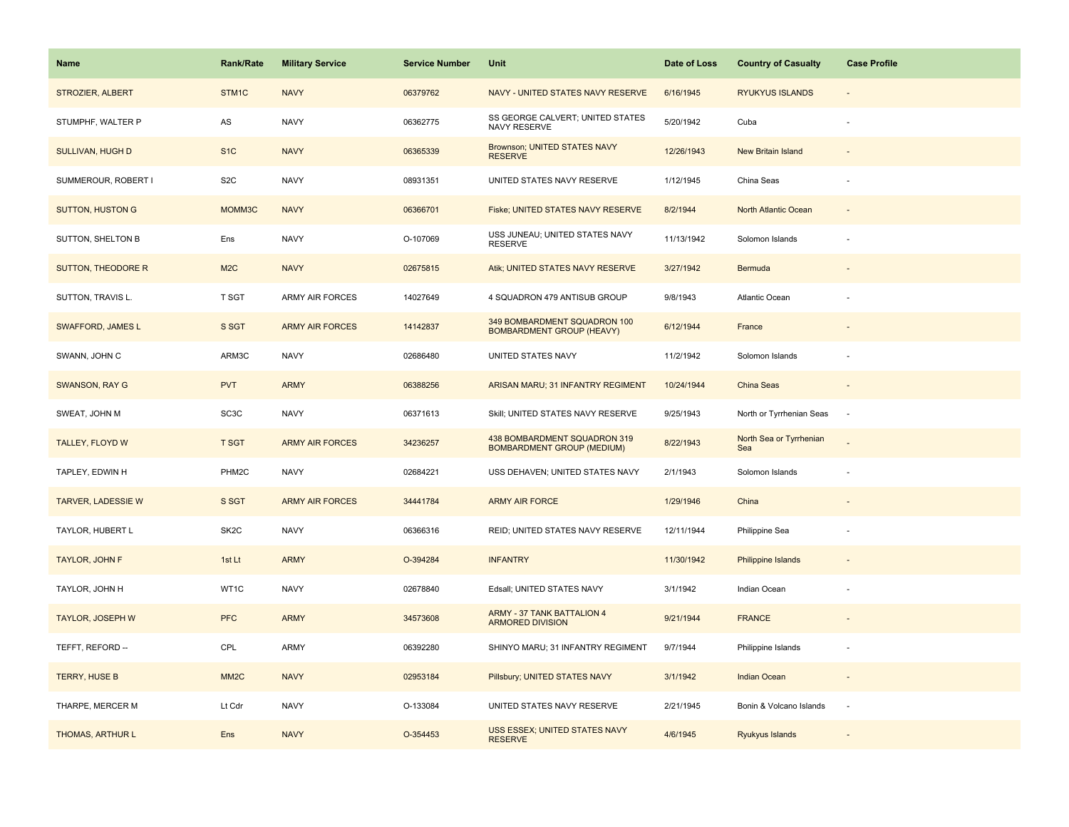| Name                      | <b>Rank/Rate</b>  | <b>Military Service</b> | <b>Service Number</b> | Unit                                                              | Date of Loss | <b>Country of Casualty</b>     | <b>Case Profile</b> |
|---------------------------|-------------------|-------------------------|-----------------------|-------------------------------------------------------------------|--------------|--------------------------------|---------------------|
| STROZIER, ALBERT          | STM1C             | <b>NAVY</b>             | 06379762              | NAVY - UNITED STATES NAVY RESERVE                                 | 6/16/1945    | <b>RYUKYUS ISLANDS</b>         |                     |
| STUMPHF, WALTER P         | ${\sf AS}$        | <b>NAVY</b>             | 06362775              | SS GEORGE CALVERT; UNITED STATES<br>NAVY RESERVE                  | 5/20/1942    | Cuba                           |                     |
| <b>SULLIVAN, HUGH D</b>   | S <sub>1</sub> C  | <b>NAVY</b>             | 06365339              | <b>Brownson; UNITED STATES NAVY</b><br><b>RESERVE</b>             | 12/26/1943   | New Britain Island             |                     |
| SUMMEROUR, ROBERT I       | S <sub>2</sub> C  | <b>NAVY</b>             | 08931351              | UNITED STATES NAVY RESERVE                                        | 1/12/1945    | China Seas                     |                     |
| <b>SUTTON, HUSTON G</b>   | MOMM3C            | <b>NAVY</b>             | 06366701              | Fiske; UNITED STATES NAVY RESERVE                                 | 8/2/1944     | North Atlantic Ocean           |                     |
| SUTTON, SHELTON B         | Ens               | <b>NAVY</b>             | O-107069              | USS JUNEAU; UNITED STATES NAVY<br><b>RESERVE</b>                  | 11/13/1942   | Solomon Islands                |                     |
| <b>SUTTON, THEODORE R</b> | M <sub>2</sub> C  | <b>NAVY</b>             | 02675815              | Atik; UNITED STATES NAVY RESERVE                                  | 3/27/1942    | Bermuda                        |                     |
| SUTTON, TRAVIS L.         | T SGT             | ARMY AIR FORCES         | 14027649              | 4 SQUADRON 479 ANTISUB GROUP                                      | 9/8/1943     | Atlantic Ocean                 |                     |
| <b>SWAFFORD, JAMES L</b>  | S SGT             | <b>ARMY AIR FORCES</b>  | 14142837              | 349 BOMBARDMENT SQUADRON 100<br><b>BOMBARDMENT GROUP (HEAVY)</b>  | 6/12/1944    | France                         |                     |
| SWANN, JOHN C             | ARM3C             | <b>NAVY</b>             | 02686480              | UNITED STATES NAVY                                                | 11/2/1942    | Solomon Islands                |                     |
| <b>SWANSON, RAY G</b>     | <b>PVT</b>        | <b>ARMY</b>             | 06388256              | ARISAN MARU; 31 INFANTRY REGIMENT                                 | 10/24/1944   | <b>China Seas</b>              |                     |
| SWEAT, JOHN M             | SC <sub>3</sub> C | <b>NAVY</b>             | 06371613              | Skill; UNITED STATES NAVY RESERVE                                 | 9/25/1943    | North or Tyrrhenian Seas       | $\sim$              |
| <b>TALLEY, FLOYD W</b>    | <b>T SGT</b>      | <b>ARMY AIR FORCES</b>  | 34236257              | 438 BOMBARDMENT SQUADRON 319<br><b>BOMBARDMENT GROUP (MEDIUM)</b> | 8/22/1943    | North Sea or Tyrrhenian<br>Sea |                     |
| TAPLEY, EDWIN H           | PHM2C             | <b>NAVY</b>             | 02684221              | USS DEHAVEN; UNITED STATES NAVY                                   | 2/1/1943     | Solomon Islands                |                     |
| <b>TARVER, LADESSIE W</b> | S SGT             | <b>ARMY AIR FORCES</b>  | 34441784              | <b>ARMY AIR FORCE</b>                                             | 1/29/1946    | China                          |                     |
| TAYLOR, HUBERT L          | SK <sub>2</sub> C | <b>NAVY</b>             | 06366316              | REID; UNITED STATES NAVY RESERVE                                  | 12/11/1944   | Philippine Sea                 |                     |
| TAYLOR, JOHN F            | 1st Lt            | <b>ARMY</b>             | O-394284              | <b>INFANTRY</b>                                                   | 11/30/1942   | <b>Philippine Islands</b>      |                     |
| TAYLOR, JOHN H            | WT1C              | <b>NAVY</b>             | 02678840              | Edsall; UNITED STATES NAVY                                        | 3/1/1942     | Indian Ocean                   |                     |
| <b>TAYLOR, JOSEPH W</b>   | <b>PFC</b>        | <b>ARMY</b>             | 34573608              | <b>ARMY - 37 TANK BATTALION 4</b><br><b>ARMORED DIVISION</b>      | 9/21/1944    | <b>FRANCE</b>                  |                     |
| TEFFT, REFORD --          | CPL               | ARMY                    | 06392280              | SHINYO MARU; 31 INFANTRY REGIMENT                                 | 9/7/1944     | Philippine Islands             |                     |
| <b>TERRY, HUSE B</b>      | MM <sub>2</sub> C | <b>NAVY</b>             | 02953184              | Pillsbury; UNITED STATES NAVY                                     | 3/1/1942     | <b>Indian Ocean</b>            | $\sim$              |
| THARPE, MERCER M          | Lt Cdr            | <b>NAVY</b>             | O-133084              | UNITED STATES NAVY RESERVE                                        | 2/21/1945    | Bonin & Volcano Islands        | $\sim$              |
| THOMAS, ARTHUR L          | Ens               | <b>NAVY</b>             | O-354453              | USS ESSEX; UNITED STATES NAVY<br><b>RESERVE</b>                   | 4/6/1945     | Ryukyus Islands                |                     |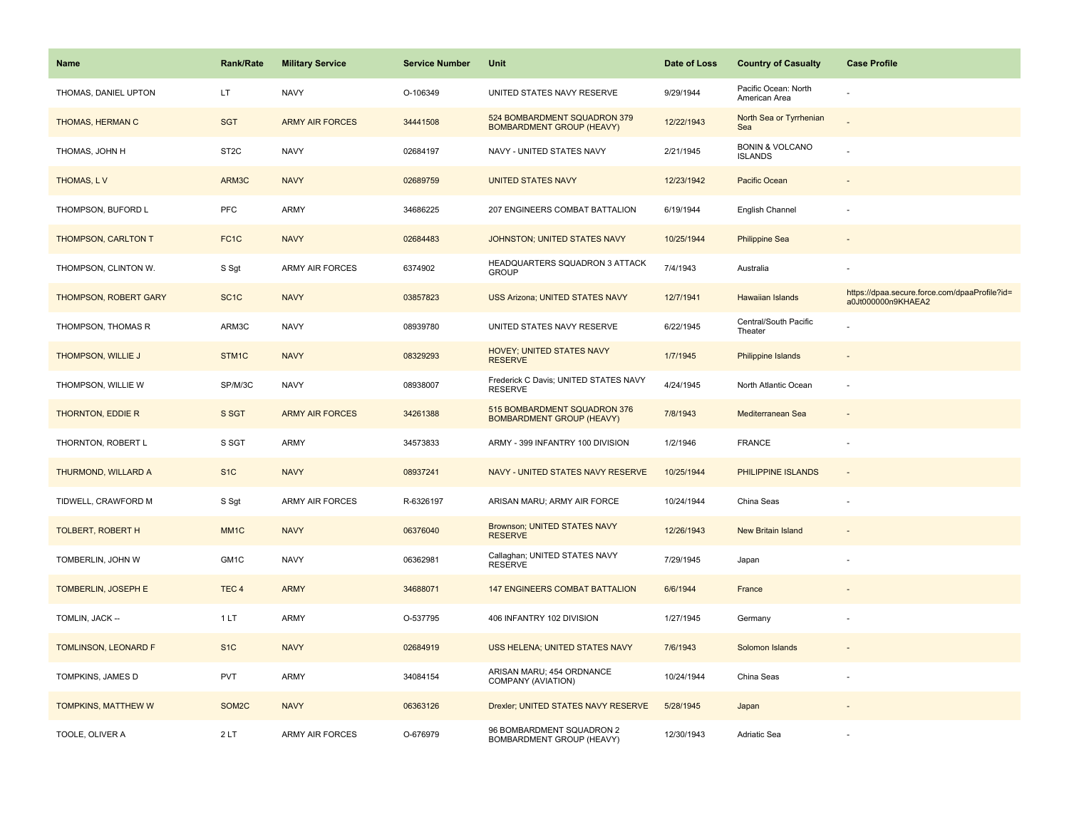| <b>Name</b>                 | <b>Rank/Rate</b>   | <b>Military Service</b> | <b>Service Number</b> | Unit                                                             | Date of Loss | <b>Country of Casualty</b>                   | <b>Case Profile</b>                                                 |
|-----------------------------|--------------------|-------------------------|-----------------------|------------------------------------------------------------------|--------------|----------------------------------------------|---------------------------------------------------------------------|
| THOMAS, DANIEL UPTON        | LT.                | <b>NAVY</b>             | O-106349              | UNITED STATES NAVY RESERVE                                       | 9/29/1944    | Pacific Ocean: North<br>American Area        |                                                                     |
| THOMAS, HERMAN C            | <b>SGT</b>         | <b>ARMY AIR FORCES</b>  | 34441508              | 524 BOMBARDMENT SQUADRON 379<br><b>BOMBARDMENT GROUP (HEAVY)</b> | 12/22/1943   | North Sea or Tyrrhenian<br>Sea               |                                                                     |
| THOMAS, JOHN H              | ST <sub>2</sub> C  | <b>NAVY</b>             | 02684197              | NAVY - UNITED STATES NAVY                                        | 2/21/1945    | <b>BONIN &amp; VOLCANO</b><br><b>ISLANDS</b> |                                                                     |
| THOMAS, LV                  | ARM3C              | <b>NAVY</b>             | 02689759              | <b>UNITED STATES NAVY</b>                                        | 12/23/1942   | Pacific Ocean                                |                                                                     |
| THOMPSON, BUFORD L          | <b>PFC</b>         | <b>ARMY</b>             | 34686225              | 207 ENGINEERS COMBAT BATTALION                                   | 6/19/1944    | English Channel                              |                                                                     |
| THOMPSON, CARLTON T         | FC <sub>1</sub> C  | <b>NAVY</b>             | 02684483              | JOHNSTON; UNITED STATES NAVY                                     | 10/25/1944   | <b>Philippine Sea</b>                        |                                                                     |
| THOMPSON, CLINTON W.        | S Sgt              | ARMY AIR FORCES         | 6374902               | HEADQUARTERS SQUADRON 3 ATTACK<br><b>GROUP</b>                   | 7/4/1943     | Australia                                    |                                                                     |
| THOMPSON, ROBERT GARY       | SC <sub>1</sub> C  | <b>NAVY</b>             | 03857823              | <b>USS Arizona; UNITED STATES NAVY</b>                           | 12/7/1941    | Hawaiian Islands                             | https://dpaa.secure.force.com/dpaaProfile?id=<br>a0Jt000000n9KHAEA2 |
| THOMPSON, THOMAS R          | ARM3C              | <b>NAVY</b>             | 08939780              | UNITED STATES NAVY RESERVE                                       | 6/22/1945    | Central/South Pacific<br>Theater             |                                                                     |
| THOMPSON, WILLIE J          | STM1C              | <b>NAVY</b>             | 08329293              | HOVEY; UNITED STATES NAVY<br><b>RESERVE</b>                      | 1/7/1945     | Philippine Islands                           |                                                                     |
| THOMPSON, WILLIE W          | SP/M/3C            | <b>NAVY</b>             | 08938007              | Frederick C Davis; UNITED STATES NAVY<br><b>RESERVE</b>          | 4/24/1945    | North Atlantic Ocean                         |                                                                     |
| THORNTON, EDDIE R           | S SGT              | <b>ARMY AIR FORCES</b>  | 34261388              | 515 BOMBARDMENT SQUADRON 376<br><b>BOMBARDMENT GROUP (HEAVY)</b> | 7/8/1943     | Mediterranean Sea                            | $\overline{\phantom{a}}$                                            |
| THORNTON, ROBERT L          | S SGT              | <b>ARMY</b>             | 34573833              | ARMY - 399 INFANTRY 100 DIVISION                                 | 1/2/1946     | <b>FRANCE</b>                                |                                                                     |
| THURMOND, WILLARD A         | S <sub>1</sub> C   | <b>NAVY</b>             | 08937241              | NAVY - UNITED STATES NAVY RESERVE                                | 10/25/1944   | PHILIPPINE ISLANDS                           | $\sim$                                                              |
| TIDWELL, CRAWFORD M         | S Sgt              | <b>ARMY AIR FORCES</b>  | R-6326197             | ARISAN MARU; ARMY AIR FORCE                                      | 10/24/1944   | China Seas                                   |                                                                     |
| <b>TOLBERT, ROBERT H</b>    | MM <sub>1</sub> C  | <b>NAVY</b>             | 06376040              | <b>Brownson; UNITED STATES NAVY</b><br><b>RESERVE</b>            | 12/26/1943   | <b>New Britain Island</b>                    |                                                                     |
| TOMBERLIN, JOHN W           | GM1C               | <b>NAVY</b>             | 06362981              | Callaghan; UNITED STATES NAVY<br><b>RESERVE</b>                  | 7/29/1945    | Japan                                        |                                                                     |
| <b>TOMBERLIN, JOSEPH E</b>  | TEC <sub>4</sub>   | <b>ARMY</b>             | 34688071              | <b>147 ENGINEERS COMBAT BATTALION</b>                            | 6/6/1944     | France                                       |                                                                     |
| TOMLIN, JACK --             | 1LT                | <b>ARMY</b>             | O-537795              | 406 INFANTRY 102 DIVISION                                        | 1/27/1945    | Germany                                      |                                                                     |
| <b>TOMLINSON, LEONARD F</b> | S <sub>1</sub> C   | <b>NAVY</b>             | 02684919              | USS HELENA; UNITED STATES NAVY                                   | 7/6/1943     | Solomon Islands                              |                                                                     |
| TOMPKINS, JAMES D           | PVT                | <b>ARMY</b>             | 34084154              | ARISAN MARU; 454 ORDNANCE<br>COMPANY (AVIATION)                  | 10/24/1944   | China Seas                                   |                                                                     |
| TOMPKINS, MATTHEW W         | SOM <sub>2</sub> C | <b>NAVY</b>             | 06363126              | Drexler; UNITED STATES NAVY RESERVE                              | 5/28/1945    | Japan                                        |                                                                     |
| TOOLE, OLIVER A             | 2LT                | <b>ARMY AIR FORCES</b>  | O-676979              | 96 BOMBARDMENT SQUADRON 2<br>BOMBARDMENT GROUP (HEAVY)           | 12/30/1943   | Adriatic Sea                                 |                                                                     |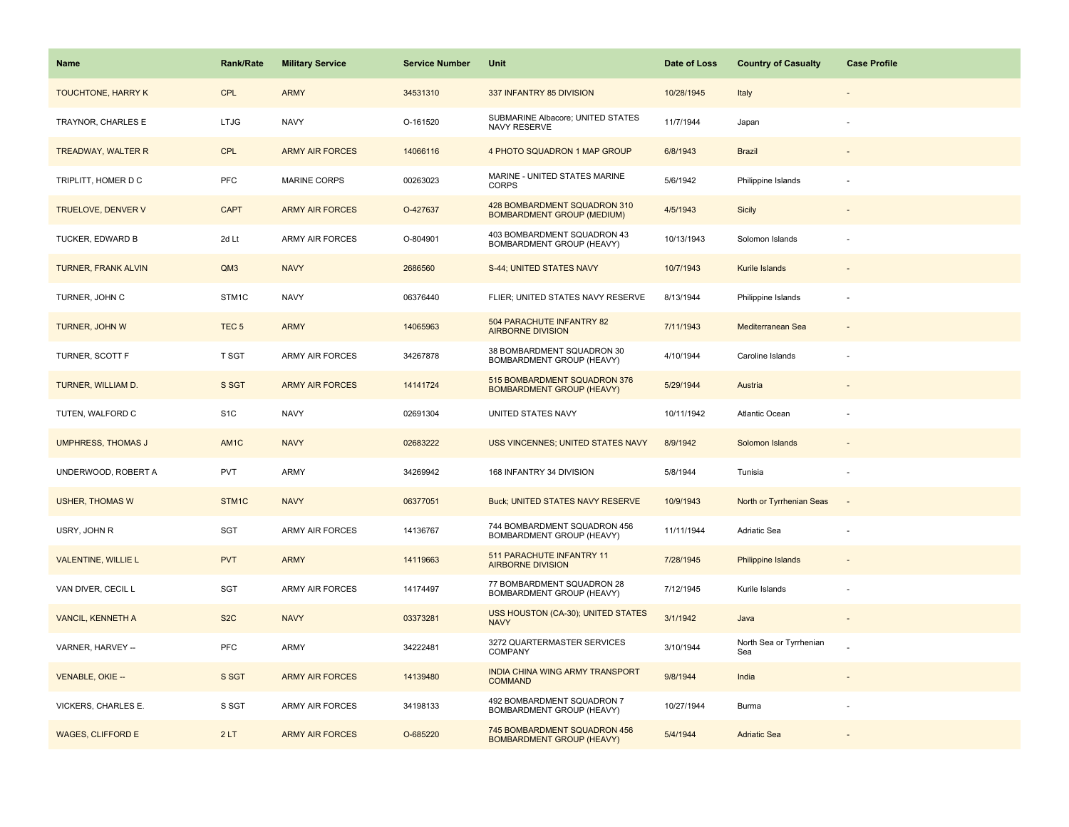| Name                       | Rank/Rate        | <b>Military Service</b> | <b>Service Number</b> | Unit                                                              | Date of Loss | <b>Country of Casualty</b>     | <b>Case Profile</b> |
|----------------------------|------------------|-------------------------|-----------------------|-------------------------------------------------------------------|--------------|--------------------------------|---------------------|
| <b>TOUCHTONE, HARRY K</b>  | <b>CPL</b>       | <b>ARMY</b>             | 34531310              | 337 INFANTRY 85 DIVISION                                          | 10/28/1945   | Italy                          |                     |
| TRAYNOR, CHARLES E         | <b>LTJG</b>      | <b>NAVY</b>             | O-161520              | SUBMARINE Albacore; UNITED STATES<br>NAVY RESERVE                 | 11/7/1944    | Japan                          |                     |
| <b>TREADWAY, WALTER R</b>  | <b>CPL</b>       | <b>ARMY AIR FORCES</b>  | 14066116              | 4 PHOTO SQUADRON 1 MAP GROUP                                      | 6/8/1943     | <b>Brazil</b>                  |                     |
| TRIPLITT, HOMER D C        | <b>PFC</b>       | <b>MARINE CORPS</b>     | 00263023              | MARINE - UNITED STATES MARINE<br><b>CORPS</b>                     | 5/6/1942     | Philippine Islands             |                     |
| <b>TRUELOVE, DENVER V</b>  | <b>CAPT</b>      | <b>ARMY AIR FORCES</b>  | O-427637              | 428 BOMBARDMENT SQUADRON 310<br><b>BOMBARDMENT GROUP (MEDIUM)</b> | 4/5/1943     | Sicily                         |                     |
| TUCKER, EDWARD B           | 2d Lt            | ARMY AIR FORCES         | O-804901              | 403 BOMBARDMENT SQUADRON 43<br>BOMBARDMENT GROUP (HEAVY)          | 10/13/1943   | Solomon Islands                |                     |
| <b>TURNER, FRANK ALVIN</b> | QM3              | <b>NAVY</b>             | 2686560               | S-44; UNITED STATES NAVY                                          | 10/7/1943    | Kurile Islands                 |                     |
| TURNER, JOHN C             | STM1C            | <b>NAVY</b>             | 06376440              | FLIER; UNITED STATES NAVY RESERVE                                 | 8/13/1944    | Philippine Islands             | ÷                   |
| <b>TURNER, JOHN W</b>      | TEC <sub>5</sub> | <b>ARMY</b>             | 14065963              | 504 PARACHUTE INFANTRY 82<br><b>AIRBORNE DIVISION</b>             | 7/11/1943    | Mediterranean Sea              |                     |
| TURNER, SCOTT F            | T SGT            | ARMY AIR FORCES         | 34267878              | 38 BOMBARDMENT SQUADRON 30<br>BOMBARDMENT GROUP (HEAVY)           | 4/10/1944    | Caroline Islands               |                     |
| TURNER, WILLIAM D.         | S SGT            | <b>ARMY AIR FORCES</b>  | 14141724              | 515 BOMBARDMENT SQUADRON 376<br><b>BOMBARDMENT GROUP (HEAVY)</b>  | 5/29/1944    | Austria                        |                     |
| TUTEN, WALFORD C           | S <sub>1</sub> C | <b>NAVY</b>             | 02691304              | UNITED STATES NAVY                                                | 10/11/1942   | Atlantic Ocean                 |                     |
| <b>UMPHRESS, THOMAS J</b>  | AM1C             | <b>NAVY</b>             | 02683222              | USS VINCENNES; UNITED STATES NAVY                                 | 8/9/1942     | Solomon Islands                |                     |
| UNDERWOOD, ROBERT A        | PVT              | <b>ARMY</b>             | 34269942              | 168 INFANTRY 34 DIVISION                                          | 5/8/1944     | Tunisia                        | ÷,                  |
| <b>USHER, THOMAS W</b>     | STM1C            | <b>NAVY</b>             | 06377051              | Buck; UNITED STATES NAVY RESERVE                                  | 10/9/1943    | North or Tyrrhenian Seas       | $\sim$              |
| USRY, JOHN R               | SGT              | ARMY AIR FORCES         | 14136767              | 744 BOMBARDMENT SQUADRON 456<br>BOMBARDMENT GROUP (HEAVY)         | 11/11/1944   | Adriatic Sea                   |                     |
| <b>VALENTINE, WILLIE L</b> | <b>PVT</b>       | <b>ARMY</b>             | 14119663              | 511 PARACHUTE INFANTRY 11<br><b>AIRBORNE DIVISION</b>             | 7/28/1945    | <b>Philippine Islands</b>      |                     |
| VAN DIVER, CECIL L         | SGT              | <b>ARMY AIR FORCES</b>  | 14174497              | 77 BOMBARDMENT SQUADRON 28<br>BOMBARDMENT GROUP (HEAVY)           | 7/12/1945    | Kurile Islands                 |                     |
| <b>VANCIL, KENNETH A</b>   | S <sub>2</sub> C | <b>NAVY</b>             | 03373281              | USS HOUSTON (CA-30); UNITED STATES<br><b>NAVY</b>                 | 3/1/1942     | Java                           |                     |
| VARNER, HARVEY --          | <b>PFC</b>       | ARMY                    | 34222481              | 3272 QUARTERMASTER SERVICES<br>COMPANY                            | 3/10/1944    | North Sea or Tyrrhenian<br>Sea |                     |
| <b>VENABLE, OKIE --</b>    | S SGT            | <b>ARMY AIR FORCES</b>  | 14139480              | INDIA CHINA WING ARMY TRANSPORT<br><b>COMMAND</b>                 | 9/8/1944     | India                          |                     |
| VICKERS, CHARLES E.        | S SGT            | ARMY AIR FORCES         | 34198133              | 492 BOMBARDMENT SQUADRON 7<br>BOMBARDMENT GROUP (HEAVY)           | 10/27/1944   | Burma                          |                     |
| <b>WAGES, CLIFFORD E</b>   | 2LT              | <b>ARMY AIR FORCES</b>  | O-685220              | 745 BOMBARDMENT SQUADRON 456<br><b>BOMBARDMENT GROUP (HEAVY)</b>  | 5/4/1944     | <b>Adriatic Sea</b>            |                     |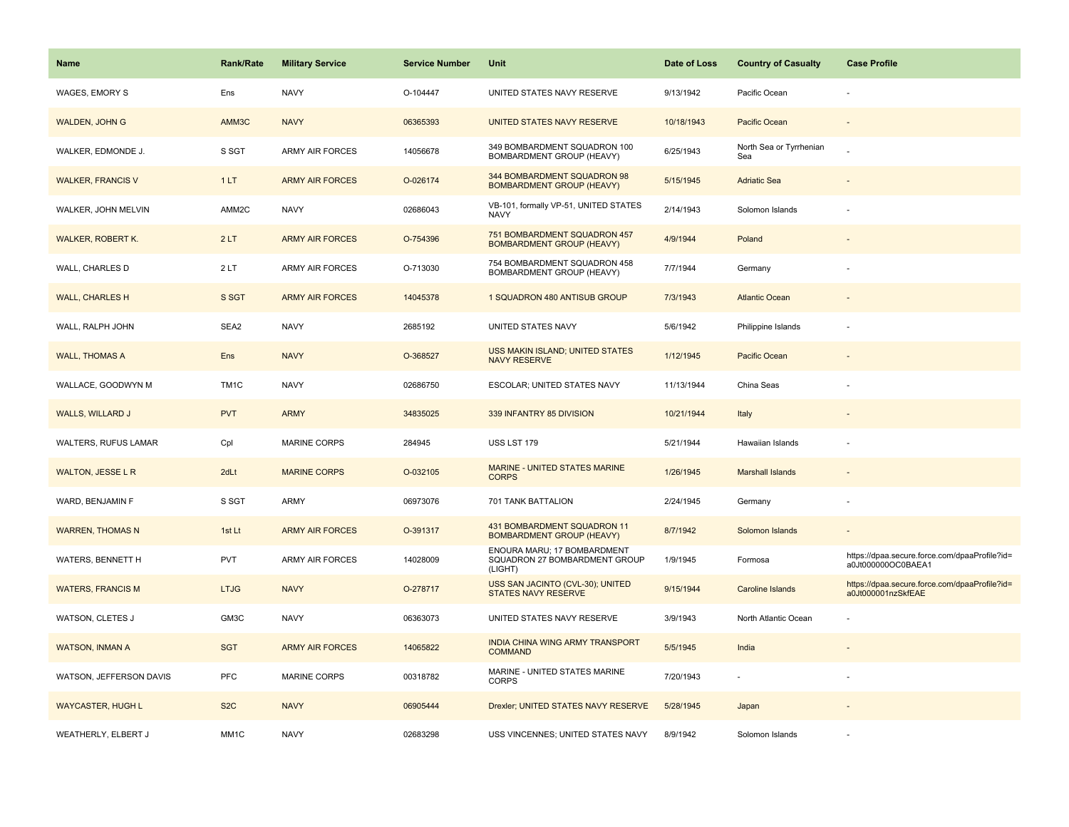| Name                     | <b>Rank/Rate</b>  | <b>Military Service</b> | <b>Service Number</b> | Unit                                                                    | Date of Loss | <b>Country of Casualty</b>     | <b>Case Profile</b>                                                 |
|--------------------------|-------------------|-------------------------|-----------------------|-------------------------------------------------------------------------|--------------|--------------------------------|---------------------------------------------------------------------|
| <b>WAGES, EMORY S</b>    | Ens               | <b>NAVY</b>             | O-104447              | UNITED STATES NAVY RESERVE                                              | 9/13/1942    | Pacific Ocean                  |                                                                     |
| <b>WALDEN, JOHN G</b>    | AMM3C             | <b>NAVY</b>             | 06365393              | UNITED STATES NAVY RESERVE                                              | 10/18/1943   | Pacific Ocean                  |                                                                     |
| WALKER, EDMONDE J.       | S SGT             | <b>ARMY AIR FORCES</b>  | 14056678              | 349 BOMBARDMENT SQUADRON 100<br>BOMBARDMENT GROUP (HEAVY)               | 6/25/1943    | North Sea or Tyrrhenian<br>Sea |                                                                     |
| <b>WALKER, FRANCIS V</b> | 1LT               | <b>ARMY AIR FORCES</b>  | O-026174              | 344 BOMBARDMENT SQUADRON 98<br><b>BOMBARDMENT GROUP (HEAVY)</b>         | 5/15/1945    | <b>Adriatic Sea</b>            |                                                                     |
| WALKER, JOHN MELVIN      | AMM2C             | <b>NAVY</b>             | 02686043              | VB-101, formally VP-51, UNITED STATES<br><b>NAVY</b>                    | 2/14/1943    | Solomon Islands                |                                                                     |
| <b>WALKER, ROBERT K.</b> | 2LT               | <b>ARMY AIR FORCES</b>  | O-754396              | 751 BOMBARDMENT SQUADRON 457<br><b>BOMBARDMENT GROUP (HEAVY)</b>        | 4/9/1944     | Poland                         |                                                                     |
| WALL, CHARLES D          | 2LT               | ARMY AIR FORCES         | O-713030              | 754 BOMBARDMENT SQUADRON 458<br>BOMBARDMENT GROUP (HEAVY)               | 7/7/1944     | Germany                        |                                                                     |
| <b>WALL, CHARLES H</b>   | S SGT             | <b>ARMY AIR FORCES</b>  | 14045378              | 1 SQUADRON 480 ANTISUB GROUP                                            | 7/3/1943     | <b>Atlantic Ocean</b>          |                                                                     |
| WALL, RALPH JOHN         | SEA2              | <b>NAVY</b>             | 2685192               | UNITED STATES NAVY                                                      | 5/6/1942     | Philippine Islands             |                                                                     |
| <b>WALL, THOMAS A</b>    | Ens               | <b>NAVY</b>             | O-368527              | USS MAKIN ISLAND; UNITED STATES<br><b>NAVY RESERVE</b>                  | 1/12/1945    | Pacific Ocean                  |                                                                     |
| WALLACE, GOODWYN M       | TM <sub>1</sub> C | <b>NAVY</b>             | 02686750              | ESCOLAR; UNITED STATES NAVY                                             | 11/13/1944   | China Seas                     |                                                                     |
| <b>WALLS, WILLARD J</b>  | <b>PVT</b>        | <b>ARMY</b>             | 34835025              | 339 INFANTRY 85 DIVISION                                                | 10/21/1944   | Italy                          |                                                                     |
| WALTERS, RUFUS LAMAR     | Cpl               | <b>MARINE CORPS</b>     | 284945                | USS LST 179                                                             | 5/21/1944    | Hawaiian Islands               |                                                                     |
| <b>WALTON, JESSE L R</b> | 2dLt              | <b>MARINE CORPS</b>     | O-032105              | MARINE - UNITED STATES MARINE<br><b>CORPS</b>                           | 1/26/1945    | <b>Marshall Islands</b>        |                                                                     |
| WARD, BENJAMIN F         | S SGT             | ARMY                    | 06973076              | 701 TANK BATTALION                                                      | 2/24/1945    | Germany                        |                                                                     |
| <b>WARREN, THOMAS N</b>  | 1st Lt            | <b>ARMY AIR FORCES</b>  | O-391317              | 431 BOMBARDMENT SQUADRON 11<br><b>BOMBARDMENT GROUP (HEAVY)</b>         | 8/7/1942     | Solomon Islands                |                                                                     |
| WATERS, BENNETT H        | <b>PVT</b>        | ARMY AIR FORCES         | 14028009              | ENOURA MARU; 17 BOMBARDMENT<br>SQUADRON 27 BOMBARDMENT GROUP<br>(LIGHT) | 1/9/1945     | Formosa                        | https://dpaa.secure.force.com/dpaaProfile?id=<br>a0Jt000000OC0BAEA1 |
| <b>WATERS, FRANCIS M</b> | <b>LTJG</b>       | <b>NAVY</b>             | O-278717              | USS SAN JACINTO (CVL-30); UNITED<br><b>STATES NAVY RESERVE</b>          | 9/15/1944    | <b>Caroline Islands</b>        | https://dpaa.secure.force.com/dpaaProfile?id=<br>a0Jt000001nzSkfEAE |
| WATSON, CLETES J         | GM3C              | <b>NAVY</b>             | 06363073              | UNITED STATES NAVY RESERVE                                              | 3/9/1943     | North Atlantic Ocean           |                                                                     |
| <b>WATSON, INMAN A</b>   | <b>SGT</b>        | <b>ARMY AIR FORCES</b>  | 14065822              | INDIA CHINA WING ARMY TRANSPORT<br><b>COMMAND</b>                       | 5/5/1945     | India                          |                                                                     |
| WATSON, JEFFERSON DAVIS  | PFC               | <b>MARINE CORPS</b>     | 00318782              | MARINE - UNITED STATES MARINE<br><b>CORPS</b>                           | 7/20/1943    | $\sim$                         |                                                                     |
| <b>WAYCASTER, HUGH L</b> | S <sub>2</sub> C  | <b>NAVY</b>             | 06905444              | Drexler; UNITED STATES NAVY RESERVE                                     | 5/28/1945    | Japan                          |                                                                     |
| WEATHERLY, ELBERT J      | MM <sub>1</sub> C | <b>NAVY</b>             | 02683298              | USS VINCENNES; UNITED STATES NAVY                                       | 8/9/1942     | Solomon Islands                |                                                                     |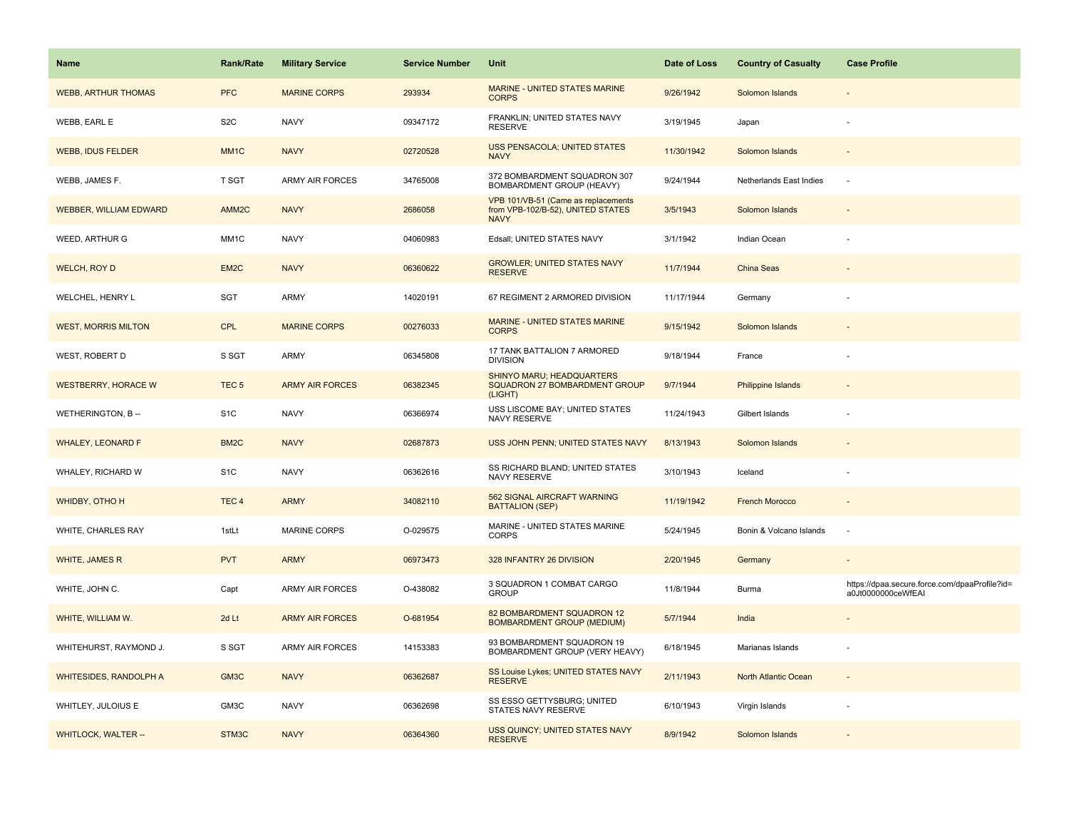| <b>Name</b>                   | <b>Rank/Rate</b>  | <b>Military Service</b> | <b>Service Number</b> | Unit                                                                                    | Date of Loss | <b>Country of Casualty</b> | <b>Case Profile</b>                                                 |
|-------------------------------|-------------------|-------------------------|-----------------------|-----------------------------------------------------------------------------------------|--------------|----------------------------|---------------------------------------------------------------------|
| <b>WEBB, ARTHUR THOMAS</b>    | <b>PFC</b>        | <b>MARINE CORPS</b>     | 293934                | MARINE - UNITED STATES MARINE<br><b>CORPS</b>                                           | 9/26/1942    | Solomon Islands            |                                                                     |
| WEBB, EARL E                  | S <sub>2</sub> C  | <b>NAVY</b>             | 09347172              | FRANKLIN; UNITED STATES NAVY<br><b>RESERVE</b>                                          | 3/19/1945    | Japan                      |                                                                     |
| <b>WEBB, IDUS FELDER</b>      | MM <sub>1</sub> C | <b>NAVY</b>             | 02720528              | USS PENSACOLA; UNITED STATES<br><b>NAVY</b>                                             | 11/30/1942   | Solomon Islands            |                                                                     |
| WEBB, JAMES F.                | T SGT             | <b>ARMY AIR FORCES</b>  | 34765008              | 372 BOMBARDMENT SQUADRON 307<br>BOMBARDMENT GROUP (HEAVY)                               | 9/24/1944    | Netherlands East Indies    |                                                                     |
| <b>WEBBER, WILLIAM EDWARD</b> | AMM <sub>2C</sub> | <b>NAVY</b>             | 2686058               | VPB 101/VB-51 (Came as replacements<br>from VPB-102/B-52), UNITED STATES<br><b>NAVY</b> | 3/5/1943     | Solomon Islands            |                                                                     |
| WEED, ARTHUR G                | MM1C              | <b>NAVY</b>             | 04060983              | Edsall; UNITED STATES NAVY                                                              | 3/1/1942     | Indian Ocean               |                                                                     |
| WELCH, ROY D                  | EM <sub>2</sub> C | <b>NAVY</b>             | 06360622              | <b>GROWLER: UNITED STATES NAVY</b><br><b>RESERVE</b>                                    | 11/7/1944    | China Seas                 |                                                                     |
| WELCHEL, HENRY L              | SGT               | ARMY                    | 14020191              | 67 REGIMENT 2 ARMORED DIVISION                                                          | 11/17/1944   | Germany                    |                                                                     |
| <b>WEST, MORRIS MILTON</b>    | <b>CPL</b>        | <b>MARINE CORPS</b>     | 00276033              | MARINE - UNITED STATES MARINE<br><b>CORPS</b>                                           | 9/15/1942    | Solomon Islands            |                                                                     |
| WEST, ROBERT D                | S SGT             | ARMY                    | 06345808              | 17 TANK BATTALION 7 ARMORED<br><b>DIVISION</b>                                          | 9/18/1944    | France                     |                                                                     |
| <b>WESTBERRY, HORACE W</b>    | TEC <sub>5</sub>  | <b>ARMY AIR FORCES</b>  | 06382345              | <b>SHINYO MARU; HEADQUARTERS</b><br>SQUADRON 27 BOMBARDMENT GROUP<br>(LIGHT)            | 9/7/1944     | <b>Philippine Islands</b>  |                                                                     |
| WETHERINGTON, B --            | S <sub>1</sub> C  | <b>NAVY</b>             | 06366974              | USS LISCOME BAY; UNITED STATES<br>NAVY RESERVE                                          | 11/24/1943   | Gilbert Islands            |                                                                     |
| <b>WHALEY, LEONARD F</b>      | BM <sub>2</sub> C | <b>NAVY</b>             | 02687873              | USS JOHN PENN; UNITED STATES NAVY                                                       | 8/13/1943    | Solomon Islands            |                                                                     |
| WHALEY, RICHARD W             | S <sub>1</sub> C  | <b>NAVY</b>             | 06362616              | SS RICHARD BLAND; UNITED STATES<br>NAVY RESERVE                                         | 3/10/1943    | Iceland                    |                                                                     |
| WHIDBY, OTHO H                | TEC <sub>4</sub>  | <b>ARMY</b>             | 34082110              | 562 SIGNAL AIRCRAFT WARNING<br><b>BATTALION (SEP)</b>                                   | 11/19/1942   | <b>French Morocco</b>      |                                                                     |
| WHITE, CHARLES RAY            | 1stLt             | <b>MARINE CORPS</b>     | O-029575              | MARINE - UNITED STATES MARINE<br><b>CORPS</b>                                           | 5/24/1945    | Bonin & Volcano Islands    | $\sim$                                                              |
| WHITE, JAMES R                | <b>PVT</b>        | <b>ARMY</b>             | 06973473              | 328 INFANTRY 26 DIVISION                                                                | 2/20/1945    | Germany                    |                                                                     |
| WHITE, JOHN C.                | Capt              | <b>ARMY AIR FORCES</b>  | O-438082              | 3 SQUADRON 1 COMBAT CARGO<br><b>GROUP</b>                                               | 11/8/1944    | Burma                      | https://dpaa.secure.force.com/dpaaProfile?id=<br>a0Jt0000000ceWfEAI |
| WHITE, WILLIAM W.             | 2d Lt             | <b>ARMY AIR FORCES</b>  | O-681954              | 82 BOMBARDMENT SQUADRON 12<br><b>BOMBARDMENT GROUP (MEDIUM)</b>                         | 5/7/1944     | India                      |                                                                     |
| WHITEHURST, RAYMOND J.        | S SGT             | <b>ARMY AIR FORCES</b>  | 14153383              | 93 BOMBARDMENT SQUADRON 19<br>BOMBARDMENT GROUP (VERY HEAVY)                            | 6/18/1945    | Marianas Islands           |                                                                     |
| <b>WHITESIDES, RANDOLPH A</b> | GM <sub>3</sub> C | <b>NAVY</b>             | 06362687              | SS Louise Lykes; UNITED STATES NAVY<br><b>RESERVE</b>                                   | 2/11/1943    | North Atlantic Ocean       |                                                                     |
| WHITLEY, JULOIUS E            | GM3C              | <b>NAVY</b>             | 06362698              | SS ESSO GETTYSBURG; UNITED<br>STATES NAVY RESERVE                                       | 6/10/1943    | Virgin Islands             |                                                                     |
| <b>WHITLOCK, WALTER --</b>    | STM3C             | <b>NAVY</b>             | 06364360              | USS QUINCY; UNITED STATES NAVY<br><b>RESERVE</b>                                        | 8/9/1942     | Solomon Islands            |                                                                     |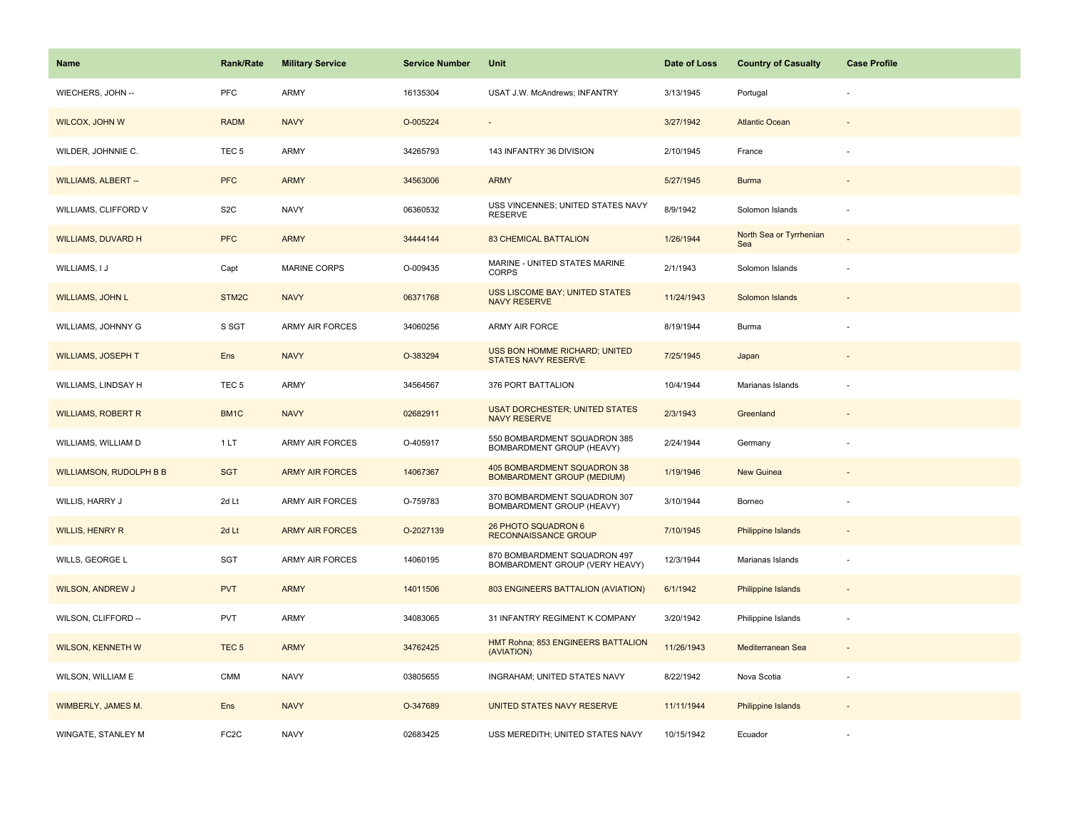| Name                           | Rank/Rate         | <b>Military Service</b> | <b>Service Number</b> | Unit                                                             | Date of Loss | <b>Country of Casualty</b>     | <b>Case Profile</b>      |
|--------------------------------|-------------------|-------------------------|-----------------------|------------------------------------------------------------------|--------------|--------------------------------|--------------------------|
| WIECHERS, JOHN --              | PFC               | ARMY                    | 16135304              | USAT J.W. McAndrews; INFANTRY                                    | 3/13/1945    | Portugal                       |                          |
| WILCOX, JOHN W                 | <b>RADM</b>       | <b>NAVY</b>             | O-005224              |                                                                  | 3/27/1942    | <b>Atlantic Ocean</b>          |                          |
| WILDER, JOHNNIE C.             | TEC <sub>5</sub>  | ARMY                    | 34265793              | 143 INFANTRY 36 DIVISION                                         | 2/10/1945    | France                         |                          |
| <b>WILLIAMS, ALBERT --</b>     | <b>PFC</b>        | <b>ARMY</b>             | 34563006              | <b>ARMY</b>                                                      | 5/27/1945    | <b>Burma</b>                   |                          |
| WILLIAMS, CLIFFORD V           | S <sub>2</sub> C  | <b>NAVY</b>             | 06360532              | USS VINCENNES; UNITED STATES NAVY<br><b>RESERVE</b>              | 8/9/1942     | Solomon Islands                |                          |
| <b>WILLIAMS, DUVARD H</b>      | <b>PFC</b>        | <b>ARMY</b>             | 34444144              | <b>83 CHEMICAL BATTALION</b>                                     | 1/26/1944    | North Sea or Tyrrhenian<br>Sea |                          |
| WILLIAMS, I J                  | Capt              | MARINE CORPS            | O-009435              | MARINE - UNITED STATES MARINE<br>CORPS                           | 2/1/1943     | Solomon Islands                | ÷                        |
| <b>WILLIAMS, JOHN L</b>        | STM2C             | <b>NAVY</b>             | 06371768              | USS LISCOME BAY; UNITED STATES<br><b>NAVY RESERVE</b>            | 11/24/1943   | Solomon Islands                |                          |
| WILLIAMS, JOHNNY G             | S SGT             | ARMY AIR FORCES         | 34060256              | ARMY AIR FORCE                                                   | 8/19/1944    | Burma                          |                          |
| <b>WILLIAMS, JOSEPH T</b>      | Ens               | <b>NAVY</b>             | O-383294              | USS BON HOMME RICHARD; UNITED<br>STATES NAVY RESERVE             | 7/25/1945    | Japan                          |                          |
| WILLIAMS, LINDSAY H            | TEC <sub>5</sub>  | ARMY                    | 34564567              | 376 PORT BATTALION                                               | 10/4/1944    | Marianas Islands               |                          |
| <b>WILLIAMS, ROBERT R</b>      | BM1C              | <b>NAVY</b>             | 02682911              | <b>USAT DORCHESTER; UNITED STATES</b><br><b>NAVY RESERVE</b>     | 2/3/1943     | Greenland                      | $\sim$                   |
| WILLIAMS, WILLIAM D            | 1 LT              | ARMY AIR FORCES         | O-405917              | 550 BOMBARDMENT SQUADRON 385<br>BOMBARDMENT GROUP (HEAVY)        | 2/24/1944    | Germany                        |                          |
| <b>WILLIAMSON, RUDOLPH B B</b> | <b>SGT</b>        | <b>ARMY AIR FORCES</b>  | 14067367              | 405 BOMBARDMENT SQUADRON 38<br><b>BOMBARDMENT GROUP (MEDIUM)</b> | 1/19/1946    | <b>New Guinea</b>              |                          |
| WILLIS, HARRY J                | 2d Lt             | <b>ARMY AIR FORCES</b>  | O-759783              | 370 BOMBARDMENT SQUADRON 307<br>BOMBARDMENT GROUP (HEAVY)        | 3/10/1944    | Borneo                         |                          |
| <b>WILLIS, HENRY R</b>         | 2d Lt             | <b>ARMY AIR FORCES</b>  | O-2027139             | 26 PHOTO SQUADRON 6<br><b>RECONNAISSANCE GROUP</b>               | 7/10/1945    | Philippine Islands             |                          |
| WILLS, GEORGE L                | SGT               | <b>ARMY AIR FORCES</b>  | 14060195              | 870 BOMBARDMENT SQUADRON 497<br>BOMBARDMENT GROUP (VERY HEAVY)   | 12/3/1944    | Marianas Islands               |                          |
| <b>WILSON, ANDREW J</b>        | <b>PVT</b>        | <b>ARMY</b>             | 14011506              | 803 ENGINEERS BATTALION (AVIATION)                               | 6/1/1942     | <b>Philippine Islands</b>      |                          |
| WILSON, CLIFFORD --            | <b>PVT</b>        | ARMY                    | 34083065              | 31 INFANTRY REGIMENT K COMPANY                                   | 3/20/1942    | Philippine Islands             | ÷,                       |
| <b>WILSON, KENNETH W</b>       | TEC <sub>5</sub>  | <b>ARMY</b>             | 34762425              | HMT Rohna; 853 ENGINEERS BATTALION<br>(AVIATION)                 | 11/26/1943   | Mediterranean Sea              | $\overline{\phantom{a}}$ |
| WILSON, WILLIAM E              | CMM               | <b>NAVY</b>             | 03805655              | INGRAHAM; UNITED STATES NAVY                                     | 8/22/1942    | Nova Scotia                    |                          |
| WIMBERLY, JAMES M.             | Ens               | <b>NAVY</b>             | O-347689              | UNITED STATES NAVY RESERVE                                       | 11/11/1944   | Philippine Islands             |                          |
| WINGATE, STANLEY M             | FC <sub>2</sub> C | <b>NAVY</b>             | 02683425              | USS MEREDITH; UNITED STATES NAVY                                 | 10/15/1942   | Ecuador                        |                          |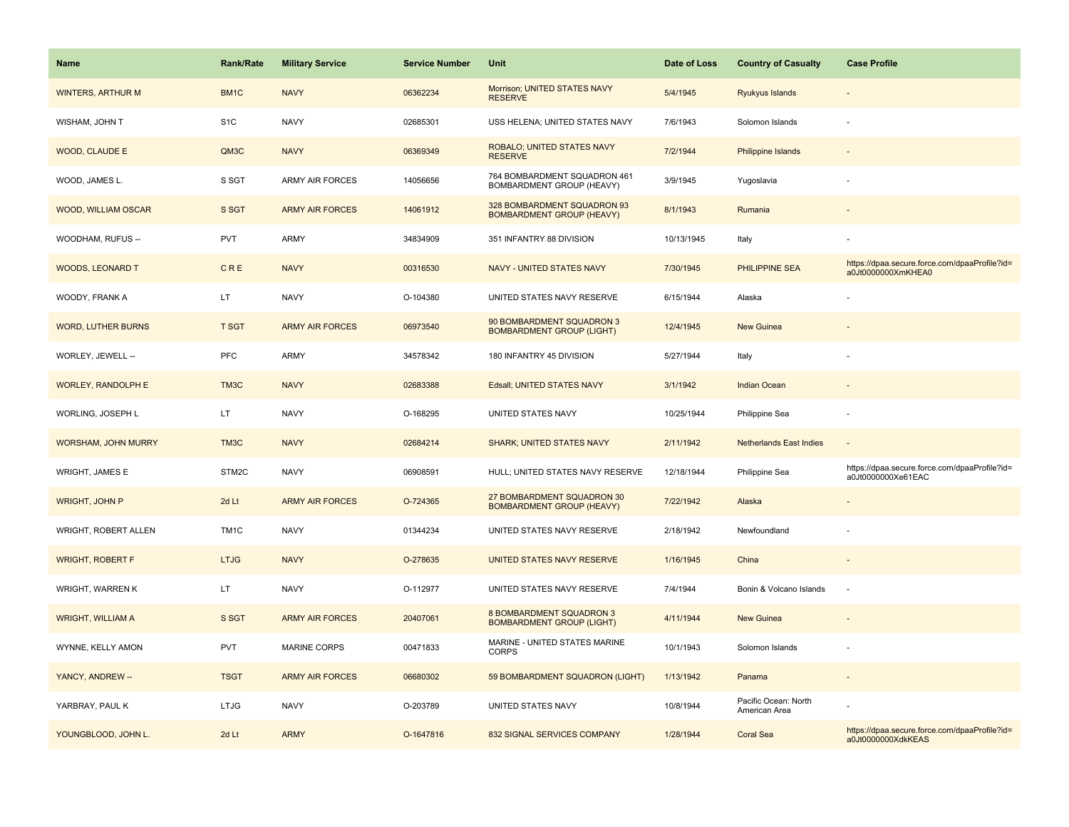| <b>Name</b>               | <b>Rank/Rate</b> | <b>Military Service</b> | <b>Service Number</b> | Unit                                                                | Date of Loss | <b>Country of Casualty</b>            | <b>Case Profile</b>                                                 |
|---------------------------|------------------|-------------------------|-----------------------|---------------------------------------------------------------------|--------------|---------------------------------------|---------------------------------------------------------------------|
| <b>WINTERS, ARTHUR M</b>  | BM1C             | <b>NAVY</b>             | 06362234              | Morrison; UNITED STATES NAVY<br><b>RESERVE</b>                      | 5/4/1945     | Ryukyus Islands                       |                                                                     |
| WISHAM, JOHN T            | S <sub>1</sub> C | <b>NAVY</b>             | 02685301              | USS HELENA; UNITED STATES NAVY                                      | 7/6/1943     | Solomon Islands                       |                                                                     |
| <b>WOOD, CLAUDE E</b>     | QM3C             | <b>NAVY</b>             | 06369349              | ROBALO; UNITED STATES NAVY<br><b>RESERVE</b>                        | 7/2/1944     | <b>Philippine Islands</b>             |                                                                     |
| WOOD, JAMES L.            | S SGT            | <b>ARMY AIR FORCES</b>  | 14056656              | 764 BOMBARDMENT SQUADRON 461<br><b>BOMBARDMENT GROUP (HEAVY)</b>    | 3/9/1945     | Yugoslavia                            |                                                                     |
| WOOD, WILLIAM OSCAR       | S SGT            | <b>ARMY AIR FORCES</b>  | 14061912              | 328 BOMBARDMENT SQUADRON 93<br><b>BOMBARDMENT GROUP (HEAVY)</b>     | 8/1/1943     | Rumania                               |                                                                     |
| WOODHAM, RUFUS --         | <b>PVT</b>       | <b>ARMY</b>             | 34834909              | 351 INFANTRY 88 DIVISION                                            | 10/13/1945   | Italy                                 |                                                                     |
| <b>WOODS, LEONARD T</b>   | CRE              | <b>NAVY</b>             | 00316530              | <b>NAVY - UNITED STATES NAVY</b>                                    | 7/30/1945    | PHILIPPINE SEA                        | https://dpaa.secure.force.com/dpaaProfile?id=<br>a0Jt0000000XmKHEA0 |
| WOODY, FRANK A            | LT.              | <b>NAVY</b>             | O-104380              | UNITED STATES NAVY RESERVE                                          | 6/15/1944    | Alaska                                |                                                                     |
| <b>WORD, LUTHER BURNS</b> | <b>T SGT</b>     | <b>ARMY AIR FORCES</b>  | 06973540              | 90 BOMBARDMENT SQUADRON 3<br><b>BOMBARDMENT GROUP (LIGHT)</b>       | 12/4/1945    | <b>New Guinea</b>                     |                                                                     |
| WORLEY, JEWELL --         | PFC              | <b>ARMY</b>             | 34578342              | 180 INFANTRY 45 DIVISION                                            | 5/27/1944    | Italy                                 |                                                                     |
| <b>WORLEY, RANDOLPH E</b> | TM3C             | <b>NAVY</b>             | 02683388              | Edsall; UNITED STATES NAVY                                          | 3/1/1942     | <b>Indian Ocean</b>                   |                                                                     |
| WORLING, JOSEPH L         | LT.              | <b>NAVY</b>             | O-168295              | UNITED STATES NAVY                                                  | 10/25/1944   | Philippine Sea                        |                                                                     |
| WORSHAM, JOHN MURRY       | TM3C             | <b>NAVY</b>             | 02684214              | <b>SHARK; UNITED STATES NAVY</b>                                    | 2/11/1942    | <b>Netherlands East Indies</b>        |                                                                     |
| <b>WRIGHT, JAMES E</b>    | STM2C            | <b>NAVY</b>             | 06908591              | HULL; UNITED STATES NAVY RESERVE                                    | 12/18/1944   | Philippine Sea                        | https://dpaa.secure.force.com/dpaaProfile?id=<br>a0Jt0000000Xe61EAC |
| <b>WRIGHT, JOHN P</b>     | 2d Lt            | <b>ARMY AIR FORCES</b>  | O-724365              | 27 BOMBARDMENT SQUADRON 30<br><b>BOMBARDMENT GROUP (HEAVY)</b>      | 7/22/1942    | Alaska                                |                                                                     |
| WRIGHT, ROBERT ALLEN      | TM <sub>1C</sub> | <b>NAVY</b>             | 01344234              | UNITED STATES NAVY RESERVE                                          | 2/18/1942    | Newfoundland                          |                                                                     |
| <b>WRIGHT, ROBERT F</b>   | <b>LTJG</b>      | <b>NAVY</b>             | O-278635              | UNITED STATES NAVY RESERVE                                          | 1/16/1945    | China                                 |                                                                     |
| WRIGHT, WARREN K          | LT.              | <b>NAVY</b>             | O-112977              | UNITED STATES NAVY RESERVE                                          | 7/4/1944     | Bonin & Volcano Islands               | ÷,                                                                  |
| <b>WRIGHT, WILLIAM A</b>  | S SGT            | <b>ARMY AIR FORCES</b>  | 20407061              | <b>8 BOMBARDMENT SQUADRON 3</b><br><b>BOMBARDMENT GROUP (LIGHT)</b> | 4/11/1944    | New Guinea                            |                                                                     |
| WYNNE, KELLY AMON         | <b>PVT</b>       | <b>MARINE CORPS</b>     | 00471833              | MARINE - UNITED STATES MARINE<br><b>CORPS</b>                       | 10/1/1943    | Solomon Islands                       |                                                                     |
| YANCY, ANDREW --          | <b>TSGT</b>      | <b>ARMY AIR FORCES</b>  | 06680302              | 59 BOMBARDMENT SQUADRON (LIGHT)                                     | 1/13/1942    | Panama                                |                                                                     |
| YARBRAY, PAUL K           | <b>LTJG</b>      | <b>NAVY</b>             | O-203789              | UNITED STATES NAVY                                                  | 10/8/1944    | Pacific Ocean: North<br>American Area |                                                                     |
| YOUNGBLOOD, JOHN L.       | 2d Lt            | <b>ARMY</b>             | O-1647816             | 832 SIGNAL SERVICES COMPANY                                         | 1/28/1944    | Coral Sea                             | https://dpaa.secure.force.com/dpaaProfile?id=<br>a0Jt0000000XdkKEAS |